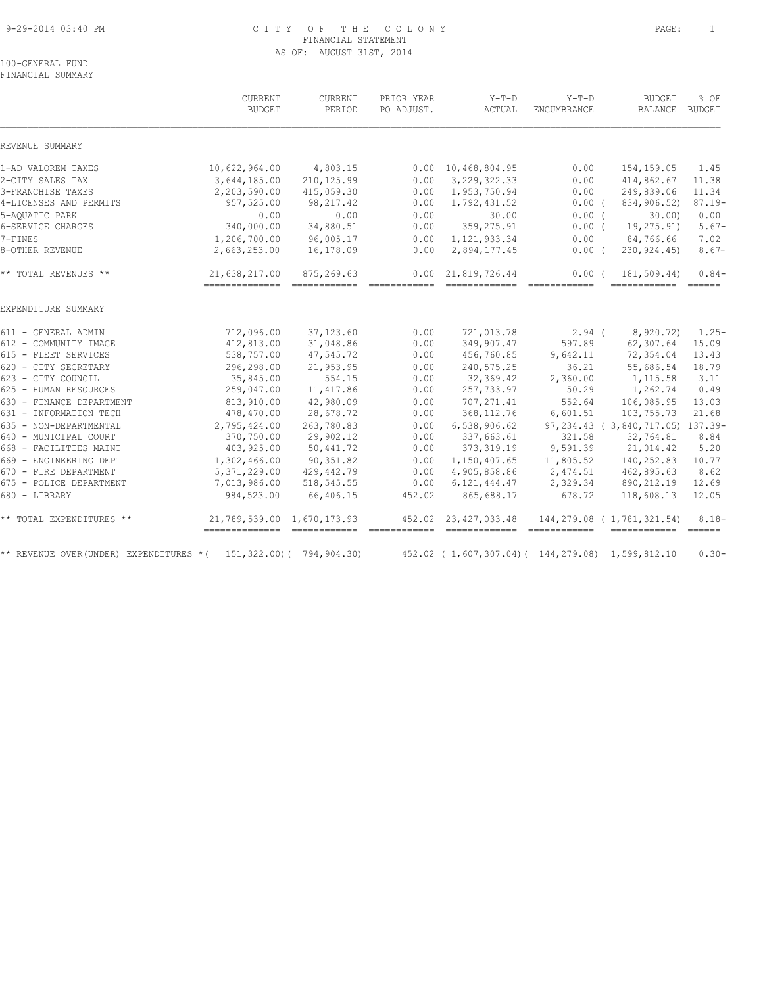#### 9-29-2014 03:40 PM C I T Y O F T H E C O L O N Y PAGE: 1 FINANCIAL STATEMENT AS OF: AUGUST 31ST, 2014

100-GENERAL FUND FINANCIAL SUMMARY

|                                                                      | CURRENT<br><b>BUDGET</b>                     | CURRENT<br>PERIOD                                                                                                                                                                                                                                                                                                                                                                                                                                                                      | PRIOR YEAR<br>PO ADJUST.                                                                                                                                                                                                                                                                                                                                                                                                                                                                       | $Y-T-D$<br>ACTUAL                                                                                                                                                                                                                                                                                                                                                                                                                                                                                              | $Y-T-D$<br>ENCUMBRANCE                                                                                                                                                                                                                                                                                                                                                                                                                                                                          | <b>BUDGET</b><br>BALANCE                                                                                                                                                                                                                                                                                                                                                                                                                                                                                    | % OF<br><b>BUDGET</b>          |
|----------------------------------------------------------------------|----------------------------------------------|----------------------------------------------------------------------------------------------------------------------------------------------------------------------------------------------------------------------------------------------------------------------------------------------------------------------------------------------------------------------------------------------------------------------------------------------------------------------------------------|------------------------------------------------------------------------------------------------------------------------------------------------------------------------------------------------------------------------------------------------------------------------------------------------------------------------------------------------------------------------------------------------------------------------------------------------------------------------------------------------|----------------------------------------------------------------------------------------------------------------------------------------------------------------------------------------------------------------------------------------------------------------------------------------------------------------------------------------------------------------------------------------------------------------------------------------------------------------------------------------------------------------|-------------------------------------------------------------------------------------------------------------------------------------------------------------------------------------------------------------------------------------------------------------------------------------------------------------------------------------------------------------------------------------------------------------------------------------------------------------------------------------------------|-------------------------------------------------------------------------------------------------------------------------------------------------------------------------------------------------------------------------------------------------------------------------------------------------------------------------------------------------------------------------------------------------------------------------------------------------------------------------------------------------------------|--------------------------------|
| REVENUE SUMMARY                                                      |                                              |                                                                                                                                                                                                                                                                                                                                                                                                                                                                                        |                                                                                                                                                                                                                                                                                                                                                                                                                                                                                                |                                                                                                                                                                                                                                                                                                                                                                                                                                                                                                                |                                                                                                                                                                                                                                                                                                                                                                                                                                                                                                 |                                                                                                                                                                                                                                                                                                                                                                                                                                                                                                             |                                |
| 1-AD VALOREM TAXES                                                   | 10,622,964.00                                | 4,803.15                                                                                                                                                                                                                                                                                                                                                                                                                                                                               | 0.00                                                                                                                                                                                                                                                                                                                                                                                                                                                                                           | 10,468,804.95                                                                                                                                                                                                                                                                                                                                                                                                                                                                                                  | 0.00                                                                                                                                                                                                                                                                                                                                                                                                                                                                                            | 154,159.05                                                                                                                                                                                                                                                                                                                                                                                                                                                                                                  | 1.45                           |
| 2-CITY SALES TAX                                                     | 3,644,185.00                                 | 210, 125.99                                                                                                                                                                                                                                                                                                                                                                                                                                                                            | 0.00                                                                                                                                                                                                                                                                                                                                                                                                                                                                                           | 3, 229, 322.33                                                                                                                                                                                                                                                                                                                                                                                                                                                                                                 | 0.00                                                                                                                                                                                                                                                                                                                                                                                                                                                                                            | 414,862.67                                                                                                                                                                                                                                                                                                                                                                                                                                                                                                  | 11.38                          |
| 3-FRANCHISE TAXES                                                    | 2,203,590.00                                 | 415,059.30                                                                                                                                                                                                                                                                                                                                                                                                                                                                             | 0.00                                                                                                                                                                                                                                                                                                                                                                                                                                                                                           | 1,953,750.94                                                                                                                                                                                                                                                                                                                                                                                                                                                                                                   | 0.00                                                                                                                                                                                                                                                                                                                                                                                                                                                                                            | 249,839.06                                                                                                                                                                                                                                                                                                                                                                                                                                                                                                  | 11.34                          |
| 4-LICENSES AND PERMITS                                               | 957,525.00                                   | 98, 217.42                                                                                                                                                                                                                                                                                                                                                                                                                                                                             | 0.00                                                                                                                                                                                                                                                                                                                                                                                                                                                                                           | 1,792,431.52                                                                                                                                                                                                                                                                                                                                                                                                                                                                                                   | $0.00$ (                                                                                                                                                                                                                                                                                                                                                                                                                                                                                        | 834,906.52)                                                                                                                                                                                                                                                                                                                                                                                                                                                                                                 | $87.19 -$                      |
| 5-AQUATIC PARK                                                       | 0.00                                         | 0.00                                                                                                                                                                                                                                                                                                                                                                                                                                                                                   | 0.00                                                                                                                                                                                                                                                                                                                                                                                                                                                                                           | 30.00                                                                                                                                                                                                                                                                                                                                                                                                                                                                                                          | $0.00$ (                                                                                                                                                                                                                                                                                                                                                                                                                                                                                        | 30.00                                                                                                                                                                                                                                                                                                                                                                                                                                                                                                       | 0.00                           |
| 6-SERVICE CHARGES                                                    | 340,000.00                                   | 34,880.51                                                                                                                                                                                                                                                                                                                                                                                                                                                                              | 0.00                                                                                                                                                                                                                                                                                                                                                                                                                                                                                           | 359, 275.91                                                                                                                                                                                                                                                                                                                                                                                                                                                                                                    | $0.00$ (                                                                                                                                                                                                                                                                                                                                                                                                                                                                                        | 19,275.91)                                                                                                                                                                                                                                                                                                                                                                                                                                                                                                  | $5.67-$                        |
| $7 - FTNES$                                                          | 1,206,700.00                                 | 96,005.17                                                                                                                                                                                                                                                                                                                                                                                                                                                                              | 0.00                                                                                                                                                                                                                                                                                                                                                                                                                                                                                           | 1, 121, 933.34                                                                                                                                                                                                                                                                                                                                                                                                                                                                                                 | 0.00                                                                                                                                                                                                                                                                                                                                                                                                                                                                                            | 84,766.66                                                                                                                                                                                                                                                                                                                                                                                                                                                                                                   | 7.02                           |
| 8-OTHER REVENUE                                                      | 2,663,253.00                                 | 16,178.09                                                                                                                                                                                                                                                                                                                                                                                                                                                                              | 0.00                                                                                                                                                                                                                                                                                                                                                                                                                                                                                           | 2,894,177.45                                                                                                                                                                                                                                                                                                                                                                                                                                                                                                   | $0.00$ (                                                                                                                                                                                                                                                                                                                                                                                                                                                                                        | 230, 924.45)                                                                                                                                                                                                                                                                                                                                                                                                                                                                                                | $8.67-$                        |
| ** TOTAL REVENUES **                                                 | 21,638,217.00<br>---------------             | 875,269.63<br>$=$ =============                                                                                                                                                                                                                                                                                                                                                                                                                                                        | 0.00<br>$\begin{array}{cccccccccc} \multicolumn{2}{c}{} & \multicolumn{2}{c}{} & \multicolumn{2}{c}{} & \multicolumn{2}{c}{} & \multicolumn{2}{c}{} & \multicolumn{2}{c}{} & \multicolumn{2}{c}{} & \multicolumn{2}{c}{} & \multicolumn{2}{c}{} & \multicolumn{2}{c}{} & \multicolumn{2}{c}{} & \multicolumn{2}{c}{} & \multicolumn{2}{c}{} & \multicolumn{2}{c}{} & \multicolumn{2}{c}{} & \multicolumn{2}{c}{} & \multicolumn{2}{c}{} & \multicolumn{2}{c}{} & \multicolumn{2}{c}{} & \mult$ | 21,819,726.44<br>=============                                                                                                                                                                                                                                                                                                                                                                                                                                                                                 | 0.00(<br>$\begin{array}{cccccccccc} \multicolumn{2}{c}{} & \multicolumn{2}{c}{} & \multicolumn{2}{c}{} & \multicolumn{2}{c}{} & \multicolumn{2}{c}{} & \multicolumn{2}{c}{} & \multicolumn{2}{c}{} & \multicolumn{2}{c}{} & \multicolumn{2}{c}{} & \multicolumn{2}{c}{} & \multicolumn{2}{c}{} & \multicolumn{2}{c}{} & \multicolumn{2}{c}{} & \multicolumn{2}{c}{} & \multicolumn{2}{c}{} & \multicolumn{2}{c}{} & \multicolumn{2}{c}{} & \multicolumn{2}{c}{} & \multicolumn{2}{c}{} & \mult$ | 181,509.44)<br>$\begin{tabular}{lllllllllll} \multicolumn{3}{l}{{\color{red}\textbf{a}}}&\multicolumn{3}{l}{\color{blue}\textbf{a}}&\multicolumn{3}{l}{\color{blue}\textbf{a}}&\multicolumn{3}{l}{\color{blue}\textbf{a}}&\multicolumn{3}{l}{\color{blue}\textbf{a}}&\multicolumn{3}{l}{\color{blue}\textbf{a}}&\multicolumn{3}{l}{\color{blue}\textbf{a}}&\multicolumn{3}{l}{\color{blue}\textbf{a}}&\multicolumn{3}{l}{\color{blue}\textbf{a}}&\multicolumn{3}{l}{\color{blue}\textbf{a}}&\multicolumn{3$ | $0.84-$                        |
| EXPENDITURE SUMMARY                                                  |                                              |                                                                                                                                                                                                                                                                                                                                                                                                                                                                                        |                                                                                                                                                                                                                                                                                                                                                                                                                                                                                                |                                                                                                                                                                                                                                                                                                                                                                                                                                                                                                                |                                                                                                                                                                                                                                                                                                                                                                                                                                                                                                 |                                                                                                                                                                                                                                                                                                                                                                                                                                                                                                             |                                |
| 611 - GENERAL ADMIN                                                  | 712,096.00                                   | 37, 123.60                                                                                                                                                                                                                                                                                                                                                                                                                                                                             | 0.00                                                                                                                                                                                                                                                                                                                                                                                                                                                                                           | 721,013.78                                                                                                                                                                                                                                                                                                                                                                                                                                                                                                     | $2.94$ (                                                                                                                                                                                                                                                                                                                                                                                                                                                                                        | 8,920.72)                                                                                                                                                                                                                                                                                                                                                                                                                                                                                                   | $1.25 -$                       |
| 612 - COMMUNITY IMAGE                                                | 412,813.00                                   | 31,048.86                                                                                                                                                                                                                                                                                                                                                                                                                                                                              | 0.00                                                                                                                                                                                                                                                                                                                                                                                                                                                                                           | 349,907.47                                                                                                                                                                                                                                                                                                                                                                                                                                                                                                     | 597.89                                                                                                                                                                                                                                                                                                                                                                                                                                                                                          | 62,307.64                                                                                                                                                                                                                                                                                                                                                                                                                                                                                                   | 15.09                          |
| 615 - FLEET SERVICES                                                 | 538,757.00                                   | 47,545.72                                                                                                                                                                                                                                                                                                                                                                                                                                                                              | 0.00                                                                                                                                                                                                                                                                                                                                                                                                                                                                                           | 456,760.85                                                                                                                                                                                                                                                                                                                                                                                                                                                                                                     | 9,642.11                                                                                                                                                                                                                                                                                                                                                                                                                                                                                        | 72,354.04                                                                                                                                                                                                                                                                                                                                                                                                                                                                                                   | 13.43                          |
| 620 - CITY SECRETARY                                                 | 296,298.00                                   | 21,953.95                                                                                                                                                                                                                                                                                                                                                                                                                                                                              | 0.00                                                                                                                                                                                                                                                                                                                                                                                                                                                                                           | 240, 575.25                                                                                                                                                                                                                                                                                                                                                                                                                                                                                                    | 36.21                                                                                                                                                                                                                                                                                                                                                                                                                                                                                           | 55,686.54                                                                                                                                                                                                                                                                                                                                                                                                                                                                                                   | 18.79                          |
| 623 - CITY COUNCIL                                                   | 35,845.00                                    | 554.15                                                                                                                                                                                                                                                                                                                                                                                                                                                                                 | 0.00                                                                                                                                                                                                                                                                                                                                                                                                                                                                                           | 32,369.42                                                                                                                                                                                                                                                                                                                                                                                                                                                                                                      | 2,360.00                                                                                                                                                                                                                                                                                                                                                                                                                                                                                        | 1,115.58                                                                                                                                                                                                                                                                                                                                                                                                                                                                                                    | 3.11                           |
| 625 - HUMAN RESOURCES                                                | 259,047.00                                   | 11, 417.86                                                                                                                                                                                                                                                                                                                                                                                                                                                                             | 0.00                                                                                                                                                                                                                                                                                                                                                                                                                                                                                           | 257,733.97                                                                                                                                                                                                                                                                                                                                                                                                                                                                                                     | 50.29                                                                                                                                                                                                                                                                                                                                                                                                                                                                                           | 1,262.74                                                                                                                                                                                                                                                                                                                                                                                                                                                                                                    | 0.49                           |
| 630 - FINANCE DEPARTMENT                                             | 813,910.00                                   | 42,980.09                                                                                                                                                                                                                                                                                                                                                                                                                                                                              | 0.00                                                                                                                                                                                                                                                                                                                                                                                                                                                                                           | 707, 271.41                                                                                                                                                                                                                                                                                                                                                                                                                                                                                                    | 552.64                                                                                                                                                                                                                                                                                                                                                                                                                                                                                          | 106,085.95                                                                                                                                                                                                                                                                                                                                                                                                                                                                                                  | 13.03                          |
| 631 - INFORMATION TECH                                               | 478,470.00                                   | 28,678.72                                                                                                                                                                                                                                                                                                                                                                                                                                                                              | 0.00                                                                                                                                                                                                                                                                                                                                                                                                                                                                                           | 368, 112.76                                                                                                                                                                                                                                                                                                                                                                                                                                                                                                    | 6,601.51                                                                                                                                                                                                                                                                                                                                                                                                                                                                                        | 103,755.73                                                                                                                                                                                                                                                                                                                                                                                                                                                                                                  | 21.68                          |
| 635 - NON-DEPARTMENTAL                                               | 2,795,424.00                                 | 263,780.83                                                                                                                                                                                                                                                                                                                                                                                                                                                                             | 0.00                                                                                                                                                                                                                                                                                                                                                                                                                                                                                           | 6,538,906.62                                                                                                                                                                                                                                                                                                                                                                                                                                                                                                   |                                                                                                                                                                                                                                                                                                                                                                                                                                                                                                 | 97, 234.43 (3, 840, 717.05) 137.39-                                                                                                                                                                                                                                                                                                                                                                                                                                                                         |                                |
| 640 - MUNICIPAL COURT                                                | 370,750.00                                   | 29,902.12                                                                                                                                                                                                                                                                                                                                                                                                                                                                              | 0.00                                                                                                                                                                                                                                                                                                                                                                                                                                                                                           | 337,663.61                                                                                                                                                                                                                                                                                                                                                                                                                                                                                                     | 321.58                                                                                                                                                                                                                                                                                                                                                                                                                                                                                          | 32,764.81                                                                                                                                                                                                                                                                                                                                                                                                                                                                                                   | 8.84                           |
| 668 - FACILITIES MAINT                                               | 403,925.00                                   | 50,441.72                                                                                                                                                                                                                                                                                                                                                                                                                                                                              | 0.00                                                                                                                                                                                                                                                                                                                                                                                                                                                                                           | 373, 319.19                                                                                                                                                                                                                                                                                                                                                                                                                                                                                                    | 9,591.39                                                                                                                                                                                                                                                                                                                                                                                                                                                                                        | 21,014.42                                                                                                                                                                                                                                                                                                                                                                                                                                                                                                   | 5.20                           |
| 669 - ENGINEERING DEPT                                               | 1,302,466.00                                 | 90,351.82                                                                                                                                                                                                                                                                                                                                                                                                                                                                              | 0.00                                                                                                                                                                                                                                                                                                                                                                                                                                                                                           | 1,150,407.65                                                                                                                                                                                                                                                                                                                                                                                                                                                                                                   | 11,805.52                                                                                                                                                                                                                                                                                                                                                                                                                                                                                       | 140,252.83                                                                                                                                                                                                                                                                                                                                                                                                                                                                                                  | 10.77                          |
| 670 - FIRE DEPARTMENT                                                | 5, 371, 229.00                               | 429, 442.79                                                                                                                                                                                                                                                                                                                                                                                                                                                                            | 0.00                                                                                                                                                                                                                                                                                                                                                                                                                                                                                           | 4,905,858.86                                                                                                                                                                                                                                                                                                                                                                                                                                                                                                   | 2,474.51                                                                                                                                                                                                                                                                                                                                                                                                                                                                                        | 462,895.63                                                                                                                                                                                                                                                                                                                                                                                                                                                                                                  | 8.62                           |
| 675 - POLICE DEPARTMENT                                              | 7,013,986.00                                 | 518, 545.55                                                                                                                                                                                                                                                                                                                                                                                                                                                                            | 0.00                                                                                                                                                                                                                                                                                                                                                                                                                                                                                           | 6, 121, 444.47                                                                                                                                                                                                                                                                                                                                                                                                                                                                                                 | 2,329.34                                                                                                                                                                                                                                                                                                                                                                                                                                                                                        | 890, 212.19                                                                                                                                                                                                                                                                                                                                                                                                                                                                                                 | 12.69                          |
| 680 - LIBRARY                                                        | 984,523.00                                   | 66,406.15                                                                                                                                                                                                                                                                                                                                                                                                                                                                              | 452.02                                                                                                                                                                                                                                                                                                                                                                                                                                                                                         | 865,688.17                                                                                                                                                                                                                                                                                                                                                                                                                                                                                                     | 678.72                                                                                                                                                                                                                                                                                                                                                                                                                                                                                          | 118,608.13                                                                                                                                                                                                                                                                                                                                                                                                                                                                                                  | 12.05                          |
| ** TOTAL EXPENDITURES **                                             | 21,789,539.00 1,670,173.93<br>============== | $\begin{array}{cccccccccc} \multicolumn{2}{c}{} & \multicolumn{2}{c}{} & \multicolumn{2}{c}{} & \multicolumn{2}{c}{} & \multicolumn{2}{c}{} & \multicolumn{2}{c}{} & \multicolumn{2}{c}{} & \multicolumn{2}{c}{} & \multicolumn{2}{c}{} & \multicolumn{2}{c}{} & \multicolumn{2}{c}{} & \multicolumn{2}{c}{} & \multicolumn{2}{c}{} & \multicolumn{2}{c}{} & \multicolumn{2}{c}{} & \multicolumn{2}{c}{} & \multicolumn{2}{c}{} & \multicolumn{2}{c}{} & \multicolumn{2}{c}{} & \mult$ | $\begin{array}{cccccccccc} \multicolumn{2}{c}{} & \multicolumn{2}{c}{} & \multicolumn{2}{c}{} & \multicolumn{2}{c}{} & \multicolumn{2}{c}{} & \multicolumn{2}{c}{} & \multicolumn{2}{c}{} & \multicolumn{2}{c}{} & \multicolumn{2}{c}{} & \multicolumn{2}{c}{} & \multicolumn{2}{c}{} & \multicolumn{2}{c}{} & \multicolumn{2}{c}{} & \multicolumn{2}{c}{} & \multicolumn{2}{c}{} & \multicolumn{2}{c}{} & \multicolumn{2}{c}{} & \multicolumn{2}{c}{} & \multicolumn{2}{c}{} & \mult$         | 452.02 23,427,033.48<br>$\begin{array}{cccccccccccccc} \multicolumn{2}{c}{} & \multicolumn{2}{c}{} & \multicolumn{2}{c}{} & \multicolumn{2}{c}{} & \multicolumn{2}{c}{} & \multicolumn{2}{c}{} & \multicolumn{2}{c}{} & \multicolumn{2}{c}{} & \multicolumn{2}{c}{} & \multicolumn{2}{c}{} & \multicolumn{2}{c}{} & \multicolumn{2}{c}{} & \multicolumn{2}{c}{} & \multicolumn{2}{c}{} & \multicolumn{2}{c}{} & \multicolumn{2}{c}{} & \multicolumn{2}{c}{} & \multicolumn{2}{c}{} & \multicolumn{2}{c}{} & \$ | $\begin{array}{cccccccccc} \multicolumn{2}{c}{} & \multicolumn{2}{c}{} & \multicolumn{2}{c}{} & \multicolumn{2}{c}{} & \multicolumn{2}{c}{} & \multicolumn{2}{c}{} & \multicolumn{2}{c}{} & \multicolumn{2}{c}{} & \multicolumn{2}{c}{} & \multicolumn{2}{c}{} & \multicolumn{2}{c}{} & \multicolumn{2}{c}{} & \multicolumn{2}{c}{} & \multicolumn{2}{c}{} & \multicolumn{2}{c}{} & \multicolumn{2}{c}{} & \multicolumn{2}{c}{} & \multicolumn{2}{c}{} & \multicolumn{2}{c}{} & \mult$          | 144, 279.08 ( 1, 781, 321.54)<br>-------------                                                                                                                                                                                                                                                                                                                                                                                                                                                              | $8.18-$<br>$=$ $=$ $=$ $=$ $=$ |
| ** REVENUE OVER (UNDER) EXPENDITURES * ( 151, 322.00) ( 794, 904.30) |                                              |                                                                                                                                                                                                                                                                                                                                                                                                                                                                                        |                                                                                                                                                                                                                                                                                                                                                                                                                                                                                                | 452.02 (1,607,307.04) (144,279.08) 1,599,812.10                                                                                                                                                                                                                                                                                                                                                                                                                                                                |                                                                                                                                                                                                                                                                                                                                                                                                                                                                                                 |                                                                                                                                                                                                                                                                                                                                                                                                                                                                                                             | $0.30 -$                       |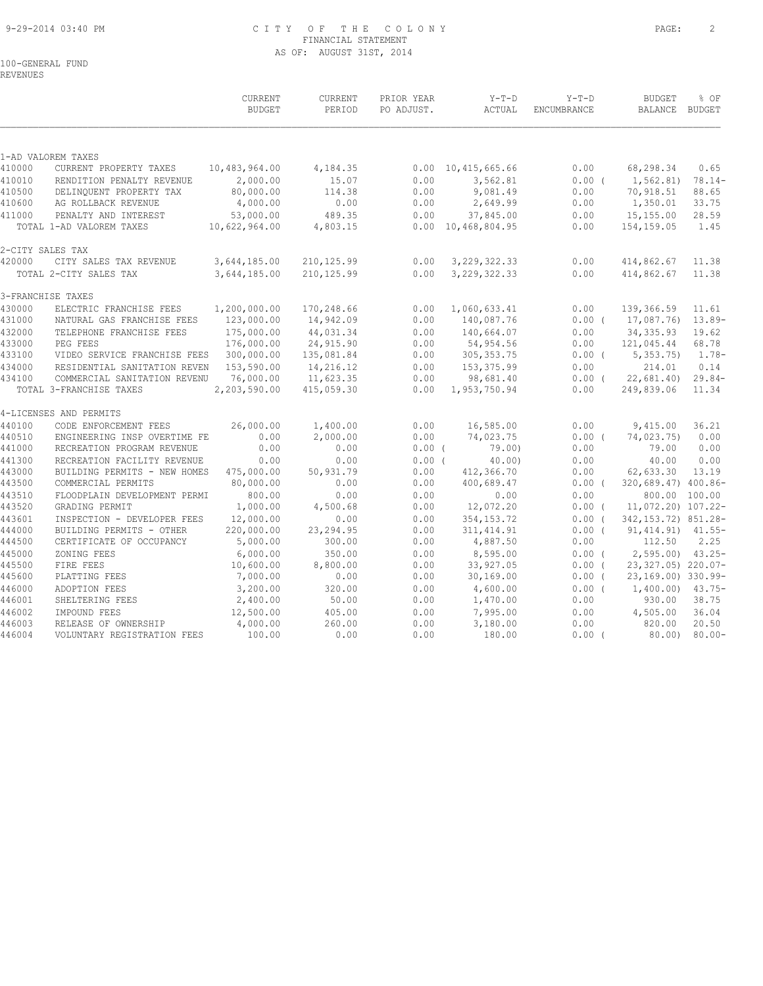## 9-29-2014 03:40 PM C I T Y O F T H E C O L O N Y PAGE: 2 FINANCIAL STATEMENT AS OF: AUGUST 31ST, 2014

# 100-GENERAL FUND

REVENUES

|                  |                                                              | <b>CURRENT</b><br><b>BUDGET</b> | CURRENT<br>PERIOD      | PRIOR YEAR<br>PO ADJUST. | $Y-T-D$<br>ACTUAL          | $Y-T-D$<br>ENCUMBRANCE | <b>BUDGET</b><br>BALANCE BUDGET | % OF             |
|------------------|--------------------------------------------------------------|---------------------------------|------------------------|--------------------------|----------------------------|------------------------|---------------------------------|------------------|
|                  |                                                              |                                 |                        |                          |                            |                        |                                 |                  |
| 410000           | 1-AD VALOREM TAXES<br>CURRENT PROPERTY TAXES                 | 10,483,964.00                   | 4,184.35               | 0.00                     | 10, 415, 665.66            | 0.00                   | 68,298.34                       | 0.65             |
| 410010           | RENDITION PENALTY REVENUE                                    | 2,000.00                        | 15.07                  | 0.00                     | 3,562.81                   | 0.00(                  | 1,562.81)                       | $78.14-$         |
| 410500           | DELINQUENT PROPERTY TAX                                      | 80,000.00                       | 114.38                 | 0.00                     | 9,081.49                   | 0.00                   | 70,918.51                       | 88.65            |
| 410600           | AG ROLLBACK REVENUE                                          | 4,000.00                        | 0.00                   | 0.00                     | 2,649.99                   | 0.00                   | 1,350.01                        | 33.75            |
| 411000           | PENALTY AND INTEREST                                         | 53,000.00                       | 489.35                 | 0.00                     | 37,845.00                  | 0.00                   | 15,155.00                       | 28.59            |
|                  | TOTAL 1-AD VALOREM TAXES                                     | 10,622,964.00                   | 4,803.15               |                          | $0.00 \quad 10,468,804.95$ | 0.00                   | 154, 159.05                     | 1.45             |
| 2-CITY SALES TAX |                                                              |                                 |                        |                          |                            |                        |                                 |                  |
| 420000           | CITY SALES TAX REVENUE                                       | 3,644,185.00                    | 210,125.99             | 0.00                     | 3, 229, 322.33             | 0.00                   | 414,862.67                      | 11.38            |
|                  | TOTAL 2-CITY SALES TAX                                       | 3,644,185.00                    | 210,125.99             | 0.00                     | 3, 229, 322.33             | 0.00                   | 414,862.67                      | 11.38            |
|                  | 3-FRANCHISE TAXES                                            |                                 |                        |                          |                            |                        |                                 |                  |
| 430000           | ELECTRIC FRANCHISE FEES                                      | 1,200,000.00                    | 170,248.66             | 0.00                     | 1,060,633.41               | 0.00                   | 139,366.59                      | 11.61            |
| 431000           | NATURAL GAS FRANCHISE FEES                                   | 123,000.00                      | 14,942.09              | 0.00                     | 140,087.76                 | $0.00$ (               | 17,087.76)                      | $13.89-$         |
| 432000           | TELEPHONE FRANCHISE FEES                                     | 175,000.00                      | 44,031.34              | 0.00                     | 140,664.07                 | 0.00                   | 34, 335.93                      | 19.62            |
| 433000           | PEG FEES                                                     | 176,000.00                      | 24,915.90              | 0.00                     | 54,954.56                  | 0.00                   | 121,045.44                      | 68.78            |
| 433100           | VIDEO SERVICE FRANCHISE FEES                                 | 300,000.00                      | 135,081.84             | 0.00                     | 305, 353.75                | $0.00$ (               | 5,353.75                        | $1.78-$          |
| 434000<br>434100 | RESIDENTIAL SANITATION REVEN<br>COMMERCIAL SANITATION REVENU | 153,590.00<br>76,000.00         | 14,216.12<br>11,623.35 | 0.00<br>0.00             | 153,375.99<br>98,681.40    | 0.00<br>$0.00$ (       | 214.01<br>22,681.40             | 0.14<br>$29.84-$ |
|                  | TOTAL 3-FRANCHISE TAXES                                      | 2,203,590.00                    | 415,059.30             | 0.00                     | 1,953,750.94               | 0.00                   | 249,839.06                      | 11.34            |
|                  | 4-LICENSES AND PERMITS                                       |                                 |                        |                          |                            |                        |                                 |                  |
| 440100           | CODE ENFORCEMENT FEES                                        | 26,000.00                       | 1,400.00               | 0.00                     | 16,585.00                  | 0.00                   | 9,415.00                        | 36.21            |
| 440510           | ENGINEERING INSP OVERTIME FE                                 | 0.00                            | 2,000.00               | 0.00                     | 74,023.75                  | $0.00$ (               | 74,023.75)                      | 0.00             |
| 441000           | RECREATION PROGRAM REVENUE                                   | 0.00                            | 0.00                   | $0.00$ (                 | 79.00                      | 0.00                   | 79.00                           | 0.00             |
| 441300           | RECREATION FACILITY REVENUE                                  | 0.00                            | 0.00                   | 0.00(                    | 40.00                      | 0.00                   | 40.00                           | 0.00             |
| 443000           | BUILDING PERMITS - NEW HOMES                                 | 475,000.00                      | 50,931.79              | 0.00                     | 412,366.70                 | 0.00                   | 62,633.30                       | 13.19            |
| 443500           | COMMERCIAL PERMITS                                           | 80,000.00                       | 0.00                   | 0.00                     | 400,689.47                 | $0.00$ (               | 320,689.47) 400.86-             |                  |
| 443510<br>443520 | FLOODPLAIN DEVELOPMENT PERMI<br>GRADING PERMIT               | 800.00<br>1,000.00              | 0.00<br>4,500.68       | 0.00<br>0.00             | 0.00<br>12,072.20          | 0.00<br>$0.00$ (       | 11,072.20) 107.22-              | 800.00 100.00    |
| 443601           | INSPECTION - DEVELOPER FEES                                  | 12,000.00                       | 0.00                   | 0.00                     | 354, 153. 72               | $0.00$ (               | 342, 153. 72) 851. 28-          |                  |
| 444000           | BUILDING PERMITS - OTHER                                     | 220,000.00                      | 23, 294.95             | 0.00                     | 311, 414.91                | $0.00$ (               | 91, 414.91)                     | $41.55 -$        |
| 444500           | CERTIFICATE OF OCCUPANCY                                     | 5,000.00                        | 300.00                 | 0.00                     | 4,887.50                   | 0.00                   | 112.50                          | 2.25             |
| 445000           | ZONING FEES                                                  | 6,000.00                        | 350.00                 | 0.00                     | 8,595.00                   | $0.00$ (               | 2,595.00                        | $43.25 -$        |
| 445500           | FIRE FEES                                                    | 10,600.00                       | 8,800.00               | 0.00                     | 33,927.05                  | $0.00$ (               | 23,327.05) 220.07-              |                  |
| 445600           | PLATTING FEES                                                | 7,000.00                        | 0.00                   | 0.00                     | 30, 169.00                 | $0.00$ (               | 23,169.00) 330.99-              |                  |
| 446000           | ADOPTION FEES                                                | 3,200.00                        | 320.00                 | 0.00                     | 4,600.00                   | $0.00$ (               | 1,400.00)                       | $43.75-$         |
| 446001           | SHELTERING FEES                                              | 2,400.00                        | 50.00                  | 0.00                     | 1,470.00                   | 0.00                   | 930.00                          | 38.75            |
| 446002           | IMPOUND FEES                                                 | 12,500.00                       | 405.00                 | 0.00                     | 7,995.00                   | 0.00                   | 4,505.00                        | 36.04            |
| 446003           | RELEASE OF OWNERSHIP                                         | 4,000.00                        | 260.00                 | 0.00                     | 3,180.00                   | 0.00                   | 820.00                          | 20.50            |
| 446004           | VOLUNTARY REGISTRATION FEES                                  | 100.00                          | 0.00                   | 0.00                     | 180.00                     | $0.00$ (               | 80.00)                          | $80.00 -$        |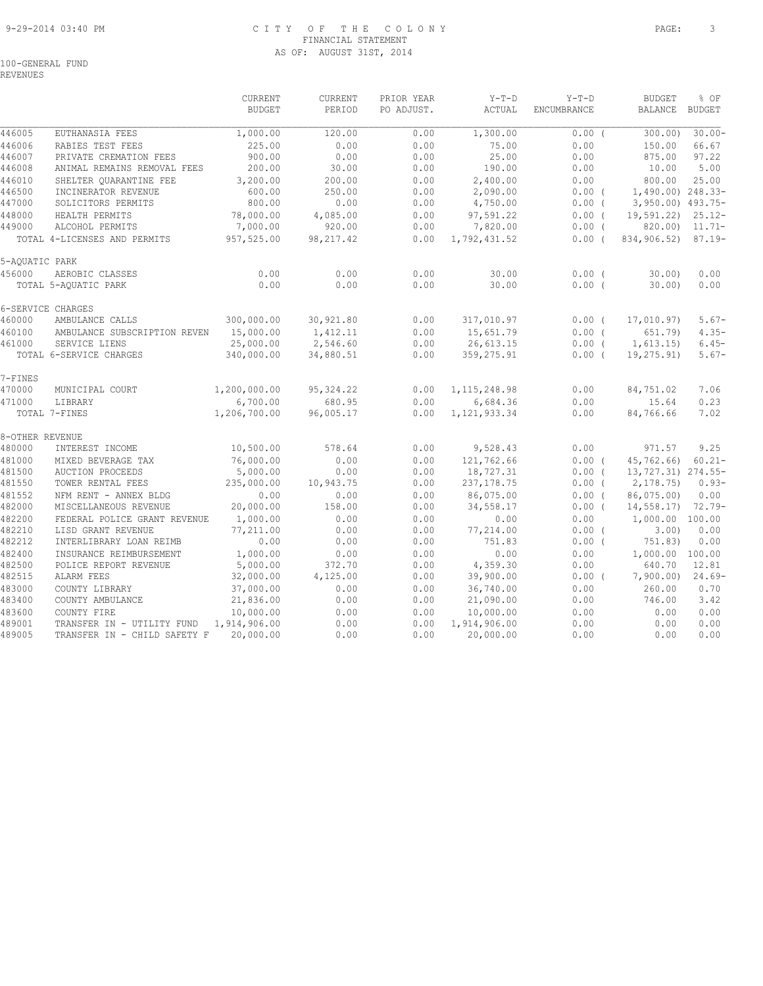## 9-29-2014 03:40 PM C I T Y O F T H E C O L O N Y PAGE: 3 FINANCIAL STATEMENT AS OF: AUGUST 31ST, 2014

REVENUES

|                 |                              | <b>CURRENT</b><br><b>BUDGET</b> | <b>CURRENT</b><br>PERIOD | PRIOR YEAR<br>PO ADJUST. | $Y-T-D$<br>ACTUAL | $Y-T-D$<br>ENCUMBRANCE | <b>BUDGET</b><br><b>BALANCE</b> | % OF<br><b>BUDGET</b> |
|-----------------|------------------------------|---------------------------------|--------------------------|--------------------------|-------------------|------------------------|---------------------------------|-----------------------|
| 446005          | EUTHANASIA FEES              | 1,000.00                        | 120.00                   | 0.00                     | 1,300.00          | $0.00$ (               | 300.00)                         | $30.00 -$             |
| 446006          | RABIES TEST FEES             | 225.00                          | 0.00                     | 0.00                     | 75.00             | 0.00                   | 150.00                          | 66.67                 |
| 446007          | PRIVATE CREMATION FEES       | 900.00                          | 0.00                     | 0.00                     | 25.00             | 0.00                   | 875.00                          | 97.22                 |
| 446008          | ANIMAL REMAINS REMOVAL FEES  | 200.00                          | 30.00                    | 0.00                     | 190.00            | 0.00                   | 10.00                           | 5.00                  |
| 446010          | SHELTER QUARANTINE FEE       | 3,200.00                        | 200.00                   | 0.00                     | 2,400.00          | 0.00                   | 800.00                          | 25.00                 |
| 446500          | INCINERATOR REVENUE          | 600.00                          | 250.00                   | 0.00                     | 2,090.00          | 0.00(                  | 1,490.00) 248.33-               |                       |
| 447000          | SOLICITORS PERMITS           | 800.00                          | 0.00                     | 0.00                     | 4,750.00          | $0.00$ (               | 3,950.00) 493.75-               |                       |
| 448000          | HEALTH PERMITS               | 78,000.00                       | 4,085.00                 | 0.00                     | 97,591.22         | 0.00(                  | $19,591.22$ $25.12$             |                       |
| 449000          | ALCOHOL PERMITS              | 7,000.00                        | 920.00                   | 0.00                     | 7,820.00          | $0.00$ (               |                                 | 820.00) 11.71-        |
|                 | TOTAL 4-LICENSES AND PERMITS | 957,525.00                      | 98, 217.42               | 0.00                     | 1,792,431.52      | $0.00$ (               | 834,906.52)                     | $87.19 -$             |
| 5-AQUATIC PARK  |                              |                                 |                          |                          |                   |                        |                                 |                       |
| 456000          | AEROBIC CLASSES              | 0.00                            | 0.00                     | 0.00                     | 30.00             | $0.00$ (               | 30.00                           | 0.00                  |
|                 | TOTAL 5-AQUATIC PARK         | 0.00                            | 0.00                     | 0.00                     | 30.00             | 0.00(                  | $30.00$ )                       | 0.00                  |
|                 | 6-SERVICE CHARGES            |                                 |                          |                          |                   |                        |                                 |                       |
| 460000          | AMBULANCE CALLS              | 300,000.00                      | 30,921.80                | 0.00                     | 317,010.97        | $0.00$ (               | 17,010.97)                      | $5.67-$               |
| 460100          | AMBULANCE SUBSCRIPTION REVEN | 15,000.00                       | 1,412.11                 | 0.00                     | 15,651.79         | 0.00(                  | 651.79)                         | $4.35-$               |
| 461000          | SERVICE LIENS                | 25,000.00                       | 2,546.60                 | 0.00                     | 26,613.15         | $0.00$ (               | 1,613.15)                       | $6.45-$               |
|                 | TOTAL 6-SERVICE CHARGES      | 340,000.00                      | 34,880.51                | 0.00                     | 359, 275.91       | $0.00$ (               | 19,275.91)                      | $5.67-$               |
| 7-FINES         |                              |                                 |                          |                          |                   |                        |                                 |                       |
| 470000          | MUNICIPAL COURT              | 1,200,000.00                    | 95, 324.22               | 0.00                     | 1, 115, 248.98    | 0.00                   | 84,751.02                       | 7.06                  |
| 471000          | LIBRARY                      | 6,700.00                        | 680.95                   | 0.00                     | 6,684.36          | 0.00                   | 15.64                           | 0.23                  |
|                 | TOTAL 7-FINES                | 1,206,700.00                    | 96,005.17                | 0.00                     | 1, 121, 933.34    | 0.00                   | 84,766.66                       | 7.02                  |
| 8-OTHER REVENUE |                              |                                 |                          |                          |                   |                        |                                 |                       |
| 480000          | INTEREST INCOME              | 10,500.00                       | 578.64                   | 0.00                     | 9,528.43          | 0.00                   | 971.57                          | 9.25                  |
| 481000          | MIXED BEVERAGE TAX           | 76,000.00                       | 0.00                     | 0.00                     | 121,762.66        | 0.00(                  | 45,762.66)                      | $60.21 -$             |
| 481500          | <b>AUCTION PROCEEDS</b>      | 5,000.00                        | 0.00                     | 0.00                     | 18,727.31         | $0.00$ (               | 13, 727.31) 274.55-             |                       |
| 481550          | TOWER RENTAL FEES            | 235,000.00                      | 10,943.75                | 0.00                     | 237, 178.75       | $0.00$ (               | 2, 178.75                       | $0.93-$               |
| 481552          | NFM RENT - ANNEX BLDG        | 0.00                            | 0.00                     | 0.00                     | 86,075.00         | $0.00$ (               | 86,075.00)                      | 0.00                  |
| 482000          | MISCELLANEOUS REVENUE        | 20,000.00                       | 158.00                   | 0.00                     | 34,558.17         | $0.00$ (               | 14,558.17)                      | $72.79-$              |
| 482200          | FEDERAL POLICE GRANT REVENUE | 1,000.00                        | 0.00                     | 0.00                     | 0.00              | 0.00                   | 1,000.00 100.00                 |                       |
| 482210          | LISD GRANT REVENUE           | 77,211.00                       | 0.00                     | 0.00                     | 77,214.00         | $0.00$ (               | $3.00$ )                        | 0.00                  |
| 482212          | INTERLIBRARY LOAN REIMB      | 0.00                            | 0.00                     | 0.00                     | 751.83            | $0.00$ (               | 751.83)                         | 0.00                  |
| 482400          | INSURANCE REIMBURSEMENT      | 1,000.00                        | 0.00                     | 0.00                     | 0.00              | 0.00                   | 1,000.00 100.00                 |                       |
| 482500          | POLICE REPORT REVENUE        | 5,000.00                        | 372.70                   | 0.00                     | 4,359.30          | 0.00                   | 640.70                          | 12.81                 |
| 482515          | ALARM FEES                   | 32,000.00                       | 4,125.00                 | 0.00                     | 39,900.00         | $0.00$ (               | 7,900.00                        | $24.69-$              |
| 483000          | COUNTY LIBRARY               | 37,000.00                       | 0.00                     | 0.00                     | 36,740.00         | 0.00                   | 260.00                          | 0.70                  |
| 483400          | COUNTY AMBULANCE             | 21,836.00                       | 0.00                     | 0.00                     | 21,090.00         | 0.00                   | 746.00                          | 3.42                  |
| 483600          | COUNTY FIRE                  | 10,000.00                       | 0.00                     | 0.00                     | 10,000.00         | 0.00                   | 0.00                            | 0.00                  |
| 489001          | TRANSFER IN - UTILITY FUND   | 1,914,906.00                    | 0.00                     | 0.00                     | 1,914,906.00      | 0.00                   | 0.00                            | 0.00                  |
| 489005          | TRANSFER IN - CHILD SAFETY F | 20,000.00                       | 0.00                     | 0.00                     | 20,000.00         | 0.00                   | 0.00                            | 0.00                  |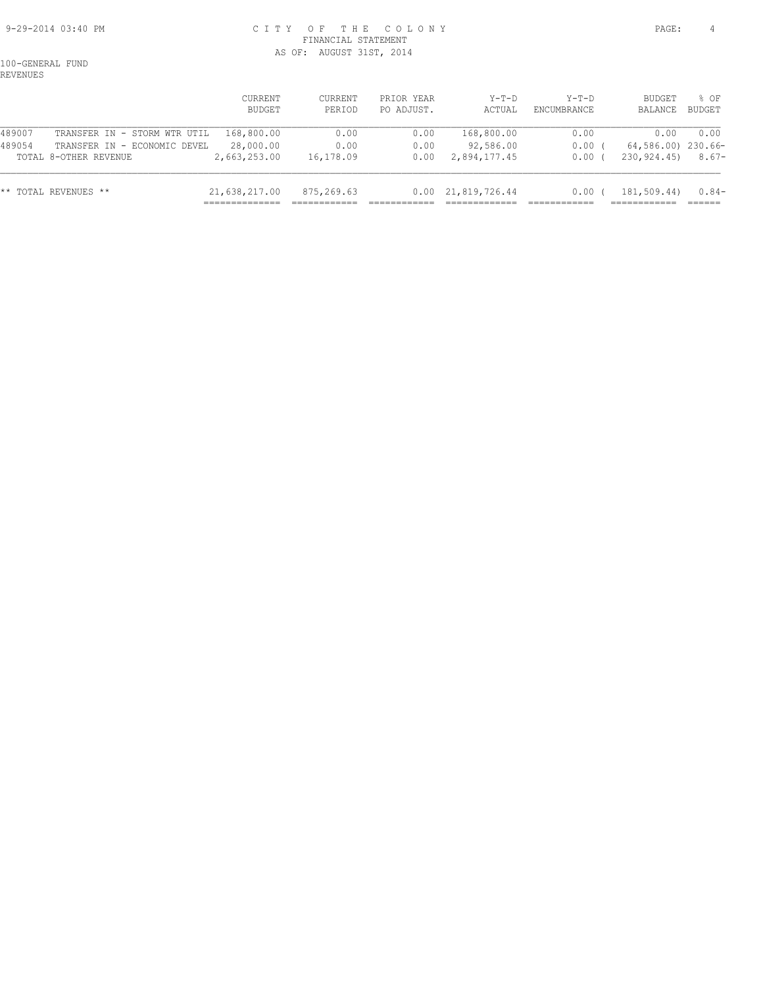## 9-29-2014 03:40 PM C I T Y O F T H E C O L O N Y PAGE: 4 FINANCIAL STATEMENT AS OF: AUGUST 31ST, 2014

100-GENERAL FUND REVENUES

|        |                              | CURRENT<br>BUDGET | CURRENT<br>PERIOD | PRIOR YEAR<br>PO ADJUST. | $Y-T-D$<br>ACTUAL          | $Y-T-D$<br>ENCUMBRANCE | BUDGET<br>BALANCE  | 8 OF<br>BUDGET |
|--------|------------------------------|-------------------|-------------------|--------------------------|----------------------------|------------------------|--------------------|----------------|
| 489007 | TRANSFER IN - STORM WTR UTIL | 168,800.00        | 0.00              | 0.00                     | 168,800.00                 | 0.00                   | 0.00               | 0.00           |
| 489054 | TRANSFER IN - ECONOMIC DEVEL | 28,000.00         | 0.00              | 0.00                     | 92,586.00                  | $0.00$ (               | 64,586.00) 230.66- |                |
|        | TOTAL 8-OTHER REVENUE        | 2,663,253.00      | 16,178.09         | 0.00                     | 2,894,177.45               | 0.00                   | 230,924.45)        | $8.67-$        |
|        | ** TOTAL REVENUES **         | 21,638,217.00     | 875,269.63        |                          | $0.00 \quad 21,819,726.44$ | $0.00$ (               | 181,509.44)        | $0.84-$        |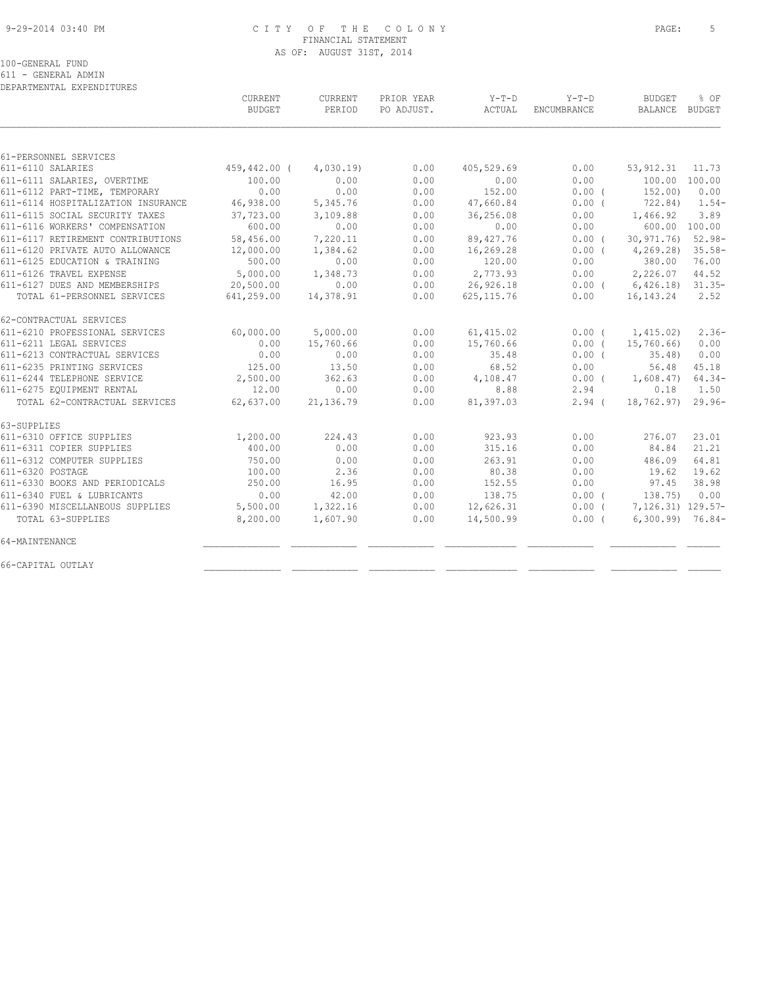#### 9-29-2014 03:40 PM C I T Y O F T H E C O L O N Y PAGE: 5 FINANCIAL STATEMENT AS OF: AUGUST 31ST, 2014

100-GENERAL FUND

611 - GENERAL ADMIN

| DEPARTMENTAL EXPENDITURES |  |
|---------------------------|--|
|                           |  |

|                                    | CURRENT<br><b>BUDGET</b> | CURRENT<br>PERIOD | PRIOR YEAR<br>PO ADJUST. | $Y-T-D$<br>ACTUAL | $Y-T-D$<br>ENCUMBRANCE | <b>BUDGET</b><br>BALANCE BUDGET | $8$ OF        |
|------------------------------------|--------------------------|-------------------|--------------------------|-------------------|------------------------|---------------------------------|---------------|
|                                    |                          |                   |                          |                   |                        |                                 |               |
| 61-PERSONNEL SERVICES              |                          |                   |                          |                   |                        |                                 |               |
| 611-6110 SALARIES                  | 459,442.00 (             | 4,030.19          | 0.00                     | 405,529.69        | 0.00                   | 53, 912.31                      | 11.73         |
| 611-6111 SALARIES, OVERTIME        | 100.00                   | 0.00              | 0.00                     | 0.00              | 0.00                   | 100.00 100.00                   |               |
| 611-6112 PART-TIME, TEMPORARY      | 0.00                     | 0.00              | 0.00                     | 152.00            | 0.00(                  | 152,00)                         | 0.00          |
| 611-6114 HOSPITALIZATION INSURANCE | 46,938.00                | 5,345.76          | 0.00                     | 47,660.84         | 0.00(                  | 722.84)                         | $1.54-$       |
| 611-6115 SOCIAL SECURITY TAXES     | 37,723.00                | 3,109.88          | 0.00                     | 36,256.08         | 0.00                   | 1,466.92                        | 3.89          |
| 611-6116 WORKERS' COMPENSATION     | 600.00                   | 0.00              | 0.00                     | 0.00              | 0.00                   |                                 | 600.00 100.00 |
| 611-6117 RETIREMENT CONTRIBUTIONS  | 58,456.00                | 7,220.11          | 0.00                     | 89,427.76         | 0.00(                  | 30,971.76)                      | $52.98 -$     |
| 611-6120 PRIVATE AUTO ALLOWANCE    | 12,000.00                | 1,384.62          | 0.00                     | 16,269.28         | $0.00$ (               | 4, 269.28                       | $35.58-$      |
| 611-6125 EDUCATION & TRAINING      | 500.00                   | 0.00              | 0.00                     | 120.00            | 0.00                   | 380.00                          | 76.00         |
| 611-6126 TRAVEL EXPENSE            | 5,000.00                 | 1,348.73          | 0.00                     | 2,773.93          | 0.00                   | 2,226.07                        | 44.52         |
| 611-6127 DUES AND MEMBERSHIPS      | 20,500.00                | 0.00              | 0.00                     | 26,926.18         |                        | $0.00$ ( $6,426.18$ ) 31.35-    |               |
| TOTAL 61-PERSONNEL SERVICES        | 641,259.00               | 14,378.91         | 0.00                     | 625, 115.76       | 0.00                   | 16, 143. 24                     | 2.52          |
| 62-CONTRACTUAL SERVICES            |                          |                   |                          |                   |                        |                                 |               |
| 611-6210 PROFESSIONAL SERVICES     | 60,000.00                | 5,000.00          | 0.00                     | 61, 415.02        | $0.00$ (               | 1,415.02)                       | $2.36-$       |
| 611-6211 LEGAL SERVICES            | 0.00                     | 15,760.66         | 0.00                     | 15,760.66         | $0.00$ (               | 15,760.66)                      | 0.00          |
| 611-6213 CONTRACTUAL SERVICES      | 0.00                     | 0.00              | 0.00                     | 35.48             | $0.00$ (               | $35.48$ )                       | 0.00          |
| 611-6235 PRINTING SERVICES         | 125.00                   | 13.50             | 0.00                     | 68.52             | 0.00                   | 56.48                           | 45.18         |
| 611-6244 TELEPHONE SERVICE         | 2,500.00                 | 362.63            | 0.00                     | 4,108.47          | $0.00$ (               | 1,608.47)                       | $64.34-$      |
| 611-6275 EQUIPMENT RENTAL          | 12.00                    | 0.00              | 0.00                     | 8.88              | 2.94                   | 0.18                            | 1.50          |
| TOTAL 62-CONTRACTUAL SERVICES      | 62,637.00                | 21, 136.79        | 0.00                     | 81,397.03         | $2.94$ (               | 18,762.97) 29.96-               |               |
| 63-SUPPLIES                        |                          |                   |                          |                   |                        |                                 |               |
| 611-6310 OFFICE SUPPLIES           | 1,200.00                 | 224.43            | 0.00                     | 923.93            | 0.00                   | 276.07                          | 23.01         |
| 611-6311 COPIER SUPPLIES           | 400.00                   | 0.00              | 0.00                     | 315.16            | 0.00                   | 84.84                           | 21.21         |
| 611-6312 COMPUTER SUPPLIES         | 750.00                   | 0.00              | 0.00                     | 263.91            | 0.00                   | 486.09                          | 64.81         |
| 611-6320 POSTAGE                   | 100.00                   | 2.36              | 0.00                     | 80.38             | 0.00                   | 19.62                           | 19.62         |
| 611-6330 BOOKS AND PERIODICALS     | 250.00                   | 16.95             | 0.00                     | 152.55            | 0.00                   | 97.45                           | 38.98         |
| 611-6340 FUEL & LUBRICANTS         | 0.00                     | 42.00             | 0.00                     | 138.75            | 0.00(                  | 138.75)                         | 0.00          |
| 611-6390 MISCELLANEOUS SUPPLIES    | 5,500.00                 | 1,322.16          | 0.00                     | 12,626.31         | $0.00$ (               | 7,126.31) 129.57-               |               |
| TOTAL 63-SUPPLIES                  | 8,200.00                 | 1,607.90          | 0.00                     | 14,500.99         | $0.00$ (               | $6,300.99$ 76.84-               |               |
| 64-MAINTENANCE                     |                          |                   |                          |                   |                        |                                 |               |
| 66-CAPITAL OUTLAY                  |                          |                   |                          |                   |                        |                                 |               |
|                                    |                          |                   |                          |                   |                        |                                 |               |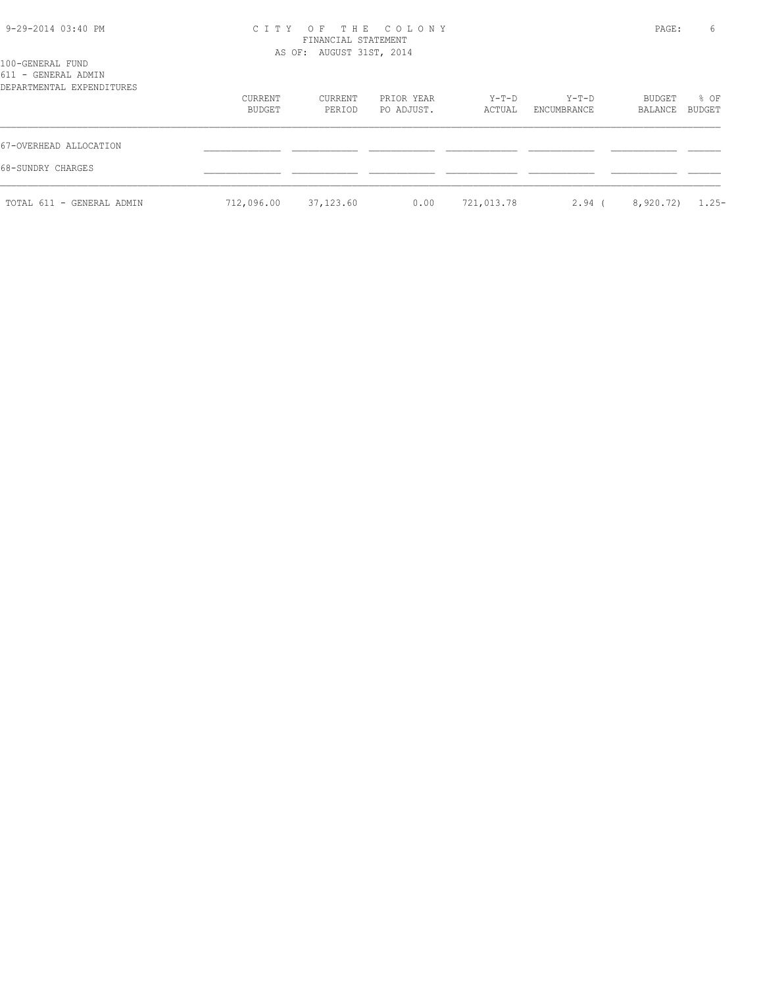| 9-29-2014 03:40 PM                                                   | C I T Y           | OF THE COLONY<br>FINANCIAL STATEMENT<br>AS OF: AUGUST 31ST, 2014 |                          |                 |                        |                   | 6                |
|----------------------------------------------------------------------|-------------------|------------------------------------------------------------------|--------------------------|-----------------|------------------------|-------------------|------------------|
| 100-GENERAL FUND<br>611 - GENERAL ADMIN<br>DEPARTMENTAL EXPENDITURES |                   |                                                                  |                          |                 |                        |                   |                  |
|                                                                      | CURRENT<br>BUDGET | CURRENT<br>PERIOD                                                | PRIOR YEAR<br>PO ADJUST. | Y-T-D<br>ACTUAL | $Y-T-D$<br>ENCUMBRANCE | BUDGET<br>BALANCE | $8$ OF<br>BUDGET |
| 67-OVERHEAD ALLOCATION                                               |                   |                                                                  |                          |                 |                        |                   |                  |
| 68-SUNDRY CHARGES                                                    |                   |                                                                  |                          |                 |                        |                   |                  |
| TOTAL 611 - GENERAL ADMIN                                            | 712,096.00        | 37,123.60                                                        | 0.00                     | 721,013.78      | $2.94$ (               | 8,920.72)         | $1.25-$          |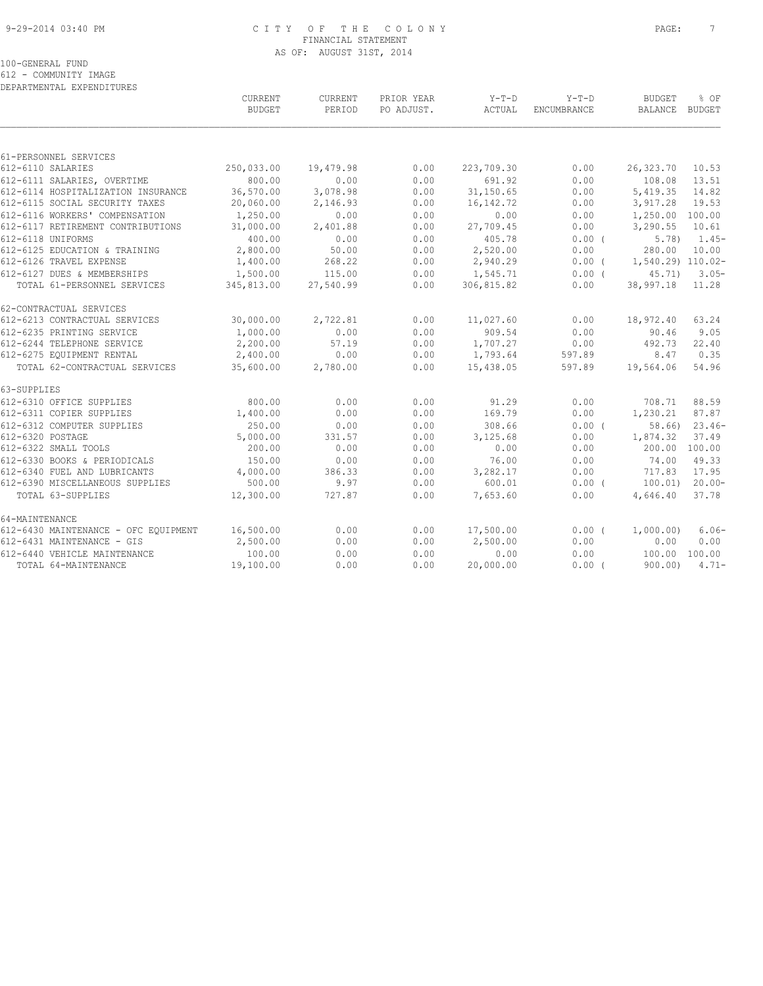#### 9-29-2014 03:40 PM C I T Y O F T H E C O L O N Y PAGE: 7 FINANCIAL STATEMENT AS OF: AUGUST 31ST, 2014

| DEPARTMENTAL EXPENDITURES            |                   |                          |                          |                 |                        |                          |                |
|--------------------------------------|-------------------|--------------------------|--------------------------|-----------------|------------------------|--------------------------|----------------|
|                                      | CURRENT<br>BUDGET | <b>CURRENT</b><br>PERIOD | PRIOR YEAR<br>PO ADJUST. | Y-T-D<br>ACTUAL | $Y-T-D$<br>ENCUMBRANCE | <b>BUDGET</b><br>BALANCE | % OF<br>BUDGET |
|                                      |                   |                          |                          |                 |                        |                          |                |
| 61-PERSONNEL SERVICES                |                   |                          |                          |                 |                        |                          |                |
| 612-6110 SALARIES                    | 250,033.00        | 19,479.98                | 0.00                     | 223,709.30      | 0.00                   | 26,323.70                | 10.53          |
| 612-6111 SALARIES, OVERTIME          | 800.00            | 0.00                     | 0.00                     | 691.92          | 0.00                   | 108.08                   | 13.51          |
| 612-6114 HOSPITALIZATION INSURANCE   | 36,570.00         | 3,078.98                 | 0.00                     | 31,150.65       | 0.00                   | 5,419.35                 | 14.82          |
| 612-6115 SOCIAL SECURITY TAXES       | 20,060.00         | 2,146.93                 | 0.00                     | 16, 142. 72     | 0.00                   | 3,917.28                 | 19.53          |
| 612-6116 WORKERS' COMPENSATION       | 1,250.00          | 0.00                     | 0.00                     | 0.00            | 0.00                   | 1,250.00 100.00          |                |
| 612-6117 RETIREMENT CONTRIBUTIONS    | 31,000.00         | 2,401.88                 | 0.00                     | 27,709.45       | 0.00                   | 3,290.55                 | 10.61          |
| 612-6118 UNIFORMS                    | 400.00            | 0.00                     | 0.00                     | 405.78          | 0.00(                  | 5.78                     | 1.45-          |
| 612-6125 EDUCATION & TRAINING        | 2,800.00          | 50.00                    | 0.00                     | 2,520.00        | 0.00                   | 280.00                   | 10.00          |
| 612-6126 TRAVEL EXPENSE              | 1,400.00          | 268.22                   | 0.00                     | 2,940.29        | $0.00$ (               | 1,540.29) 110.02-        |                |
| 612-6127 DUES & MEMBERSHIPS          | 1,500.00          | 115.00                   | 0.00                     | 1,545.71        | 0.00(                  | 45.71)                   | $3.05-$        |
| TOTAL 61-PERSONNEL SERVICES          | 345,813.00        | 27,540.99                | 0.00                     | 306,815.82      | 0.00                   | 38,997.18                | 11.28          |
| 62-CONTRACTUAL SERVICES              |                   |                          |                          |                 |                        |                          |                |
| 612-6213 CONTRACTUAL SERVICES        | 30,000.00         | 2,722.81                 | 0.00                     | 11,027.60       | 0.00                   | 18,972.40                | 63.24          |
| 612-6235 PRINTING SERVICE            | 1,000.00          | 0.00                     | 0.00                     | 909.54          | 0.00                   | 90.46                    | 9.05           |
| 612-6244 TELEPHONE SERVICE           | 2,200.00          | 57.19                    | 0.00                     | 1,707.27        | 0.00                   | 492.73                   | 22.40          |
| 612-6275 EQUIPMENT RENTAL            | 2,400.00          | 0.00                     | 0.00                     | 1,793.64        | 597.89                 | 8.47                     | 0.35           |
| TOTAL 62-CONTRACTUAL SERVICES        | 35,600.00         | 2,780.00                 | 0.00                     | 15,438.05       | 597.89                 | 19,564.06                | 54.96          |
| 63-SUPPLIES                          |                   |                          |                          |                 |                        |                          |                |
| 612-6310 OFFICE SUPPLIES             | 800.00            | 0.00                     | 0.00                     | 91.29           | 0.00                   | 708.71                   | 88.59          |
| 612-6311 COPIER SUPPLIES             | 1,400.00          | 0.00                     | 0.00                     | 169.79          | 0.00                   | 1,230.21                 | 87.87          |
| 612-6312 COMPUTER SUPPLIES           | 250.00            | 0.00                     | 0.00                     | 308.66          | 0.00(                  | 58.66)                   | $23.46-$       |
| 612-6320 POSTAGE                     | 5,000.00          | 331.57                   | 0.00                     | 3,125.68        | 0.00                   | 1,874.32                 | 37.49          |
| 612-6322 SMALL TOOLS                 | 200.00            | 0.00                     | 0.00                     | 0.00            | 0.00                   | 200.00                   | 100.00         |
| 612-6330 BOOKS & PERIODICALS         | 150.00            | 0.00                     | 0.00                     | 76.00           | 0.00                   | 74.00                    | 49.33          |
| 612-6340 FUEL AND LUBRICANTS         | 4,000.00          | 386.33                   | 0.00                     | 3,282.17        | 0.00                   | 717.83                   | 17.95          |
| 612-6390 MISCELLANEOUS SUPPLIES      | 500.00            | 9.97                     | 0.00                     | 600.01          | $0.00$ (               | 100.01)                  | $20.00 -$      |
| TOTAL 63-SUPPLIES                    | 12,300.00         | 727.87                   | 0.00                     | 7,653.60        | 0.00                   | 4,646.40                 | 37.78          |
| 64-MAINTENANCE                       |                   |                          |                          |                 |                        |                          |                |
| 612-6430 MAINTENANCE - OFC EQUIPMENT | 16,500.00         | 0.00                     | 0.00                     | 17,500.00       | 0.00(                  | 1,000.00)                | $6.06-$        |
| 612-6431 MAINTENANCE - GIS           | 2,500.00          | 0.00                     | 0.00                     | 2,500.00        | 0.00                   | 0.00                     | 0.00           |
| 612-6440 VEHICLE MAINTENANCE         | 100.00            | 0.00                     | 0.00                     | 0.00            | 0.00                   | 100.00                   | 100.00         |
| TOTAL 64-MAINTENANCE                 | 19,100.00         | 0.00                     | 0.00                     | 20,000.00       | 0.00(                  | 900.00                   | $4.71-$        |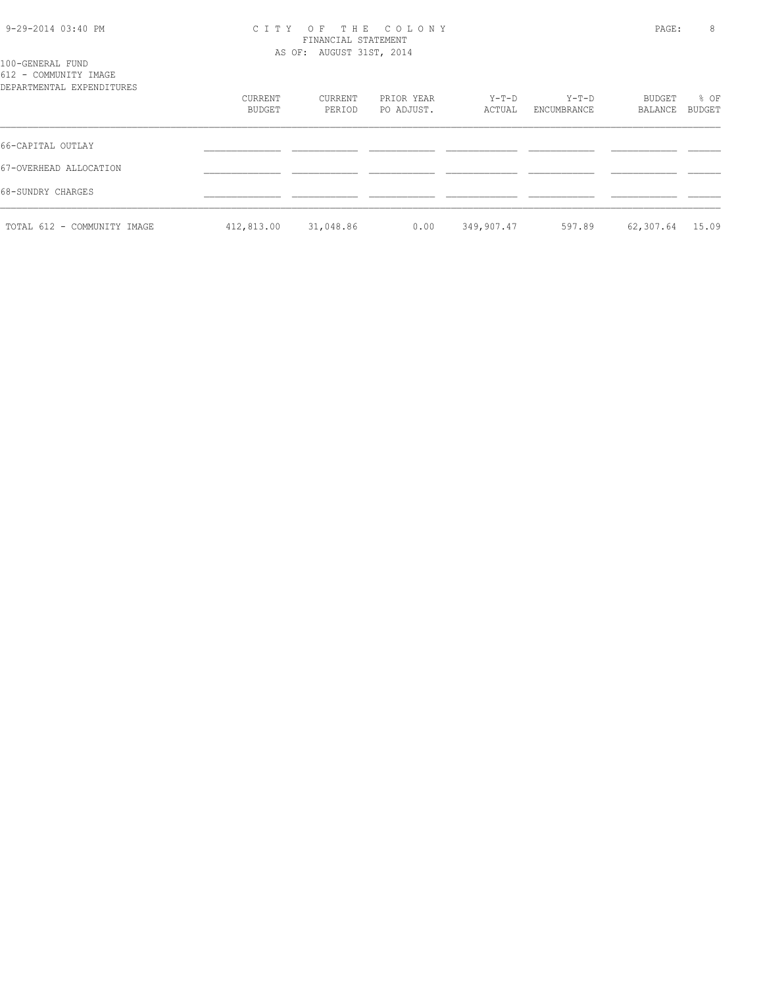#### 9-29-2014 03:40 PM C I T Y O F T H E C O L O N Y PAGE: 8 FINANCIAL STATEMENT AS OF: AUGUST 31ST, 2014

| 100-GENERAL FUND      |  |
|-----------------------|--|
| 612 - COMMUNITY IMAGE |  |
|                       |  |

| ATS COMMONTITI THISOT<br>DEPARTMENTAL EXPENDITURES |                   |                   |                          |                   |                        |                   |                |
|----------------------------------------------------|-------------------|-------------------|--------------------------|-------------------|------------------------|-------------------|----------------|
|                                                    | CURRENT<br>BUDGET | CURRENT<br>PERIOD | PRIOR YEAR<br>PO ADJUST. | $Y-T-D$<br>ACTUAL | $Y-T-D$<br>ENCUMBRANCE | BUDGET<br>BALANCE | % OF<br>BUDGET |
| 66-CAPITAL OUTLAY                                  |                   |                   |                          |                   |                        |                   |                |
| 67-OVERHEAD ALLOCATION                             |                   |                   |                          |                   |                        |                   |                |
| 68-SUNDRY CHARGES                                  |                   |                   |                          |                   |                        |                   |                |
| TOTAL 612 - COMMUNITY IMAGE                        | 412,813.00        | 31,048.86         | 0.00                     | 349,907.47        | 597.89                 | 62,307.64         | 15.09          |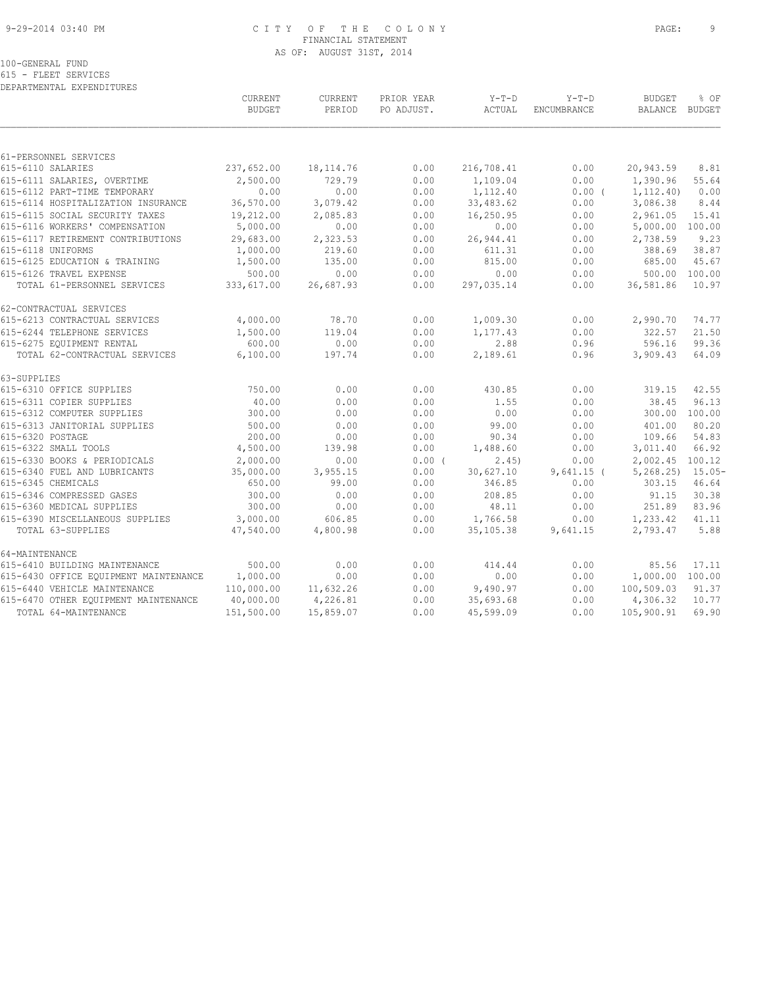#### 9-29-2014 03:40 PM C I T Y O F T H E C O L O N Y PAGE: 9 FINANCIAL STATEMENT AS OF: AUGUST 31ST, 2014

615 - FLEET SERVICES DEPARTMENTAL EXPENDITURES

|                                            | CURRENT<br><b>BUDGET</b> | CURRENT<br>PERIOD | PRIOR YEAR<br>PO ADJUST. | $Y-T-D$<br>ACTUAL  | $Y-T-D$<br><b>ENCUMBRANCE</b> | <b>BUDGET</b><br><b>BALANCE</b> | % OF<br>BUDGET |
|--------------------------------------------|--------------------------|-------------------|--------------------------|--------------------|-------------------------------|---------------------------------|----------------|
|                                            |                          |                   |                          |                    |                               |                                 |                |
| 61-PERSONNEL SERVICES<br>615-6110 SALARIES | 237,652.00               | 18, 114.76        | 0.00                     | 216,708.41         | 0.00                          | 20,943.59                       | 8.81           |
| 615-6111 SALARIES, OVERTIME                | 2,500.00                 | 729.79            | 0.00                     | 1,109.04           | 0.00                          | 1,390.96                        | 55.64          |
| 615-6112 PART-TIME TEMPORARY               | 0.00                     | 0.00              | 0.00                     | 1,112.40           | 0.00(                         | 1, 112, 40)                     | 0.00           |
| 615-6114 HOSPITALIZATION INSURANCE         | 36,570.00                | 3,079.42          | 0.00                     | 33,483.62          | 0.00                          | 3,086.38                        | 8.44           |
| 615-6115 SOCIAL SECURITY TAXES             | 19,212.00                | 2,085.83          | 0.00                     | 16,250.95          | 0.00                          | 2,961.05                        | 15.41          |
| 615-6116 WORKERS' COMPENSATION             | 5,000.00                 | 0.00              | 0.00                     | 0.00               | 0.00                          | 5,000.00                        | 100.00         |
| 615-6117 RETIREMENT CONTRIBUTIONS          | 29,683.00                | 2,323.53          | 0.00                     | 26,944.41          | 0.00                          | 2,738.59                        | 9.23           |
| 615-6118 UNIFORMS                          | 1,000.00                 | 219.60            | 0.00                     | 611.31             | 0.00                          | 388.69                          | 38.87          |
| 615-6125 EDUCATION & TRAINING              | 1,500.00                 | 135.00            | 0.00                     | 815.00             | 0.00                          | 685.00                          | 45.67          |
| 615-6126 TRAVEL EXPENSE                    | 500.00                   | 0.00              | 0.00                     | 0.00               | 0.00                          | 500.00                          | 100.00         |
| TOTAL 61-PERSONNEL SERVICES                | 333,617.00               | 26,687.93         | 0.00                     | 297,035.14         | 0.00                          | 36,581.86                       | 10.97          |
| 62-CONTRACTUAL SERVICES                    |                          |                   |                          |                    |                               |                                 |                |
| 615-6213 CONTRACTUAL SERVICES              | 4,000.00                 | 78.70             | 0.00                     | 1,009.30           | 0.00                          | 2,990.70                        | 74.77          |
| 615-6244 TELEPHONE SERVICES                | 1,500.00                 | 119.04            | 0.00                     | 1,177.43           | 0.00                          | 322.57                          | 21.50          |
| 615-6275 EQUIPMENT RENTAL                  | 600.00                   | 0.00              | 0.00                     | 2.88               | 0.96                          | 596.16                          | 99.36          |
| TOTAL 62-CONTRACTUAL SERVICES              | 6,100.00                 | 197.74            | 0.00                     | 2,189.61           | 0.96                          | 3,909.43                        | 64.09          |
| 63-SUPPLIES                                |                          |                   |                          |                    |                               |                                 |                |
| 615-6310 OFFICE SUPPLIES                   | 750.00                   | 0.00              | 0.00                     | 430.85             | 0.00                          | 319.15                          | 42.55          |
| 615-6311 COPIER SUPPLIES                   | 40.00                    | 0.00              | 0.00                     | 1.55               | 0.00                          | 38.45                           | 96.13          |
| 615-6312 COMPUTER SUPPLIES                 | 300.00                   | 0.00              | 0.00                     | 0.00               | 0.00                          | 300.00                          | 100.00         |
| 615-6313 JANITORIAL SUPPLIES               | 500.00                   | 0.00              | 0.00                     | 99.00              | 0.00                          | 401.00                          | 80.20          |
| 615-6320 POSTAGE<br>615-6322 SMALL TOOLS   | 200.00<br>4,500.00       | 0.00<br>139.98    | 0.00<br>0.00             | 90.34<br>1,488.60  | 0.00<br>0.00                  | 109.66<br>3,011.40              | 54.83<br>66.92 |
| 615-6330 BOOKS & PERIODICALS               | 2,000.00                 | 0.00              | $0.00$ (                 |                    | 0.00                          | 2,002.45 100.12                 |                |
| 615-6340 FUEL AND LUBRICANTS               | 35,000.00                | 3,955.15          | 0.00                     | 2.45)<br>30,627.10 | $9,641.15$ (                  | 5, 268.25                       | $15.05 -$      |
| 615-6345 CHEMICALS                         | 650.00                   | 99.00             | 0.00                     | 346.85             | 0.00                          | 303.15                          | 46.64          |
| 615-6346 COMPRESSED GASES                  | 300.00                   | 0.00              | 0.00                     | 208.85             | 0.00                          | 91.15                           | 30.38          |
| 615-6360 MEDICAL SUPPLIES                  | 300.00                   | 0.00              | 0.00                     | 48.11              | 0.00                          | 251.89                          | 83.96          |
| 615-6390 MISCELLANEOUS SUPPLIES            | 3,000.00                 | 606.85            | 0.00                     | 1,766.58           | 0.00                          | 1,233.42                        | 41.11          |
| TOTAL 63-SUPPLIES                          | 47,540.00                | 4,800.98          | 0.00                     | 35,105.38          | 9,641.15                      | 2,793.47                        | 5.88           |
| 64-MAINTENANCE                             |                          |                   |                          |                    |                               |                                 |                |
| 615-6410 BUILDING MAINTENANCE              | 500.00                   | 0.00              | 0.00                     | 414.44             | 0.00                          | 85.56                           | 17.11          |
| 615-6430 OFFICE EQUIPMENT MAINTENANCE      | 1,000.00                 | 0.00              | 0.00                     | 0.00               | 0.00                          | 1,000.00                        | 100.00         |
| 615-6440 VEHICLE MAINTENANCE               | 110,000.00               | 11,632.26         | 0.00                     | 9,490.97           | 0.00                          | 100,509.03                      | 91.37          |
| 615-6470 OTHER EQUIPMENT MAINTENANCE       | 40,000.00                | 4,226.81          | 0.00                     | 35,693.68          | 0.00                          | 4,306.32                        | 10.77          |
| TOTAL 64-MAINTENANCE                       | 151,500.00               | 15,859.07         | 0.00                     | 45,599.09          | 0.00                          | 105,900.91                      | 69.90          |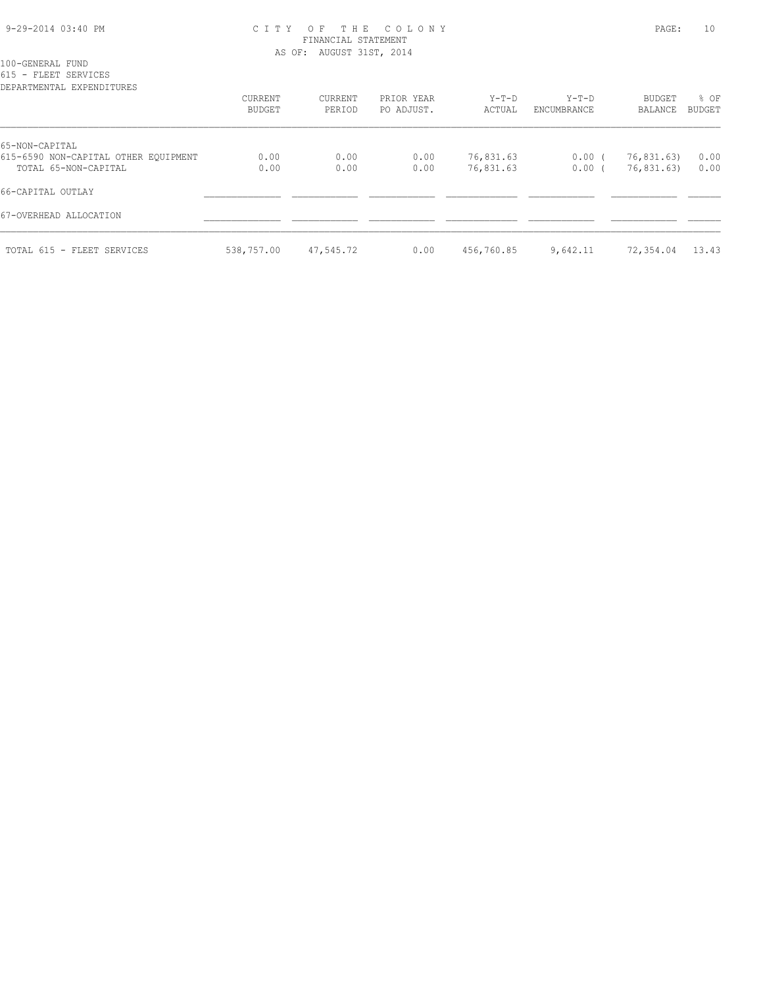#### 9-29-2014 03:40 PM C I T Y O F T H E C O L O N Y PAGE: 10 FINANCIAL STATEMENT AS OF: AUGUST 31ST, 2014

100-GENERAL FUND

615 - FLEET SERVICES

| DEPARTMENTAL EXPENDITURES            |            |           |            |            |             |            |               |
|--------------------------------------|------------|-----------|------------|------------|-------------|------------|---------------|
|                                      | CURRENT    | CURRENT   | PRIOR YEAR | $Y-T-D$    | $Y-T-D$     | BUDGET     | % OF          |
|                                      | BUDGET     | PERIOD    | PO ADJUST. | ACTUAL     | ENCUMBRANCE | BALANCE    | <b>BUDGET</b> |
| 65-NON-CAPITAL                       |            |           |            |            |             |            |               |
| 615-6590 NON-CAPITAL OTHER EQUIPMENT | 0.00       | 0.00      | 0.00       | 76,831.63  | 0.00(       | 76,831.63) | 0.00          |
| TOTAL 65-NON-CAPITAL                 | 0.00       | 0.00      | 0.00       | 76,831.63  | 0.00(       | 76,831.63) | 0.00          |
| 66-CAPITAL OUTLAY                    |            |           |            |            |             |            |               |
| 67-OVERHEAD ALLOCATION               |            |           |            |            |             |            |               |
| TOTAL 615 - FLEET SERVICES           | 538,757.00 | 47,545.72 | 0.00       | 456,760.85 | 9,642.11    | 72,354.04  | 13.43         |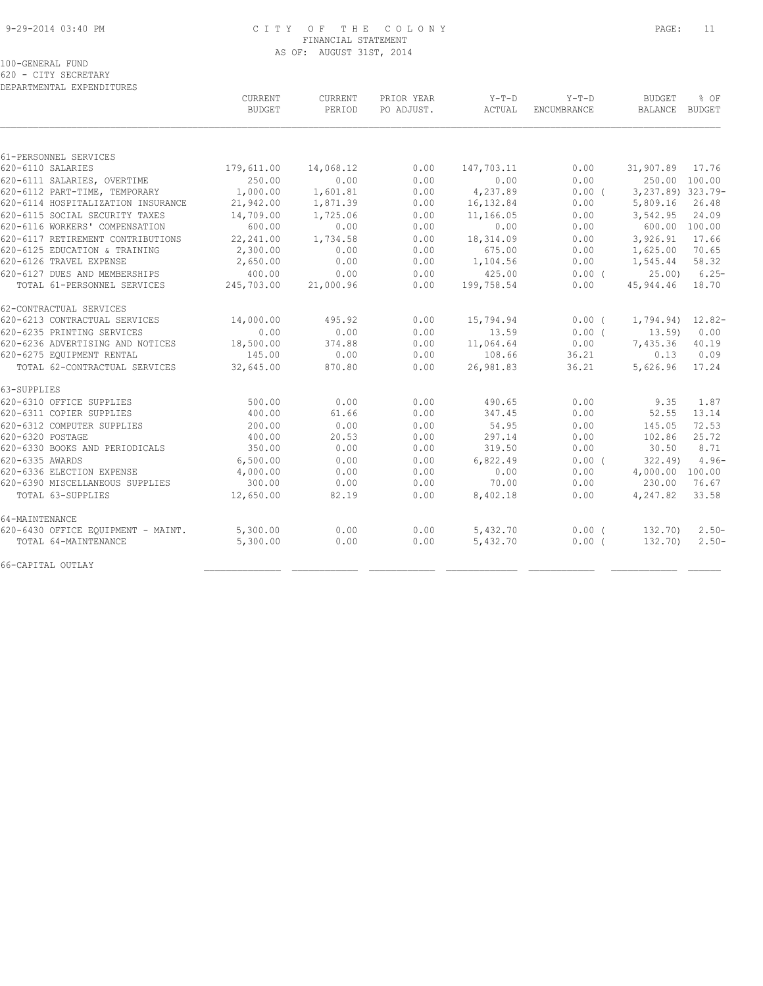#### 9-29-2014 03:40 PM C I T Y O F T H E C O L O N Y PAGE: 11 FINANCIAL STATEMENT AS OF: AUGUST 31ST, 2014

100-GENERAL FUND

620 - CITY SECRETARY DEPARTMENTAL EXPENDITURES

|                                             | CURRENT<br><b>BUDGET</b> | CURRENT<br>PERIOD | PRIOR YEAR<br>PO ADJUST. | $Y-T-D$<br>ACTUAL | $Y-T-D$<br>ENCUMBRANCE | <b>BUDGET</b><br>BALANCE BUDGET | % OF            |
|---------------------------------------------|--------------------------|-------------------|--------------------------|-------------------|------------------------|---------------------------------|-----------------|
|                                             |                          |                   |                          |                   |                        |                                 |                 |
| 61-PERSONNEL SERVICES                       |                          |                   |                          |                   |                        |                                 |                 |
| 620-6110 SALARIES                           | 179,611.00               | 14,068.12         | 0.00                     | 147,703.11        | 0.00                   | 31,907.89 17.76                 |                 |
| 620-6111 SALARIES, OVERTIME                 | 250.00                   | 0.00              | 0.00                     | 0.00              | 0.00                   |                                 | 250.00 100.00   |
| 620-6112 PART-TIME, TEMPORARY               | 1,000.00                 | 1,601.81          | 0.00                     | 4,237.89          | 0.00(                  | 3, 237.89) 323.79-              |                 |
| 620-6114 HOSPITALIZATION INSURANCE          | 21,942.00                | 1,871.39          | 0.00                     | 16,132.84         | 0.00                   | 5,809.16                        | 26.48           |
| 620-6115 SOCIAL SECURITY TAXES              | 14,709.00                | 1,725.06          | 0.00                     | 11,166.05         | 0.00                   | 3,542.95                        | 24.09           |
| 620-6116 WORKERS' COMPENSATION              | 600.00                   | 0.00              | 0.00                     | 0.00              | 0.00                   |                                 | 600.00 100.00   |
| 620-6117 RETIREMENT CONTRIBUTIONS           | 22,241.00                | 1,734.58          | 0.00                     | 18,314.09         | 0.00                   | 3,926.91                        | 17.66           |
| 620-6125 EDUCATION & TRAINING               | 2,300.00                 | 0.00              | 0.00                     | 675.00            | 0.00                   | 1,625.00                        | 70.65           |
| 620-6126 TRAVEL EXPENSE                     | 2,650.00                 | 0.00              | 0.00                     | 1,104.56          | 0.00                   | 1,545.44                        | 58.32           |
| 620-6127 DUES AND MEMBERSHIPS               | 400.00                   | 0.00              | 0.00                     | 425.00            | 0.00(                  |                                 | $25.00$ ) 6.25- |
| TOTAL 61-PERSONNEL SERVICES                 | 245,703.00               | 21,000.96         | 0.00                     | 199,758.54        | 0.00                   | 45,944.46 18.70                 |                 |
| 62-CONTRACTUAL SERVICES                     |                          |                   |                          |                   |                        |                                 |                 |
| 620-6213 CONTRACTUAL SERVICES               | 14,000.00                | 495.92            | 0.00                     | 15,794.94         | $0.00$ (               | $1,794.94)$ $12.82-$            |                 |
| 620-6235 PRINTING SERVICES                  | 0.00                     | 0.00              | 0.00                     | 13.59             | $0.00$ (               | 13.59                           | 0.00            |
| 620-6236 ADVERTISING AND NOTICES            | 18,500.00                | 374.88            | 0.00                     | 11,064.64         | 0.00                   | 7,435.36                        | 40.19           |
| 620-6275 EQUIPMENT RENTAL                   | 145.00                   | 0.00              | 0.00                     | 108.66            | 36.21                  | 0.13                            | 0.09            |
| TOTAL 62-CONTRACTUAL SERVICES               | 32,645.00                | 870.80            | 0.00                     | 26,981.83         | 36.21                  | 5,626.96                        | 17.24           |
| 63-SUPPLIES                                 |                          |                   |                          |                   |                        |                                 |                 |
| 620-6310 OFFICE SUPPLIES                    | 500.00                   | 0.00              | 0.00                     | 490.65            | 0.00                   | 9.35                            | 1.87            |
| 620-6311 COPIER SUPPLIES                    | 400.00                   | 61.66             | 0.00                     | 347.45            | 0.00                   | 52.55                           | 13.14           |
| 620-6312 COMPUTER SUPPLIES                  | 200.00                   | 0.00              | 0.00                     | 54.95             | 0.00                   | 145.05                          | 72.53           |
| 620-6320 POSTAGE                            | 400.00                   | 20.53             | 0.00                     | 297.14            | 0.00                   | 102.86                          | 25.72           |
| 620-6330 BOOKS AND PERIODICALS              | 350.00                   | 0.00              | 0.00                     | 319.50            | 0.00                   | 30.50                           | 8.71            |
| 620-6335 AWARDS                             | 6,500.00                 | 0.00              | 0.00                     | 6,822.49          | 0.00(                  | 322.49                          | $4.96-$         |
| 620-6336 ELECTION EXPENSE                   | 4,000.00                 | 0.00              | 0.00                     | 0.00              | 0.00                   | 4,000.00 100.00                 |                 |
| 620-6390 MISCELLANEOUS SUPPLIES             | 300.00                   | 0.00              | 0.00                     | 70.00             | 0.00                   | 230.00                          | 76.67           |
| TOTAL 63-SUPPLIES                           | 12,650.00                | 82.19             | 0.00                     | 8,402.18          | 0.00                   | 4,247.82                        | 33.58           |
| 64-MAINTENANCE                              |                          |                   |                          |                   |                        |                                 |                 |
| 620-6430 OFFICE EQUIPMENT - MAINT. 5,300.00 |                          | 0.00              | 0.00                     | 5,432.70          | $0.00$ (               | 132.70)                         | $2.50-$         |
| TOTAL 64-MAINTENANCE                        | 5,300.00                 | 0.00              | 0.00                     | 5,432.70          | 0.00(                  | 132.70)                         | $2.50 -$        |
| 66-CAPITAL OUTLAY                           |                          |                   |                          |                   |                        |                                 |                 |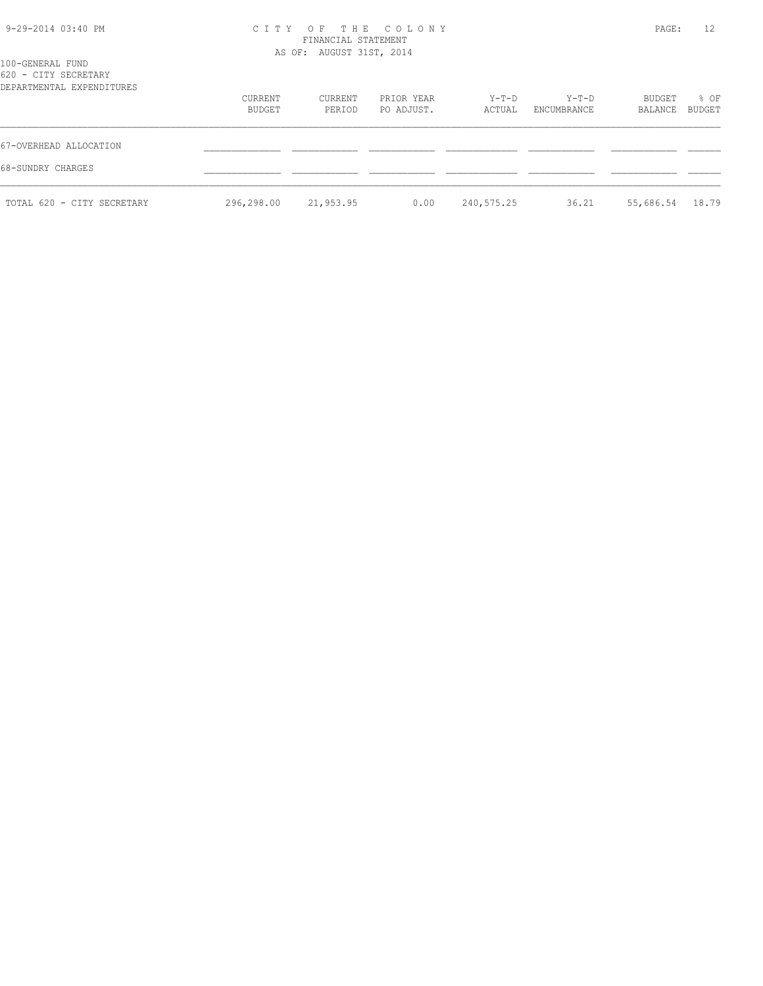| 9-29-2014 03:40 PM |  |
|--------------------|--|
|                    |  |

#### 9-29-2014 03:40 PM C I T Y O F T H E C O L O N Y PAGE: 12 FINANCIAL STATEMENT AS OF: AUGUST 31ST, 2014

| 100-GENERAL FUND<br>620 - CITY SECRETARY<br>DEPARTMENTAL EXPENDITURES |                   |                   |                          |                 |                      |                   |                |
|-----------------------------------------------------------------------|-------------------|-------------------|--------------------------|-----------------|----------------------|-------------------|----------------|
|                                                                       | CURRENT<br>BUDGET | CURRENT<br>PERIOD | PRIOR YEAR<br>PO ADJUST. | Y-T-D<br>ACTUAL | Y-T-D<br>ENCUMBRANCE | BUDGET<br>BALANCE | % OF<br>BUDGET |
| 67-OVERHEAD ALLOCATION                                                |                   |                   |                          |                 |                      |                   |                |
| 68-SUNDRY CHARGES                                                     |                   |                   |                          |                 |                      |                   |                |
| TOTAL 620 - CITY SECRETARY                                            | 296,298.00        | 21,953.95         | 0.00                     | 240,575.25      | 36.21                | 55,686.54         | 18.79          |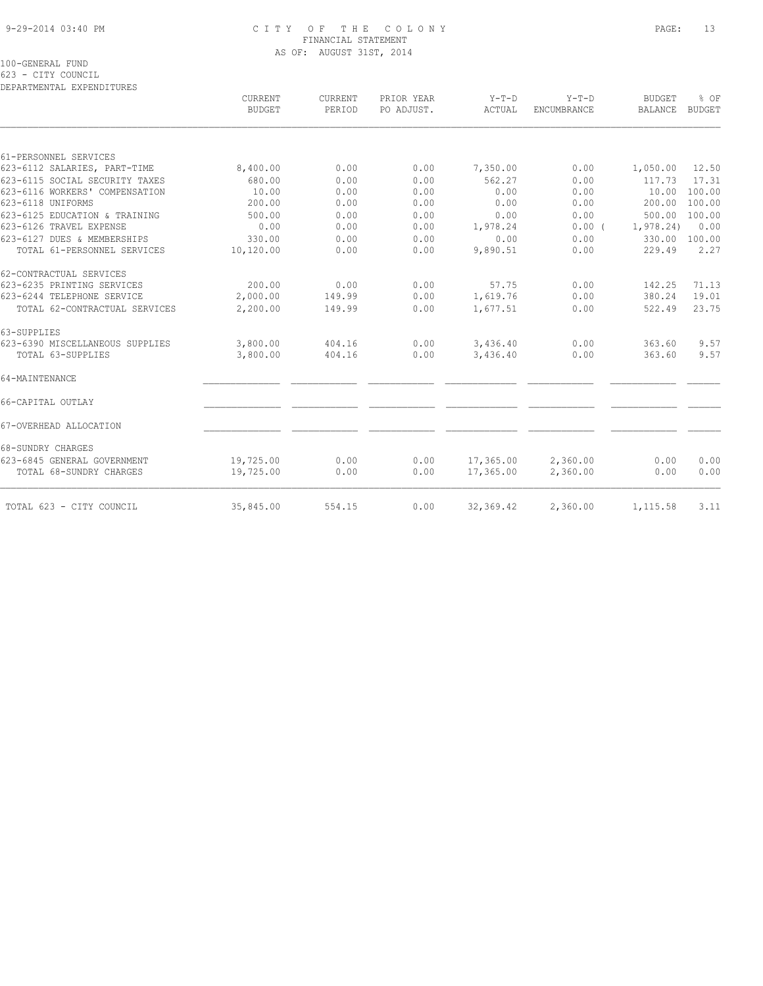#### 9-29-2014 03:40 PM C I T Y O F T H E C O L O N Y PAGE: 13 FINANCIAL STATEMENT AS OF: AUGUST 31ST, 2014

100-GENERAL FUND

623 - CITY COUNCIL

DEPARTMENTAL EXPENDITURES

|                                 | CURRENT<br><b>BUDGET</b> | CURRENT<br>PERIOD | PRIOR YEAR<br>PO ADJUST. | $Y-T-D$<br>ACTUAL | $Y-T-D$<br><b>ENCUMBRANCE</b> | <b>BUDGET</b><br><b>BALANCE</b> | % OF<br><b>BUDGET</b> |
|---------------------------------|--------------------------|-------------------|--------------------------|-------------------|-------------------------------|---------------------------------|-----------------------|
|                                 |                          |                   |                          |                   |                               |                                 |                       |
| 61-PERSONNEL SERVICES           |                          |                   |                          |                   |                               |                                 |                       |
| 623-6112 SALARIES, PART-TIME    | 8,400.00                 | 0.00              | 0.00                     | 7,350.00          | 0.00                          | 1,050.00                        | 12.50                 |
| 623-6115 SOCIAL SECURITY TAXES  | 680.00                   | 0.00              | 0.00                     | 562.27            | 0.00                          | 117.73                          | 17.31                 |
| 623-6116 WORKERS' COMPENSATION  | 10.00                    | 0.00              | 0.00                     | 0.00              | 0.00                          | 10.00                           | 100.00                |
| 623-6118 UNIFORMS               | 200.00                   | 0.00              | 0.00                     | 0.00              | 0.00                          | 200.00                          | 100.00                |
| 623-6125 EDUCATION & TRAINING   | 500.00                   | 0.00              | 0.00                     | 0.00              | 0.00                          | 500.00                          | 100.00                |
| 623-6126 TRAVEL EXPENSE         | 0.00                     | 0.00              | 0.00                     | 1,978.24          | $0.00$ (                      | 1, 978.24)                      | 0.00                  |
| 623-6127 DUES & MEMBERSHIPS     | 330.00                   | 0.00              | 0.00                     | 0.00              | 0.00                          | 330.00                          | 100.00                |
| TOTAL 61-PERSONNEL SERVICES     | 10,120.00                | 0.00              | 0.00                     | 9,890.51          | 0.00                          | 229.49                          | 2.27                  |
| 62-CONTRACTUAL SERVICES         |                          |                   |                          |                   |                               |                                 |                       |
| 623-6235 PRINTING SERVICES      | 200.00                   | 0.00              | 0.00                     | 57.75             | 0.00                          | 142.25                          | 71.13                 |
| 623-6244 TELEPHONE SERVICE      | 2,000.00                 | 149.99            | 0.00                     | 1,619.76          | 0.00                          | 380.24                          | 19.01                 |
| TOTAL 62-CONTRACTUAL SERVICES   | 2,200.00                 | 149.99            | 0.00                     | 1,677.51          | 0.00                          | 522.49                          | 23.75                 |
| 63-SUPPLIES                     |                          |                   |                          |                   |                               |                                 |                       |
| 623-6390 MISCELLANEOUS SUPPLIES | 3,800.00                 | 404.16            | 0.00                     | 3,436.40          | 0.00                          | 363.60                          | 9.57                  |
| TOTAL 63-SUPPLIES               | 3,800.00                 | 404.16            | 0.00                     | 3,436.40          | 0.00                          | 363.60                          | 9.57                  |
| 64-MAINTENANCE                  |                          |                   |                          |                   |                               |                                 |                       |
| 66-CAPITAL OUTLAY               |                          |                   |                          |                   |                               |                                 |                       |
| 67-OVERHEAD ALLOCATION          |                          |                   |                          |                   |                               |                                 |                       |
| 68-SUNDRY CHARGES               |                          |                   |                          |                   |                               |                                 |                       |
| 623-6845 GENERAL GOVERNMENT     | 19,725.00                | 0.00              | 0.00                     | 17,365.00         | 2,360.00                      | 0.00                            | 0.00                  |
| TOTAL 68-SUNDRY CHARGES         | 19,725.00                | 0.00              | 0.00                     | 17,365.00         | 2,360.00                      | 0.00                            | 0.00                  |
| TOTAL 623 - CITY COUNCIL        | 35,845.00                | 554.15            | 0.00                     | 32,369.42         | 2,360.00                      | 1,115.58                        | 3.11                  |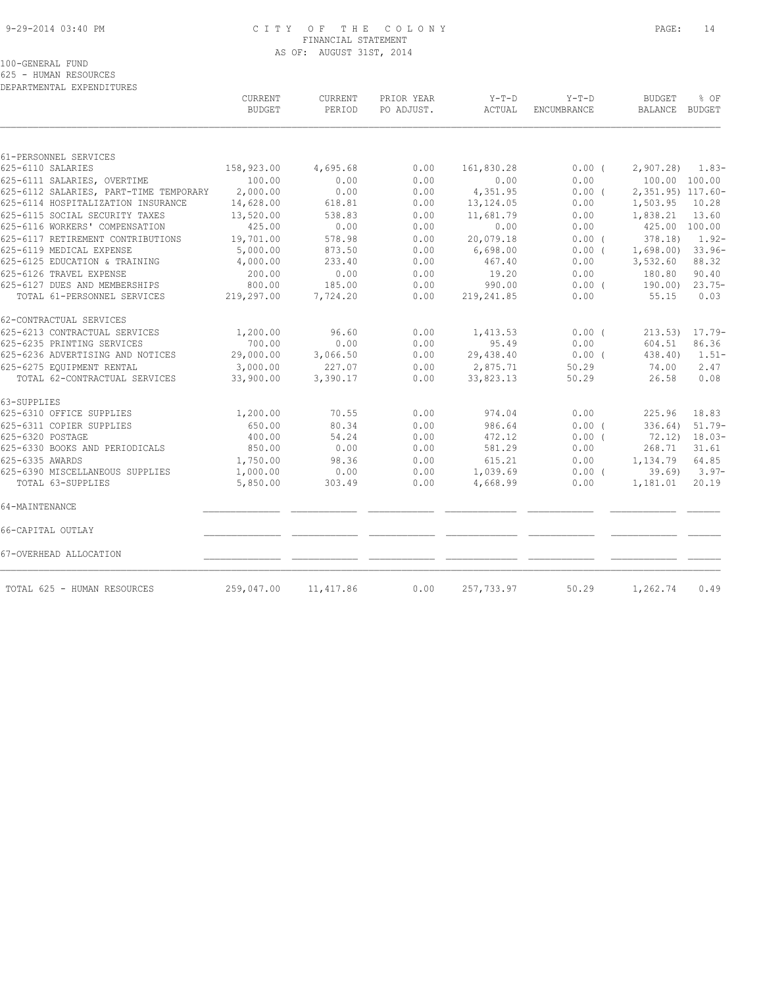#### 9-29-2014 03:40 PM C I T Y O F T H E C O L O N Y PAGE: 14 FINANCIAL STATEMENT AS OF: AUGUST 31ST, 2014

100-GENERAL FUND

625 - HUMAN RESOURCES

| DEPARTMENTAL EXPENDITURES |
|---------------------------|

|                                        | CURRENT<br><b>BUDGET</b> | CURRENT<br>PERIOD | PRIOR YEAR<br>PO ADJUST. | $Y-T-D$<br>ACTUAL | $Y-T-D$<br>ENCUMBRANCE | <b>BUDGET</b><br>BALANCE BUDGET | % OF              |
|----------------------------------------|--------------------------|-------------------|--------------------------|-------------------|------------------------|---------------------------------|-------------------|
|                                        |                          |                   |                          |                   |                        |                                 |                   |
| 61-PERSONNEL SERVICES                  |                          |                   |                          |                   |                        |                                 |                   |
| 625-6110 SALARIES                      | 158,923.00               | 4,695.68          | 0.00                     | 161,830.28        | $0.00$ (               | $2,907.28$ 1.83-                |                   |
| 625-6111 SALARIES, OVERTIME            | 100.00                   | 0.00              | 0.00                     | 0.00              | 0.00                   | 100.00 100.00                   |                   |
| 625-6112 SALARIES, PART-TIME TEMPORARY | 2,000.00                 | 0.00              | 0.00                     | 4,351.95          | 0.00(                  | 2,351.95) 117.60-               |                   |
| 625-6114 HOSPITALIZATION INSURANCE     | 14,628.00                | 618.81            | 0.00                     | 13,124.05         | 0.00                   | 1,503.95                        | 10.28             |
| 625-6115 SOCIAL SECURITY TAXES         | 13,520.00                | 538.83            | 0.00                     | 11,681.79         | 0.00                   | 1,838.21                        | 13.60             |
| 625-6116 WORKERS' COMPENSATION         | 425.00                   | 0.00              | 0.00                     | 0.00              | 0.00                   | 425.00 100.00                   |                   |
| 625-6117 RETIREMENT CONTRIBUTIONS      | 19,701.00                | 578.98            | 0.00                     | 20,079.18         | 0.00(                  | 378.18)                         | $1.92 -$          |
| 625-6119 MEDICAL EXPENSE               | 5,000.00                 | 873.50            | 0.00                     | 6,698.00          | $0.00$ (               | $1,698.00$ 33.96-               |                   |
| 625-6125 EDUCATION & TRAINING          | 4,000.00                 | 233.40            | 0.00                     | 467.40            | 0.00                   | 3,532.60                        | 88.32             |
| 625-6126 TRAVEL EXPENSE                | 200.00                   | 0.00              | 0.00                     | 19.20             | 0.00                   | 180.80                          | 90.40             |
| 625-6127 DUES AND MEMBERSHIPS          | 800.00                   | 185.00            | 0.00                     | 990.00            | $0.00$ (               | 190.00)                         | $23.75-$          |
| TOTAL 61-PERSONNEL SERVICES            | 219,297.00               | 7,724.20          | 0.00                     | 219, 241.85       | 0.00                   | 55.15                           | 0.03              |
| 62-CONTRACTUAL SERVICES                |                          |                   |                          |                   |                        |                                 |                   |
| 625-6213 CONTRACTUAL SERVICES          | 1,200.00                 | 96.60             | 0.00                     | 1,413.53          | 0.00(                  | $213.53$ ) $17.79-$             |                   |
| 625-6235 PRINTING SERVICES             | 700.00                   | 0.00              | 0.00                     | 95.49             | 0.00                   | 604.51                          | 86.36             |
| 625-6236 ADVERTISING AND NOTICES       | 29,000.00                | 3,066.50          | 0.00                     | 29,438.40         | $0.00$ (               | 438.40)                         | $1.51-$           |
| 625-6275 EQUIPMENT RENTAL              | 3,000.00                 | 227.07            | 0.00                     | 2,875.71          | 50.29                  | 74.00                           | 2.47              |
| TOTAL 62-CONTRACTUAL SERVICES          | 33,900.00                | 3,390.17          | 0.00                     | 33,823.13         | 50.29                  | 26.58                           | 0.08              |
| 63-SUPPLIES                            |                          |                   |                          |                   |                        |                                 |                   |
| 625-6310 OFFICE SUPPLIES               | 1,200.00                 | 70.55             | 0.00                     | 974.04            | 0.00                   | 225.96                          | 18.83             |
| 625-6311 COPIER SUPPLIES               | 650.00                   | 80.34             | 0.00                     | 986.64            | $0.00$ $($             | 336.64                          | $51.79-$          |
| 625-6320 POSTAGE                       | 400.00                   | 54.24             | 0.00                     | 472.12            | $0.00$ (               | 72.12) 18.03-                   |                   |
| 625-6330 BOOKS AND PERIODICALS         | 850.00                   | 0.00              | 0.00                     | 581.29            | 0.00                   | 268.71                          | 31.61             |
| 625-6335 AWARDS                        | 1,750.00                 | 98.36             | 0.00                     | 615.21            | 0.00                   | 1,134.79                        | 64.85             |
| 625-6390 MISCELLANEOUS SUPPLIES        | 1,000.00                 | 0.00              | 0.00                     | 1,039.69          | $0.00$ (               |                                 | $39.69$ ) $3.97-$ |
| TOTAL 63-SUPPLIES                      | 5,850.00                 | 303.49            | 0.00                     | 4,668.99          | 0.00                   | 1,181.01                        | 20.19             |
| 64-MAINTENANCE                         |                          |                   |                          |                   |                        |                                 |                   |
| 66-CAPITAL OUTLAY                      |                          |                   |                          |                   |                        |                                 |                   |
| 67-OVERHEAD ALLOCATION                 |                          |                   |                          |                   |                        |                                 |                   |
| TOTAL 625 - HUMAN RESOURCES            | 259,047.00               | 11, 417.86        | 0.00                     | 257,733.97        | 50.29                  | 1,262.74                        | 0.49              |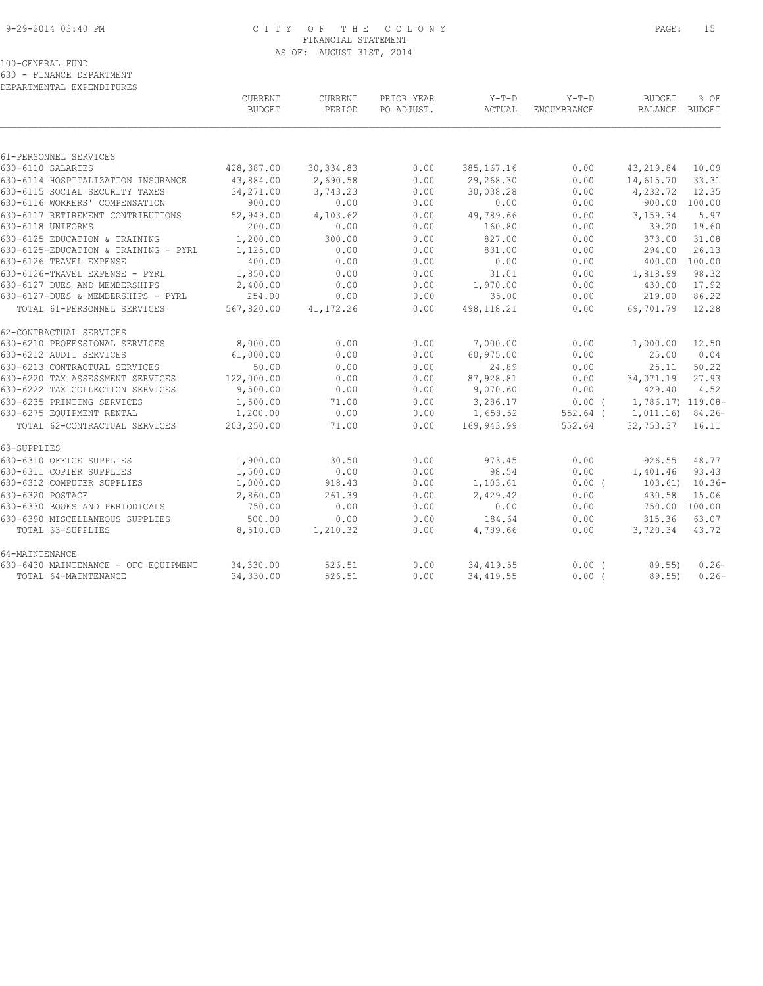## 9-29-2014 03:40 PM C I T Y O F T H E C O L O N Y PAGE: 15 FINANCIAL STATEMENT AS OF: AUGUST 31ST, 2014

100-GENERAL FUND

630 - FINANCE DEPARTMENT DEPARTMENTAL EXPENDITURES

|                                      | <b>CURRENT</b><br><b>BUDGET</b> | <b>CURRENT</b><br>PERIOD | PRIOR YEAR<br>PO ADJUST. | $Y-T-D$<br>ACTUAL | $Y-T-D$<br><b>ENCUMBRANCE</b> | <b>BUDGET</b><br>BALANCE | $8$ OF<br>BUDGET |
|--------------------------------------|---------------------------------|--------------------------|--------------------------|-------------------|-------------------------------|--------------------------|------------------|
|                                      |                                 |                          |                          |                   |                               |                          |                  |
| 61-PERSONNEL SERVICES                |                                 |                          |                          |                   |                               |                          |                  |
| 630-6110 SALARIES                    | 428,387.00                      | 30, 334.83               | 0.00                     | 385, 167. 16      | 0.00                          | 43,219.84                | 10.09            |
| 630-6114 HOSPITALIZATION INSURANCE   | 43,884.00                       | 2,690.58                 | 0.00                     | 29,268.30         | 0.00                          | 14,615.70                | 33.31            |
| 630-6115 SOCIAL SECURITY TAXES       | 34,271.00                       | 3,743.23                 | 0.00                     | 30,038.28         | 0.00                          | 4,232.72                 | 12.35            |
| 630-6116 WORKERS' COMPENSATION       | 900.00                          | 0.00                     | 0.00                     | 0.00              | 0.00                          |                          | 900.00 100.00    |
| 630-6117 RETIREMENT CONTRIBUTIONS    | 52,949.00                       | 4,103.62                 | 0.00                     | 49,789.66         | 0.00                          | 3,159.34                 | 5.97             |
| 630-6118 UNIFORMS                    | 200.00                          | 0.00                     | 0.00                     | 160.80            | 0.00                          | 39.20                    | 19.60            |
| 630-6125 EDUCATION & TRAINING        | 1,200.00                        | 300.00                   | 0.00                     | 827.00            | 0.00                          | 373.00                   | 31.08            |
| 630-6125-EDUCATION & TRAINING - PYRL | 1,125.00                        | 0.00                     | 0.00                     | 831.00            | 0.00                          | 294.00                   | 26.13            |
| 630-6126 TRAVEL EXPENSE              | 400.00                          | 0.00                     | 0.00                     | 0.00              | 0.00                          | 400.00                   | 100.00           |
| 630-6126-TRAVEL EXPENSE - PYRL       | 1,850.00                        | 0.00                     | 0.00                     | 31.01             | 0.00                          | 1,818.99                 | 98.32            |
| 630-6127 DUES AND MEMBERSHIPS        | 2,400.00                        | 0.00                     | 0.00                     | 1,970.00          | 0.00                          | 430.00                   | 17.92            |
| 630-6127-DUES & MEMBERSHIPS - PYRL   | 254.00                          | 0.00                     | 0.00                     | 35.00             | 0.00                          | 219.00                   | 86.22            |
| TOTAL 61-PERSONNEL SERVICES          | 567,820.00                      | 41, 172. 26              | 0.00                     | 498,118.21        | 0.00                          | 69,701.79                | 12.28            |
| 62-CONTRACTUAL SERVICES              |                                 |                          |                          |                   |                               |                          |                  |
| 630-6210 PROFESSIONAL SERVICES       | 8,000.00                        | 0.00                     | 0.00                     | 7,000.00          | 0.00                          | 1,000.00                 | 12.50            |
| 630-6212 AUDIT SERVICES              | 61,000.00                       | 0.00                     | 0.00                     | 60,975.00         | 0.00                          | 25.00                    | 0.04             |
| 630-6213 CONTRACTUAL SERVICES        | 50.00                           | 0.00                     | 0.00                     | 24.89             | 0.00                          | 25.11                    | 50.22            |
| 630-6220 TAX ASSESSMENT SERVICES     | 122,000.00                      | 0.00                     | 0.00                     | 87,928.81         | 0.00                          | 34,071.19                | 27.93            |
| 630-6222 TAX COLLECTION SERVICES     | 9,500.00                        | 0.00                     | 0.00                     | 9,070.60          | 0.00                          | 429.40                   | 4.52             |
| 630-6235 PRINTING SERVICES           | 1,500.00                        | 71.00                    | 0.00                     | 3,286.17          | 0.00(                         | 1,786.17) 119.08-        |                  |
| 630-6275 EOUIPMENT RENTAL            | 1,200.00                        | 0.00                     | 0.00                     | 1,658.52          | $552.64$ (                    | 1,011.16) 84.26-         |                  |
| TOTAL 62-CONTRACTUAL SERVICES        | 203,250.00                      | 71.00                    | 0.00                     | 169,943.99        | 552.64                        | 32,753.37                | 16.11            |
| 63-SUPPLIES                          |                                 |                          |                          |                   |                               |                          |                  |
| 630-6310 OFFICE SUPPLIES             | 1,900.00                        | 30.50                    | 0.00                     | 973.45            | 0.00                          | 926.55                   | 48.77            |
| 630-6311 COPIER SUPPLIES             | 1,500.00                        | 0.00                     | 0.00                     | 98.54             | 0.00                          | 1,401.46                 | 93.43            |
| 630-6312 COMPUTER SUPPLIES           | 1,000.00                        | 918.43                   | 0.00                     | 1,103.61          | $0.00$ (                      | 103.61)                  | $10.36-$         |
| 630-6320 POSTAGE                     | 2,860.00                        | 261.39                   | 0.00                     | 2,429.42          | 0.00                          | 430.58                   | 15.06            |
| 630-6330 BOOKS AND PERIODICALS       | 750.00                          | 0.00                     | 0.00                     | 0.00              | 0.00                          | 750.00 100.00            |                  |
| 630-6390 MISCELLANEOUS SUPPLIES      | 500.00                          | 0.00                     | 0.00                     | 184.64            | 0.00                          | 315.36                   | 63.07            |
| TOTAL 63-SUPPLIES                    | 8,510.00                        | 1,210.32                 | 0.00                     | 4,789.66          | 0.00                          | 3,720.34                 | 43.72            |
| 64-MAINTENANCE                       |                                 |                          |                          |                   |                               |                          |                  |
| 630-6430 MAINTENANCE - OFC EQUIPMENT | 34,330.00                       | 526.51                   | 0.00                     | 34, 419.55        | $0.00$ (                      | 89.55                    | $0.26 -$         |
| TOTAL 64-MAINTENANCE                 | 34,330.00                       | 526.51                   | 0.00                     | 34, 419.55        | 0.00(                         | 89.55)                   | $0.26 -$         |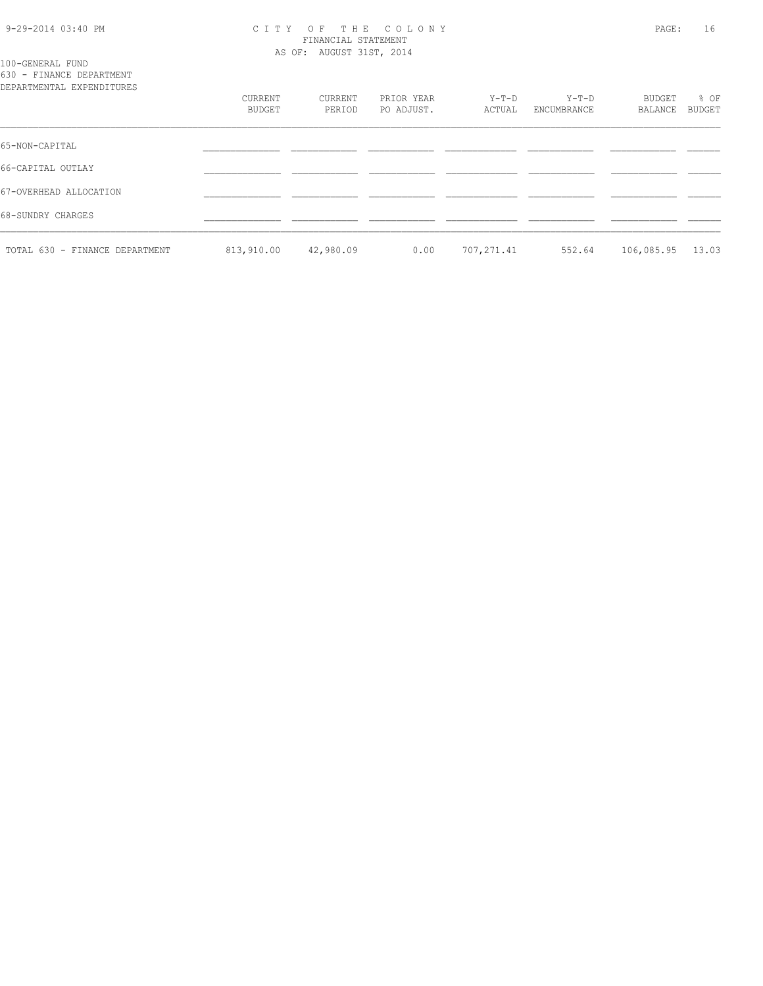#### 9-29-2014 03:40 PM C I T Y O F T H E C O L O N Y PAGE: 16 FINANCIAL STATEMENT AS OF: AUGUST 31ST, 2014

# 100-GENERAL FUND

630 - FINANCE DEPARTMENT DEPARTMENTAL EXPENDITURES

| DEPARTMENTAL EXPENDITURES      |                   |                   |                          |                 |                        |                   |                |
|--------------------------------|-------------------|-------------------|--------------------------|-----------------|------------------------|-------------------|----------------|
|                                | CURRENT<br>BUDGET | CURRENT<br>PERIOD | PRIOR YEAR<br>PO ADJUST. | Y-T-D<br>ACTUAL | $Y-T-D$<br>ENCUMBRANCE | BUDGET<br>BALANCE | % OF<br>BUDGET |
| 65-NON-CAPITAL                 |                   |                   |                          |                 |                        |                   |                |
| 66-CAPITAL OUTLAY              |                   |                   |                          |                 |                        |                   |                |
| 67-OVERHEAD ALLOCATION         |                   |                   |                          |                 |                        |                   |                |
| 68-SUNDRY CHARGES              |                   |                   |                          |                 |                        |                   |                |
| TOTAL 630 - FINANCE DEPARTMENT | 813,910.00        | 42,980.09         | 0.00                     | 707,271.41      | 552.64                 | 106,085.95        | 13.03          |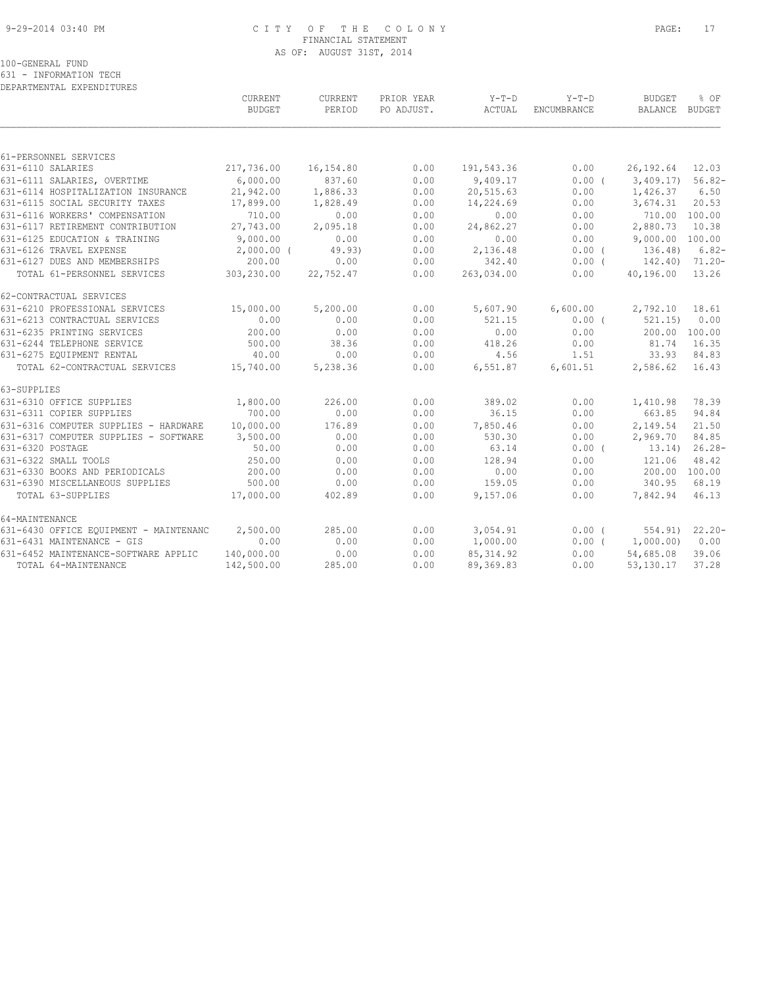#### 9-29-2014 03:40 PM C I T Y O F T H E C O L O N Y PAGE: 17 FINANCIAL STATEMENT AS OF: AUGUST 31ST, 2014

100-GENERAL FUND

631 - INFORMATION TECH

| DEPARTMENTAL EXPENDITURES              |               |           |            |            |             |                 |               |
|----------------------------------------|---------------|-----------|------------|------------|-------------|-----------------|---------------|
|                                        | CURRENT       | CURRENT   | PRIOR YEAR | $Y-T-D$    | $Y-T-D$     | <b>BUDGET</b>   | % OF          |
|                                        | <b>BUDGET</b> | PERIOD    | PO ADJUST. | ACTUAL     | ENCUMBRANCE | <b>BALANCE</b>  | <b>BUDGET</b> |
|                                        |               |           |            |            |             |                 |               |
| 61-PERSONNEL SERVICES                  |               |           |            |            |             |                 |               |
| 631-6110 SALARIES                      | 217,736.00    | 16,154.80 | 0.00       | 191,543.36 | 0.00        | 26, 192.64      | 12.03         |
| 631-6111 SALARIES, OVERTIME            | 6,000.00      | 837.60    | 0.00       | 9,409.17   | 0.00(       | 3,409.17        | $56.82-$      |
| 631-6114 HOSPITALIZATION INSURANCE     | 21,942.00     | 1,886.33  | 0.00       | 20,515.63  | 0.00        | 1,426.37        | 6.50          |
| 631-6115 SOCIAL SECURITY TAXES         | 17,899.00     | 1,828.49  | 0.00       | 14,224.69  | 0.00        | 3,674.31        | 20.53         |
| 631-6116 WORKERS' COMPENSATION         | 710.00        | 0.00      | 0.00       | 0.00       | 0.00        | 710.00 100.00   |               |
| 631-6117 RETIREMENT CONTRIBUTION       | 27,743.00     | 2,095.18  | 0.00       | 24,862.27  | 0.00        | 2,880.73        | 10.38         |
| 631-6125 EDUCATION & TRAINING          | 9,000.00      | 0.00      | 0.00       | 0.00       | 0.00        | 9,000.00 100.00 |               |
| 631-6126 TRAVEL EXPENSE                | $2,000.00$ (  | 49.93)    | 0.00       | 2,136.48   | 0.00(       | 136.48)         | $6.82-$       |
| 631-6127 DUES AND MEMBERSHIPS          | 200.00        | 0.00      | 0.00       | 342.40     | $0.00$ (    | 142.40)         | 71.20-        |
| TOTAL 61-PERSONNEL SERVICES            | 303,230.00    | 22,752.47 | 0.00       | 263,034.00 | 0.00        | 40,196.00       | 13.26         |
| 62-CONTRACTUAL SERVICES                |               |           |            |            |             |                 |               |
| 631-6210 PROFESSIONAL SERVICES         | 15,000.00     | 5,200.00  | 0.00       | 5,607.90   | 6,600.00    | 2,792.10        | 18.61         |
| 631-6213 CONTRACTUAL SERVICES          | 0.00          | 0.00      | 0.00       | 521.15     | 0.00(       | 521.15)         | 0.00          |
| 631-6235 PRINTING SERVICES             | 200.00        | 0.00      | 0.00       | 0.00       | 0.00        | 200.00          | 100.00        |
| 631-6244 TELEPHONE SERVICE             | 500.00        | 38.36     | 0.00       | 418.26     | 0.00        | 81.74           | 16.35         |
| 631-6275 EQUIPMENT RENTAL              | 40.00         | 0.00      | 0.00       | 4.56       | 1.51        | 33.93           | 84.83         |
| TOTAL 62-CONTRACTUAL SERVICES          | 15,740.00     | 5,238.36  | 0.00       | 6,551.87   | 6,601.51    | 2,586.62        | 16.43         |
| 63-SUPPLIES                            |               |           |            |            |             |                 |               |
| 631-6310 OFFICE SUPPLIES               | 1,800.00      | 226.00    | 0.00       | 389.02     | 0.00        | 1,410.98        | 78.39         |
| 631-6311 COPIER SUPPLIES               | 700.00        | 0.00      | 0.00       | 36.15      | 0.00        | 663.85          | 94.84         |
| 631-6316 COMPUTER SUPPLIES - HARDWARE  | 10,000.00     | 176.89    | 0.00       | 7,850.46   | 0.00        | 2,149.54        | 21.50         |
| 631-6317 COMPUTER SUPPLIES - SOFTWARE  | 3,500.00      | 0.00      | 0.00       | 530.30     | 0.00        | 2,969.70        | 84.85         |
| 631-6320 POSTAGE                       | 50.00         | 0.00      | 0.00       | 63.14      | $0.00$ (    | 13.14)          | $26.28-$      |
| 631-6322 SMALL TOOLS                   | 250.00        | 0.00      | 0.00       | 128.94     | 0.00        | 121.06          | 48.42         |
| 631-6330 BOOKS AND PERIODICALS         | 200.00        | 0.00      | 0.00       | 0.00       | 0.00        | 200.00          | 100.00        |
| 631-6390 MISCELLANEOUS SUPPLIES        | 500.00        | 0.00      | 0.00       | 159.05     | 0.00        | 340.95          | 68.19         |
| TOTAL 63-SUPPLIES                      | 17,000.00     | 402.89    | 0.00       | 9,157.06   | 0.00        | 7,842.94        | 46.13         |
| 64-MAINTENANCE                         |               |           |            |            |             |                 |               |
| 631-6430 OFFICE EQUIPMENT - MAINTENANC | 2,500.00      | 285.00    | 0.00       | 3,054.91   | 0.00(       | 554.91)         | $22.20 -$     |
| 631-6431 MAINTENANCE - GIS             | 0.00          | 0.00      | 0.00       | 1,000.00   | $0.00$ (    | 1,000.00)       | 0.00          |
| 631-6452 MAINTENANCE-SOFTWARE APPLIC   | 140,000.00    | 0.00      | 0.00       | 85, 314.92 | 0.00        | 54,685.08       | 39.06         |
| TOTAL 64-MAINTENANCE                   | 142,500.00    | 285.00    | 0.00       | 89, 369.83 | 0.00        | 53,130.17       | 37.28         |
|                                        |               |           |            |            |             |                 |               |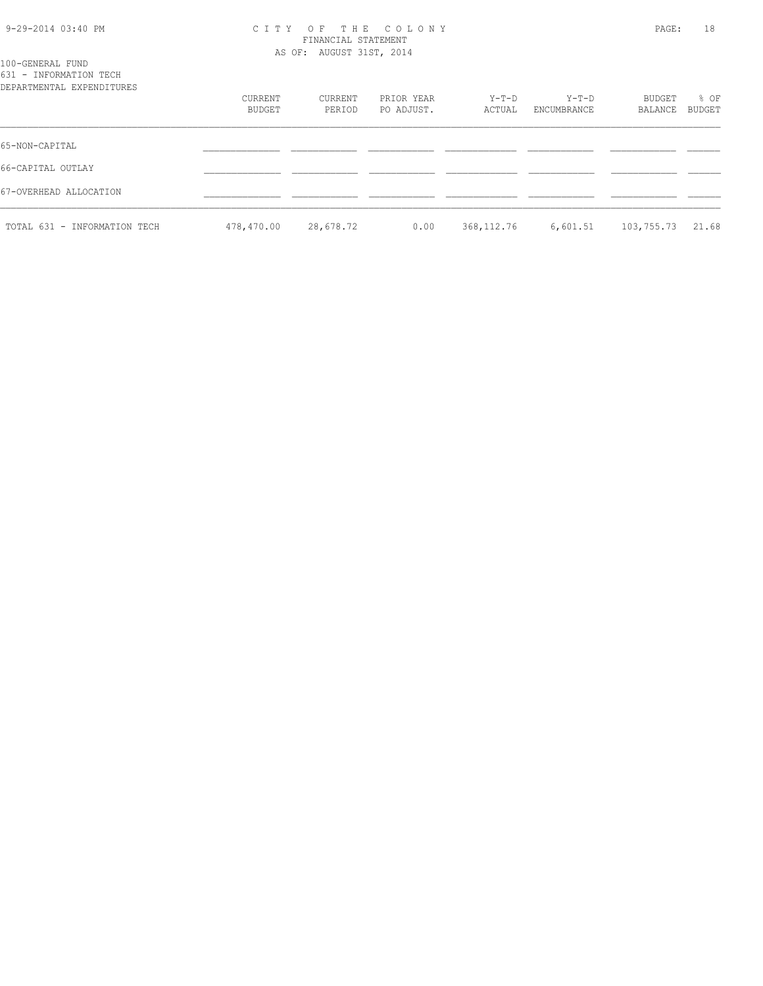# 9-29-2014 03:40 PM C I T Y O F T H E C O L O N Y PAGE: 18 FINANCIAL STATEMENT

| 100-GENERAL FUND                                    |                   |                   | AS OF: AUGUST 31ST, 2014 |                 |                      |                          |                       |  |
|-----------------------------------------------------|-------------------|-------------------|--------------------------|-----------------|----------------------|--------------------------|-----------------------|--|
| 631 - INFORMATION TECH<br>DEPARTMENTAL EXPENDITURES | CURRENT<br>BUDGET | CURRENT<br>PERIOD | PRIOR YEAR<br>PO ADJUST. | Y-T-D<br>ACTUAL | Y-T-D<br>ENCUMBRANCE | <b>BUDGET</b><br>BALANCE | % OF<br><b>BUDGET</b> |  |
| 65-NON-CAPITAL                                      |                   |                   |                          |                 |                      |                          |                       |  |
| 66-CAPITAL OUTLAY                                   |                   |                   |                          |                 |                      |                          |                       |  |
| 67-OVERHEAD ALLOCATION                              |                   |                   |                          |                 |                      |                          |                       |  |
| TOTAL 631 - INFORMATION TECH                        | 478,470.00        | 28,678.72         | 0.00                     | 368, 112.76     | 6,601.51             | 103,755.73               | 21.68                 |  |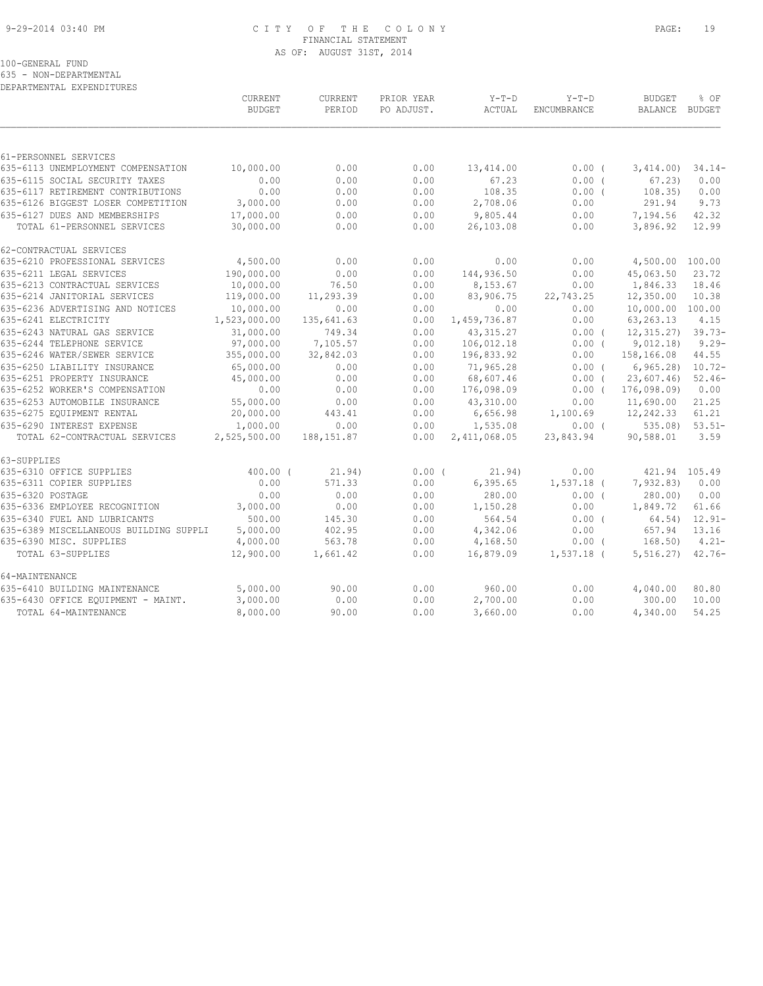## 9-29-2014 03:40 PM C I T Y O F T H E C O L O N Y PAGE: 19 FINANCIAL STATEMENT AS OF: AUGUST 31ST, 2014

100-GENERAL FUND

635 - NON-DEPARTMENTAL

DEPARTMENTAL EXPENDITURES

|                                                              | <b>CURRENT</b><br><b>BUDGET</b> | CURRENT<br>PERIOD | PRIOR YEAR<br>PO ADJUST. | $Y-T-D$<br>ACTUAL     | $Y-T-D$<br>ENCUMBRANCE | <b>BUDGET</b><br>BALANCE | % OF<br>BUDGET |
|--------------------------------------------------------------|---------------------------------|-------------------|--------------------------|-----------------------|------------------------|--------------------------|----------------|
|                                                              |                                 |                   |                          |                       |                        |                          |                |
| 61-PERSONNEL SERVICES                                        |                                 |                   |                          |                       |                        |                          |                |
| 635-6113 UNEMPLOYMENT COMPENSATION                           | 10,000.00                       | 0.00              | 0.00                     | 13,414.00             | $0.00$ (               | 3,414.00                 | $34.14-$       |
| 635-6115 SOCIAL SECURITY TAXES                               | 0.00                            | 0.00              | 0.00                     | 67.23                 | 0.00(                  | 67.23                    | 0.00           |
| 635-6117 RETIREMENT CONTRIBUTIONS                            | 0.00                            | 0.00              | 0.00                     | 108.35                | $0.00$ (               | 108.35)                  | 0.00           |
| 635-6126 BIGGEST LOSER COMPETITION                           | 3,000.00                        | 0.00              | 0.00                     | 2,708.06              | 0.00                   | 291.94                   | 9.73           |
| 635-6127 DUES AND MEMBERSHIPS<br>TOTAL 61-PERSONNEL SERVICES | 17,000.00<br>30,000.00          | 0.00<br>0.00      | 0.00<br>0.00             | 9,805.44<br>26,103.08 | 0.00<br>0.00           | 7,194.56<br>3,896.92     | 42.32<br>12.99 |
| 62-CONTRACTUAL SERVICES                                      |                                 |                   |                          |                       |                        |                          |                |
| 635-6210 PROFESSIONAL SERVICES                               | 4,500.00                        | 0.00              | 0.00                     | 0.00                  | 0.00                   | 4,500.00                 | 100.00         |
| 635-6211 LEGAL SERVICES                                      | 190,000.00                      | 0.00              | 0.00                     | 144,936.50            | 0.00                   | 45,063.50                | 23.72          |
| 635-6213 CONTRACTUAL SERVICES                                | 10,000.00                       | 76.50             | 0.00                     | 8,153.67              | 0.00                   | 1,846.33                 | 18.46          |
| 635-6214 JANITORIAL SERVICES                                 | 119,000.00                      | 11,293.39         | 0.00                     | 83,906.75             | 22,743.25              | 12,350.00                | 10.38          |
| 635-6236 ADVERTISING AND NOTICES                             | 10,000.00                       | 0.00              | 0.00                     | 0.00                  | 0.00                   | 10,000.00                | 100.00         |
| 635-6241 ELECTRICITY                                         | 1,523,000.00                    | 135,641.63        | 0.00                     | 1,459,736.87          | 0.00                   | 63, 263. 13              | 4.15           |
| 635-6243 NATURAL GAS SERVICE                                 | 31,000.00                       | 749.34            | 0.00                     | 43, 315.27            | 0.00(                  | 12, 315, 27)             | $39.73-$       |
| 635-6244 TELEPHONE SERVICE                                   | 97,000.00                       | 7,105.57          | 0.00                     | 106,012.18            | 0.00(                  | 9,012.18)                | $9.29 -$       |
| 635-6246 WATER/SEWER SERVICE                                 | 355,000.00                      | 32,842.03         | 0.00                     | 196,833.92            | 0.00                   | 158,166.08               | 44.55          |
| 635-6250 LIABILITY INSURANCE                                 | 65,000.00                       | 0.00              | 0.00                     | 71,965.28             | $0.00$ (               | 6, 965, 28               | $10.72 -$      |
| 635-6251 PROPERTY INSURANCE                                  | 45,000.00                       | 0.00              | 0.00                     | 68,607.46             | 0.00(                  | 23,607.46                | $52.46-$       |
| 635-6252 WORKER'S COMPENSATION                               | 0.00                            | 0.00              | 0.00                     | 176,098.09            | $0.00$ (               | 176,098.09)              | 0.00           |
| 635-6253 AUTOMOBILE INSURANCE                                | 55,000.00                       | 0.00              | 0.00                     | 43,310.00             | 0.00                   | 11,690.00                | 21.25          |
| 635-6275 EQUIPMENT RENTAL                                    | 20,000.00                       | 443.41            | 0.00                     | 6,656.98              | 1,100.69               | 12,242.33                | 61.21          |
| 635-6290 INTEREST EXPENSE                                    | 1,000.00                        | 0.00              | 0.00                     | 1,535.08              | $0.00$ (               | 535.08                   | $53.51-$       |
| TOTAL 62-CONTRACTUAL SERVICES                                | 2,525,500.00                    | 188, 151.87       | 0.00                     | 2,411,068.05          | 23,843.94              | 90,588.01                | 3.59           |
| 63-SUPPLIES                                                  |                                 |                   |                          |                       |                        |                          |                |
| 635-6310 OFFICE SUPPLIES                                     | $400.00$ (                      | 21.94)            | 0.00(                    | 21.94)                | 0.00                   | 421.94 105.49            |                |
| 635-6311 COPIER SUPPLIES                                     | 0.00                            | 571.33            | 0.00                     | 6, 395.65             | $1,537.18$ (           | 7,932.83)                | 0.00           |
| 635-6320 POSTAGE                                             | 0.00                            | 0.00              | 0.00                     | 280.00                | 0.00(                  | 280.00                   | 0.00           |
| 635-6336 EMPLOYEE RECOGNITION                                | 3,000.00                        | 0.00              | 0.00                     | 1,150.28              | 0.00                   | 1,849.72                 | 61.66          |
| 635-6340 FUEL AND LUBRICANTS                                 | 500.00                          | 145.30            | 0.00                     | 564.54                | 0.00(                  | 64.54)                   | $12.91 -$      |
| 635-6389 MISCELLANEOUS BUILDING SUPPLI                       | 5,000.00                        | 402.95            | 0.00                     | 4,342.06              | 0.00                   | 657.94                   | 13.16          |
| 635-6390 MISC. SUPPLIES                                      | 4,000.00                        | 563.78            | 0.00                     | 4,168.50              | $0.00$ (               | 168.50)                  | $4.21 -$       |
| TOTAL 63-SUPPLIES                                            | 12,900.00                       | 1,661.42          | 0.00                     | 16,879.09             | $1,537.18$ (           | 5, 516.27                | $42.76-$       |
| 64-MAINTENANCE                                               |                                 |                   |                          |                       |                        |                          |                |
| 635-6410 BUILDING MAINTENANCE                                | 5,000.00                        | 90.00             | 0.00                     | 960.00                | 0.00                   | 4,040.00                 | 80.80          |
| 635-6430 OFFICE EQUIPMENT - MAINT.                           | 3,000.00                        | 0.00              | 0.00                     | 2,700.00              | 0.00                   | 300.00                   | 10.00          |
| TOTAL 64-MAINTENANCE                                         | 8,000.00                        | 90.00             | 0.00                     | 3,660.00              | 0.00                   | 4,340.00                 | 54.25          |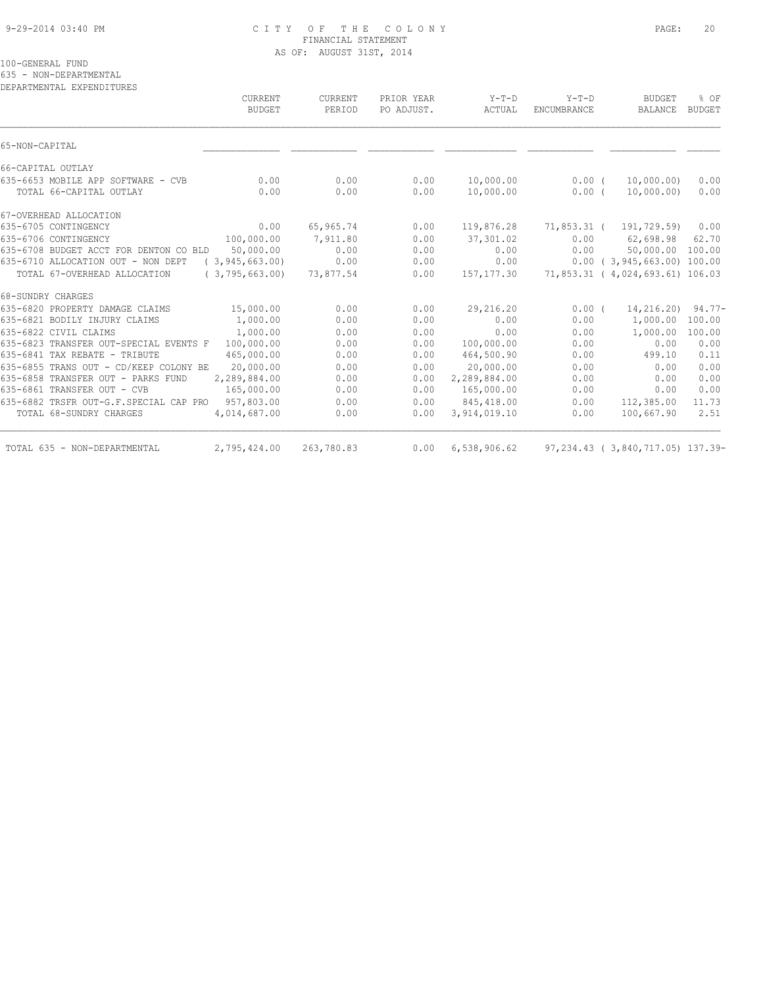## 9-29-2014 03:40 PM C I T Y O F T H E C O L O N Y PAGE: 20 FINANCIAL STATEMENT AS OF: AUGUST 31ST, 2014

100-GENERAL FUND

635 - NON-DEPARTMENTAL

DEPARTMENTAL EXPENDITURES

|                                                               | CURRENT<br><b>BUDGET</b> | CURRENT<br>PERIOD | PRIOR YEAR<br>PO ADJUST. | $Y-T-D$<br>ACTUAL      | $Y-T-D$<br>ENCUMBRANCE | <b>BUDGET</b><br>BALANCE         | % OF<br><b>BUDGET</b> |
|---------------------------------------------------------------|--------------------------|-------------------|--------------------------|------------------------|------------------------|----------------------------------|-----------------------|
| 65-NON-CAPITAL                                                |                          |                   |                          |                        |                        |                                  |                       |
| 66-CAPITAL OUTLAY                                             |                          |                   |                          |                        |                        |                                  |                       |
| 635-6653 MOBILE APP SOFTWARE - CVB<br>TOTAL 66-CAPITAL OUTLAY | 0.00<br>0.00             | 0.00<br>0.00      | 0.00<br>0.00             | 10,000.00<br>10,000.00 | $0.00$ (<br>$0.00$ (   | 10,000.00)<br>10,000.00)         | 0.00<br>0.00          |
| 67-OVERHEAD ALLOCATION                                        |                          |                   |                          |                        |                        |                                  |                       |
| 635-6705 CONTINGENCY                                          | 0.00                     | 65,965.74         | 0.00                     | 119,876.28             | 71,853.31 (            | 191,729.59)                      | 0.00                  |
| 635-6706 CONTINGENCY                                          | 100,000.00               | 7,911.80          | 0.00                     | 37,301.02              | 0.00                   | 62,698.98                        | 62.70                 |
| 635-6708 BUDGET ACCT FOR DENTON CO BLD                        | 50,000.00                | 0.00              | 0.00                     | 0.00                   | 0.00                   | 50,000.00                        | 100.00                |
| 635-6710 ALLOCATION OUT - NON DEPT                            | (3, 945, 663.00)         | 0.00              | 0.00                     | 0.00                   |                        | $0.00$ ( 3,945,663.00) 100.00    |                       |
| TOTAL 67-OVERHEAD ALLOCATION                                  | (3, 795, 663, 00)        | 73,877.54         | 0.00                     | 157, 177.30            |                        | 71,853.31 ( 4,024,693.61) 106.03 |                       |
| 68-SUNDRY CHARGES                                             |                          |                   |                          |                        |                        |                                  |                       |
| 635-6820 PROPERTY DAMAGE CLAIMS                               | 15,000.00                | 0.00              | 0.00                     | 29,216.20              | 0.00(                  | 14,216.20)                       | $94.77 -$             |
| 635-6821 BODILY INJURY CLAIMS                                 | 1,000.00                 | 0.00              | 0.00                     | 0.00                   | 0.00                   | 1,000.00                         | 100.00                |
| 635-6822 CIVIL CLAIMS                                         | 1,000.00                 | 0.00              | 0.00                     | 0.00                   | 0.00                   | 1,000.00                         | 100.00                |
| 635-6823 TRANSFER OUT-SPECIAL EVENTS F                        | 100,000.00               | 0.00              | 0.00                     | 100,000.00             | 0.00                   | 0.00                             | 0.00                  |
| 635-6841 TAX REBATE - TRIBUTE                                 | 465,000.00               | 0.00              | 0.00                     | 464,500.90             | 0.00                   | 499.10                           | 0.11                  |
| 635-6855 TRANS OUT - CD/KEEP COLONY BE                        | 20,000.00                | 0.00              | 0.00                     | 20,000.00              | 0.00                   | 0.00                             | 0.00                  |
| 635-6858 TRANSFER OUT - PARKS FUND                            | 2,289,884.00             | 0.00              | 0.00                     | 2,289,884.00           | 0.00                   | 0.00                             | 0.00                  |
| 635-6861 TRANSFER OUT - CVB                                   | 165,000.00               | 0.00              | 0.00                     | 165,000.00             | 0.00                   | 0.00                             | 0.00                  |
| 635-6882 TRSFR OUT-G.F.SPECIAL CAP PRO                        | 957,803.00               | 0.00              | 0.00                     | 845,418.00             | 0.00                   | 112,385.00                       | 11.73                 |
| TOTAL 68-SUNDRY CHARGES                                       | 4,014,687.00             | 0.00              | 0.00                     | 3,914,019.10           | 0.00                   | 100,667.90                       | 2.51                  |
| TOTAL 635 - NON-DEPARTMENTAL                                  | 2,795,424.00             | 263,780.83        | 0.00                     | 6,538,906.62           |                        | 97,234.43 (3,840,717.05) 137.39- |                       |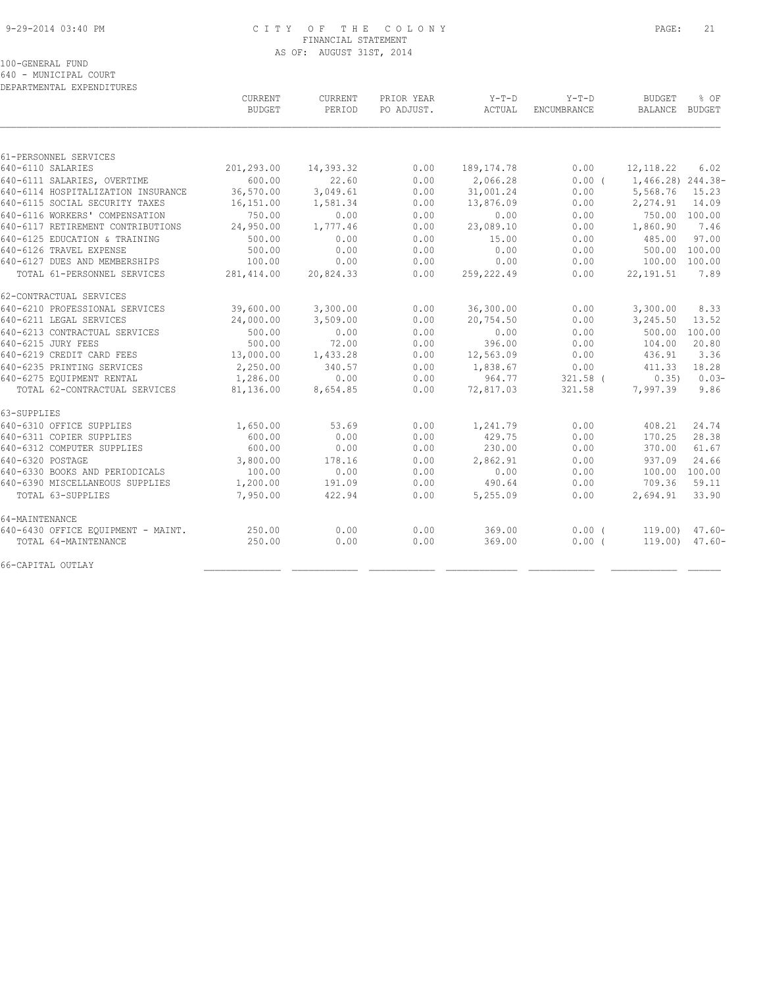#### 9-29-2014 03:40 PM C I T Y O F T H E C O L O N Y PAGE: 21 FINANCIAL STATEMENT AS OF: AUGUST 31ST, 2014

100-GENERAL FUND

640 - MUNICIPAL COURT

| DEPARTMENTAL EXPENDITURES          |                          |                   |                          |                   |                        |                                 |                |
|------------------------------------|--------------------------|-------------------|--------------------------|-------------------|------------------------|---------------------------------|----------------|
|                                    | CURRENT<br><b>BUDGET</b> | CURRENT<br>PERIOD | PRIOR YEAR<br>PO ADJUST. | $Y-T-D$<br>ACTUAL | $Y-T-D$<br>ENCUMBRANCE | <b>BUDGET</b><br><b>BALANCE</b> | % OF<br>BUDGET |
|                                    |                          |                   |                          |                   |                        |                                 |                |
| 61-PERSONNEL SERVICES              |                          |                   |                          |                   |                        |                                 |                |
| 640-6110 SALARIES                  | 201,293.00               | 14,393.32         | 0.00                     | 189, 174.78       | 0.00                   | 12, 118.22                      | 6.02           |
| 640-6111 SALARIES, OVERTIME        | 600.00                   | 22.60             | 0.00                     | 2,066.28          | 0.00(                  | 1,466.28) 244.38-               |                |
| 640-6114 HOSPITALIZATION INSURANCE | 36,570.00                | 3,049.61          | 0.00                     | 31,001.24         | 0.00                   | 5,568.76                        | 15.23          |
| 640-6115 SOCIAL SECURITY TAXES     | 16,151.00                | 1,581.34          | 0.00                     | 13,876.09         | 0.00                   | 2,274.91                        | 14.09          |
| 640-6116 WORKERS' COMPENSATION     | 750.00                   | 0.00              | 0.00                     | 0.00              | 0.00                   | 750.00 100.00                   |                |
| 640-6117 RETIREMENT CONTRIBUTIONS  | 24,950.00                | 1,777.46          | 0.00                     | 23,089.10         | 0.00                   | 1,860.90                        | 7.46           |
| 640-6125 EDUCATION & TRAINING      | 500.00                   | 0.00              | 0.00                     | 15.00             | 0.00                   | 485.00                          | 97.00          |
| 640-6126 TRAVEL EXPENSE            | 500.00                   | 0.00              | 0.00                     | 0.00              | 0.00                   | 500.00                          | 100.00         |
| 640-6127 DUES AND MEMBERSHIPS      | 100.00                   | 0.00              | 0.00                     | 0.00              | 0.00                   | 100.00                          | 100.00         |
| TOTAL 61-PERSONNEL SERVICES        | 281, 414.00              | 20,824.33         | 0.00                     | 259,222.49        | 0.00                   | 22, 191.51                      | 7.89           |
| 62-CONTRACTUAL SERVICES            |                          |                   |                          |                   |                        |                                 |                |
| 640-6210 PROFESSIONAL SERVICES     | 39,600.00                | 3,300.00          | 0.00                     | 36,300.00         | 0.00                   | 3,300.00                        | 8.33           |
| 640-6211 LEGAL SERVICES            | 24,000.00                | 3,509.00          | 0.00                     | 20,754.50         | 0.00                   | 3,245.50                        | 13.52          |
| 640-6213 CONTRACTUAL SERVICES      | 500.00                   | 0.00              | 0.00                     | 0.00              | 0.00                   | 500.00                          | 100.00         |
| 640-6215 JURY FEES                 | 500.00                   | 72.00             | 0.00                     | 396.00            | 0.00                   | 104.00                          | 20.80          |
| 640-6219 CREDIT CARD FEES          | 13,000.00                | 1,433.28          | 0.00                     | 12,563.09         | 0.00                   | 436.91                          | 3.36           |
| 640-6235 PRINTING SERVICES         | 2,250.00                 | 340.57            | 0.00                     | 1,838.67          | 0.00                   | 411.33                          | 18.28          |
| 640-6275 EQUIPMENT RENTAL          | 1,286.00                 | 0.00              | 0.00                     | 964.77            | $321.58$ (             | 0.35)                           | $0.03-$        |
| TOTAL 62-CONTRACTUAL SERVICES      | 81,136.00                | 8,654.85          | 0.00                     | 72,817.03         | 321.58                 | 7,997.39                        | 9.86           |
| 63-SUPPLIES                        |                          |                   |                          |                   |                        |                                 |                |
| 640-6310 OFFICE SUPPLIES           | 1,650.00                 | 53.69             | 0.00                     | 1,241.79          | 0.00                   | 408.21                          | 24.74          |
| 640-6311 COPIER SUPPLIES           | 600.00                   | 0.00              | 0.00                     | 429.75            | 0.00                   | 170.25                          | 28.38          |
| 640-6312 COMPUTER SUPPLIES         | 600.00                   | 0.00              | 0.00                     | 230.00            | 0.00                   | 370.00                          | 61.67          |
| 640-6320 POSTAGE                   | 3,800.00                 | 178.16            | 0.00                     | 2,862.91          | 0.00                   | 937.09                          | 24.66          |
| 640-6330 BOOKS AND PERIODICALS     | 100.00                   | 0.00              | 0.00                     | 0.00              | 0.00                   | 100.00                          | 100.00         |
| 640-6390 MISCELLANEOUS SUPPLIES    | 1,200.00                 | 191.09            | 0.00                     | 490.64            | 0.00                   | 709.36                          | 59.11          |
| TOTAL 63-SUPPLIES                  | 7,950.00                 | 422.94            | 0.00                     | 5,255.09          | 0.00                   | 2,694.91                        | 33.90          |
| 64-MAINTENANCE                     |                          |                   |                          |                   |                        |                                 |                |
| 640-6430 OFFICE EQUIPMENT - MAINT. | 250.00                   | 0.00              | 0.00                     | 369.00            | 0.00(                  | $119.00$ )                      | $47.60 -$      |
| TOTAL 64-MAINTENANCE               | 250.00                   | 0.00              | 0.00                     | 369.00            | 0.00(                  | 119.00)                         | $47.60 -$      |
| 66-CAPITAL OUTLAY                  |                          |                   |                          |                   |                        |                                 |                |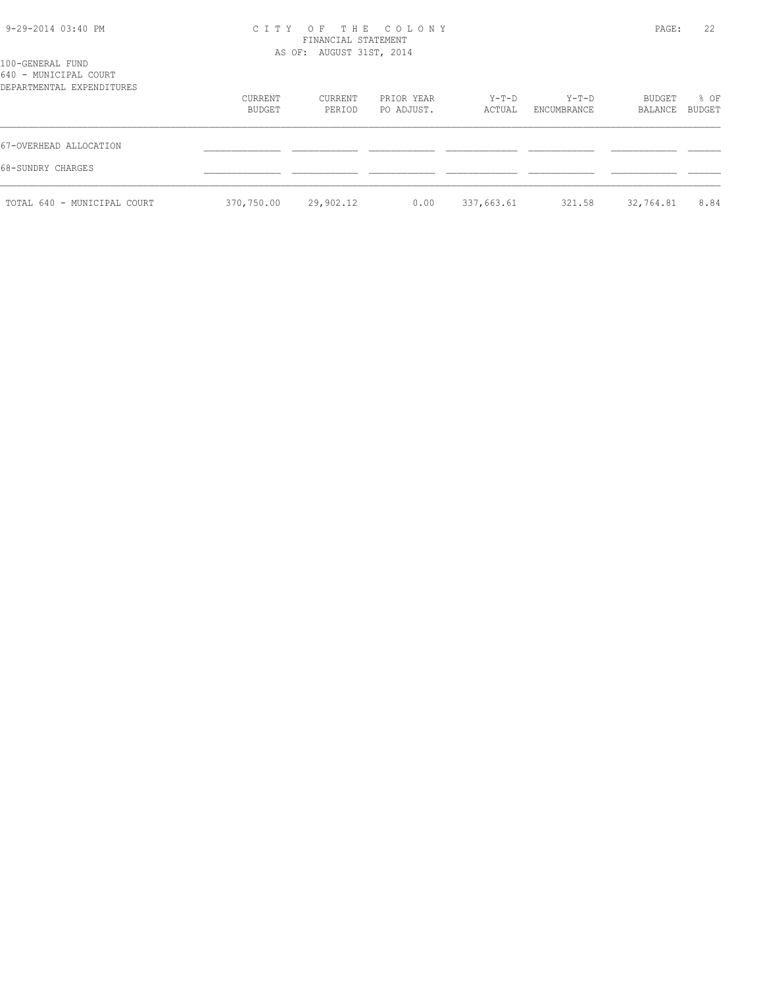| 9-29-2014 03:40 PM   | CITY OF THE COLONY       | 22<br>PAGE: |  |
|----------------------|--------------------------|-------------|--|
|                      | FINANCIAL STATEMENT      |             |  |
|                      |                          |             |  |
|                      | AS OF: AUGUST 31ST, 2014 |             |  |
| 100-GENERAL FUND     |                          |             |  |
| CAO MINITOTRAT COURS |                          |             |  |

| 640 - MUNICIPAL COURT<br>DEPARTMENTAL EXPENDITURES |                   |                   |                          |                 |                      |                   |                       |
|----------------------------------------------------|-------------------|-------------------|--------------------------|-----------------|----------------------|-------------------|-----------------------|
|                                                    | CURRENT<br>BUDGET | CURRENT<br>PERIOD | PRIOR YEAR<br>PO ADJUST. | Y-T-D<br>ACTUAL | Y-T-D<br>ENCUMBRANCE | BUDGET<br>BALANCE | % OF<br><b>BUDGET</b> |
| 67-OVERHEAD ALLOCATION                             |                   |                   |                          |                 |                      |                   |                       |
| 68-SUNDRY CHARGES                                  |                   |                   |                          |                 |                      |                   |                       |
| TOTAL 640 - MUNICIPAL COURT                        | 370,750.00        | 29,902.12         | 0.00                     | 337,663.61      | 321.58               | 32,764.81         | 8.84                  |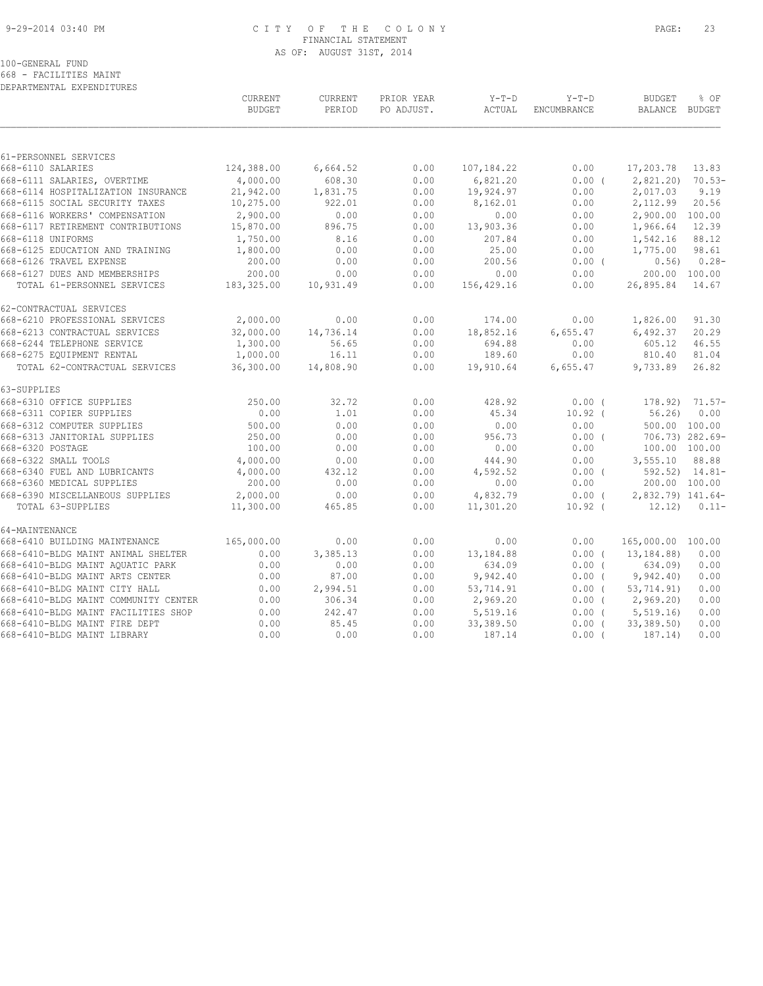#### 9-29-2014 03:40 PM C I T Y O F T H E C O L O N Y PAGE: 23 FINANCIAL STATEMENT AS OF: AUGUST 31ST, 2014

#### 100-GENERAL FUND

668 - FACILITIES MAINT DEPARTMENTAL EXPENDITURES

|                                      | CURRENT<br><b>BUDGET</b> | <b>CURRENT</b><br>PERIOD | PRIOR YEAR<br>PO ADJUST. | $Y-T-D$<br>ACTUAL | $Y-T-D$<br>ENCUMBRANCE | <b>BUDGET</b><br>BALANCE BUDGET | % OF                |
|--------------------------------------|--------------------------|--------------------------|--------------------------|-------------------|------------------------|---------------------------------|---------------------|
|                                      |                          |                          |                          |                   |                        |                                 |                     |
| 61-PERSONNEL SERVICES                |                          |                          |                          |                   |                        |                                 |                     |
| 668-6110 SALARIES                    | 124,388.00               | 6,664.52                 | 0.00                     | 107,184.22        | 0.00                   | 17,203.78                       | 13.83               |
| 668-6111 SALARIES, OVERTIME          | 4,000.00                 | 608.30                   | 0.00                     | 6,821.20          | 0.00(                  | 2,821.20)                       | $70.53-$            |
| 668-6114 HOSPITALIZATION INSURANCE   | 21,942.00                | 1,831.75                 | 0.00                     | 19,924.97         | 0.00                   | 2,017.03                        | 9.19                |
| 668-6115 SOCIAL SECURITY TAXES       | 10,275.00                | 922.01                   | 0.00                     | 8,162.01          | 0.00                   | 2,112.99                        | 20.56               |
| 668-6116 WORKERS' COMPENSATION       | 2,900.00                 | 0.00                     | 0.00                     | 0.00              | 0.00                   | 2,900.00 100.00                 |                     |
| 668-6117 RETIREMENT CONTRIBUTIONS    | 15,870.00                | 896.75                   | 0.00                     | 13,903.36         | 0.00                   | 1,966.64                        | 12.39               |
| 668-6118 UNIFORMS                    | 1,750.00                 | 8.16                     | 0.00                     | 207.84            | 0.00                   | 1,542.16                        | 88.12               |
| 668-6125 EDUCATION AND TRAINING      | 1,800.00                 | 0.00                     | 0.00                     | 25.00             | 0.00                   | 1,775.00                        | 98.61               |
| 668-6126 TRAVEL EXPENSE              | 200.00                   | 0.00                     | 0.00                     | 200.56            | $0.00$ (               | 0.56)                           | $0.28 -$            |
| 668-6127 DUES AND MEMBERSHIPS        | 200.00                   | 0.00                     | 0.00                     | 0.00              | 0.00                   | 200.00 100.00                   |                     |
| TOTAL 61-PERSONNEL SERVICES          | 183,325.00               | 10,931.49                | 0.00                     | 156,429.16        | 0.00                   | 26,895.84                       | 14.67               |
| 62-CONTRACTUAL SERVICES              |                          |                          |                          |                   |                        |                                 |                     |
| 668-6210 PROFESSIONAL SERVICES       | 2,000.00                 | 0.00                     | 0.00                     | 174.00            | 0.00                   | 1,826.00                        | 91.30               |
| 668-6213 CONTRACTUAL SERVICES        | 32,000.00                | 14,736.14                | 0.00                     | 18,852.16         | 6,655.47               | 6,492.37                        | 20.29               |
| 668-6244 TELEPHONE SERVICE           | 1,300.00                 | 56.65                    | 0.00                     | 694.88            | 0.00                   | 605.12                          | 46.55               |
| 668-6275 EQUIPMENT RENTAL            | 1,000.00                 | 16.11                    | 0.00                     | 189.60            | 0.00                   | 810.40                          | 81.04               |
| TOTAL 62-CONTRACTUAL SERVICES        | 36,300.00                | 14,808.90                | 0.00                     | 19,910.64         | 6,655.47               | 9,733.89                        | 26.82               |
| 63-SUPPLIES                          |                          |                          |                          |                   |                        |                                 |                     |
| 668-6310 OFFICE SUPPLIES             | 250.00                   | 32.72                    | 0.00                     | 428.92            | 0.00(                  | $178.92$ ) $71.57-$             |                     |
| 668-6311 COPIER SUPPLIES             | 0.00                     | 1.01                     | 0.00                     | 45.34             | $10.92$ (              | 56.26                           | 0.00                |
| 668-6312 COMPUTER SUPPLIES           | 500.00                   | 0.00                     | 0.00                     | 0.00              | 0.00                   | 500.00 100.00                   |                     |
| 668-6313 JANITORIAL SUPPLIES         | 250.00                   | 0.00                     | 0.00                     | 956.73            | 0.00(                  |                                 | 706.73) 282.69-     |
| 668-6320 POSTAGE                     | 100.00                   | 0.00                     | 0.00                     | 0.00              | 0.00                   | 100.00 100.00                   |                     |
| 668-6322 SMALL TOOLS                 | 4,000.00                 | 0.00                     | 0.00                     | 444.90            | 0.00                   | 3,555.10                        | 88.88               |
| 668-6340 FUEL AND LUBRICANTS         | 4,000.00                 | 432.12                   | 0.00                     | 4,592.52          | 0.00(                  |                                 | $592.52$ ) $14.81-$ |
| 668-6360 MEDICAL SUPPLIES            | 200.00                   | 0.00                     | 0.00                     | 0.00              | 0.00                   | 200.00 100.00                   |                     |
| 668-6390 MISCELLANEOUS SUPPLIES      | 2,000.00                 | 0.00                     | 0.00                     | 4,832.79          | $0.00$ (               | 2,832.79) 141.64-               |                     |
| TOTAL 63-SUPPLIES                    | 11,300.00                | 465.85                   | 0.00                     | 11,301.20         | $10.92$ (              | 12.12)                          | $0.11 -$            |
| 64-MAINTENANCE                       |                          |                          |                          |                   |                        |                                 |                     |
| 668-6410 BUILDING MAINTENANCE        | 165,000.00               | 0.00                     | 0.00                     | 0.00              | 0.00                   | 165,000.00 100.00               |                     |
| 668-6410-BLDG MAINT ANIMAL SHELTER   | 0.00                     | 3,385.13                 | 0.00                     | 13,184.88         | $0.00$ (               | 13,184.88)                      | 0.00                |
| 668-6410-BLDG MAINT AOUATIC PARK     | 0.00                     | 0.00                     | 0.00                     | 634.09            | 0.00(                  | 634.09)                         | 0.00                |
| 668-6410-BLDG MAINT ARTS CENTER      | 0.00                     | 87.00                    | 0.00                     | 9,942.40          | $0.00$ (               | 9,942.40                        | 0.00                |
| 668-6410-BLDG MAINT CITY HALL        | 0.00                     | 2,994.51                 | 0.00                     | 53,714.91         | 0.00(                  | 53,714.91)                      | 0.00                |
| 668-6410-BLDG MAINT COMMUNITY CENTER | 0.00                     | 306.34                   | 0.00                     | 2,969.20          | $0.00$ (               | 2,969.20                        | 0.00                |
| 668-6410-BLDG MAINT FACILITIES SHOP  | 0.00                     | 242.47                   | 0.00                     | 5,519.16          | $0.00$ (               | 5, 519.16                       | 0.00                |
| 668-6410-BLDG MAINT FIRE DEPT        | 0.00                     | 85.45                    | 0.00                     | 33,389.50         | $0.00$ (               | 33,389.50)                      | 0.00                |
| 668-6410-BLDG MAINT LIBRARY          | 0.00                     | 0.00                     | 0.00                     | 187.14            | $0.00$ (               | 187.14)                         | 0.00                |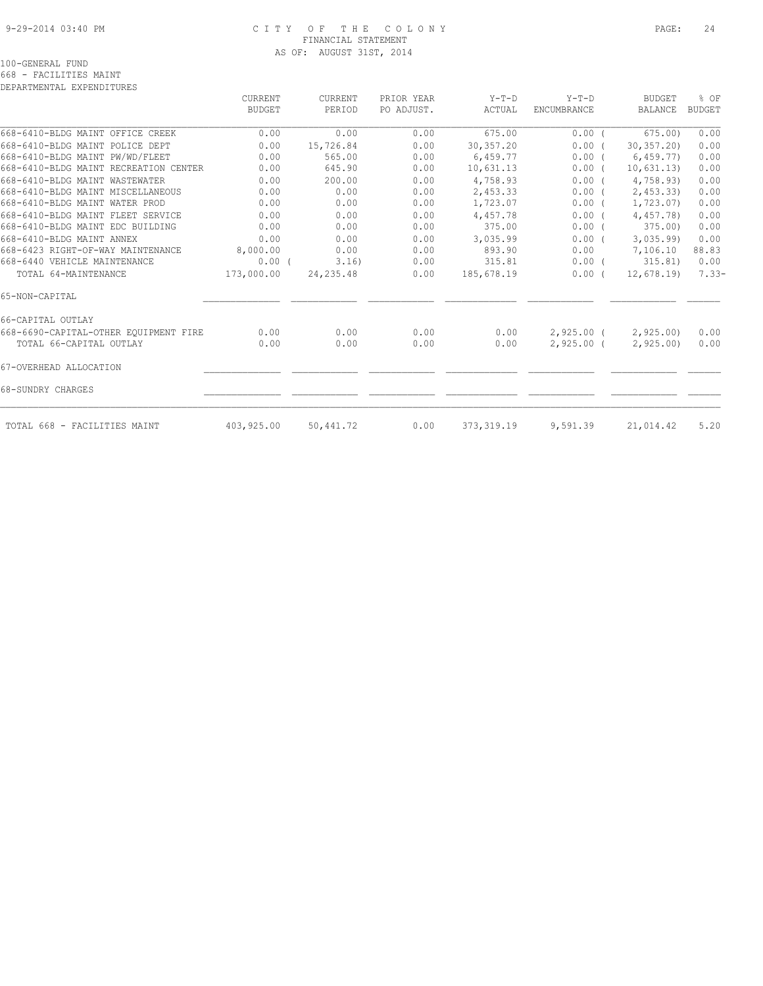#### 9-29-2014 03:40 PM C I T Y O F T H E C O L O N Y PAGE: 24 FINANCIAL STATEMENT AS OF: AUGUST 31ST, 2014

| DEPARTMENTAL EXPENDITURES                                        |                |              |              |              |                            |                      |               |
|------------------------------------------------------------------|----------------|--------------|--------------|--------------|----------------------------|----------------------|---------------|
|                                                                  | <b>CURRENT</b> | CURRENT      | PRIOR YEAR   | $Y-T-D$      | $Y-T-D$                    | <b>BUDGET</b>        | % OF          |
|                                                                  | <b>BUDGET</b>  | PERIOD       | PO ADJUST.   | ACTUAL       | <b>ENCUMBRANCE</b>         | <b>BALANCE</b>       | <b>BUDGET</b> |
| 668-6410-BLDG MAINT OFFICE CREEK                                 | 0.00           | 0.00         | 0.00         | 675.00       | 0.00(                      | 675.00               | 0.00          |
| 668-6410-BLDG MAINT POLICE DEPT                                  | 0.00           | 15,726.84    | 0.00         | 30,357.20    | 0.00(                      | 30, 357, 20          | 0.00          |
| 668-6410-BLDG MAINT PW/WD/FLEET                                  | 0.00           | 565.00       | 0.00         | 6,459.77     | 0.00(                      | 6,459.77             | 0.00          |
| 668-6410-BLDG MAINT RECREATION CENTER                            | 0.00           | 645.90       | 0.00         | 10,631.13    | $0.00$ (                   | 10,631.13)           | 0.00          |
| 668-6410-BLDG MAINT WASTEWATER                                   | 0.00           | 200.00       | 0.00         | 4,758.93     | 0.00(                      | 4,758.93)            | 0.00          |
| 668-6410-BLDG MAINT MISCELLANEOUS                                | 0.00           | 0.00         | 0.00         | 2,453.33     | 0.00(                      | 2,453,33)            | 0.00          |
| 668-6410-BLDG MAINT WATER PROD                                   | 0.00           | 0.00         | 0.00         | 1,723.07     | $0.00$ (                   | 1,723.07)            | 0.00          |
| 668-6410-BLDG MAINT FLEET SERVICE                                | 0.00           | 0.00         | 0.00         | 4,457.78     | 0.00(                      | 4,457.78)            | 0.00          |
| 668-6410-BLDG MAINT EDC BUILDING                                 | 0.00           | 0.00         | 0.00         | 375.00       | $0.00$ (                   | 375.00)              | 0.00          |
| 668-6410-BLDG MAINT ANNEX                                        | 0.00           | 0.00         | 0.00         | 3,035.99     | $0.00$ (                   | 3,035.99             | 0.00          |
| 668-6423 RIGHT-OF-WAY MAINTENANCE                                | 8,000.00       | 0.00         | 0.00         | 893.90       | 0.00                       | 7,106.10             | 88.83         |
| 668-6440 VEHICLE MAINTENANCE                                     | $0.00$ (       | 3.16)        | 0.00         | 315.81       | $0.00$ (                   | 315.81)              | 0.00          |
| TOTAL 64-MAINTENANCE                                             | 173,000.00     | 24, 235.48   | 0.00         | 185,678.19   | 0.00(                      | 12,678.19            | $7.33-$       |
| 65-NON-CAPITAL                                                   |                |              |              |              |                            |                      |               |
| 66-CAPITAL OUTLAY                                                |                |              |              |              |                            |                      |               |
| 668-6690-CAPITAL-OTHER EQUIPMENT FIRE<br>TOTAL 66-CAPITAL OUTLAY | 0.00<br>0.00   | 0.00<br>0.00 | 0.00<br>0.00 | 0.00<br>0.00 | 2,925.00 (<br>$2,925.00$ ( | 2,925.00<br>2,925.00 | 0.00<br>0.00  |
| 67-OVERHEAD ALLOCATION                                           |                |              |              |              |                            |                      |               |
| 68-SUNDRY CHARGES                                                |                |              |              |              |                            |                      |               |
| TOTAL 668 - FACILITIES MAINT                                     | 403,925.00     | 50,441.72    | 0.00         | 373, 319.19  | 9,591.39                   | 21,014.42            | 5.20          |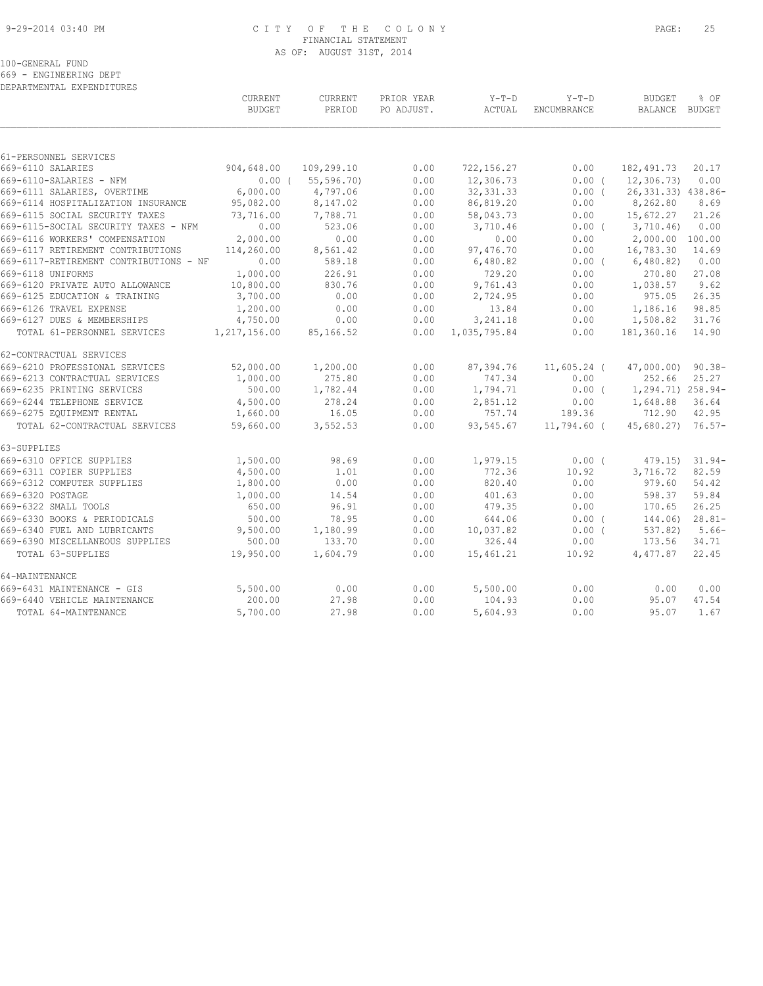#### 9-29-2014 03:40 PM C I T Y O F T H E C O L O N Y PAGE: 25 FINANCIAL STATEMENT AS OF: AUGUST 31ST, 2014

100-GENERAL FUND

669 - ENGINEERING DEPT DEPARTMENTAL EXPENDITURES

|                                        | CURRENT<br><b>BUDGET</b> | CURRENT<br>PERIOD | PRIOR YEAR<br>PO ADJUST. | $Y-T-D$<br>ACTUAL | $Y-T-D$<br>ENCUMBRANCE | <b>BUDGET</b><br>BALANCE BUDGET | % OF      |
|----------------------------------------|--------------------------|-------------------|--------------------------|-------------------|------------------------|---------------------------------|-----------|
|                                        |                          |                   |                          |                   |                        |                                 |           |
| 61-PERSONNEL SERVICES                  |                          |                   |                          |                   |                        |                                 |           |
| 669-6110 SALARIES                      | 904,648.00               | 109,299.10        | 0.00                     | 722,156.27        | 0.00                   | 182,491.73                      | 20.17     |
| 669-6110-SALARIES - NFM                | $0.00$ (                 | 55, 596.70        | 0.00                     | 12,306.73         | $0.00$ (               | 12, 306.73                      | 0.00      |
| 669-6111 SALARIES, OVERTIME            | 6,000.00                 | 4,797.06          | 0.00                     | 32, 331.33        | $0.00$ (               | 26, 331.33) 438.86-             |           |
| 669-6114 HOSPITALIZATION INSURANCE     | 95,082.00                | 8,147.02          | 0.00                     | 86,819.20         | 0.00                   | 8,262.80                        | 8.69      |
| 669-6115 SOCIAL SECURITY TAXES         | 73,716.00                | 7,788.71          | 0.00                     | 58,043.73         | 0.00                   | 15,672.27                       | 21.26     |
| 669-6115-SOCIAL SECURITY TAXES - NFM   | 0.00                     | 523.06            | 0.00                     | 3,710.46          | $0.00$ (               | 3,710.46                        | 0.00      |
| 669-6116 WORKERS' COMPENSATION         | 2,000.00                 | 0.00              | 0.00                     | 0.00              | 0.00                   | 2,000.00 100.00                 |           |
| 669-6117 RETIREMENT CONTRIBUTIONS      | 114,260.00               | 8,561.42          | 0.00                     | 97,476.70         | 0.00                   | 16,783.30                       | 14.69     |
| 669-6117-RETIREMENT CONTRIBUTIONS - NF | 0.00                     | 589.18            | 0.00                     | 6,480.82          | $0.00$ (               | 6,480.82)                       | 0.00      |
| 669-6118 UNIFORMS                      | 1,000.00                 | 226.91            | 0.00                     | 729.20            | 0.00                   | 270.80                          | 27.08     |
| 669-6120 PRIVATE AUTO ALLOWANCE        | 10,800.00                | 830.76            | 0.00                     | 9,761.43          | 0.00                   | 1,038.57                        | 9.62      |
| 669-6125 EDUCATION & TRAINING          | 3,700.00                 | 0.00              | 0.00                     | 2,724.95          | 0.00                   | 975.05                          | 26.35     |
| 669-6126 TRAVEL EXPENSE                | 1,200.00                 | 0.00              | 0.00                     | 13.84             | 0.00                   | 1,186.16                        | 98.85     |
| 669-6127 DUES & MEMBERSHIPS            | 4,750.00                 | 0.00              | 0.00                     | 3, 241.18         | 0.00                   | 1,508.82                        | 31.76     |
| TOTAL 61-PERSONNEL SERVICES            | 1,217,156.00             | 85,166.52         | 0.00                     | 1,035,795.84      | 0.00                   | 181,360.16                      | 14.90     |
| 62-CONTRACTUAL SERVICES                |                          |                   |                          |                   |                        |                                 |           |
| 669-6210 PROFESSIONAL SERVICES         | 52,000.00                | 1,200.00          | 0.00                     | 87,394.76         | $11,605.24$ (          | 47,000.00)                      | $90.38 -$ |
| 669-6213 CONTRACTUAL SERVICES          | 1,000.00                 | 275.80            | 0.00                     | 747.34            | 0.00                   | 252.66                          | 25.27     |
| 669-6235 PRINTING SERVICES             | 500.00                   | 1,782.44          | 0.00                     | 1,794.71          | $0.00$ (               | 1,294.71) 258.94-               |           |
| 669-6244 TELEPHONE SERVICE             | 4,500.00                 | 278.24            | 0.00                     | 2,851.12          | 0.00                   | 1,648.88                        | 36.64     |
| 669-6275 EQUIPMENT RENTAL              | 1,660.00                 | 16.05             | 0.00                     | 757.74            | 189.36                 | 712.90                          | 42.95     |
| TOTAL 62-CONTRACTUAL SERVICES          | 59,660.00                | 3,552.53          | 0.00                     | 93,545.67         | $11,794.60$ (          | $45,680.27$ 76.57-              |           |
| 63-SUPPLIES                            |                          |                   |                          |                   |                        |                                 |           |
| 669-6310 OFFICE SUPPLIES               | 1,500.00                 | 98.69             | 0.00                     | 1,979.15          | 0.00(                  | 479.15)                         | $31.94-$  |
| 669-6311 COPIER SUPPLIES               | 4,500.00                 | 1.01              | 0.00                     | 772.36            | 10.92                  | 3,716.72                        | 82.59     |
| 669-6312 COMPUTER SUPPLIES             | 1,800.00                 | 0.00              | 0.00                     | 820.40            | 0.00                   | 979.60                          | 54.42     |
| 669-6320 POSTAGE                       | 1,000.00                 | 14.54             | 0.00                     | 401.63            | 0.00                   | 598.37                          | 59.84     |
| 669-6322 SMALL TOOLS                   | 650.00                   | 96.91             | 0.00                     | 479.35            | 0.00                   | 170.65                          | 26.25     |
| 669-6330 BOOKS & PERIODICALS           | 500.00                   | 78.95             | 0.00                     | 644.06            | 0.00(                  | 144.06)                         | $28.81-$  |
| 669-6340 FUEL AND LUBRICANTS           | 9,500.00                 | 1,180.99          | 0.00                     | 10,037.82         | 0.00(                  | 537.82)                         | $5.66-$   |
| 669-6390 MISCELLANEOUS SUPPLIES        | 500.00                   | 133.70            | 0.00                     | 326.44            | 0.00                   | 173.56                          | 34.71     |
| TOTAL 63-SUPPLIES                      | 19,950.00                | 1,604.79          | 0.00                     | 15,461.21         | 10.92                  | 4,477.87                        | 22.45     |
| 64-MAINTENANCE                         |                          |                   |                          |                   |                        |                                 |           |
| 669-6431 MAINTENANCE - GIS             | 5,500.00                 | 0.00              | 0.00                     | 5,500.00          | 0.00                   | 0.00                            | 0.00      |
| 669-6440 VEHICLE MAINTENANCE           | 200.00                   | 27.98             | 0.00                     | 104.93            | 0.00                   | 95.07                           | 47.54     |
| TOTAL 64-MAINTENANCE                   | 5,700.00                 | 27.98             | 0.00                     | 5,604.93          | 0.00                   | 95.07                           | 1.67      |
|                                        |                          |                   |                          |                   |                        |                                 |           |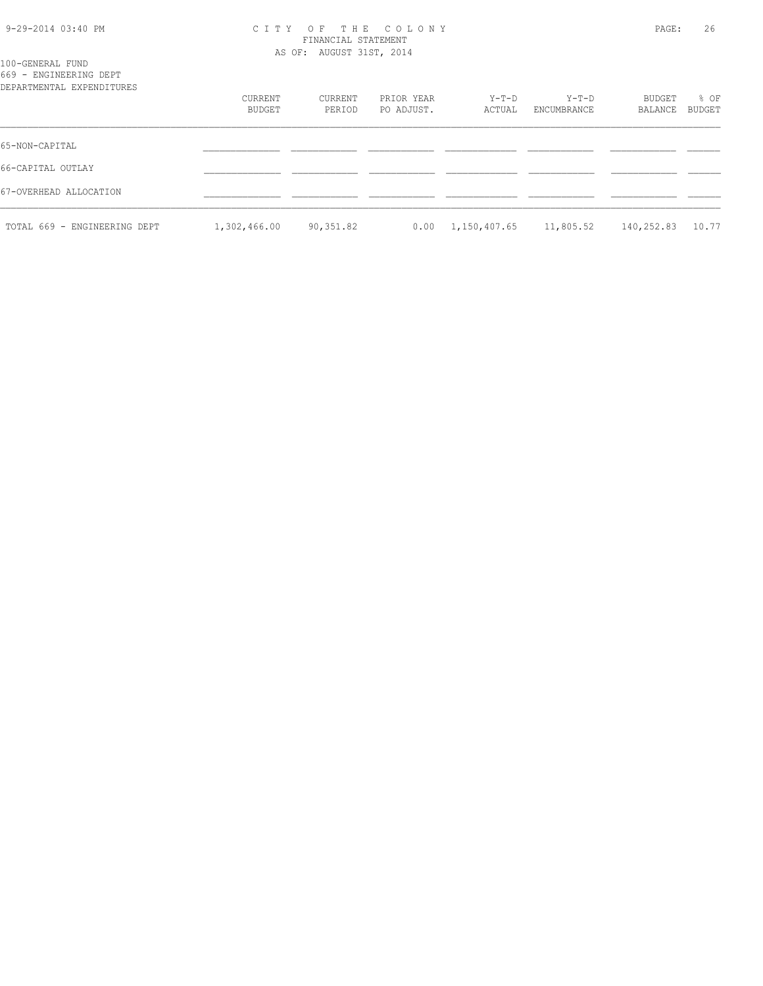| 9-29-2014 03:40 PM |  |  |
|--------------------|--|--|
|--------------------|--|--|

#### 9-29-2014 03:40 PM C I T Y O F T H E C O L O N Y PAGE: 26 FINANCIAL STATEMENT AS OF: AUGUST 31ST, 2014

|  | 100-GENERAL FUND       |                             |
|--|------------------------|-----------------------------|
|  | 669 - ENGINEERING DEPT |                             |
|  |                        | production to product minds |

| 669 - ENGINEERING DEPT<br>DEPARTMENTAL EXPENDITURES |                   |                   |                          |                 |                      |                   |                |
|-----------------------------------------------------|-------------------|-------------------|--------------------------|-----------------|----------------------|-------------------|----------------|
|                                                     | CURRENT<br>BUDGET | CURRENT<br>PERIOD | PRIOR YEAR<br>PO ADJUST. | Y-T-D<br>ACTUAL | Y-T-D<br>ENCUMBRANCE | BUDGET<br>BALANCE | % OF<br>BUDGET |
| 65-NON-CAPITAL                                      |                   |                   |                          |                 |                      |                   |                |
| 66-CAPITAL OUTLAY                                   |                   |                   |                          |                 |                      |                   |                |
| 67-OVERHEAD ALLOCATION                              |                   |                   |                          |                 |                      |                   |                |
| TOTAL 669 - ENGINEERING DEPT                        | 1,302,466.00      | 90,351.82         | 0.00                     | 1,150,407.65    | 11,805.52            | 140,252.83        | 10.77          |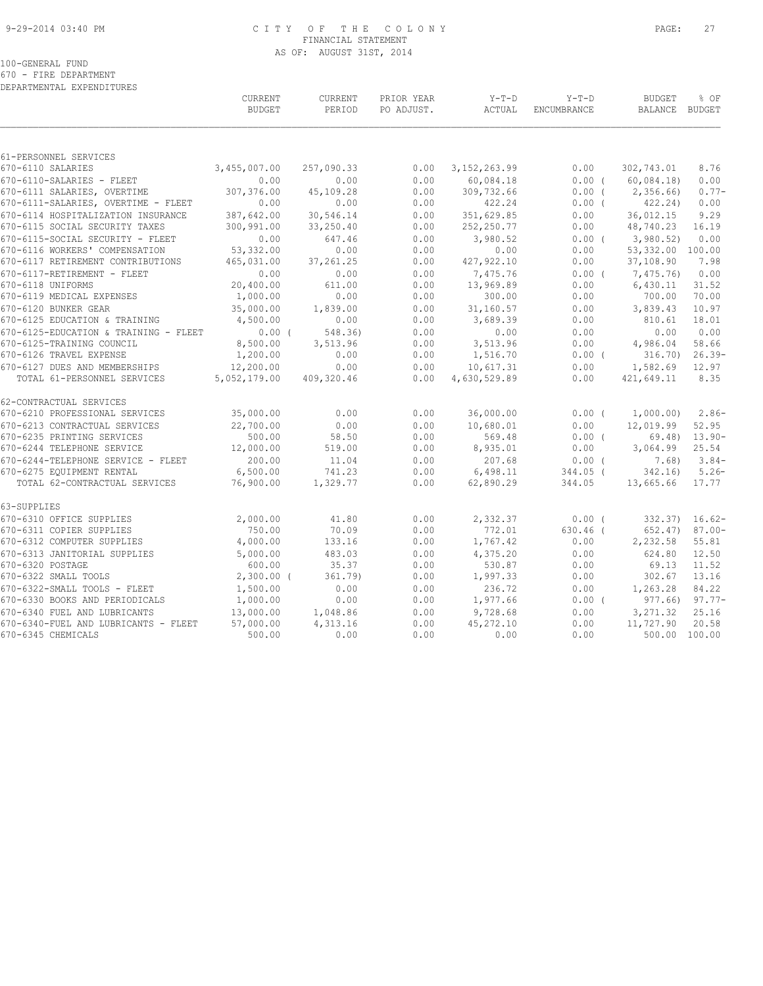#### 9-29-2014 03:40 PM C I T Y O F T H E C O L O N Y PAGE: 27 FINANCIAL STATEMENT AS OF: AUGUST 31ST, 2014

|  |  | 670 - FIRE DEPARTMENT     |
|--|--|---------------------------|
|  |  | DEPARTMENTAL EXPENDITURES |

|                                                                           | CURRENT<br><b>BUDGET</b> | CURRENT<br>PERIOD | PRIOR YEAR<br>PO ADJUST. | $Y-T-D$<br>ACTUAL    | $Y-T-D$<br>ENCUMBRANCE | <b>BUDGET</b><br>BALANCE | % OF<br>BUDGET      |
|---------------------------------------------------------------------------|--------------------------|-------------------|--------------------------|----------------------|------------------------|--------------------------|---------------------|
|                                                                           |                          |                   |                          |                      |                        |                          |                     |
| 61-PERSONNEL SERVICES                                                     |                          |                   |                          |                      |                        |                          |                     |
| 670-6110 SALARIES                                                         | 3,455,007.00             | 257,090.33        | 0.00                     | 3, 152, 263.99       | 0.00                   | 302,743.01               | 8.76                |
| 670-6110-SALARIES - FLEET                                                 | 0.00                     | 0.00              | 0.00                     | 60,084.18            | $0.00$ (               | 60,084.18                | 0.00                |
| 670-6111 SALARIES, OVERTIME                                               | 307,376.00<br>0.00       | 45,109.28<br>0.00 | 0.00                     | 309,732.66           | $0.00$ (               | 2,356.66)                | $0.77-$             |
| 670-6111-SALARIES, OVERTIME - FLEET<br>670-6114 HOSPITALIZATION INSURANCE | 387,642.00               | 30,546.14         | 0.00<br>0.00             | 422.24<br>351,629.85 | $0.00$ (<br>0.00       | 422.24)<br>36,012.15     | 0.00<br>9.29        |
| 670-6115 SOCIAL SECURITY TAXES                                            | 300,991.00               | 33,250.40         | 0.00                     | 252, 250.77          | 0.00                   | 48,740.23                | 16.19               |
| 670-6115-SOCIAL SECURITY - FLEET                                          | 0.00                     | 647.46            | 0.00                     | 3,980.52             | $0.00$ (               | 3,980.52)                | 0.00                |
| 670-6116 WORKERS' COMPENSATION                                            | 53, 332.00               | 0.00              | 0.00                     | 0.00                 | 0.00                   | 53,332.00 100.00         |                     |
| 670-6117 RETIREMENT CONTRIBUTIONS                                         | 465,031.00               | 37, 261.25        | 0.00                     | 427, 922.10          | 0.00                   | 37,108.90                | 7.98                |
| 670-6117-RETIREMENT - FLEET                                               | 0.00                     | 0.00              | 0.00                     | 7,475.76             | 0.00(                  | 7,475.76)                | 0.00                |
| 670-6118 UNIFORMS                                                         | 20,400.00                | 611.00            | 0.00                     | 13,969.89            | 0.00                   | 6,430.11                 | 31.52               |
| 670-6119 MEDICAL EXPENSES                                                 | 1,000.00                 | 0.00              | 0.00                     | 300.00               | 0.00                   | 700.00                   | 70.00               |
| 670-6120 BUNKER GEAR                                                      | 35,000.00                | 1,839.00          | 0.00                     | 31,160.57            | 0.00                   | 3,839.43                 | 10.97               |
| 670-6125 EDUCATION & TRAINING                                             | 4,500.00                 | 0.00              | 0.00                     | 3,689.39             | 0.00                   | 810.61                   | 18.01               |
| 670-6125-EDUCATION & TRAINING - FLEET                                     | $0.00$ (                 | 548.36)           | 0.00                     | 0.00                 | 0.00                   | 0.00                     | 0.00                |
| 670-6125-TRAINING COUNCIL                                                 | 8,500.00                 | 3,513.96          | 0.00                     | 3,513.96             | 0.00                   | 4,986.04                 | 58.66               |
| 670-6126 TRAVEL EXPENSE                                                   | 1,200.00                 | 0.00              | 0.00                     | 1,516.70             | $0.00$ (               | 316.70)                  | $26.39-$            |
| 670-6127 DUES AND MEMBERSHIPS                                             | 12,200.00                | 0.00              | 0.00                     | 10,617.31            | 0.00                   | 1,582.69                 | 12.97               |
| TOTAL 61-PERSONNEL SERVICES                                               | 5,052,179.00             | 409,320.46        | 0.00                     | 4,630,529.89         | 0.00                   | 421,649.11               | 8.35                |
| 62-CONTRACTUAL SERVICES                                                   |                          |                   |                          |                      |                        |                          |                     |
| 670-6210 PROFESSIONAL SERVICES                                            | 35,000.00                | 0.00              | 0.00                     | 36,000.00            | $0.00$ (               | 1,000.00)                | $2.86-$             |
| 670-6213 CONTRACTUAL SERVICES                                             | 22,700.00                | 0.00              | 0.00                     | 10,680.01            | 0.00                   | 12,019.99                | 52.95               |
| 670-6235 PRINTING SERVICES                                                | 500.00                   | 58.50             | 0.00                     | 569.48               | $0.00$ (               | 69.48)                   | $13.90 -$           |
| 670-6244 TELEPHONE SERVICE                                                | 12,000.00                | 519.00            | 0.00                     | 8,935.01             | 0.00                   | 3,064.99                 | 25.54               |
| 670-6244-TELEPHONE SERVICE - FLEET                                        | 200.00                   | 11.04             | 0.00                     | 207.68               | 0.00(                  | 7.68)                    | $3.84-$             |
| 670-6275 EQUIPMENT RENTAL                                                 | 6,500.00                 | 741.23            | 0.00                     | 6,498.11             | $344.05$ (             | 342.16                   | $5.26-$             |
| TOTAL 62-CONTRACTUAL SERVICES                                             | 76,900.00                | 1,329.77          | 0.00                     | 62,890.29            | 344.05                 | 13,665.66                | 17.77               |
| 63-SUPPLIES                                                               |                          |                   |                          |                      |                        |                          |                     |
| 670-6310 OFFICE SUPPLIES                                                  | 2,000.00                 | 41.80             | 0.00                     | 2,332.37             | $0.00$ (               |                          | $332.37$ ) $16.62-$ |
| 670-6311 COPIER SUPPLIES                                                  | 750.00                   | 70.09             | 0.00                     | 772.01               | $630.46$ (             | 652.47)                  | $87.00 -$           |
| 670-6312 COMPUTER SUPPLIES                                                | 4,000.00                 | 133.16            | 0.00                     | 1,767.42             | 0.00                   | 2,232.58                 | 55.81               |
| 670-6313 JANITORIAL SUPPLIES                                              | 5,000.00                 | 483.03            | 0.00                     | 4,375.20             | 0.00                   | 624.80                   | 12.50               |
| 670-6320 POSTAGE                                                          | 600.00                   | 35.37             | 0.00                     | 530.87               | 0.00                   | 69.13                    | 11.52               |
| 670-6322 SMALL TOOLS                                                      | $2,300.00$ (             | 361.79            | 0.00                     | 1,997.33             | 0.00                   | 302.67                   | 13.16               |
| 670-6322-SMALL TOOLS - FLEET                                              | 1,500.00                 | 0.00              | 0.00                     | 236.72               | 0.00                   | 1,263.28                 | 84.22               |
| 670-6330 BOOKS AND PERIODICALS                                            | 1,000.00                 | 0.00              | 0.00                     | 1,977.66             | $0.00$ (               |                          | $977.66$ ) $97.77-$ |
| 670-6340 FUEL AND LUBRICANTS                                              | 13,000.00                | 1,048.86          | 0.00                     | 9,728.68             | 0.00                   | 3,271.32                 | 25.16               |
| 670-6340-FUEL AND LUBRICANTS - FLEET                                      | 57,000.00                | 4,313.16          | 0.00                     | 45, 272.10           | 0.00                   | 11,727.90                | 20.58               |
| 670-6345 CHEMICALS                                                        | 500.00                   | 0.00              | 0.00                     | 0.00                 | 0.00                   |                          | 500.00 100.00       |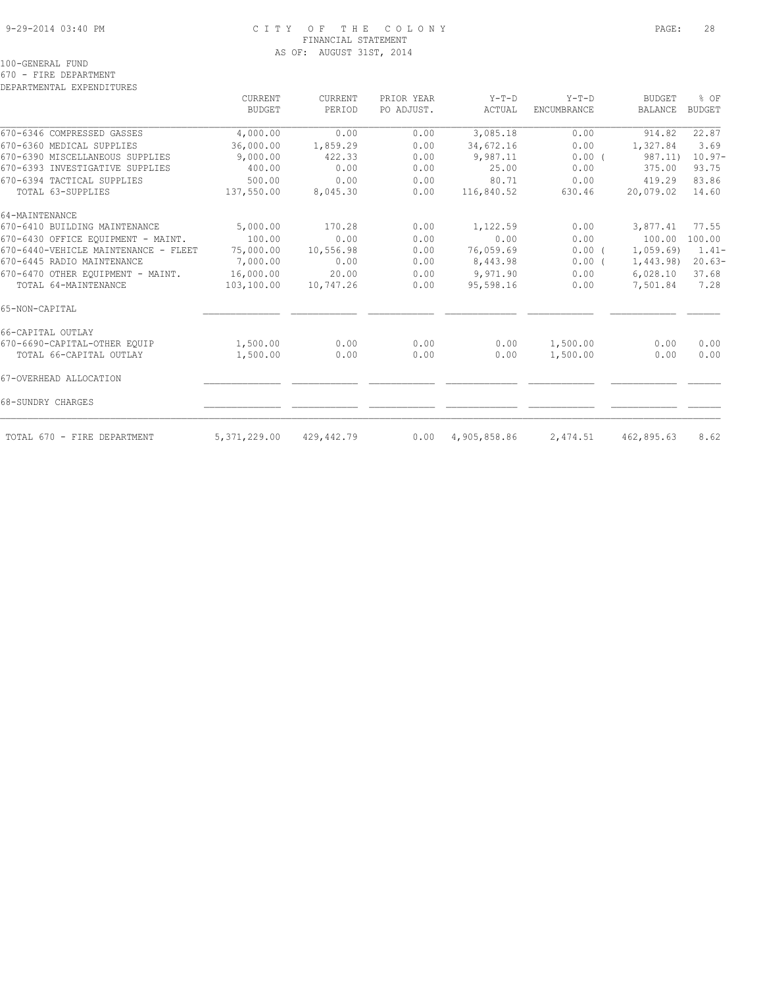#### 9-29-2014 03:40 PM C I T Y O F T H E C O L O N Y PAGE: 28 FINANCIAL STATEMENT AS OF: AUGUST 31ST, 2014

100-GENERAL FUND

670 - FIRE DEPARTMENT

DEPARTMENTAL EXPENDITURES

|                                      | <b>CURRENT</b><br><b>BUDGET</b> | <b>CURRENT</b><br>PERIOD | PRIOR YEAR<br>PO ADJUST. | $Y-T-D$<br>ACTUAL | $Y-T-D$<br>ENCUMBRANCE | <b>BUDGET</b><br><b>BALANCE</b> | % OF<br><b>BUDGET</b> |
|--------------------------------------|---------------------------------|--------------------------|--------------------------|-------------------|------------------------|---------------------------------|-----------------------|
|                                      |                                 |                          |                          |                   |                        |                                 |                       |
| 670-6346 COMPRESSED GASSES           | 4,000.00                        | 0.00                     | 0.00                     | 3,085.18          | 0.00                   | 914.82                          | 22.87                 |
| 670-6360 MEDICAL SUPPLIES            | 36,000.00                       | 1,859.29                 | 0.00                     | 34,672.16         | 0.00                   | 1,327.84                        | 3.69                  |
| 670-6390 MISCELLANEOUS SUPPLIES      | 9,000.00                        | 422.33                   | 0.00                     | 9,987.11          | 0.00(                  | 987.11)                         | $10.97 -$             |
| 670-6393 INVESTIGATIVE SUPPLIES      | 400.00                          | 0.00                     | 0.00                     | 25.00             | 0.00                   | 375.00                          | 93.75                 |
| 670-6394 TACTICAL SUPPLIES           | 500.00                          | 0.00                     | 0.00                     | 80.71             | 0.00                   | 419.29                          | 83.86                 |
| TOTAL 63-SUPPLIES                    | 137,550.00                      | 8,045.30                 | 0.00                     | 116,840.52        | 630.46                 | 20,079.02                       | 14.60                 |
| 64-MAINTENANCE                       |                                 |                          |                          |                   |                        |                                 |                       |
| 670-6410 BUILDING MAINTENANCE        | 5,000.00                        | 170.28                   | 0.00                     | 1,122.59          | 0.00                   | 3,877.41                        | 77.55                 |
| 670-6430 OFFICE EQUIPMENT - MAINT.   | 100.00                          | 0.00                     | 0.00                     | 0.00              | 0.00                   | 100.00                          | 100.00                |
| 670-6440-VEHICLE MAINTENANCE - FLEET | 75,000.00                       | 10,556.98                | 0.00                     | 76,059.69         | $0.00$ (               | 1,059.69                        | $1.41-$               |
| 670-6445 RADIO MAINTENANCE           | 7,000.00                        | 0.00                     | 0.00                     | 8,443.98          | 0.00(                  | 1,443.98                        | $20.63-$              |
| 670-6470 OTHER EOUIPMENT - MAINT.    | 16,000.00                       | 20.00                    | 0.00                     | 9,971.90          | 0.00                   | 6,028.10                        | 37.68                 |
| TOTAL 64-MAINTENANCE                 | 103,100.00                      | 10,747.26                | 0.00                     | 95,598.16         | 0.00                   | 7,501.84                        | 7.28                  |
| 65-NON-CAPITAL                       |                                 |                          |                          |                   |                        |                                 |                       |
| 66-CAPITAL OUTLAY                    |                                 |                          |                          |                   |                        |                                 |                       |
| 670-6690-CAPITAL-OTHER EQUIP         | 1,500.00                        | 0.00                     | 0.00                     | 0.00              | 1,500.00               | 0.00                            | 0.00                  |
| TOTAL 66-CAPITAL OUTLAY              | 1,500.00                        | 0.00                     | 0.00                     | 0.00              | 1,500.00               | 0.00                            | 0.00                  |
| 67-OVERHEAD ALLOCATION               |                                 |                          |                          |                   |                        |                                 |                       |
| 68-SUNDRY CHARGES                    |                                 |                          |                          |                   |                        |                                 |                       |
| TOTAL 670 - FIRE DEPARTMENT          | 5,371,229.00                    | 429,442.79               | 0.00                     | 4,905,858.86      | 2,474.51               | 462,895.63                      | 8.62                  |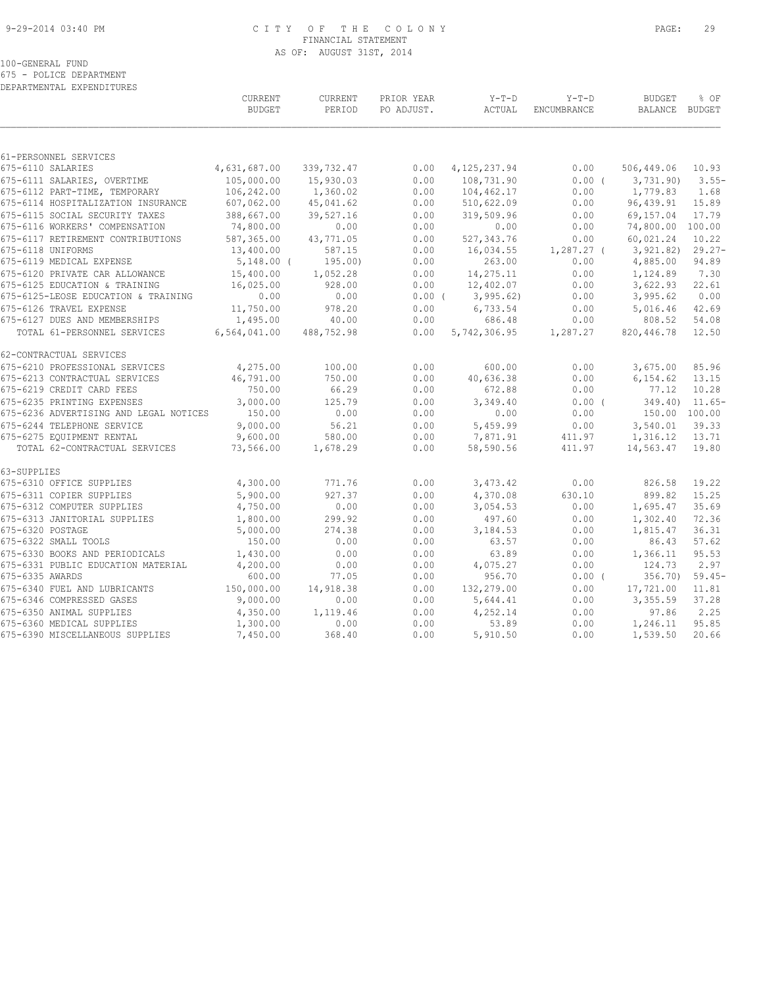#### 9-29-2014 03:40 PM C I T Y O F T H E C O L O N Y PAGE: 29 FINANCIAL STATEMENT AS OF: AUGUST 31ST, 2014

100-GENERAL FUND

675 - POLICE DEPARTMENT

| DEPARTMENTAL EXPENDITURES                                        |                           |                     |                          |                     |                        |                          |                    |
|------------------------------------------------------------------|---------------------------|---------------------|--------------------------|---------------------|------------------------|--------------------------|--------------------|
|                                                                  | CURRENT<br><b>BUDGET</b>  | CURRENT<br>PERIOD   | PRIOR YEAR<br>PO ADJUST. | $Y-T-D$<br>ACTUAL   | $Y-T-D$<br>ENCUMBRANCE | <b>BUDGET</b><br>BALANCE | % OF<br>BUDGET     |
|                                                                  |                           |                     |                          |                     |                        |                          |                    |
| 61-PERSONNEL SERVICES                                            |                           |                     |                          |                     |                        |                          |                    |
| 675-6110 SALARIES                                                | 4,631,687.00              | 339,732.47          | 0.00                     | 4, 125, 237.94      | 0.00                   | 506,449.06               | 10.93              |
| 675-6111 SALARIES, OVERTIME                                      | 105,000.00                | 15,930.03           | 0.00                     | 108,731.90          | 0.00(                  | 3,731.90                 | $3.55-$            |
| 675-6112 PART-TIME, TEMPORARY                                    | 106,242.00                | 1,360.02            | 0.00                     | 104, 462.17         | 0.00                   | 1,779.83                 | 1.68               |
| 675-6114 HOSPITALIZATION INSURANCE                               | 607,062.00                | 45,041.62           | 0.00                     | 510,622.09          | 0.00                   | 96,439.91                | 15.89              |
| 675-6115 SOCIAL SECURITY TAXES<br>675-6116 WORKERS' COMPENSATION | 388,667.00                | 39,527.16           | 0.00                     | 319,509.96          | 0.00                   | 69,157.04                | 17.79              |
|                                                                  | 74,800.00                 | 0.00                | 0.00                     | 0.00                | 0.00                   | 74,800.00                | 100.00             |
| 675-6117 RETIREMENT CONTRIBUTIONS<br>675-6118 UNIFORMS           | 587,365.00                | 43,771.05<br>587.15 | 0.00<br>0.00             | 527, 343.76         | 0.00                   | 60,021.24<br>3, 921.82)  | 10.22<br>$29.27 -$ |
| 675-6119 MEDICAL EXPENSE                                         | 13,400.00<br>$5,148.00$ ( | 195.00)             | 0.00                     | 16,034.55<br>263.00 | $1,287.27$ (<br>0.00   | 4,885.00                 | 94.89              |
| 675-6120 PRIVATE CAR ALLOWANCE                                   | 15,400.00                 | 1,052.28            | 0.00                     | 14,275.11           | 0.00                   | 1,124.89                 | 7.30               |
| 675-6125 EDUCATION & TRAINING                                    | 16,025.00                 | 928.00              | 0.00                     | 12,402.07           | 0.00                   | 3,622.93                 | 22.61              |
| 675-6125-LEOSE EDUCATION & TRAINING                              | 0.00                      | 0.00                | $0.00$ (                 | 3,995.62)           | 0.00                   | 3,995.62                 | 0.00               |
| 675-6126 TRAVEL EXPENSE                                          | 11,750.00                 | 978.20              | 0.00                     | 6,733.54            | 0.00                   | 5,016.46                 | 42.69              |
| 675-6127 DUES AND MEMBERSHIPS                                    | 1,495.00                  | 40.00               | 0.00                     | 686.48              | 0.00                   | 808.52                   | 54.08              |
| TOTAL 61-PERSONNEL SERVICES                                      | 6,564,041.00              | 488,752.98          | 0.00                     | 5,742,306.95        | 1,287.27               | 820,446.78               | 12.50              |
| 62-CONTRACTUAL SERVICES                                          |                           |                     |                          |                     |                        |                          |                    |
| 675-6210 PROFESSIONAL SERVICES                                   | 4,275.00                  | 100.00              | 0.00                     | 600.00              | 0.00                   | 3,675.00                 | 85.96              |
| 675-6213 CONTRACTUAL SERVICES                                    | 46,791.00                 | 750.00              | 0.00                     | 40,636.38           | 0.00                   | 6,154.62                 | 13.15              |
| 675-6219 CREDIT CARD FEES                                        | 750.00                    | 66.29               | 0.00                     | 672.88              | 0.00                   | 77.12                    | 10.28              |
| 675-6235 PRINTING EXPENSES                                       | 3,000.00                  | 125.79              | 0.00                     | 3,349.40            | $0.00$ (               | 349.40                   | $11.65-$           |
| 675-6236 ADVERTISING AND LEGAL NOTICES                           | 150.00                    | 0.00                | 0.00                     | 0.00                | 0.00                   | 150.00 100.00            |                    |
| 675-6244 TELEPHONE SERVICE                                       | 9,000.00                  | 56.21               | 0.00                     | 5,459.99            | 0.00                   | 3,540.01                 | 39.33              |
| 675-6275 EQUIPMENT RENTAL                                        | 9,600.00                  | 580.00              | 0.00                     | 7,871.91            | 411.97                 | 1,316.12                 | 13.71              |
| TOTAL 62-CONTRACTUAL SERVICES                                    | 73,566.00                 | 1,678.29            | 0.00                     | 58,590.56           | 411.97                 | 14,563.47                | 19.80              |
| 63-SUPPLIES                                                      |                           |                     |                          |                     |                        |                          |                    |
| 675-6310 OFFICE SUPPLIES                                         | 4,300.00                  | 771.76              | 0.00                     | 3,473.42            | 0.00                   | 826.58                   | 19.22              |
| 675-6311 COPIER SUPPLIES                                         | 5,900.00                  | 927.37              | 0.00                     | 4,370.08            | 630.10                 | 899.82                   | 15.25              |
| 675-6312 COMPUTER SUPPLIES                                       | 4,750.00                  | 0.00                | 0.00                     | 3,054.53            | 0.00                   | 1,695.47                 | 35.69              |
| 675-6313 JANITORIAL SUPPLIES                                     | 1,800.00                  | 299.92              | 0.00                     | 497.60              | 0.00                   | 1,302.40                 | 72.36              |
| 675-6320 POSTAGE<br>675-6322 SMALL TOOLS                         | 5,000.00<br>150.00        | 274.38<br>0.00      | 0.00<br>0.00             | 3,184.53<br>63.57   | 0.00<br>0.00           | 1,815.47<br>86.43        | 36.31<br>57.62     |
| 675-6330 BOOKS AND PERIODICALS                                   |                           |                     |                          |                     |                        |                          | 95.53              |
| 675-6331 PUBLIC EDUCATION MATERIAL                               | 1,430.00<br>4,200.00      | 0.00<br>0.00        | 0.00<br>0.00             | 63.89<br>4,075.27   | 0.00<br>0.00           | 1,366.11<br>124.73       | 2.97               |
| 675-6335 AWARDS                                                  | 600.00                    | 77.05               | 0.00                     | 956.70              | $0.00$ (               | 356.70)                  | $59.45-$           |
| 675-6340 FUEL AND LUBRICANTS                                     | 150,000.00                | 14,918.38           | 0.00                     | 132,279.00          | 0.00                   | 17,721.00                | 11.81              |
| 675-6346 COMPRESSED GASES                                        | 9,000.00                  | 0.00                | 0.00                     | 5,644.41            | 0.00                   | 3,355.59                 | 37.28              |
| 675-6350 ANIMAL SUPPLIES                                         | 4,350.00                  | 1,119.46            | 0.00                     | 4,252.14            | 0.00                   | 97.86                    | 2.25               |
| 675-6360 MEDICAL SUPPLIES                                        | 1,300.00                  | 0.00                | 0.00                     | 53.89               | 0.00                   | 1,246.11                 | 95.85              |
| 675-6390 MISCELLANEOUS SUPPLIES                                  | 7,450.00                  | 368.40              | 0.00                     | 5,910.50            | 0.00                   | 1,539.50                 | 20.66              |
|                                                                  |                           |                     |                          |                     |                        |                          |                    |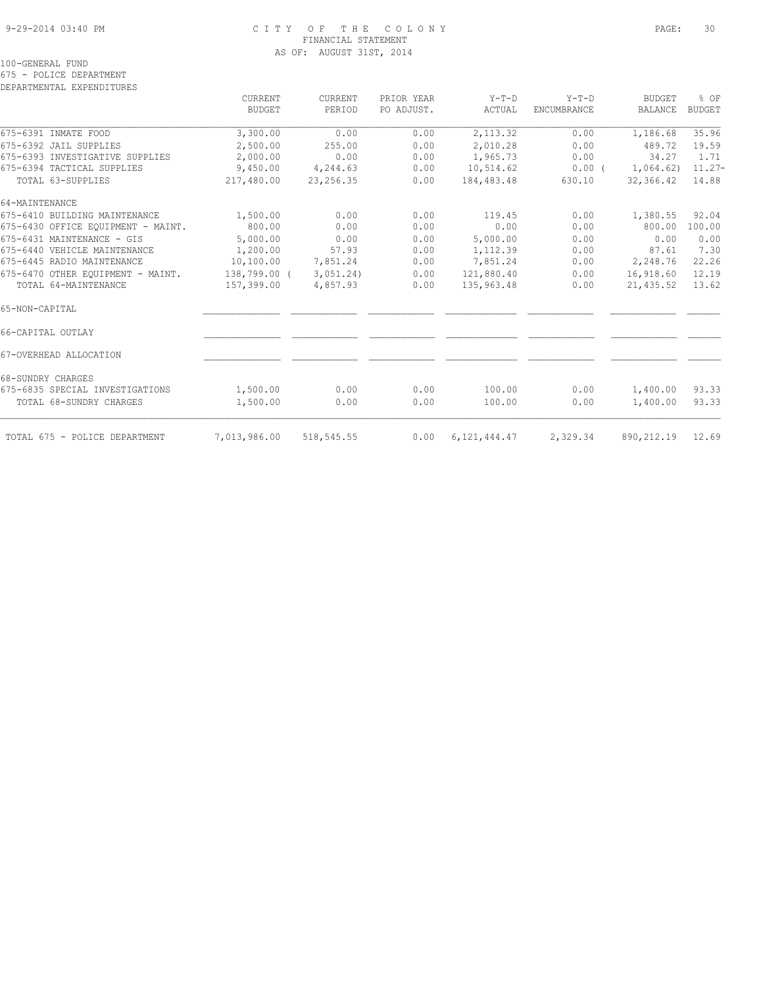## 9-29-2014 03:40 PM C I T Y O F T H E C O L O N Y PAGE: 30 FINANCIAL STATEMENT AS OF: AUGUST 31ST, 2014

100-GENERAL FUND

675 - POLICE DEPARTMENT

DEPARTMENTAL EXPENDITURES

|                                    | CURRENT       | CURRENT     | PRIOR YEAR | $Y-T-D$         | $Y-T-D$            | <b>BUDGET</b>  | % OF          |
|------------------------------------|---------------|-------------|------------|-----------------|--------------------|----------------|---------------|
|                                    | <b>BUDGET</b> | PERIOD      | PO ADJUST. | ACTUAL          | <b>ENCUMBRANCE</b> | <b>BALANCE</b> | <b>BUDGET</b> |
| 675-6391 INMATE FOOD               | 3,300.00      | 0.00        | 0.00       | 2,113.32        | 0.00               | 1,186.68       | 35.96         |
| 675-6392 JAIL SUPPLIES             | 2,500.00      | 255.00      | 0.00       | 2,010.28        | 0.00               | 489.72         | 19.59         |
| 675-6393 INVESTIGATIVE SUPPLIES    | 2,000.00      | 0.00        | 0.00       | 1,965.73        | 0.00               | 34.27          | 1.71          |
| 675-6394 TACTICAL SUPPLIES         | 9,450.00      | 4,244.63    | 0.00       | 10,514.62       | $0.00$ (           | 1,064.62)      | $11.27-$      |
| TOTAL 63-SUPPLIES                  | 217,480.00    | 23, 256.35  | 0.00       | 184,483.48      | 630.10             | 32,366.42      | 14.88         |
| 64-MAINTENANCE                     |               |             |            |                 |                    |                |               |
| 675-6410 BUILDING MAINTENANCE      | 1,500.00      | 0.00        | 0.00       | 119.45          | 0.00               | 1,380.55       | 92.04         |
| 675-6430 OFFICE EOUIPMENT - MAINT. | 800.00        | 0.00        | 0.00       | 0.00            | 0.00               | 800.00         | 100.00        |
| 675-6431 MAINTENANCE - GIS         | 5,000.00      | 0.00        | 0.00       | 5,000.00        | 0.00               | 0.00           | 0.00          |
| 675-6440 VEHICLE MAINTENANCE       | 1,200.00      | 57.93       | 0.00       | 1,112.39        | 0.00               | 87.61          | 7.30          |
| 675-6445 RADIO MAINTENANCE         | 10,100.00     | 7,851.24    | 0.00       | 7,851.24        | 0.00               | 2,248.76       | 22.26         |
| 675-6470 OTHER EQUIPMENT - MAINT.  | 138,799.00 (  | 3,051,24)   | 0.00       | 121,880.40      | 0.00               | 16,918.60      | 12.19         |
| TOTAL 64-MAINTENANCE               | 157,399.00    | 4,857.93    | 0.00       | 135,963.48      | 0.00               | 21,435.52      | 13.62         |
| 65-NON-CAPITAL                     |               |             |            |                 |                    |                |               |
| 66-CAPITAL OUTLAY                  |               |             |            |                 |                    |                |               |
| 67-OVERHEAD ALLOCATION             |               |             |            |                 |                    |                |               |
| 68-SUNDRY CHARGES                  |               |             |            |                 |                    |                |               |
| 675-6835 SPECIAL INVESTIGATIONS    | 1,500.00      | 0.00        | 0.00       | 100.00          | 0.00               | 1,400.00       | 93.33         |
| TOTAL 68-SUNDRY CHARGES            | 1,500.00      | 0.00        | 0.00       | 100.00          | 0.00               | 1,400.00       | 93.33         |
|                                    |               |             |            |                 |                    |                | 12.69         |
| TOTAL 675 - POLICE DEPARTMENT      | 7,013,986.00  | 518, 545.55 | 0.00       | 6, 121, 444, 47 | 2,329.34           | 890,212.19     |               |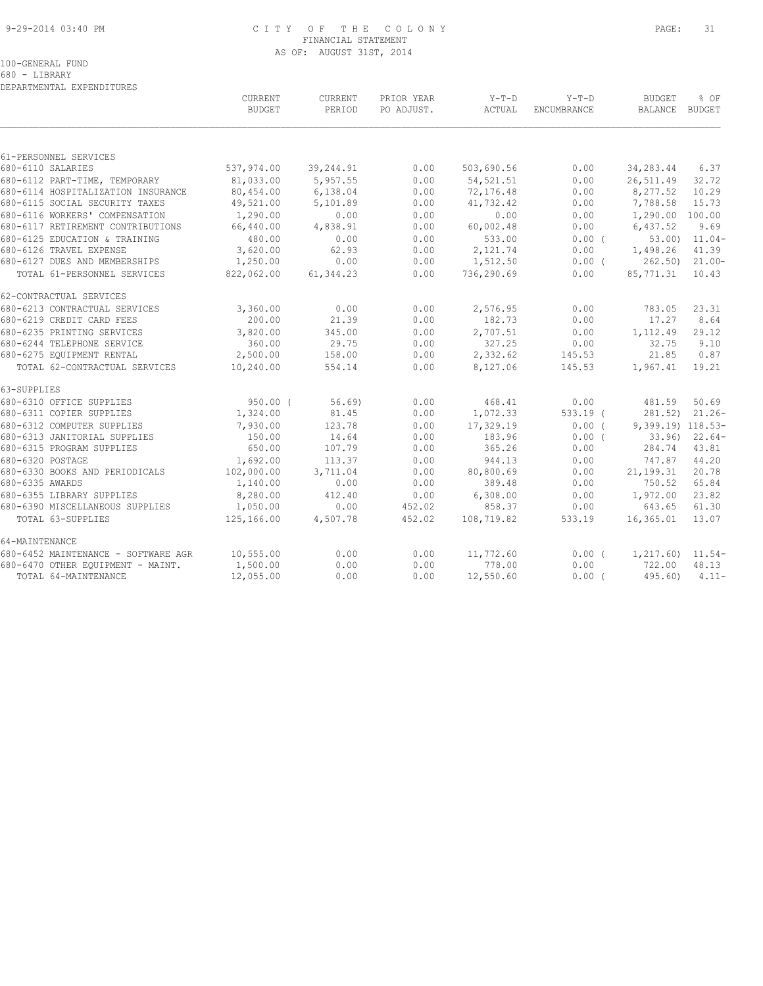#### 9-29-2014 03:40 PM C I T Y O F T H E C O L O N Y PAGE: 31 FINANCIAL STATEMENT AS OF: AUGUST 31ST, 2014

680 - LIBRARY DEPARTMENTAL EXPENDITURES

|                                     | CURRENT<br><b>BUDGET</b> | CURRENT<br>PERIOD | PRIOR YEAR<br>PO ADJUST. | $Y-T-D$<br>ACTUAL | $Y-T-D$<br><b>ENCUMBRANCE</b> | <b>BUDGET</b><br>BALANCE BUDGET | % OF             |
|-------------------------------------|--------------------------|-------------------|--------------------------|-------------------|-------------------------------|---------------------------------|------------------|
|                                     |                          |                   |                          |                   |                               |                                 |                  |
| 61-PERSONNEL SERVICES               |                          |                   |                          |                   |                               |                                 |                  |
| 680-6110 SALARIES                   | 537,974.00               | 39,244.91         | 0.00                     | 503,690.56        | 0.00                          | 34,283.44                       | 6.37             |
| 680-6112 PART-TIME, TEMPORARY       | 81,033.00                | 5,957.55          | 0.00                     | 54, 521.51        | 0.00                          | 26,511.49                       | 32.72            |
| 680-6114 HOSPITALIZATION INSURANCE  | 80,454.00                | 6,138.04          | 0.00                     | 72,176.48         | 0.00                          | 8,277.52                        | 10.29            |
| 680-6115 SOCIAL SECURITY TAXES      | 49,521.00                | 5,101.89          | 0.00                     | 41,732.42         | 0.00                          | 7,788.58                        | 15.73            |
| 680-6116 WORKERS' COMPENSATION      | 1,290.00                 | 0.00              | 0.00                     | 0.00              | 0.00                          | 1,290.00 100.00                 |                  |
| 680-6117 RETIREMENT CONTRIBUTIONS   | 66,440.00                | 4,838.91          | 0.00                     | 60,002.48         | 0.00                          | 6,437.52                        | 9.69             |
| 680-6125 EDUCATION & TRAINING       | 480.00                   | 0.00              | 0.00                     | 533.00            | $0.00$ (                      |                                 | $53.00$ $11.04-$ |
| 680-6126 TRAVEL EXPENSE             | 3,620.00                 | 62.93             | 0.00                     | 2,121.74          | 0.00                          | 1,498.26                        | 41.39            |
| 680-6127 DUES AND MEMBERSHIPS       | 1,250.00                 | 0.00              | 0.00                     | 1,512.50          | $0.00$ (                      | 262.50) 21.00-                  |                  |
| TOTAL 61-PERSONNEL SERVICES         | 822,062.00               | 61, 344.23        | 0.00                     | 736,290.69        | 0.00                          | 85,771.31                       | 10.43            |
| 62-CONTRACTUAL SERVICES             |                          |                   |                          |                   |                               |                                 |                  |
| 680-6213 CONTRACTUAL SERVICES       | 3,360.00                 | 0.00              | 0.00                     | 2,576.95          | 0.00                          | 783.05                          | 23.31            |
| 680-6219 CREDIT CARD FEES           | 200.00                   | 21.39             | 0.00                     | 182.73            | 0.00                          | 17.27                           | 8.64             |
| 680-6235 PRINTING SERVICES          | 3,820.00                 | 345.00            | 0.00                     | 2,707.51          | 0.00                          | 1,112.49                        | 29.12            |
| 680-6244 TELEPHONE SERVICE          | 360.00                   | 29.75             | 0.00                     | 327.25            | 0.00                          | 32.75                           | 9.10             |
| 680-6275 EQUIPMENT RENTAL           | 2,500.00                 | 158.00            | 0.00                     | 2,332.62          | 145.53                        | 21.85                           | 0.87             |
| TOTAL 62-CONTRACTUAL SERVICES       | 10,240.00                | 554.14            | 0.00                     | 8,127.06          | 145.53                        | 1,967.41                        | 19.21            |
| 63-SUPPLIES                         |                          |                   |                          |                   |                               |                                 |                  |
| 680-6310 OFFICE SUPPLIES            | $950.00$ (               | 56.69)            | 0.00                     | 468.41            | 0.00                          | 481.59                          | 50.69            |
| 680-6311 COPIER SUPPLIES            | 1,324.00                 | 81.45             | 0.00                     | 1,072.33          | $533.19$ (                    | 281.52)                         | $21.26 -$        |
| 680-6312 COMPUTER SUPPLIES          | 7,930.00                 | 123.78            | 0.00                     | 17,329.19         | 0.00(                         | 9,399.19) 118.53-               |                  |
| 680-6313 JANITORIAL SUPPLIES        | 150.00                   | 14.64             | 0.00                     | 183.96            | $0.00$ (                      |                                 | $33.96$ $22.64$  |
| 680-6315 PROGRAM SUPPLIES           | 650.00                   | 107.79            | 0.00                     | 365.26            | 0.00                          | 284.74                          | 43.81            |
| 680-6320 POSTAGE                    | 1,692.00                 | 113.37            | 0.00                     | 944.13            | 0.00                          | 747.87                          | 44.20            |
| 680-6330 BOOKS AND PERIODICALS      | 102,000.00               | 3,711.04          | 0.00                     | 80,800.69         | 0.00                          | 21,199.31                       | 20.78            |
| 680-6335 AWARDS                     | 1,140.00                 | 0.00              | 0.00                     | 389.48            | 0.00                          | 750.52                          | 65.84            |
| 680-6355 LIBRARY SUPPLIES           | 8,280.00                 | 412.40            | 0.00                     | 6,308.00          | 0.00                          | 1,972.00                        | 23.82            |
| 680-6390 MISCELLANEOUS SUPPLIES     | 1,050.00                 | 0.00              | 452.02                   | 858.37            | 0.00                          | 643.65                          | 61.30            |
| TOTAL 63-SUPPLIES                   | 125,166.00               | 4,507.78          | 452.02                   | 108,719.82        | 533.19                        | 16,365.01                       | 13.07            |
| 64-MAINTENANCE                      |                          |                   |                          |                   |                               |                                 |                  |
| 680-6452 MAINTENANCE - SOFTWARE AGR | 10,555.00                | 0.00              | 0.00                     | 11,772.60         | 0.00(                         | $1,217.60$ $11.54-$             |                  |
| 680-6470 OTHER EQUIPMENT - MAINT.   | 1,500.00                 | 0.00              | 0.00                     | 778.00            | 0.00                          | 722.00                          | 48.13            |
| TOTAL 64-MAINTENANCE                | 12,055.00                | 0.00              | 0.00                     | 12,550.60         | 0.00(                         | 495.60                          | $4.11-$          |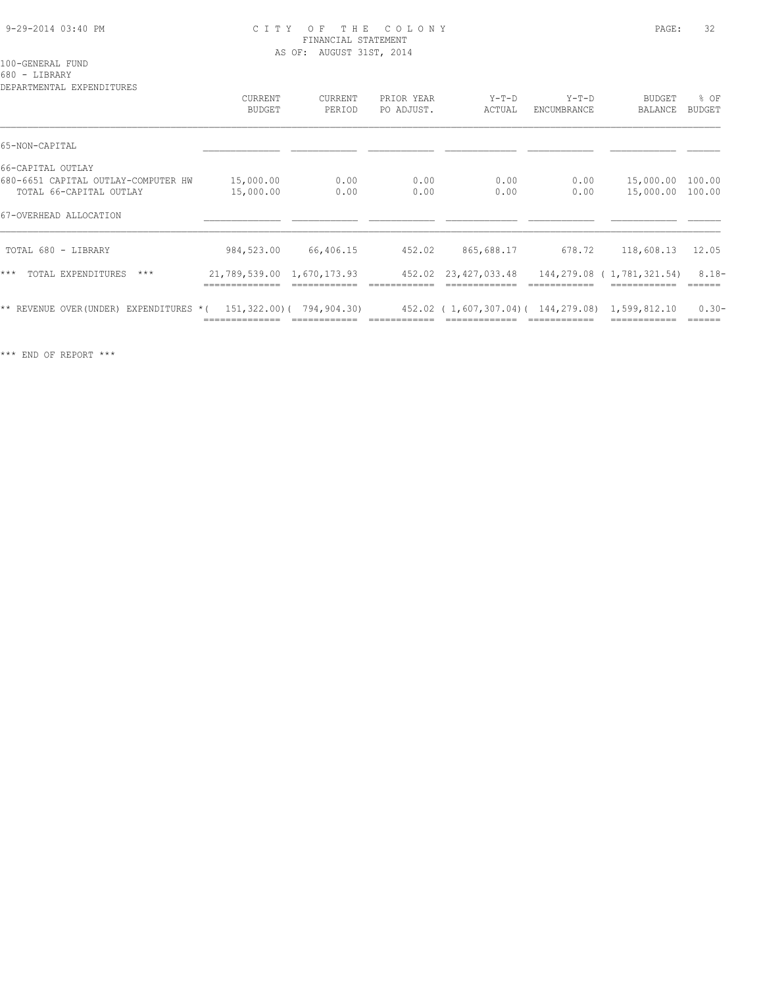#### 9-29-2014 03:40 PM C I T Y O F T H E C O L O N Y PAGE: 32 FINANCIAL STATEMENT AS OF: AUGUST 31ST, 2014

#### 100-GENERAL FUND

680 - LIBRARY

DEPARTMENTAL EXPENDITURES CURRENT CURRENT PRIOR YEAR Y-T-D Y-T-D BUDGET % OF BUDGET PERIOD PO ADJUST. ACTUAL ENCUMBRANCE BALANCE BUDGET  $\mathcal{L} = \{ \mathcal{L} = \{ \mathcal{L} = \{ \mathcal{L} = \{ \mathcal{L} = \{ \mathcal{L} = \{ \mathcal{L} = \{ \mathcal{L} = \{ \mathcal{L} = \{ \mathcal{L} = \{ \mathcal{L} = \{ \mathcal{L} = \{ \mathcal{L} = \{ \mathcal{L} = \{ \mathcal{L} = \{ \mathcal{L} = \{ \mathcal{L} = \{ \mathcal{L} = \{ \mathcal{L} = \{ \mathcal{L} = \{ \mathcal{L} = \{ \mathcal{L} = \{ \mathcal{L} = \{ \mathcal{L} = \{ \mathcal{$ 65-NON-CAPITAL \_\_\_\_\_\_\_\_\_\_\_\_\_\_ \_\_\_\_\_\_\_\_\_\_\_\_ \_\_\_\_\_\_\_\_\_\_\_\_ \_\_\_\_\_\_\_\_\_\_\_\_\_ \_\_\_\_\_\_\_\_\_\_\_\_ \_\_\_\_\_\_\_\_\_\_\_\_ \_\_\_\_\_\_ 66-CAPITAL OUTLAY 680-6651 CAPITAL OUTLAY-COMPUTER HW 15,000.00 0.00 0.00 0.00 0.00 15,000.00 100.00 TOTAL 66-CAPITAL OUTLAY 15,000.00 0.00 0.00 0.00 0.00 15,000.00 100.00 67-OVERHEAD ALLOCATION \_\_\_\_\_\_\_\_\_\_\_\_\_\_ \_\_\_\_\_\_\_\_\_\_\_\_ \_\_\_\_\_\_\_\_\_\_\_\_ \_\_\_\_\_\_\_\_\_\_\_\_\_ \_\_\_\_\_\_\_\_\_\_\_\_ \_\_\_\_\_\_\_\_\_\_\_\_ \_\_\_\_\_\_  $\mathcal{L} = \{ \mathcal{L} = \{ \mathcal{L} = \{ \mathcal{L} = \{ \mathcal{L} = \{ \mathcal{L} = \{ \mathcal{L} = \{ \mathcal{L} = \{ \mathcal{L} = \{ \mathcal{L} = \{ \mathcal{L} = \{ \mathcal{L} = \{ \mathcal{L} = \{ \mathcal{L} = \{ \mathcal{L} = \{ \mathcal{L} = \{ \mathcal{L} = \{ \mathcal{L} = \{ \mathcal{L} = \{ \mathcal{L} = \{ \mathcal{L} = \{ \mathcal{L} = \{ \mathcal{L} = \{ \mathcal{L} = \{ \mathcal{$  TOTAL 680 - LIBRARY 984,523.00 66,406.15 452.02 865,688.17 678.72 118,608.13 12.05 \*\*\* TOTAL EXPENDITURES \*\*\* 21,789,539.00 1,670,173.93 452.02 23,427,033.48 144,279.08 (1,781,321.54) 8.18- ============== ============ ============ ============= ============ ============ ====== \*\* REVENUE OVER(UNDER) EXPENDITURES \*( 151,322.00)( 794,904.30) 452.02 ( 1,607,307.04)( 144,279.08) 1,599,812.10 0.30- ============== ============ ============ ============= ============ ============ ======

\*\*\* END OF REPORT \*\*\*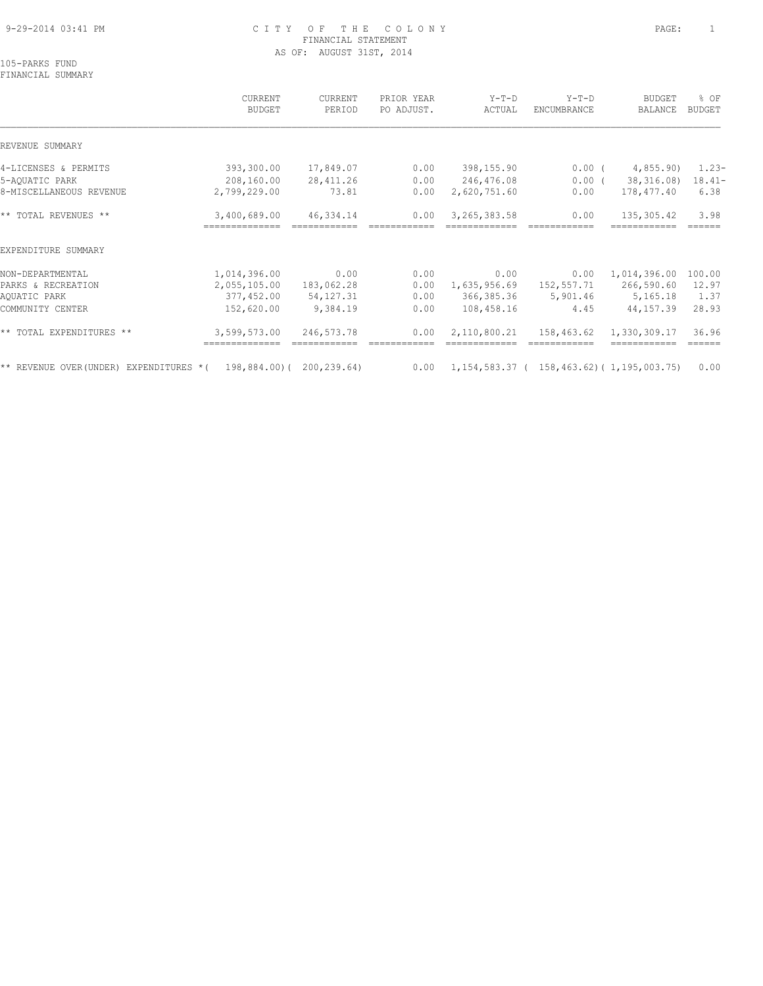## 9-29-2014 03:41 PM C I T Y O F T H E C O L O N Y PAGE: 1 FINANCIAL STATEMENT AS OF: AUGUST 31ST, 2014

105-PARKS FUND FINANCIAL SUMMARY

 CURRENT CURRENT PRIOR YEAR Y-T-D Y-T-D BUDGET % OF BUDGET PERIOD PO ADJUST. ACTUAL ENCUMBRANCE BALANCE BUDGET  $\mathcal{L} = \{ \mathcal{L} = \{ \mathcal{L} = \{ \mathcal{L} = \{ \mathcal{L} = \{ \mathcal{L} = \{ \mathcal{L} = \{ \mathcal{L} = \{ \mathcal{L} = \{ \mathcal{L} = \{ \mathcal{L} = \{ \mathcal{L} = \{ \mathcal{L} = \{ \mathcal{L} = \{ \mathcal{L} = \{ \mathcal{L} = \{ \mathcal{L} = \{ \mathcal{L} = \{ \mathcal{L} = \{ \mathcal{L} = \{ \mathcal{L} = \{ \mathcal{L} = \{ \mathcal{L} = \{ \mathcal{L} = \{ \mathcal{$ REVENUE SUMMARY 4-LICENSES & PERMITS 393,300.00 17,849.07 0.00 398,155.90 0.00 ( 4,855.90) 1.23- 5-AQUATIC PARK 208,160.00 28,411.26 0.00 246,476.08 0.00 ( 38,316.08) 18.41- 8-MISCELLANEOUS REVENUE 2,799,229.00 73.81 0.00 2,620,751.60 0.00 178,477.40 6.38 \*\* TOTAL REVENUES \*\* 3,400,689.00 46,334.14 0.00 3,265,383.58 0.00 135,305.42 3.98 ============== ============ ============ ============= ============ ============ ====== EXPENDITURE SUMMARY NON-DEPARTMENTAL 1,014,396.00 0.00 0.00 0.00 0.00 1,014,396.00 100.00 PARKS & RECREATION 2,055,105.00 183,062.28 0.00 1,635,956.69 152,557.71 266,590.60 12.97 AQUATIC PARK 377,452.00 54,127.31 0.00 366,385.36 5,901.46 5,165.18 1.37 COMMUNITY CENTER 152,620.00 9,384.19 0.00 108,458.16 4.45 44,157.39 28.93 \*\* TOTAL EXPENDITURES \*\* 3,599,573.00 246,573.78 0.00 2,110,800.21 158,463.62 1,330,309.17 36.96 ============== ============ ============ ============= ============ ============ ====== \*\* REVENUE OVER(UNDER) EXPENDITURES \*( 198,884.00)( 200,239.64) 0.00 1,154,583.37 ( 158,463.62)( 1,195,003.75) 0.00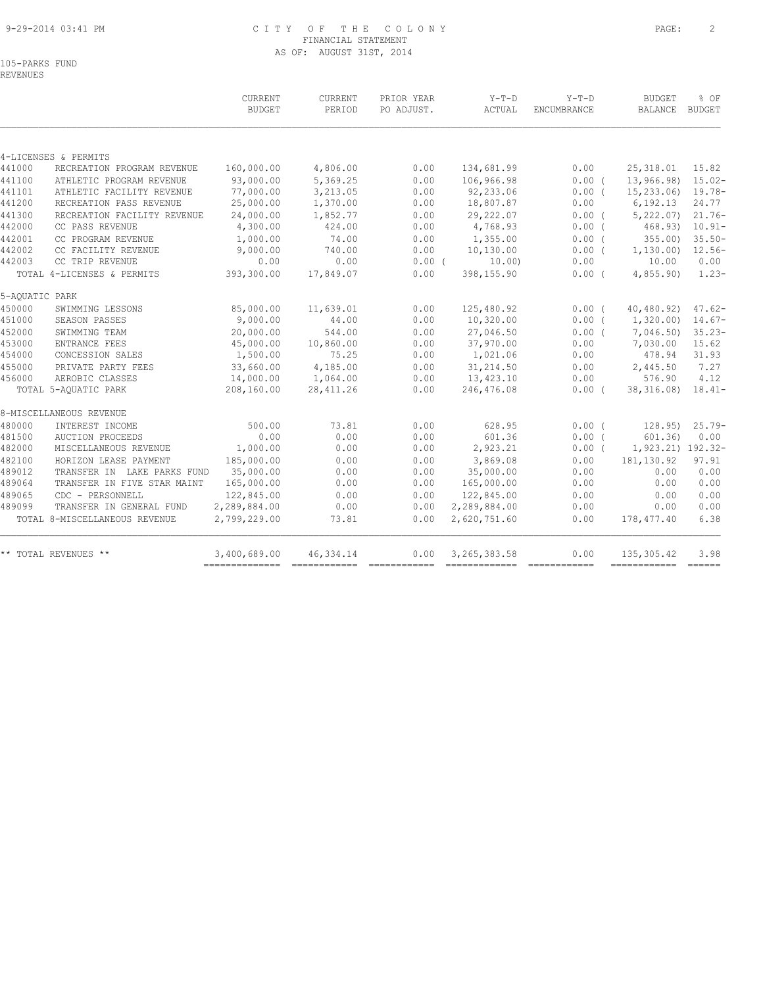#### 9-29-2014 03:41 PM C I T Y O F T H E C O L O N Y PAGE: 2 FINANCIAL STATEMENT AS OF: AUGUST 31ST, 2014

105-PARKS FUND

REVENUES

|                |                               | CURRENT<br><b>BUDGET</b> | CURRENT<br>PERIOD | PRIOR YEAR<br>PO ADJUST. | $Y-T-D$<br>ACTUAL | $Y-T-D$<br>ENCUMBRANCE | <b>BUDGET</b><br><b>BALANCE</b> | % OF<br><b>BUDGET</b> |
|----------------|-------------------------------|--------------------------|-------------------|--------------------------|-------------------|------------------------|---------------------------------|-----------------------|
|                |                               |                          |                   |                          |                   |                        |                                 |                       |
|                | 4-LICENSES & PERMITS          |                          |                   |                          |                   |                        |                                 |                       |
| 441000         | RECREATION PROGRAM REVENUE    | 160,000.00               | 4,806.00          | 0.00                     | 134,681.99        | 0.00                   | 25, 318.01                      | 15.82                 |
| 441100         | ATHLETIC PROGRAM REVENUE      | 93,000.00                | 5,369.25          | 0.00                     | 106,966.98        | 0.00(                  | 13,966.98)                      | $15.02 -$             |
| 441101         | ATHLETIC FACILITY REVENUE     | 77,000.00                | 3,213.05          | 0.00                     | 92,233.06         | 0.00(                  | 15, 233, 06                     | $19.78 -$             |
| 441200         | RECREATION PASS REVENUE       | 25,000.00                | 1,370.00          | 0.00                     | 18,807.87         | 0.00                   | 6, 192.13                       | 24.77                 |
| 441300         | RECREATION FACILITY REVENUE   | 24,000.00                | 1,852.77          | 0.00                     | 29,222.07         | 0.00(                  | 5,222.07                        | $21.76-$              |
| 442000         | CC PASS REVENUE               | 4,300.00                 | 424.00            | 0.00                     | 4,768.93          | $0.00$ (               | 468.93)                         | $10.91 -$             |
| 442001         | CC PROGRAM REVENUE            | 1,000.00                 | 74.00             | 0.00                     | 1,355.00          | 0.00(                  | 355.00                          | $35.50 -$             |
| 442002         | CC FACILITY REVENUE           | 9,000.00                 | 740.00            | 0.00                     | 10,130.00         | 0.00(                  | 1,130.00                        | $12.56-$              |
| 442003         | CC TRIP REVENUE               | 0.00                     | 0.00              | $0.00$ (                 | 10.00)            | 0.00                   | 10.00                           | 0.00                  |
|                | TOTAL 4-LICENSES & PERMITS    | 393,300.00               | 17,849.07         | 0.00                     | 398,155.90        | 0.00(                  | 4,855.90                        | $1.23-$               |
| 5-AQUATIC PARK |                               |                          |                   |                          |                   |                        |                                 |                       |
| 450000         | SWIMMING LESSONS              | 85,000.00                | 11,639.01         | 0.00                     | 125,480.92        | 0.00(                  | 40, 480.92)                     | $47.62 -$             |
| 451000         | SEASON PASSES                 | 9,000.00                 | 44.00             | 0.00                     | 10,320.00         | $0.00$ (               | 1,320.00                        | $14.67-$              |
| 452000         | SWIMMING TEAM                 | 20,000.00                | 544.00            | 0.00                     | 27,046.50         | $0.00$ (               | 7,046.50)                       | $35.23-$              |
| 453000         | ENTRANCE FEES                 | 45,000.00                | 10,860.00         | 0.00                     | 37,970.00         | 0.00                   | 7,030.00                        | 15.62                 |
| 454000         | CONCESSION SALES              | 1,500.00                 | 75.25             | 0.00                     | 1,021.06          | 0.00                   | 478.94                          | 31.93                 |
| 455000         | PRIVATE PARTY FEES            | 33,660.00                | 4,185.00          | 0.00                     | 31,214.50         | 0.00                   | 2,445.50                        | 7.27                  |
| 456000         | AEROBIC CLASSES               | 14,000.00                | 1,064.00          | 0.00                     | 13,423.10         | 0.00                   | 576.90                          | 4.12                  |
|                | TOTAL 5-AOUATIC PARK          | 208,160.00               | 28, 411.26        | 0.00                     | 246,476.08        | 0.00(                  | 38, 316.08)                     | $18.41-$              |
|                | 8-MISCELLANEOUS REVENUE       |                          |                   |                          |                   |                        |                                 |                       |
| 480000         | INTEREST INCOME               | 500.00                   | 73.81             | 0.00                     | 628.95            | 0.00(                  | 128.95)                         | $25.79-$              |
| 481500         | <b>AUCTION PROCEEDS</b>       | 0.00                     | 0.00              | 0.00                     | 601.36            | 0.00(                  | 601.36                          | 0.00                  |
| 482000         | MISCELLANEOUS REVENUE         | 1,000.00                 | 0.00              | 0.00                     | 2,923.21          | $0.00$ (               | 1,923.21) 192.32-               |                       |
| 482100         | HORIZON LEASE PAYMENT         | 185,000.00               | 0.00              | 0.00                     | 3,869.08          | 0.00                   | 181, 130.92                     | 97.91                 |
| 489012         | TRANSFER IN LAKE PARKS FUND   | 35,000.00                | 0.00              | 0.00                     | 35,000.00         | 0.00                   | 0.00                            | 0.00                  |
| 489064         | TRANSFER IN FIVE STAR MAINT   | 165,000.00               | 0.00              | 0.00                     | 165,000.00        | 0.00                   | 0.00                            | 0.00                  |
| 489065         | CDC - PERSONNELL              | 122,845.00               | 0.00              | 0.00                     | 122,845.00        | 0.00                   | 0.00                            | 0.00                  |
| 489099         | TRANSFER IN GENERAL FUND      | 2,289,884.00             | 0.00              | 0.00                     | 2,289,884.00      | 0.00                   | 0.00                            | 0.00                  |
|                | TOTAL 8-MISCELLANEOUS REVENUE | 2,799,229.00             | 73.81             | 0.00                     | 2,620,751.60      | 0.00                   | 178,477.40                      | 6.38                  |
|                | ** TOTAL REVENUES **          | 3,400,689.00             | 46, 334.14        | 0.00                     | 3, 265, 383.58    | 0.00                   | 135, 305.42                     | 3.98                  |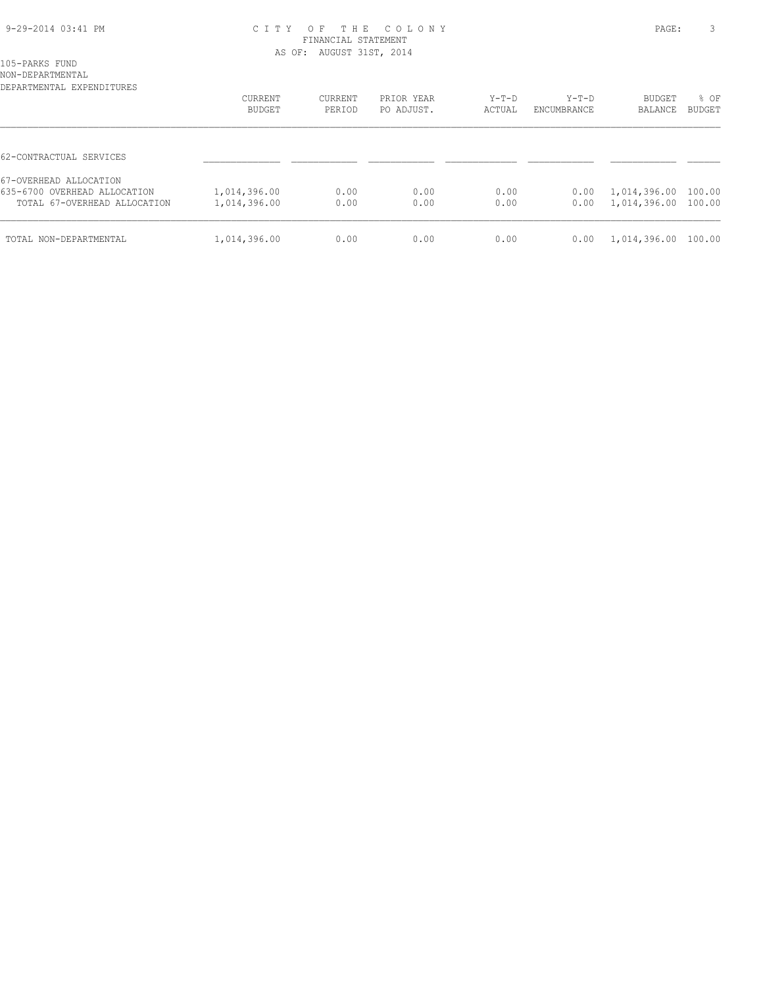#### 9-29-2014 03:41 PM C I T Y O F T H E C O L O N Y PAGE: 3 FINANCIAL STATEMENT AS OF: AUGUST 31ST, 2014

105-PARKS FUND NON-DEPARTMENTAL

| DEPARTMENTAL EXPENDITURES    |                          |                   |                          |                   |                        |                          |                       |
|------------------------------|--------------------------|-------------------|--------------------------|-------------------|------------------------|--------------------------|-----------------------|
|                              | <b>CURRENT</b><br>BUDGET | CURRENT<br>PERIOD | PRIOR YEAR<br>PO ADJUST. | $Y-T-D$<br>ACTUAL | $Y-T-D$<br>ENCUMBRANCE | <b>BUDGET</b><br>BALANCE | % OF<br><b>BUDGET</b> |
|                              |                          |                   |                          |                   |                        |                          |                       |
| 62-CONTRACTUAL SERVICES      |                          |                   |                          |                   |                        |                          |                       |
| 67-OVERHEAD ALLOCATION       |                          |                   |                          |                   |                        |                          |                       |
| 635-6700 OVERHEAD ALLOCATION | 1,014,396.00             | 0.00              | 0.00                     | 0.00              | 0.00                   | 1,014,396.00             | 100.00                |
| TOTAL 67-OVERHEAD ALLOCATION | 1,014,396.00             | 0.00              | 0.00                     | 0.00              | 0.00                   | 1,014,396.00 100.00      |                       |
| TOTAL NON-DEPARTMENTAL       | 1,014,396.00             | 0.00              | 0.00                     | 0.00              | 0.00                   | 1,014,396.00 100.00      |                       |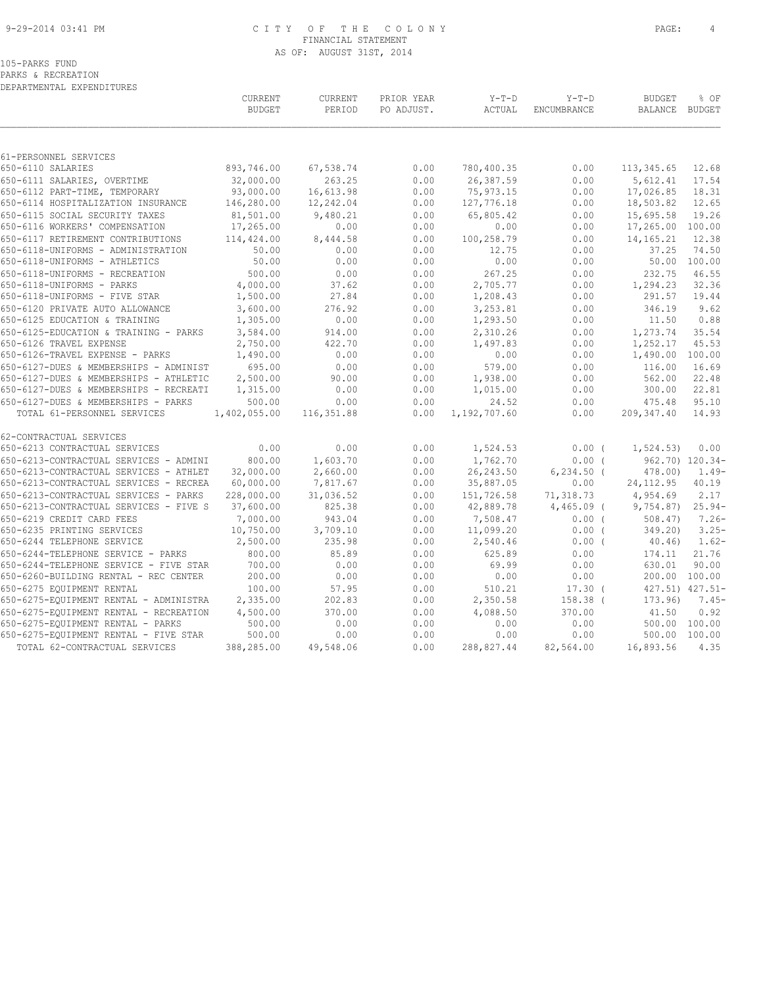#### 9-29-2014 03:41 PM C I T Y O F T H E C O L O N Y PAGE: 4 FINANCIAL STATEMENT AS OF: AUGUST 31ST, 2014

| PARKS & RECREATION<br>DEPARTMENTAL EXPENDITURES |                          |                   |                          |                   |                        |                   |                       |
|-------------------------------------------------|--------------------------|-------------------|--------------------------|-------------------|------------------------|-------------------|-----------------------|
|                                                 | CURRENT<br><b>BUDGET</b> | CURRENT<br>PERIOD | PRIOR YEAR<br>PO ADJUST. | $Y-T-D$<br>ACTUAL | $Y-T-D$<br>ENCUMBRANCE | BUDGET<br>BALANCE | % OF<br><b>BUDGET</b> |
|                                                 |                          |                   |                          |                   |                        |                   |                       |
| 61-PERSONNEL SERVICES                           |                          |                   |                          |                   |                        |                   |                       |
| 650-6110 SALARIES                               | 893,746.00               | 67,538.74         | 0.00                     | 780,400.35        | 0.00                   | 113,345.65        | 12.68                 |
| 650-6111 SALARIES, OVERTIME                     | 32,000.00                | 263.25            | 0.00                     | 26,387.59         | 0.00                   | 5,612.41          | 17.54                 |
| 650-6112 PART-TIME, TEMPORARY                   | 93,000.00                | 16,613.98         | 0.00                     | 75,973.15         | 0.00                   | 17,026.85         | 18.31                 |
| 650-6114 HOSPITALIZATION INSURANCE              | 146,280.00               | 12,242.04         | 0.00                     | 127,776.18        | 0.00                   | 18,503.82         | 12.65                 |
| 650-6115 SOCIAL SECURITY TAXES                  | 81,501.00                | 9,480.21          | 0.00                     | 65,805.42         | 0.00                   | 15,695.58         | 19.26                 |
| 650-6116 WORKERS' COMPENSATION                  | 17,265.00                | 0.00              | 0.00                     | 0.00              | 0.00                   | 17,265.00         | 100.00                |
| 650-6117 RETIREMENT CONTRIBUTIONS               | 114,424.00               | 8,444.58          | 0.00                     | 100,258.79        | 0.00                   | 14,165.21         | 12.38                 |
| 650-6118-UNIFORMS - ADMINISTRATION              | 50.00                    | 0.00              | 0.00                     | 12.75             | 0.00                   | 37.25             | 74.50                 |
| 650-6118-UNIFORMS - ATHLETICS                   | 50.00                    | 0.00              | 0.00                     | 0.00              | 0.00                   | 50.00             | 100.00                |

| 61-PERSONNEL SERVICES                  |              |            |      |              |               |                  |              |
|----------------------------------------|--------------|------------|------|--------------|---------------|------------------|--------------|
| 650-6110 SALARIES                      | 893,746.00   | 67,538.74  | 0.00 | 780,400.35   | 0.00          | 113,345.65       | 12.68        |
| 650-6111 SALARIES, OVERTIME            | 32,000.00    | 263.25     | 0.00 | 26,387.59    | 0.00          | 5,612.41         | 17.54        |
| 650-6112 PART-TIME, TEMPORARY          | 93,000.00    | 16,613.98  | 0.00 | 75,973.15    | 0.00          | 17,026.85        | 18.31        |
| 650-6114 HOSPITALIZATION INSURANCE     | 146,280.00   | 12,242.04  | 0.00 | 127,776.18   | 0.00          | 18,503.82        | 12.65        |
| 650-6115 SOCIAL SECURITY TAXES         | 81,501.00    | 9,480.21   | 0.00 | 65,805.42    | 0.00          | 15,695.58        | 19.26        |
| 650-6116 WORKERS' COMPENSATION         | 17,265.00    | 0.00       | 0.00 | 0.00         | 0.00          | 17,265.00 100.00 |              |
| 650-6117 RETIREMENT CONTRIBUTIONS      | 114,424.00   | 8,444.58   | 0.00 | 100,258.79   | 0.00          | 14,165.21        | 12.38        |
| 650-6118-UNIFORMS - ADMINISTRATION     | 50.00        | 0.00       | 0.00 | 12.75        | 0.00          | 37.25            | 74.50        |
| 650-6118-UNIFORMS - ATHLETICS          | 50.00        | 0.00       | 0.00 | 0.00         | 0.00          |                  | 50.00 100.00 |
| 650-6118-UNIFORMS - RECREATION         | 500.00       | 0.00       | 0.00 | 267.25       | 0.00          | 232.75           | 46.55        |
| 650-6118-UNIFORMS - PARKS              | 4,000.00     | 37.62      | 0.00 | 2,705.77     | 0.00          | 1,294.23         | 32.36        |
| 650-6118-UNIFORMS - FIVE STAR          | 1,500.00     | 27.84      | 0.00 | 1,208.43     | 0.00          | 291.57           | 19.44        |
| 650-6120 PRIVATE AUTO ALLOWANCE        | 3,600.00     | 276.92     | 0.00 | 3,253.81     | 0.00          | 346.19           | 9.62         |
| 650-6125 EDUCATION & TRAINING          | 1,305.00     | 0.00       | 0.00 | 1,293.50     | 0.00          | 11.50            | 0.88         |
| 650-6125-EDUCATION & TRAINING - PARKS  | 3,584.00     | 914.00     | 0.00 | 2,310.26     | 0.00          | 1,273.74         | 35.54        |
| 650-6126 TRAVEL EXPENSE                | 2,750.00     | 422.70     | 0.00 | 1,497.83     | 0.00          | 1,252.17         | 45.53        |
| 650-6126-TRAVEL EXPENSE - PARKS        | 1,490.00     | 0.00       | 0.00 | 0.00         | 0.00          | 1,490.00         | 100.00       |
| 650-6127-DUES & MEMBERSHIPS - ADMINIST | 695.00       | 0.00       | 0.00 | 579.00       | 0.00          | 116.00           | 16.69        |
| 650-6127-DUES & MEMBERSHIPS - ATHLETIC | 2,500.00     | 90.00      | 0.00 | 1,938.00     | 0.00          | 562.00           | 22.48        |
| 650-6127-DUES & MEMBERSHIPS - RECREATI | 1,315.00     | 0.00       | 0.00 | 1,015.00     | 0.00          | 300.00           | 22.81        |
| 650-6127-DUES & MEMBERSHIPS - PARKS    | 500.00       | 0.00       | 0.00 | 24.52        | 0.00          | 475.48           | 95.10        |
| TOTAL 61-PERSONNEL SERVICES            | 1,402,055.00 | 116,351.88 | 0.00 | 1,192,707.60 | 0.00          | 209,347.40       | 14.93        |
| 62-CONTRACTUAL SERVICES                |              |            |      |              |               |                  |              |
| 650-6213 CONTRACTUAL SERVICES          | 0.00         | 0.00       | 0.00 | 1,524.53     | $0.00$ (      | 1,524.53)        | 0.00         |
| 650-6213-CONTRACTUAL SERVICES - ADMINI | 800.00       | 1,603.70   | 0.00 | 1,762.70     | 0.00(         | 962.70) 120.34-  |              |
| 650-6213-CONTRACTUAL SERVICES - ATHLET | 32,000.00    | 2,660.00   | 0.00 | 26, 243.50   | $6, 234.50$ ( | 478.00)          | $1.49-$      |
| 650-6213-CONTRACTUAL SERVICES - RECREA | 60,000.00    | 7,817.67   | 0.00 | 35,887.05    | 0.00          | 24, 112.95       | 40.19        |
| 650-6213-CONTRACTUAL SERVICES - PARKS  | 228,000.00   | 31,036.52  | 0.00 | 151,726.58   | 71,318.73     | 4,954.69         | 2.17         |
| 650-6213-CONTRACTUAL SERVICES - FIVE S | 37,600.00    | 825.38     | 0.00 | 42,889.78    | 4,465.09 (    | 9,754.87         | $25.94-$     |
| 650-6219 CREDIT CARD FEES              | 7,000.00     | 943.04     | 0.00 | 7,508.47     | 0.00(         | 508.47           | $7.26 -$     |
| 650-6235 PRINTING SERVICES             | 10,750.00    | 3,709.10   | 0.00 | 11,099.20    | 0.00(         | 349.20)          | $3.25 -$     |
| 650-6244 TELEPHONE SERVICE             | 2,500.00     | 235.98     | 0.00 | 2,540.46     | $0.00$ (      | 40.46)           | $1.62-$      |
| 650-6244-TELEPHONE SERVICE - PARKS     | 800.00       | 85.89      | 0.00 | 625.89       | 0.00          | 174.11           | 21.76        |
| 650-6244-TELEPHONE SERVICE - FIVE STAR | 700.00       | 0.00       | 0.00 | 69.99        | 0.00          | 630.01           | 90.00        |
| 650-6260-BUILDING RENTAL - REC CENTER  | 200.00       | 0.00       | 0.00 | 0.00         | 0.00          | 200.00 100.00    |              |
| 650-6275 EQUIPMENT RENTAL              | 100.00       | 57.95      | 0.00 | 510.21       | $17.30$ (     | 427.51) 427.51-  |              |
| 650-6275-EQUIPMENT RENTAL - ADMINISTRA | 2,335.00     | 202.83     | 0.00 | 2,350.58     | $158.38$ (    | 173.96           | $7.45-$      |
| 650-6275-EQUIPMENT RENTAL - RECREATION | 4,500.00     | 370.00     | 0.00 | 4,088.50     | 370.00        | 41.50            | 0.92         |
| 650-6275-EQUIPMENT RENTAL - PARKS      | 500.00       | 0.00       | 0.00 | 0.00         | 0.00          | 500.00 100.00    |              |
| 650-6275-EQUIPMENT RENTAL - FIVE STAR  | 500.00       | 0.00       | 0.00 | 0.00         | 0.00          | 500.00           | 100.00       |
| TOTAL 62-CONTRACTUAL SERVICES          | 388,285.00   | 49,548.06  | 0.00 | 288,827.44   | 82,564.00     | 16,893.56        | 4.35         |
|                                        |              |            |      |              |               |                  |              |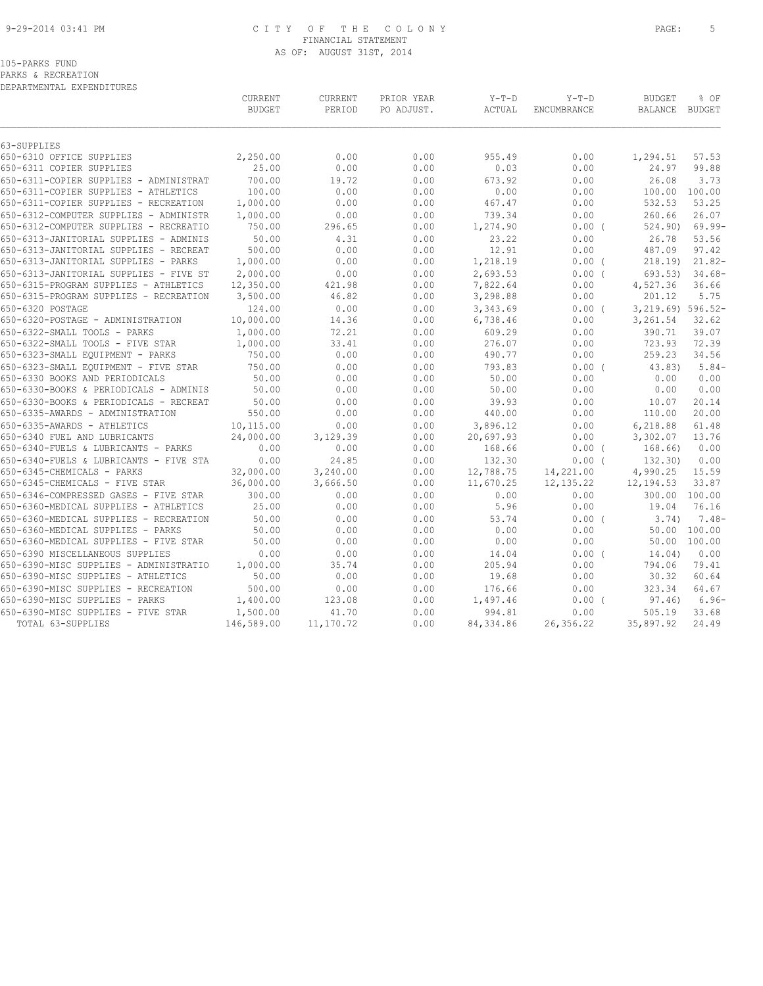#### 9-29-2014 03:41 PM C I T Y O F T H E C O L O N Y PAGE: 5 FINANCIAL STATEMENT AS OF: AUGUST 31ST, 2014

| PARKS & RECREATION |  |                           |
|--------------------|--|---------------------------|
|                    |  | DEPARTMENTAL EXPENDITURES |

|                                                                                 | CURRENT<br><b>BUDGET</b> | CURRENT<br>PERIOD | PRIOR YEAR<br>PO ADJUST. | $Y-T-D$<br>ACTUAL    | $Y-T-D$<br>ENCUMBRANCE | <b>BUDGET</b><br><b>BALANCE</b> | % OF<br><b>BUDGET</b> |
|---------------------------------------------------------------------------------|--------------------------|-------------------|--------------------------|----------------------|------------------------|---------------------------------|-----------------------|
| 63-SUPPLIES                                                                     |                          |                   |                          |                      |                        |                                 |                       |
| 650-6310 OFFICE SUPPLIES                                                        | 2,250.00<br>25.00        | 0.00<br>0.00      | 0.00<br>0.00             | 955.49<br>0.03       | 0.00<br>0.00           | 1,294.51                        | 57.53<br>99.88        |
| 650-6311 COPIER SUPPLIES                                                        |                          |                   |                          |                      |                        | 24.97                           |                       |
| 650-6311-COPIER SUPPLIES - ADMINISTRAT                                          | 700.00<br>100.00         | 19.72<br>0.00     | 0.00<br>0.00             | 673.92<br>0.00       | 0.00<br>0.00           | 26.08                           | 3.73<br>100.00 100.00 |
| 650-6311-COPIER SUPPLIES - ATHLETICS<br>650-6311-COPIER SUPPLIES - RECREATION   | 1,000.00                 | 0.00              | 0.00                     | 467.47               | 0.00                   | 532.53                          | 53.25                 |
| 650-6312-COMPUTER SUPPLIES - ADMINISTR                                          | 1,000.00                 | 0.00              | 0.00                     | 739.34               | 0.00                   | 260.66                          | 26.07                 |
| 650-6312-COMPUTER SUPPLIES - RECREATIO                                          | 750.00                   | 296.65            | 0.00                     | 1,274.90             | $0.00$ (               | 524.90)                         | $69.99 -$             |
| 650-6313-JANITORIAL SUPPLIES - ADMINIS                                          | 50.00                    | 4.31              | 0.00                     | 23.22                | 0.00                   | 26.78                           | 53.56                 |
| 650-6313-JANITORIAL SUPPLIES - RECREAT                                          | 500.00                   | 0.00              | 0.00                     | 12.91                | 0.00                   | 487.09                          | 97.42                 |
| 650-6313-JANITORIAL SUPPLIES - PARKS                                            | 1,000.00                 | 0.00              | 0.00                     | 1,218.19             | $0.00$ (               | 218.19                          | $21.82-$              |
|                                                                                 |                          |                   |                          |                      |                        |                                 |                       |
| 650-6313-JANITORIAL SUPPLIES - FIVE ST<br>650-6315-PROGRAM SUPPLIES - ATHLETICS | 2,000.00<br>12,350.00    | 0.00<br>421.98    | 0.00<br>0.00             | 2,693.53<br>7,822.64 | $0.00$ (<br>0.00       | 693.53)<br>4,527.36             | $34.68-$<br>36.66     |
| 650-6315-PROGRAM SUPPLIES - RECREATION                                          | 3,500.00                 | 46.82             | 0.00                     | 3,298.88             | 0.00                   | 201.12                          | 5.75                  |
| 650-6320 POSTAGE                                                                | 124.00                   | 0.00              | 0.00                     | 3,343.69             | $0.00$ (               | 3,219.69) 596.52-               |                       |
| 650-6320-POSTAGE - ADMINISTRATION                                               | 10,000.00                | 14.36             | 0.00                     | 6,738.46             | 0.00                   | 3,261.54                        | 32.62                 |
| 650-6322-SMALL TOOLS - PARKS                                                    | 1,000.00                 | 72.21             | 0.00                     | 609.29               | 0.00                   | 390.71                          | 39.07                 |
| 650-6322-SMALL TOOLS - FIVE STAR                                                | 1,000.00                 | 33.41             | 0.00                     | 276.07               | 0.00                   | 723.93                          | 72.39                 |
| 650-6323-SMALL EQUIPMENT - PARKS                                                | 750.00                   | 0.00              | 0.00                     | 490.77               | 0.00                   | 259.23                          | 34.56                 |
| 650-6323-SMALL EQUIPMENT - FIVE STAR                                            | 750.00                   | 0.00              | 0.00                     | 793.83               | 0.00(                  | 43.83)                          | $5.84-$               |
| 650-6330 BOOKS AND PERIODICALS                                                  | 50.00                    | 0.00              | 0.00                     | 50.00                | 0.00                   | 0.00                            | 0.00                  |
| 650-6330-BOOKS & PERIODICALS - ADMINIS                                          | 50.00                    | 0.00              | 0.00                     | 50.00                | 0.00                   | 0.00                            | 0.00                  |
| 650-6330-BOOKS & PERIODICALS - RECREAT                                          | 50.00                    | 0.00              | 0.00                     | 39.93                | 0.00                   | 10.07                           | 20.14                 |
| 650-6335-AWARDS - ADMINISTRATION                                                | 550.00                   | 0.00              | 0.00                     | 440.00               | 0.00                   | 110.00                          | 20.00                 |
| 650-6335-AWARDS - ATHLETICS                                                     | 10,115.00                | 0.00              | 0.00                     | 3,896.12             | 0.00                   | 6,218.88                        | 61.48                 |
| 650-6340 FUEL AND LUBRICANTS                                                    | 24,000.00                | 3,129.39          | 0.00                     | 20,697.93            | 0.00                   | 3,302.07                        | 13.76                 |
| 650-6340-FUELS & LUBRICANTS - PARKS                                             | 0.00                     | 0.00              | 0.00                     | 168.66               | 0.00(                  | 168.66)                         | 0.00                  |
| 650-6340-FUELS & LUBRICANTS - FIVE STA                                          | 0.00                     | 24.85             | 0.00                     | 132.30               | 0.00(                  | 132.30)                         | 0.00                  |
| 650-6345-CHEMICALS - PARKS                                                      | 32,000.00                | 3,240.00          | 0.00                     | 12,788.75            | 14,221.00              | 4,990.25                        | 15.59                 |
| 650-6345-CHEMICALS - FIVE STAR                                                  | 36,000.00                | 3,666.50          | 0.00                     | 11,670.25            | 12, 135.22             | 12,194.53                       | 33.87                 |
| 650-6346-COMPRESSED GASES - FIVE STAR                                           | 300.00                   | 0.00              | 0.00                     | 0.00                 | 0.00                   |                                 | 300.00 100.00         |
| 650-6360-MEDICAL SUPPLIES - ATHLETICS                                           | 25.00                    | 0.00              | 0.00                     | 5.96                 | 0.00                   | 19.04                           | 76.16                 |
| 650-6360-MEDICAL SUPPLIES - RECREATION                                          | 50.00                    | 0.00              | 0.00                     | 53.74                | $0.00$ (               | 3.74)                           | $7.48-$               |
| 650-6360-MEDICAL SUPPLIES - PARKS                                               | 50.00                    | 0.00              | 0.00                     | 0.00                 | 0.00                   | 50.00                           | 100.00                |
| 650-6360-MEDICAL SUPPLIES - FIVE STAR                                           | 50.00                    | 0.00              | 0.00                     | 0.00                 | 0.00                   | 50.00                           | 100.00                |
| 650-6390 MISCELLANEOUS SUPPLIES                                                 | 0.00                     | 0.00              | 0.00                     | 14.04                | 0.00(                  | 14.04)                          | 0.00                  |
| 650-6390-MISC SUPPLIES - ADMINISTRATIO                                          | 1,000.00                 | 35.74             | 0.00                     | 205.94               | 0.00                   | 794.06                          | 79.41                 |
| 650-6390-MISC SUPPLIES - ATHLETICS                                              | 50.00                    | 0.00              | 0.00                     | 19.68                | 0.00                   | 30.32                           | 60.64                 |
| 650-6390-MISC SUPPLIES - RECREATION                                             | 500.00                   | 0.00              | 0.00                     | 176.66               | 0.00                   | 323.34                          | 64.67                 |
| 650-6390-MISC SUPPLIES - PARKS                                                  | 1,400.00                 | 123.08            | 0.00                     | 1,497.46             | 0.00(                  | 97.46)                          | $6.96-$               |
| 650-6390-MISC SUPPLIES - FIVE STAR                                              | 1,500.00                 | 41.70             | 0.00                     | 994.81               | 0.00                   | 505.19                          | 33.68                 |
|                                                                                 |                          |                   |                          |                      |                        |                                 |                       |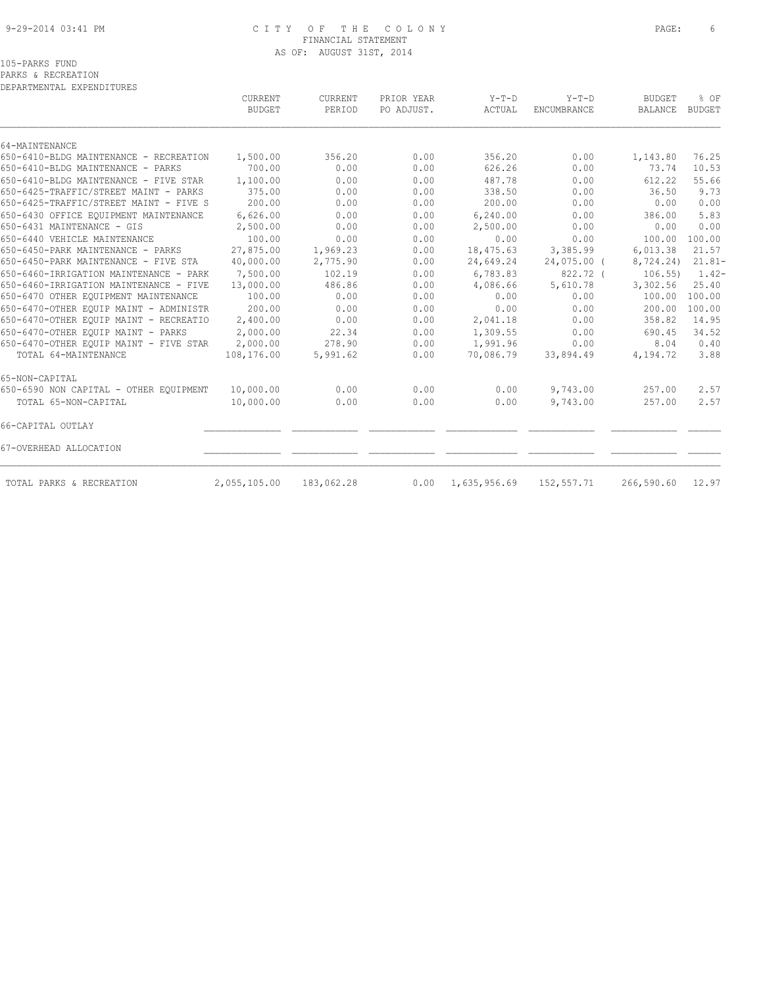## 9-29-2014 03:41 PM C I T Y O F T H E C O L O N Y PAGE: 6 FINANCIAL STATEMENT AS OF: AUGUST 31ST, 2014

PARKS & RECREATION

| DEPARTMENTAL EXPENDITURES              |                                 |                   |                          |                   |                        |                          |                       |
|----------------------------------------|---------------------------------|-------------------|--------------------------|-------------------|------------------------|--------------------------|-----------------------|
|                                        | <b>CURRENT</b><br><b>BUDGET</b> | CURRENT<br>PERIOD | PRIOR YEAR<br>PO ADJUST. | $Y-T-D$<br>ACTUAL | $Y-T-D$<br>ENCUMBRANCE | <b>BUDGET</b><br>BALANCE | % OF<br><b>BUDGET</b> |
|                                        |                                 |                   |                          |                   |                        |                          |                       |
| 64-MAINTENANCE                         |                                 |                   |                          |                   |                        |                          |                       |
| 650-6410-BLDG MAINTENANCE - RECREATION | 1,500.00                        | 356.20            | 0.00                     | 356.20            | 0.00                   | 1,143.80                 | 76.25                 |
| 650-6410-BLDG MAINTENANCE - PARKS      | 700.00                          | 0.00              | 0.00                     | 626.26            | 0.00                   | 73.74                    | 10.53                 |
| 650-6410-BLDG MAINTENANCE - FIVE STAR  | 1,100.00                        | 0.00              | 0.00                     | 487.78            | 0.00                   | 612.22                   | 55.66                 |
| 650-6425-TRAFFIC/STREET MAINT - PARKS  | 375.00                          | 0.00              | 0.00                     | 338.50            | 0.00                   | 36.50                    | 9.73                  |
| 650-6425-TRAFFIC/STREET MAINT - FIVE S | 200.00                          | 0.00              | 0.00                     | 200.00            | 0.00                   | 0.00                     | 0.00                  |
| 650-6430 OFFICE EOUIPMENT MAINTENANCE  | 6,626.00                        | 0.00              | 0.00                     | 6,240.00          | 0.00                   | 386.00                   | 5.83                  |
| 650-6431 MAINTENANCE - GIS             | 2,500.00                        | 0.00              | 0.00                     | 2,500.00          | 0.00                   | 0.00                     | 0.00                  |
| 650-6440 VEHICLE MAINTENANCE           | 100.00                          | 0.00              | 0.00                     | 0.00              | 0.00                   | 100.00                   | 100.00                |
| 650-6450-PARK MAINTENANCE - PARKS      | 27,875.00                       | 1,969.23          | 0.00                     | 18,475.63         | 3,385.99               | 6,013.38                 | 21.57                 |
| 650-6450-PARK MAINTENANCE - FIVE STA   | 40,000.00                       | 2,775.90          | 0.00                     | 24,649.24         | $24,075.00$ (          | 8,724.24)                | $21.81 -$             |
| 650-6460-IRRIGATION MAINTENANCE - PARK | 7,500.00                        | 102.19            | 0.00                     | 6,783.83          | 822.72 (               | $106.55$ )               | $1.42-$               |
| 650-6460-IRRIGATION MAINTENANCE - FIVE | 13,000.00                       | 486.86            | 0.00                     | 4,086.66          | 5,610.78               | 3,302.56                 | 25.40                 |
| 650-6470 OTHER EQUIPMENT MAINTENANCE   | 100.00                          | 0.00              | 0.00                     | 0.00              | 0.00                   | 100.00                   | 100.00                |
| 650-6470-OTHER EQUIP MAINT - ADMINISTR | 200.00                          | 0.00              | 0.00                     | 0.00              | 0.00                   | 200.00                   | 100.00                |
| 650-6470-OTHER EQUIP MAINT - RECREATIO | 2,400.00                        | 0.00              | 0.00                     | 2,041.18          | 0.00                   | 358.82                   | 14.95                 |
| 650-6470-OTHER EOUIP MAINT - PARKS     | 2,000.00                        | 22.34             | 0.00                     | 1,309.55          | 0.00                   | 690.45                   | 34.52                 |
| 650-6470-OTHER EQUIP MAINT - FIVE STAR | 2,000.00                        | 278.90            | 0.00                     | 1,991.96          | 0.00                   | 8.04                     | 0.40                  |
| TOTAL 64-MAINTENANCE                   | 108,176.00                      | 5,991.62          | 0.00                     | 70,086.79         | 33,894.49              | 4,194.72                 | 3.88                  |
| 65-NON-CAPITAL                         |                                 |                   |                          |                   |                        |                          |                       |
| 650-6590 NON CAPITAL - OTHER EQUIPMENT | 10,000.00                       | 0.00              | 0.00                     | 0.00              | 9,743.00               | 257.00                   | 2.57                  |
| TOTAL 65-NON-CAPITAL                   | 10,000.00                       | 0.00              | 0.00                     | 0.00              | 9,743.00               | 257.00                   | 2.57                  |
| 66-CAPITAL OUTLAY                      |                                 |                   |                          |                   |                        |                          |                       |
| 67-OVERHEAD ALLOCATION                 |                                 |                   |                          |                   |                        |                          |                       |
| TOTAL PARKS & RECREATION               | 2,055,105.00                    | 183,062.28        | 0.00                     | 1,635,956.69      | 152,557.71             | 266,590.60               | 12.97                 |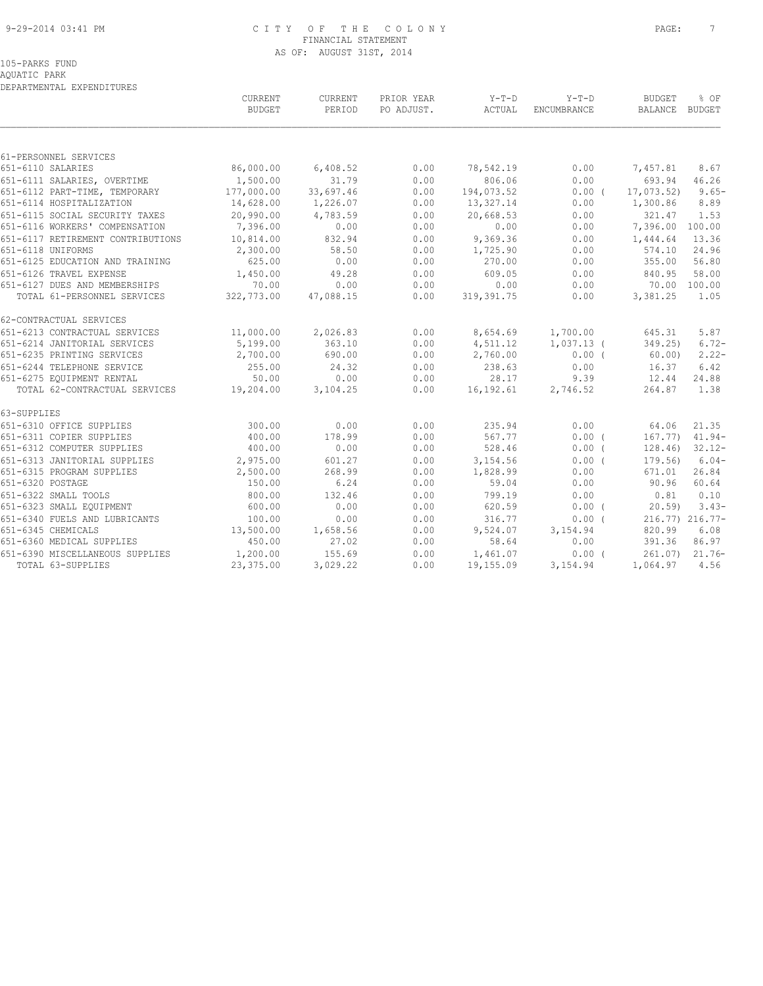#### 9-29-2014 03:41 PM C I T Y O F T H E C O L O N Y PAGE: 7 FINANCIAL STATEMENT AS OF: AUGUST 31ST, 2014

AQUATIC PARK DEPARTMENTAL EXPENDITURES

|                                          | CURRENT<br><b>BUDGET</b> | CURRENT<br>PERIOD | PRIOR YEAR<br>PO ADJUST. | $Y-T-D$<br>ACTUAL | $Y-T-D$<br>ENCUMBRANCE | <b>BUDGET</b><br>BALANCE BUDGET | % OF            |
|------------------------------------------|--------------------------|-------------------|--------------------------|-------------------|------------------------|---------------------------------|-----------------|
|                                          |                          |                   |                          |                   |                        |                                 |                 |
| 61-PERSONNEL SERVICES                    |                          |                   |                          |                   |                        |                                 |                 |
| 651-6110 SALARIES                        | 86,000.00                | 6,408.52          | 0.00                     | 78,542.19         | 0.00                   | 7,457.81                        | 8.67            |
| 651-6111 SALARIES, OVERTIME              | 1,500.00                 | 31.79             | 0.00                     | 806.06            | 0.00                   | 693.94                          | 46.26           |
| 651-6112 PART-TIME, TEMPORARY 177,000.00 |                          | 33,697.46         | 0.00                     | 194,073.52        | $0.00$ (               | 17,073.52)                      | $9.65 -$        |
| 651-6114 HOSPITALIZATION                 | 14,628.00                | 1,226.07          | 0.00                     | 13,327.14         | 0.00                   | 1,300.86                        | 8.89            |
| 651-6115 SOCIAL SECURITY TAXES           | 20,990.00                | 4,783.59          | 0.00                     | 20,668.53         | 0.00                   | 321.47                          | 1.53            |
| 651-6116 WORKERS' COMPENSATION           | 7,396.00                 | 0.00              | 0.00                     | 0.00              | 0.00                   | 7,396.00 100.00                 |                 |
| 651-6117 RETIREMENT CONTRIBUTIONS        | 10,814.00                | 832.94            | 0.00                     | 9,369.36          | 0.00                   | 1,444.64                        | 13.36           |
| 651-6118 UNIFORMS                        | 2,300.00                 | 58.50             | 0.00                     | 1,725.90          | 0.00                   | 574.10                          | 24.96           |
| 651-6125 EDUCATION AND TRAINING          | 625.00                   | 0.00              | 0.00                     | 270.00            | 0.00                   | 355.00                          | 56.80           |
| 651-6126 TRAVEL EXPENSE                  | 1,450.00                 | 49.28             | 0.00                     | 609.05            | 0.00                   | 840.95                          | 58.00           |
| 651-6127 DUES AND MEMBERSHIPS            | 70.00                    | 0.00              | 0.00                     | 0.00              | 0.00                   |                                 | 70.00 100.00    |
| TOTAL 61-PERSONNEL SERVICES              | 322,773.00               | 47,088.15         | 0.00                     | 319, 391.75       | 0.00                   | 3,381.25                        | 1.05            |
| 62-CONTRACTUAL SERVICES                  |                          |                   |                          |                   |                        |                                 |                 |
| 651-6213 CONTRACTUAL SERVICES            | 11,000.00                | 2,026.83          | 0.00                     |                   | 8,654.69 1,700.00      | 645.31                          | 5.87            |
| 651-6214 JANITORIAL SERVICES             | 5,199.00                 | 363.10            | 0.00                     | 4,511.12          | $1,037.13$ (           | 349.25)                         | $6.72-$         |
| 651-6235 PRINTING SERVICES               | 2,700.00                 | 690.00            | 0.00                     | 2,760.00          | $0.00$ (               | 60.00)                          | $2.22-$         |
| 651-6244 TELEPHONE SERVICE               | 255.00                   | 24.32             | 0.00                     | 238.63            | 0.00                   | 16.37                           | 6.42            |
| 651-6275 EQUIPMENT RENTAL                | 50.00                    | 0.00              | 0.00                     | 28.17             | 9.39                   | 12.44                           | 24.88           |
| TOTAL 62-CONTRACTUAL SERVICES 19,204.00  |                          | 3,104.25          | 0.00                     | 16,192.61         | 2,746.52               | 264.87                          | 1.38            |
| 63-SUPPLIES                              |                          |                   |                          |                   |                        |                                 |                 |
| 651-6310 OFFICE SUPPLIES                 | 300.00                   | 0.00              | 0.00                     | 235.94            | 0.00                   | 64.06                           | 21.35           |
| 651-6311 COPIER SUPPLIES                 | 400.00                   | 178.99            | 0.00                     | 567.77            | 0.00(                  | 167.77)                         | $41.94-$        |
| 651-6312 COMPUTER SUPPLIES               | 400.00                   | 0.00              | 0.00                     | 528.46            | $0.00$ (               | 128.46)                         | $32.12 -$       |
| 651-6313 JANITORIAL SUPPLIES             | 2,975.00                 | 601.27            | 0.00                     | 3,154.56          | 0.00(                  | 179.56                          | $6.04-$         |
| 651-6315 PROGRAM SUPPLIES                | 2,500.00                 | 268.99            | 0.00                     | 1,828.99          | 0.00                   | 671.01                          | 26.84           |
| 651-6320 POSTAGE                         | 150.00                   | 6.24              | 0.00                     | 59.04             | 0.00                   | 90.96                           | 60.64           |
| 651-6322 SMALL TOOLS                     | 800.00                   | 132.46            | 0.00                     | 799.19            | 0.00                   | 0.81                            | 0.10            |
| 651-6323 SMALL EQUIPMENT                 | 600.00                   | 0.00              | 0.00                     | 620.59            | $0.00$ (               | 20.59                           | $3.43-$         |
| 651-6340 FUELS AND LUBRICANTS            | 100.00                   | 0.00              | 0.00                     | 316.77            | 0.00(                  |                                 | 216.77) 216.77- |
| 651-6345 CHEMICALS                       | 13,500.00                | 1,658.56          | 0.00                     | 9,524.07          | 3,154.94               | 820.99                          | 6.08            |
| 651-6360 MEDICAL SUPPLIES                | 450.00                   | 27.02             | 0.00                     | 58.64             | 0.00                   | 391.36                          | 86.97           |
| 651-6390 MISCELLANEOUS SUPPLIES          | 1,200.00                 | 155.69            | 0.00                     | 1,461.07          | $0.00$ (               |                                 | 261.07) 21.76-  |
| TOTAL 63-SUPPLIES                        | 23,375.00                | 3,029.22          | 0.00                     | 19,155.09         | 3, 154.94              | 1,064.97                        | 4.56            |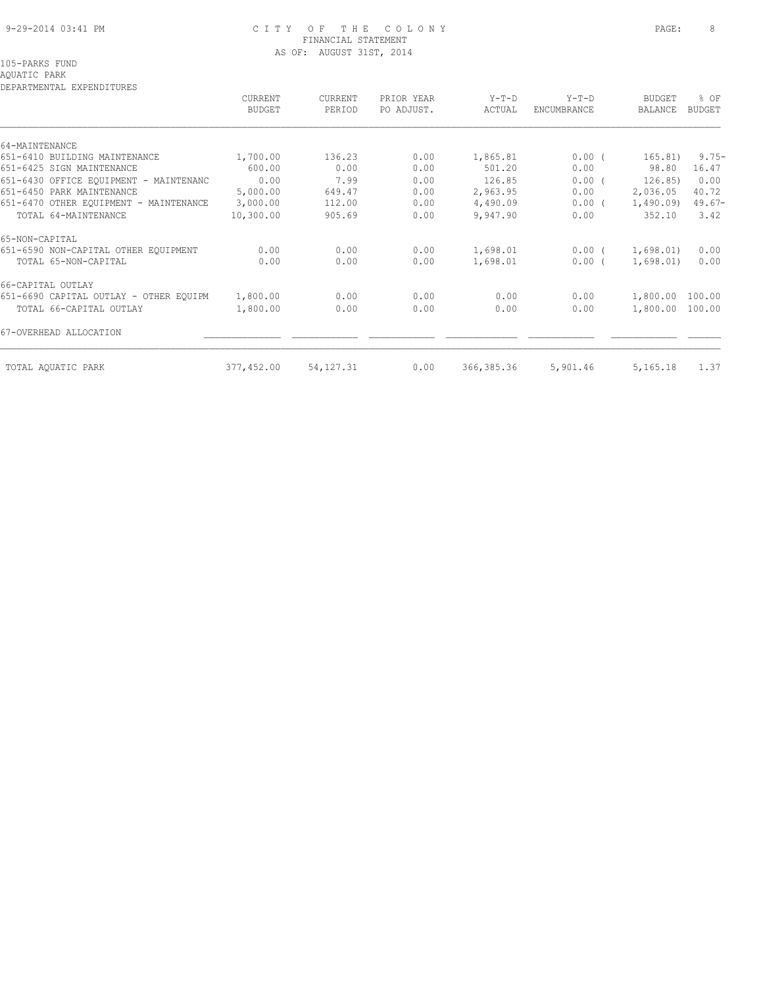## 9-29-2014 03:41 PM C I T Y O F T H E C O L O N Y PAGE: 8 FINANCIAL STATEMENT AS OF: AUGUST 31ST, 2014

# AQUATIC PARK

| DEPARTMENTAL EXPENDITURES              |                |                |            |            |             |                 |          |
|----------------------------------------|----------------|----------------|------------|------------|-------------|-----------------|----------|
|                                        | <b>CURRENT</b> | <b>CURRENT</b> | PRIOR YEAR | $Y-T-D$    | $Y-T-D$     | <b>BUDGET</b>   | % OF     |
|                                        | <b>BUDGET</b>  | PERIOD         | PO ADJUST. | ACTUAL     | ENCUMBRANCE | BALANCE         | BUDGET   |
|                                        |                |                |            |            |             |                 |          |
| 64-MAINTENANCE                         |                |                |            |            |             |                 |          |
| 651-6410 BUILDING MAINTENANCE          | 1,700.00       | 136.23         | 0.00       | 1,865.81   | $0.00$ (    | 165.81)         | $9.75 -$ |
| 651-6425 SIGN MAINTENANCE              | 600.00         | 0.00           | 0.00       | 501.20     | 0.00        | 98.80           | 16.47    |
| 651-6430 OFFICE EOUIPMENT - MAINTENANC | 0.00           | 7.99           | 0.00       | 126.85     | 0.00(       | 126.85)         | 0.00     |
| 651-6450 PARK MAINTENANCE              | 5,000.00       | 649.47         | 0.00       | 2,963.95   | 0.00        | 2,036.05        | 40.72    |
| 651-6470 OTHER EQUIPMENT - MAINTENANCE | 3,000.00       | 112.00         | 0.00       | 4,490.09   | $0.00$ (    | 1,490.09        | $49.67-$ |
| TOTAL 64-MAINTENANCE                   | 10,300.00      | 905.69         | 0.00       | 9,947.90   | 0.00        | 352.10          | 3.42     |
| 65-NON-CAPITAL                         |                |                |            |            |             |                 |          |
| 651-6590 NON-CAPITAL OTHER EQUIPMENT   | 0.00           | 0.00           | 0.00       | 1,698.01   | $0.00$ (    | 1,698.01)       | 0.00     |
| TOTAL 65-NON-CAPITAL                   | 0.00           | 0.00           | 0.00       | 1,698.01   | 0.00(       | 1,698.01)       | 0.00     |
| 66-CAPITAL OUTLAY                      |                |                |            |            |             |                 |          |
| 651-6690 CAPITAL OUTLAY - OTHER EOUIPM | 1,800.00       | 0.00           | 0.00       | 0.00       | 0.00        | 1,800.00        | 100.00   |
| TOTAL 66-CAPITAL OUTLAY                | 1,800.00       | 0.00           | 0.00       | 0.00       | 0.00        | 1,800.00 100.00 |          |
| 67-OVERHEAD ALLOCATION                 |                |                |            |            |             |                 |          |
| TOTAL AQUATIC PARK                     | 377,452.00     | 54, 127. 31    | 0.00       | 366,385.36 | 5,901.46    | 5,165.18        | 1.37     |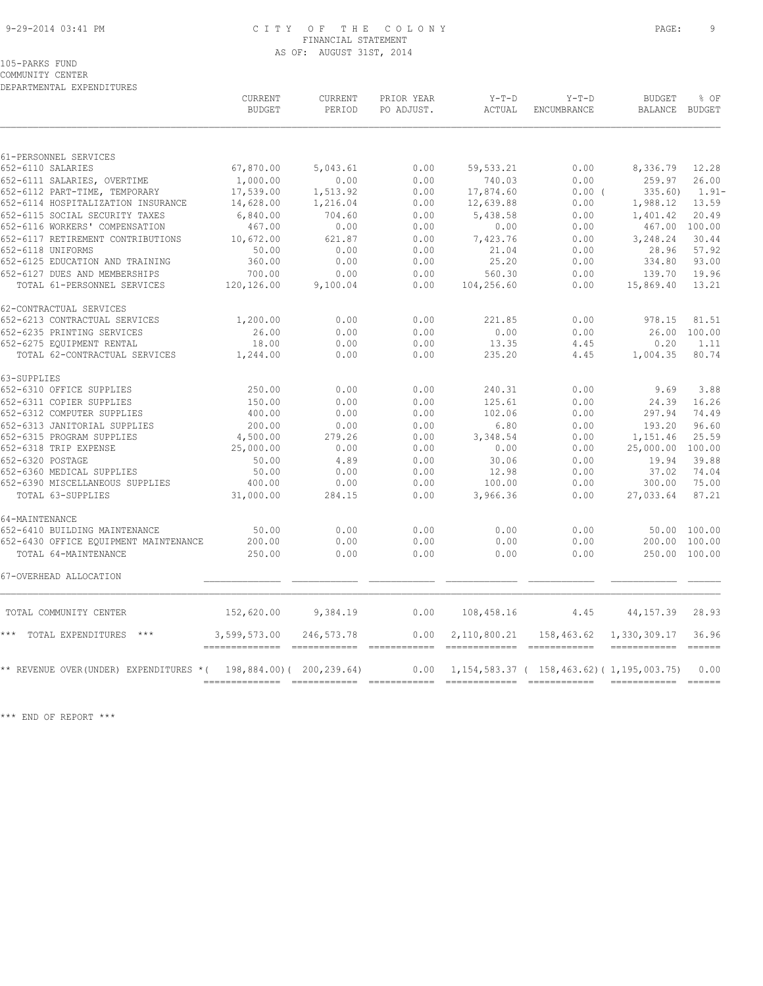#### 9-29-2014 03:41 PM C I T Y O F T H E C O L O N Y PAGE: 9 FINANCIAL STATEMENT AS OF: AUGUST 31ST, 2014

COMMUNITY CENTER DEPARTMENTAL EXPENDITURES

|                                                                    | CURRENT<br><b>BUDGET</b> | CURRENT<br>PERIOD | PRIOR YEAR<br>PO ADJUST. | Y-T-D<br>ACTUAL | $Y-T-D$<br>ENCUMBRANCE                                            | <b>BUDGET</b><br>BALANCE BUDGET | % OF         |
|--------------------------------------------------------------------|--------------------------|-------------------|--------------------------|-----------------|-------------------------------------------------------------------|---------------------------------|--------------|
|                                                                    |                          |                   |                          |                 |                                                                   |                                 |              |
| 61-PERSONNEL SERVICES                                              |                          |                   |                          |                 |                                                                   |                                 |              |
| 652-6110 SALARIES                                                  | 67,870.00                | 5,043.61          | 0.00                     | 59,533.21       | 0.00                                                              | 8,336.79                        | 12.28        |
| 652-6111 SALARIES, OVERTIME                                        | 1,000.00                 | 0.00              | 0.00                     | 740.03          | 0.00                                                              | 259.97                          | 26.00        |
| 652-6112 PART-TIME, TEMPORARY                                      | 17,539.00                | 1,513.92          | 0.00                     | 17,874.60       | 0.00(                                                             | 335.60                          | $1.91 -$     |
| 652-6114 HOSPITALIZATION INSURANCE                                 | 14,628.00                | 1,216.04          | 0.00                     | 12,639.88       | 0.00                                                              | 1,988.12                        | 13.59        |
| 652-6115 SOCIAL SECURITY TAXES                                     | 6,840.00                 | 704.60            | 0.00                     | 5,438.58        | 0.00                                                              | 1,401.42                        | 20.49        |
| 652-6116 WORKERS' COMPENSATION                                     | 467.00                   | 0.00              | 0.00                     | 0.00            | 0.00                                                              | 467.00 100.00                   |              |
| 652-6117 RETIREMENT CONTRIBUTIONS                                  | 10,672.00                | 621.87            | 0.00                     | 7,423.76        | 0.00                                                              | 3,248.24                        | 30.44        |
| 652-6118 UNIFORMS                                                  | 50.00                    | 0.00              | 0.00                     | 21.04           | 0.00                                                              | 28.96                           | 57.92        |
| 652-6125 EDUCATION AND TRAINING                                    | 360.00                   | 0.00              | 0.00                     | 25.20           | 0.00                                                              | 334.80                          | 93.00        |
| 652-6127 DUES AND MEMBERSHIPS                                      | 700.00                   | 0.00              | 0.00                     | 560.30          | 0.00                                                              | 139.70                          | 19.96        |
| TOTAL 61-PERSONNEL SERVICES                                        | 120,126.00               | 9,100.04          | 0.00                     | 104,256.60      | 0.00                                                              | 15,869.40                       | 13.21        |
| 62-CONTRACTUAL SERVICES                                            |                          |                   |                          |                 |                                                                   |                                 |              |
| 652-6213 CONTRACTUAL SERVICES                                      | 1,200.00                 | 0.00              | 0.00                     | 221.85          | 0.00                                                              | 978.15                          | 81.51        |
| 652-6235 PRINTING SERVICES                                         | 26.00                    | 0.00              | 0.00                     | 0.00            | 0.00                                                              | 26.00 100.00                    |              |
| 652-6275 EQUIPMENT RENTAL                                          | 18.00                    | 0.00              | 0.00                     | 13.35           | 4.45                                                              | 0.20                            | 1.11         |
| TOTAL 62-CONTRACTUAL SERVICES                                      | 1,244.00                 | 0.00              | 0.00                     | 235.20          | 4.45                                                              | 1,004.35                        | 80.74        |
| 63-SUPPLIES                                                        |                          |                   |                          |                 |                                                                   |                                 |              |
| 652-6310 OFFICE SUPPLIES                                           | 250.00                   | 0.00              | 0.00                     | 240.31          | 0.00                                                              | 9.69                            | 3.88         |
| 652-6311 COPIER SUPPLIES                                           | 150.00                   | 0.00              | 0.00                     | 125.61          | 0.00                                                              | 24.39                           | 16.26        |
| 652-6312 COMPUTER SUPPLIES                                         | 400.00                   | 0.00              | 0.00                     | 102.06          | 0.00                                                              | 297.94                          | 74.49        |
| 652-6313 JANITORIAL SUPPLIES                                       | 200.00                   | 0.00              | 0.00                     | 6.80            | 0.00                                                              | 193.20                          | 96.60        |
| 652-6315 PROGRAM SUPPLIES                                          | 4,500.00                 | 279.26            | 0.00                     | 3,348.54        | 0.00                                                              | 1,151.46                        | 25.59        |
| 652-6318 TRIP EXPENSE                                              | 25,000.00                | 0.00              | 0.00                     | 0.00            | 0.00                                                              | 25,000.00 100.00                |              |
| 652-6320 POSTAGE                                                   | 50.00                    | 4.89              | 0.00                     | 30.06           | 0.00                                                              | 19.94                           | 39.88        |
| 652-6360 MEDICAL SUPPLIES                                          | 50.00                    | 0.00              | 0.00                     | 12.98           | 0.00                                                              | 37.02                           | 74.04        |
| 652-6390 MISCELLANEOUS SUPPLIES                                    | 400.00                   | 0.00              | 0.00                     | 100.00          | 0.00                                                              | 300.00                          | 75.00        |
| TOTAL 63-SUPPLIES                                                  | 31,000.00                | 284.15            | 0.00                     | 3,966.36        | 0.00                                                              | 27,033.64                       | 87.21        |
| 64-MAINTENANCE                                                     |                          |                   |                          |                 |                                                                   |                                 |              |
| 652-6410 BUILDING MAINTENANCE                                      | 50.00                    | 0.00              | 0.00                     | 0.00            | 0.00                                                              |                                 | 50.00 100.00 |
| 652-6430 OFFICE EQUIPMENT MAINTENANCE                              | 200.00                   | 0.00              | 0.00                     | 0.00            | 0.00                                                              | 200.00 100.00                   |              |
| TOTAL 64-MAINTENANCE                                               | 250.00                   | 0.00              | 0.00                     | 0.00            | 0.00                                                              | 250.00 100.00                   |              |
| 67-OVERHEAD ALLOCATION                                             |                          |                   |                          |                 |                                                                   |                                 |              |
| TOTAL COMMUNITY CENTER                                             | 152,620.00 9,384.19      |                   | 0.00                     | 108,458.16      |                                                                   | $4.45$ $44.157.39$              | 28.93        |
| *** TOTAL EXPENDITURES                                             | 3,599,573.00             | 246,573.78        | 0.00                     |                 | 2, 110, 800. 21 158, 463. 62 1, 330, 309. 17                      |                                 | 36.96        |
|                                                                    |                          |                   |                          |                 | ----------------------------                                      |                                 |              |
| ** REVENUE OVER (UNDER) EXPENDITURES * ( 198,884.00) ( 200,239.64) |                          |                   |                          |                 | $0.00 \quad 1,154,583.37 \quad (158,463.62) \quad (1,195,003.75)$ |                                 | 0.00         |
|                                                                    |                          |                   |                          |                 |                                                                   |                                 |              |

\*\*\* END OF REPORT \*\*\*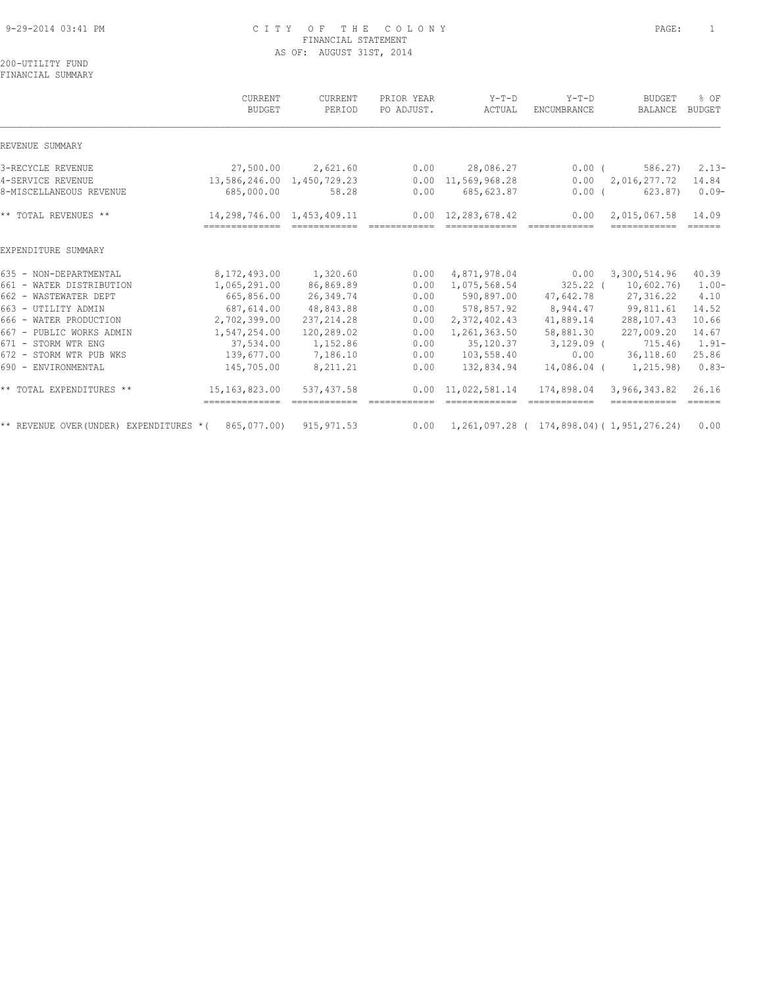## 9-29-2014 03:41 PM C I T Y O F T H E C O L O N Y PAGE: 1 FINANCIAL STATEMENT AS OF: AUGUST 31ST, 2014

200-UTILITY FUND FINANCIAL SUMMARY

|                                                                    | CURRENT<br><b>BUDGET</b>                     | <b>CURRENT</b><br>PERIOD                                                                                                                                                                                                                                                                                                                                                                                                                                                               | PRIOR YEAR<br>PO ADJUST. | $Y-T-D$<br>ACTUAL                                                 | $Y-T-D$<br><b>ENCUMBRANCE</b> | <b>BUDGET</b><br>BALANCE     | $8$ OF<br><b>BUDGET</b>      |
|--------------------------------------------------------------------|----------------------------------------------|----------------------------------------------------------------------------------------------------------------------------------------------------------------------------------------------------------------------------------------------------------------------------------------------------------------------------------------------------------------------------------------------------------------------------------------------------------------------------------------|--------------------------|-------------------------------------------------------------------|-------------------------------|------------------------------|------------------------------|
| REVENUE SUMMARY                                                    |                                              |                                                                                                                                                                                                                                                                                                                                                                                                                                                                                        |                          |                                                                   |                               |                              |                              |
| 3-RECYCLE REVENUE                                                  | 27,500.00                                    | 2,621.60                                                                                                                                                                                                                                                                                                                                                                                                                                                                               | 0.00                     | 28,086.27                                                         | $0.00$ (                      | 586.27)                      | $2.13-$                      |
| 4-SERVICE REVENUE                                                  | 13,586,246.00 1,450,729.23                   |                                                                                                                                                                                                                                                                                                                                                                                                                                                                                        | 0.00                     | 11,569,968.28                                                     | 0.00                          | 2,016,277.72                 | 14.84                        |
| 8-MISCELLANEOUS REVENUE                                            | 685,000.00                                   | 58.28                                                                                                                                                                                                                                                                                                                                                                                                                                                                                  | 0.00                     | 685, 623.87                                                       | $0.00$ (                      | 623.87)                      | $0.09-$                      |
| ** TOTAL REVENUES **                                               | 14,298,746.00 1,453,409.11<br>-------------- | $\begin{array}{cccccccccc} \multicolumn{2}{c}{} & \multicolumn{2}{c}{} & \multicolumn{2}{c}{} & \multicolumn{2}{c}{} & \multicolumn{2}{c}{} & \multicolumn{2}{c}{} & \multicolumn{2}{c}{} & \multicolumn{2}{c}{} & \multicolumn{2}{c}{} & \multicolumn{2}{c}{} & \multicolumn{2}{c}{} & \multicolumn{2}{c}{} & \multicolumn{2}{c}{} & \multicolumn{2}{c}{} & \multicolumn{2}{c}{} & \multicolumn{2}{c}{} & \multicolumn{2}{c}{} & \multicolumn{2}{c}{} & \multicolumn{2}{c}{} & \mult$ |                          | $0.00 \quad 12,283,678.42$<br>-------------                       | 0.00<br>essessesses           | 2,015,067.58<br>------------ | 14.09                        |
| EXPENDITURE SUMMARY                                                |                                              |                                                                                                                                                                                                                                                                                                                                                                                                                                                                                        |                          |                                                                   |                               |                              |                              |
| 635 - NON-DEPARTMENTAL                                             | 8,172,493.00                                 | 1,320.60                                                                                                                                                                                                                                                                                                                                                                                                                                                                               | 0.00                     | 4,871,978.04                                                      | 0.00                          | 3,300,514.96                 | 40.39                        |
| 661 - WATER DISTRIBUTION                                           | 1,065,291.00                                 | 86,869.89                                                                                                                                                                                                                                                                                                                                                                                                                                                                              | 0.00                     | 1,075,568.54                                                      |                               | 325.22 ( 10,602.76)          | $1.00 -$                     |
| 662 - WASTEWATER DEPT                                              | 665,856.00                                   | 26,349.74                                                                                                                                                                                                                                                                                                                                                                                                                                                                              | 0.00                     | 590,897.00                                                        | 47,642.78                     | 27,316.22                    | 4.10                         |
| 663 - UTILITY ADMIN                                                | 687,614.00                                   | 48,843.88                                                                                                                                                                                                                                                                                                                                                                                                                                                                              | 0.00                     | 578,857.92                                                        |                               | 8,944.47 99,811.61           | 14.52                        |
| 666 - WATER PRODUCTION                                             | 2,702,399.00                                 | 237, 214.28                                                                                                                                                                                                                                                                                                                                                                                                                                                                            | 0.00                     | 2,372,402.43                                                      | 41,889.14                     | 288,107.43                   | 10.66                        |
| 667 - PUBLIC WORKS ADMIN                                           | 1,547,254.00                                 | 120,289.02                                                                                                                                                                                                                                                                                                                                                                                                                                                                             | 0.00                     | 1,261,363.50                                                      | 58,881.30                     | 227,009.20                   | 14.67                        |
| 671 - STORM WTR ENG                                                | 37,534.00                                    | 1,152.86                                                                                                                                                                                                                                                                                                                                                                                                                                                                               | 0.00                     | 35,120.37                                                         | $3,129.09$ (                  | 715.46)                      | $1.91 -$                     |
| 672 - STORM WTR PUB WKS                                            | 139,677.00                                   | 7,186.10                                                                                                                                                                                                                                                                                                                                                                                                                                                                               | 0.00                     | 103,558.40                                                        | 0.00                          | 36,118.60                    | 25.86                        |
| 690 - ENVIRONMENTAL                                                | 145,705.00                                   | 8, 211.21                                                                                                                                                                                                                                                                                                                                                                                                                                                                              | 0.00                     | 132,834.94                                                        | 14,086.04 (                   | 1,215.98)                    | $0.83-$                      |
| ** TOTAL EXPENDITURES **                                           | 15,163,823.00                                | 537, 437.58                                                                                                                                                                                                                                                                                                                                                                                                                                                                            |                          | $0.00 \quad 11,022,581.14$                                        | 174,898.04                    | 3,966,343.82                 | 26.16<br>$=$ $=$ $=$ $=$ $=$ |
| ** REVENUE OVER (UNDER) EXPENDITURES * $(865, 077.00)$ 915, 971.53 |                                              |                                                                                                                                                                                                                                                                                                                                                                                                                                                                                        |                          | $0.00 \quad 1,261,097.28 \quad (174,898.04) \quad (1,951,276.24)$ |                               |                              | 0.00                         |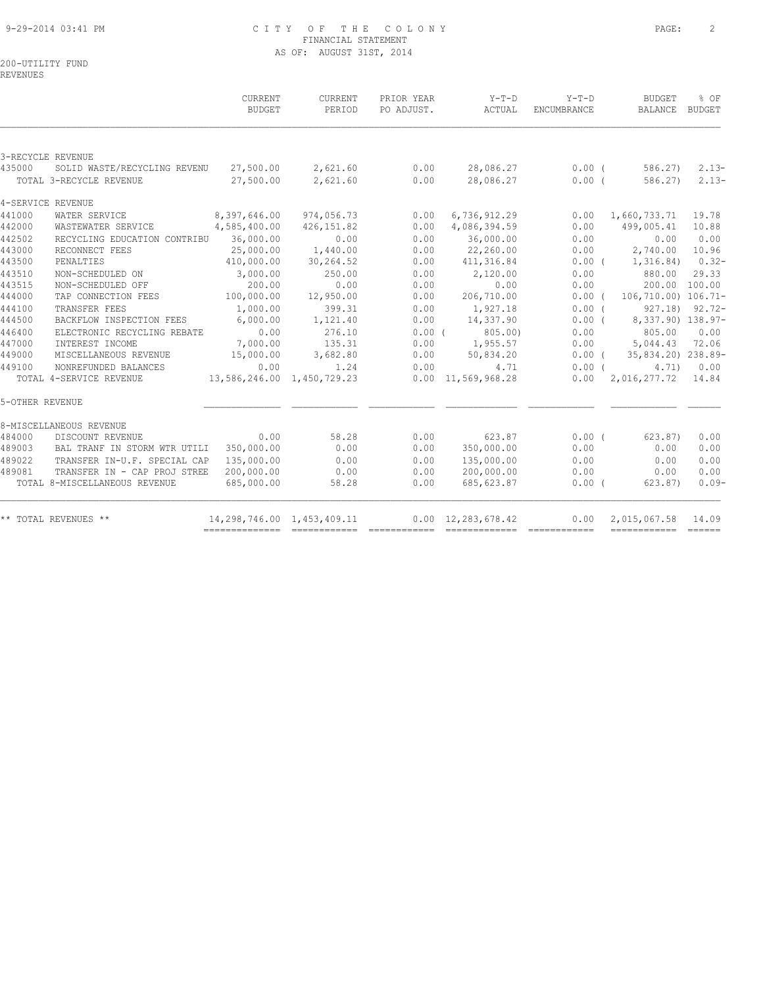## 9-29-2014 03:41 PM C I T Y O F T H E C O L O N Y PAGE: 2 FINANCIAL STATEMENT AS OF: AUGUST 31ST, 2014

200-UTILITY FUND

REVENUES

|                 |                               | CURRENT<br><b>BUDGET</b>   | CURRENT<br>PERIOD | PRIOR YEAR<br>PO ADJUST. | $Y-T-D$<br>ACTUAL          | $Y-T-D$<br>ENCUMBRANCE | <b>BUDGET</b><br>BALANCE              | % OF<br>BUDGET |
|-----------------|-------------------------------|----------------------------|-------------------|--------------------------|----------------------------|------------------------|---------------------------------------|----------------|
|                 |                               |                            |                   |                          |                            |                        |                                       |                |
|                 | 3-RECYCLE REVENUE             |                            |                   |                          |                            |                        |                                       |                |
| 435000          | SOLID WASTE/RECYCLING REVENU  | 27,500.00                  | 2,621.60          | 0.00                     | 28,086.27                  | $0.00$ (               | 586.27)                               | $2.13-$        |
|                 | TOTAL 3-RECYCLE REVENUE       | 27,500.00                  | 2,621.60          | 0.00                     | 28,086.27                  | $0.00$ (               | 586.27)                               | $2.13-$        |
|                 | 4-SERVICE REVENUE             |                            |                   |                          |                            |                        |                                       |                |
| 441000          | WATER SERVICE                 | 8,397,646.00               | 974,056.73        | 0.00                     | 6,736,912.29               |                        | $0.00 \quad 1,660,733.71$             | 19.78          |
| 442000          | WASTEWATER SERVICE            | 4,585,400.00               | 426, 151.82       | 0.00                     | 4,086,394.59               | 0.00                   | 499,005.41                            | 10.88          |
| 442502          | RECYCLING EDUCATION CONTRIBU  | 36,000.00                  | 0.00              | 0.00                     | 36,000.00                  | 0.00                   | 0.00                                  | 0.00           |
| 443000          | RECONNECT FEES                | 25,000.00                  | 1,440.00          | 0.00                     | 22,260.00                  | 0.00                   | 2,740.00                              | 10.96          |
| 443500          | PENALTIES                     | 410,000.00                 | 30,264.52         | 0.00                     | 411,316.84                 |                        | $0.00$ ( $1,316.84$ ) $0.32-$         |                |
| 443510          | NON-SCHEDULED ON              | 3,000.00                   | 250.00            | 0.00                     | 2,120.00                   | 0.00                   | 880.00                                | 29.33          |
| 443515          | NON-SCHEDULED OFF             | 200.00                     | 0.00              | 0.00                     | 0.00                       | 0.00                   | 200.00 100.00                         |                |
| 444000          | TAP CONNECTION FEES           | 100,000.00                 | 12,950.00         | 0.00                     | 206,710.00                 | $0.00$ (               | 106,710.00) 106.71-                   |                |
| 444100          | TRANSFER FEES                 | 1,000.00                   | 399.31            | 0.00                     | 1,927.18                   | $0.00$ (               | 927.18) 92.72-                        |                |
| 444500          | BACKFLOW INSPECTION FEES      | 6,000.00                   | 1,121.40          | 0.00                     | 14,337.90                  | $0.00$ (               | 8,337.90) 138.97-                     |                |
| 446400          | ELECTRONIC RECYCLING REBATE   | 0.00                       | 276.10            | $0.00$ $($               | 805.00)                    |                        | $0.00$ 805.00                         | 0.00           |
| 447000          | INTEREST INCOME               | 7,000.00                   | 135.31            | 0.00                     | 1,955.57                   | 0.00                   | 5,044.43                              | 72.06          |
| 449000          | MISCELLANEOUS REVENUE         | 15,000.00                  | 3,682.80          | 0.00                     | 50,834.20                  |                        | $0.00$ ( $35,834.20$ ) 238.89-        |                |
| 449100          | NONREFUNDED BALANCES          | 0.00                       | 1.24              | 0.00                     | 4.71                       | $0.00$ (               | 4.71)                                 | 0.00           |
|                 | TOTAL 4-SERVICE REVENUE       | 13,586,246.00 1,450,729.23 |                   |                          | $0.00 \quad 11,569,968.28$ |                        | $0.00 \quad 2,016,277.72 \quad 14.84$ |                |
| 5-OTHER REVENUE |                               |                            |                   |                          |                            |                        |                                       |                |
|                 | 8-MISCELLANEOUS REVENUE       |                            |                   |                          |                            |                        |                                       |                |
| 484000          | DISCOUNT REVENUE              | 0.00                       | 58.28             | 0.00                     | 623.87                     | $0.00$ (               | 623.87)                               | 0.00           |
| 489003          | BAL TRANF IN STORM WTR UTILI  | 350,000.00                 | 0.00              | 0.00                     | 350,000.00                 | 0.00                   | 0.00                                  | 0.00           |
| 489022          | TRANSFER IN-U.F. SPECIAL CAP  | 135,000.00                 | 0.00              | 0.00                     | 135,000.00                 | 0.00                   | 0.00                                  | 0.00           |
| 489081          | TRANSFER IN - CAP PROJ STREE  | 200,000.00                 | 0.00              | 0.00                     | 200,000.00                 | 0.00                   | 0.00                                  | 0.00           |
|                 | TOTAL 8-MISCELLANEOUS REVENUE | 685,000.00                 | 58.28             | 0.00                     | 685, 623.87                | $0.00$ (               | 623.87)                               | $0.09-$        |
|                 | ** TOTAL REVENUES **          | 14,298,746.00 1,453,409.11 |                   |                          | $0.00 \quad 12,283,678.42$ | 0.00                   | 2,015,067.58                          | 14.09          |
|                 |                               |                            |                   |                          |                            |                        | =======================               |                |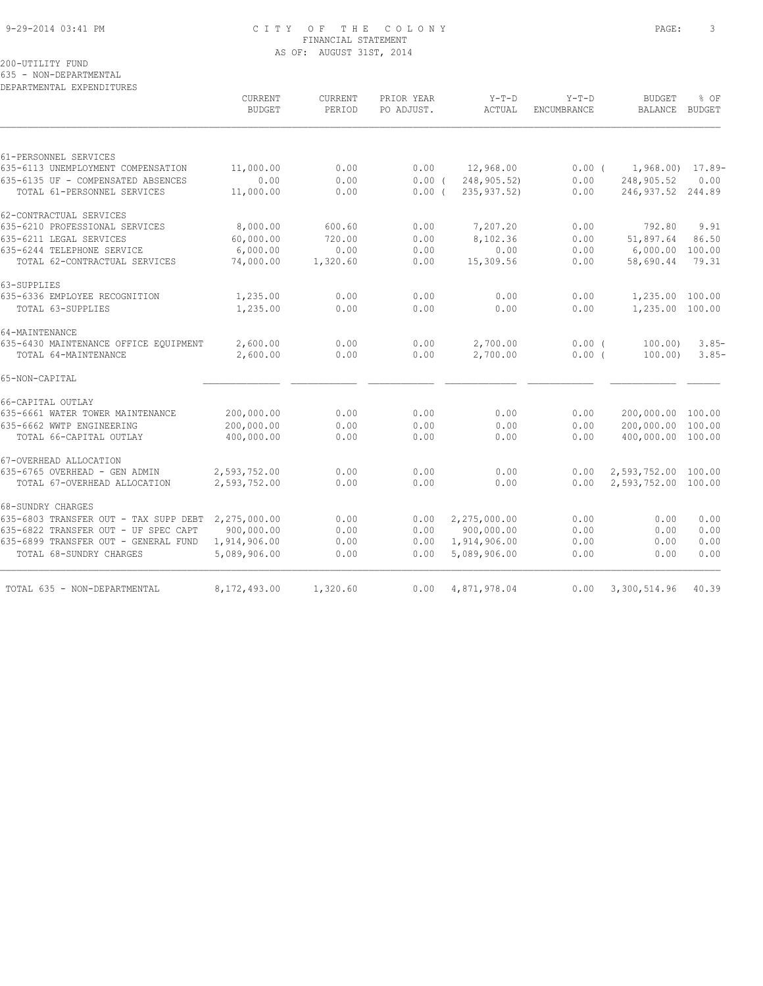#### 9-29-2014 03:41 PM C I T Y O F T H E C O L O N Y PAGE: 3 FINANCIAL STATEMENT AS OF: AUGUST 31ST, 2014

200-UTILITY FUND

635 - NON-DEPARTMENTAL

DEPARTMENTAL EXPENDITURES

| 248,905.52<br>792.80<br>51,897.64<br>6,000.00 | $1,968.00$ $17.89-$<br>0.00<br>246, 937.52 244.89<br>9.91<br>86.50                                 |
|-----------------------------------------------|----------------------------------------------------------------------------------------------------|
|                                               |                                                                                                    |
|                                               |                                                                                                    |
|                                               |                                                                                                    |
|                                               |                                                                                                    |
|                                               |                                                                                                    |
|                                               |                                                                                                    |
|                                               |                                                                                                    |
|                                               | 100.00                                                                                             |
|                                               | 79.31                                                                                              |
|                                               |                                                                                                    |
|                                               |                                                                                                    |
|                                               |                                                                                                    |
|                                               |                                                                                                    |
|                                               | $3.85-$                                                                                            |
|                                               | $3.85-$                                                                                            |
|                                               |                                                                                                    |
|                                               |                                                                                                    |
| 200,000.00 100.00                             |                                                                                                    |
|                                               | 100.00                                                                                             |
| 400,000.00 100.00                             |                                                                                                    |
|                                               |                                                                                                    |
| 2,593,752.00 100.00                           |                                                                                                    |
| 2,593,752.00 100.00                           |                                                                                                    |
|                                               |                                                                                                    |
| 0.00                                          | 0.00                                                                                               |
| 0.00                                          | 0.00                                                                                               |
| 0.00                                          | 0.00                                                                                               |
| 0.00                                          | 0.00                                                                                               |
|                                               | 40.39                                                                                              |
|                                               | 58,690.44<br>1,235.00 100.00<br>1,235.00 100.00<br>100.00)<br>100.00<br>200,000.00<br>3,300,514.96 |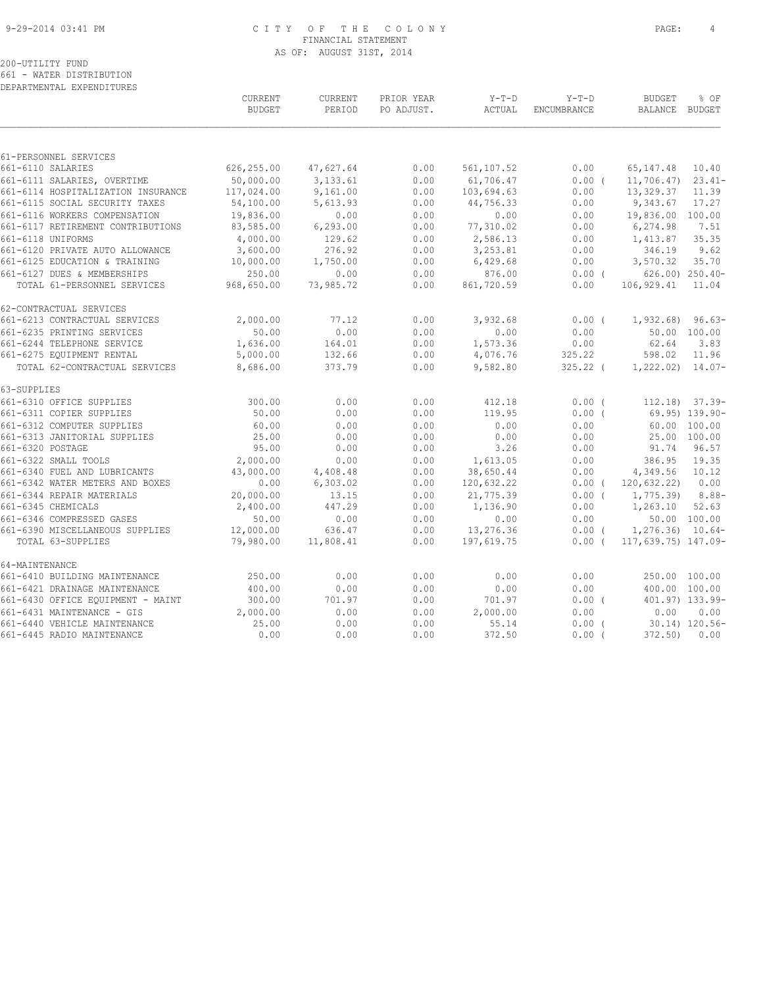#### 9-29-2014 03:41 PM C I T Y O F T H E C O L O N Y PAGE: 4 FINANCIAL STATEMENT AS OF: AUGUST 31ST, 2014

# 200-UTILITY FUND

661 - WATER DISTRIBUTION DEPARTMENTAL EXPENDITURES

|                                                                 | CURRENT<br><b>BUDGET</b> | CURRENT<br>PERIOD    | PRIOR YEAR<br>PO ADJUST. | $Y-T-D$<br>ACTUAL     | $Y-T-D$<br><b>ENCUMBRANCE</b> | <b>BUDGET</b><br>BALANCE BUDGET | % OF                 |
|-----------------------------------------------------------------|--------------------------|----------------------|--------------------------|-----------------------|-------------------------------|---------------------------------|----------------------|
|                                                                 |                          |                      |                          |                       |                               |                                 |                      |
| 61-PERSONNEL SERVICES                                           |                          |                      |                          |                       |                               |                                 |                      |
| 661-6110 SALARIES                                               | 626,255.00               | 47,627.64            | 0.00                     | 561,107.52            | 0.00                          | 65, 147.48                      | 10.40                |
| 661-6111 SALARIES, OVERTIME                                     | 50,000.00                | 3,133.61             | 0.00                     | 61,706.47             | 0.00(                         | $11,706.47$ )                   | $23.41-$             |
| 661-6114 HOSPITALIZATION INSURANCE                              | 117,024.00               | 9,161.00             | 0.00<br>0.00             | 103,694.63            | 0.00                          | 13,329.37<br>9,343.67           | 11.39                |
| 661-6115 SOCIAL SECURITY TAXES<br>661-6116 WORKERS COMPENSATION | 54,100.00<br>19,836.00   | 5,613.93<br>0.00     | 0.00                     | 44,756.33<br>0.00     | 0.00<br>0.00                  | 19,836.00 100.00                | 17.27                |
| 661-6117 RETIREMENT CONTRIBUTIONS                               | 83,585.00                | 6, 293.00            | 0.00                     | 77,310.02             | 0.00                          | 6,274.98                        | 7.51                 |
| 661-6118 UNIFORMS                                               | 4,000.00                 | 129.62               | 0.00                     | 2,586.13              | 0.00                          | 1,413.87                        | 35.35                |
| 661-6120 PRIVATE AUTO ALLOWANCE                                 | 3,600.00                 | 276.92               | 0.00                     | 3,253.81              | 0.00                          | 346.19                          | 9.62                 |
| 661-6125 EDUCATION & TRAINING                                   | 10,000.00                | 1,750.00             | 0.00                     | 6,429.68              | 0.00                          | 3,570.32                        | 35.70                |
| 661-6127 DUES & MEMBERSHIPS                                     | 250.00                   | 0.00                 | 0.00                     | 876.00                | $0.00$ (                      |                                 | $626.00$ ) $250.40-$ |
| TOTAL 61-PERSONNEL SERVICES                                     | 968,650.00               | 73,985.72            | 0.00                     | 861,720.59            | 0.00                          | 106,929.41                      | 11.04                |
| 62-CONTRACTUAL SERVICES                                         |                          |                      |                          |                       |                               |                                 |                      |
| 661-6213 CONTRACTUAL SERVICES                                   | 2,000.00                 | 77.12                | 0.00                     | 3,932.68              | $0.00$ (                      | $1,932.68$ 96.63-               |                      |
| 661-6235 PRINTING SERVICES                                      | 50.00                    | 0.00                 | 0.00                     | 0.00                  | 0.00                          |                                 | 50.00 100.00         |
| 661-6244 TELEPHONE SERVICE                                      | 1,636.00                 | 164.01               | 0.00                     | 1,573.36              | 0.00                          | 62.64                           | 3.83                 |
| 661-6275 EQUIPMENT RENTAL                                       | 5,000.00                 | 132.66               | 0.00                     | 4,076.76              | 325.22                        | 598.02                          | 11.96                |
| TOTAL 62-CONTRACTUAL SERVICES                                   | 8,686.00                 | 373.79               | 0.00                     | 9,582.80              | $325.22$ (                    | $1,222.02$ $14.07-$             |                      |
| 63-SUPPLIES                                                     |                          |                      |                          |                       |                               |                                 |                      |
| 661-6310 OFFICE SUPPLIES                                        | 300.00                   | 0.00                 | 0.00                     | 412.18                | $0.00$ (                      |                                 | $112.18$ $37.39$     |
| 661-6311 COPIER SUPPLIES                                        | 50.00                    | 0.00                 | 0.00                     | 119.95                | $0.00$ (                      |                                 | 69.95) 139.90-       |
| 661-6312 COMPUTER SUPPLIES                                      | 60.00                    | 0.00                 | 0.00                     | 0.00                  | 0.00                          |                                 | 60.00 100.00         |
| 661-6313 JANITORIAL SUPPLIES                                    | 25.00                    | 0.00                 | 0.00                     | 0.00                  | 0.00                          |                                 | 25.00 100.00         |
| 661-6320 POSTAGE                                                | 95.00                    | 0.00                 | 0.00                     | 3.26                  | 0.00                          | 91.74                           | 96.57                |
| 661-6322 SMALL TOOLS<br>661-6340 FUEL AND LUBRICANTS            | 2,000.00                 | 0.00                 | 0.00<br>0.00             | 1,613.05<br>38,650.44 | 0.00<br>0.00                  | 386.95<br>4,349.56              | 19.35<br>10.12       |
| 661-6342 WATER METERS AND BOXES                                 | 43,000.00<br>0.00        | 4,408.48<br>6,303.02 | 0.00                     | 120,632.22            | $0.00$ (                      | 120,632.22) 0.00                |                      |
| 661-6344 REPAIR MATERIALS                                       | 20,000.00                | 13.15                | 0.00                     | 21,775.39             | $0.00$ (                      | 1,775.39                        | $8.88-$              |
| 661-6345 CHEMICALS                                              | 2,400.00                 | 447.29               | 0.00                     | 1,136.90              | 0.00                          | 1,263.10                        | 52.63                |
| 661-6346 COMPRESSED GASES                                       | 50.00                    | 0.00                 | 0.00                     | 0.00                  | 0.00                          |                                 | 50.00 100.00         |
| 661-6390 MISCELLANEOUS SUPPLIES                                 | 12,000.00                | 636.47               | 0.00                     | 13,276.36             | $0.00$ (                      | $1, 276.36$ $10.64-$            |                      |
| TOTAL 63-SUPPLIES                                               | 79,980.00                | 11,808.41            | 0.00                     | 197,619.75            | 0.00(                         | 117,639.75) 147.09-             |                      |
| 64-MAINTENANCE                                                  |                          |                      |                          |                       |                               |                                 |                      |
| 661-6410 BUILDING MAINTENANCE                                   | 250.00                   | 0.00                 | 0.00                     | 0.00                  | 0.00                          |                                 | 250.00 100.00        |
| 661-6421 DRAINAGE MAINTENANCE                                   | 400.00                   | 0.00                 | 0.00                     | 0.00                  | 0.00                          | 400.00 100.00                   |                      |
| 661-6430 OFFICE EQUIPMENT - MAINT                               | 300.00                   | 701.97               | 0.00                     | 701.97                | $0.00$ (                      |                                 | 401.97) 133.99-      |
| 661-6431 MAINTENANCE - GIS                                      | 2,000.00                 | 0.00                 | 0.00                     | 2,000.00              | 0.00                          | 0.00                            | 0.00                 |
| 661-6440 VEHICLE MAINTENANCE                                    | 25.00                    | 0.00                 | 0.00                     | 55.14                 | $0.00$ (                      |                                 | 30.14) 120.56-       |
| 661-6445 RADIO MAINTENANCE                                      | 0.00                     | 0.00                 | 0.00                     | 372.50                | $0.00$ (                      | 372.50                          | 0.00                 |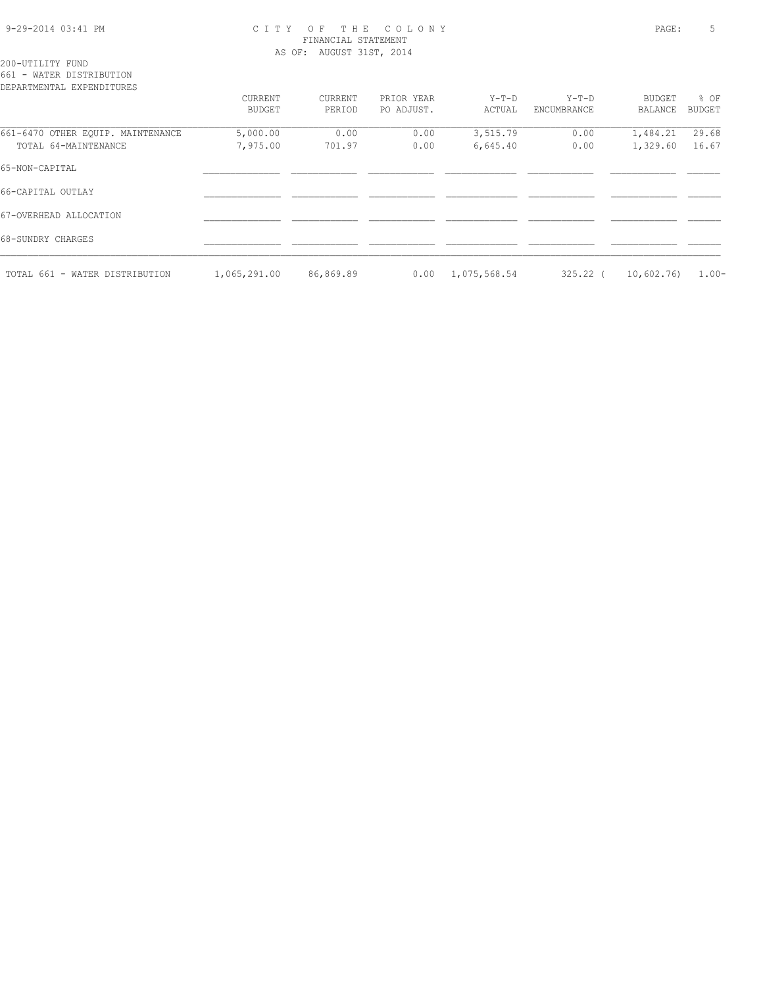#### 9-29-2014 03:41 PM C I T Y O F T H E C O L O N Y PAGE: 5 FINANCIAL STATEMENT AS OF: AUGUST 31ST, 2014

200-UTILITY FUND 661 - WATER DISTRIBUTION

| DEPARTMENTAL EXPENDITURES         |               |           |            |              |             |                |               |
|-----------------------------------|---------------|-----------|------------|--------------|-------------|----------------|---------------|
|                                   | CURRENT       | CURRENT   | PRIOR YEAR | $Y-T-D$      | $Y-T-D$     | BUDGET         | $8$ OF        |
|                                   | <b>BUDGET</b> | PERIOD    | PO ADJUST. | ACTUAL       | ENCUMBRANCE | <b>BALANCE</b> | <b>BUDGET</b> |
|                                   |               |           |            |              |             |                |               |
| 661-6470 OTHER EQUIP. MAINTENANCE | 5,000.00      | 0.00      | 0.00       | 3,515.79     | 0.00        | 1,484.21       | 29.68         |
| TOTAL 64-MAINTENANCE              | 7,975.00      | 701.97    | 0.00       | 6,645.40     | 0.00        | 1,329.60       | 16.67         |
| 65-NON-CAPITAL                    |               |           |            |              |             |                |               |
| 66-CAPITAL OUTLAY                 |               |           |            |              |             |                |               |
| 67-OVERHEAD ALLOCATION            |               |           |            |              |             |                |               |
| 68-SUNDRY CHARGES                 |               |           |            |              |             |                |               |
| TOTAL 661 - WATER DISTRIBUTION    | 1,065,291.00  | 86,869.89 | 0.00       | 1,075,568.54 | $325.22$ (  | 10,602.76)     | $1.00 -$      |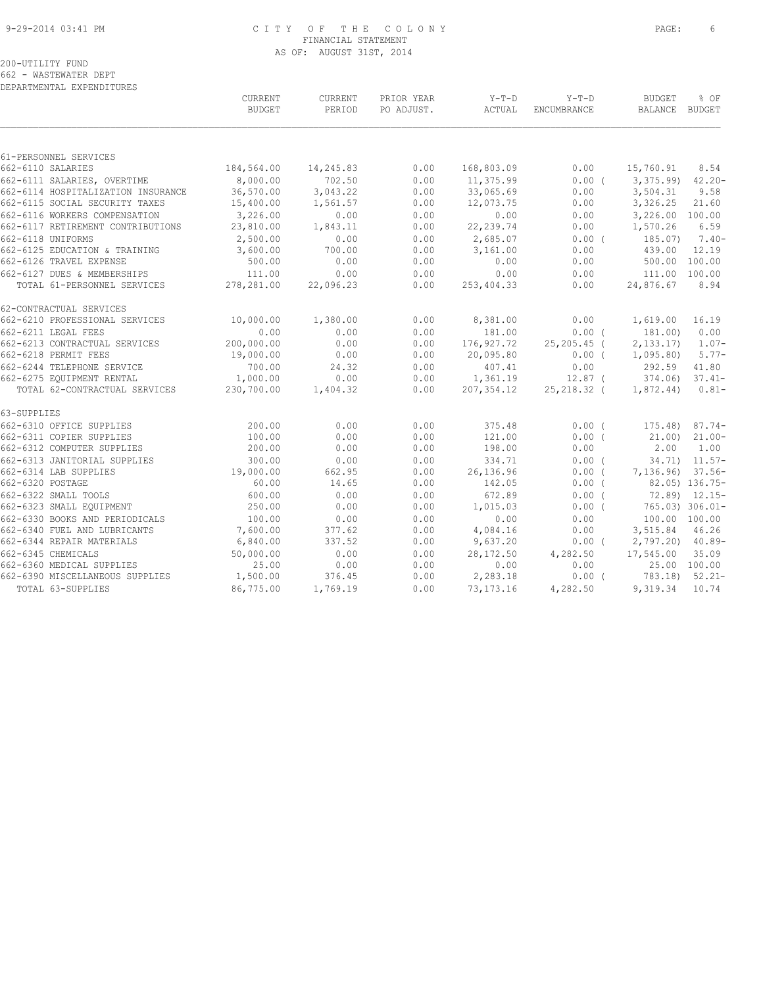#### 9-29-2014 03:41 PM C I T Y O F T H E C O L O N Y PAGE: 6 FINANCIAL STATEMENT AS OF: AUGUST 31ST, 2014

662 - WASTEWATER DEPT DEPARTMENTAL EXPENDITURES

|                                    | CURRENT<br><b>BUDGET</b> | CURRENT<br>PERIOD | PRIOR YEAR<br>PO ADJUST. | $Y-T-D$<br>ACTUAL | $Y-T-D$<br>ENCUMBRANCE | <b>BUDGET</b><br>BALANCE BUDGET | % OF               |
|------------------------------------|--------------------------|-------------------|--------------------------|-------------------|------------------------|---------------------------------|--------------------|
|                                    |                          |                   |                          |                   |                        |                                 |                    |
| 61-PERSONNEL SERVICES              |                          |                   |                          |                   |                        |                                 |                    |
| 662-6110 SALARIES                  | 184,564.00               | 14,245.83         | 0.00                     | 168,803.09        | 0.00                   | 15,760.91                       | 8.54               |
| 662-6111 SALARIES, OVERTIME        | 8,000.00                 | 702.50            | 0.00                     | 11,375.99         | $0.00$ (               | 3,375.99                        | $42.20 -$          |
| 662-6114 HOSPITALIZATION INSURANCE | 36,570.00                | 3,043.22          | 0.00                     | 33,065.69         | 0.00                   | 3,504.31                        | 9.58               |
| 662-6115 SOCIAL SECURITY TAXES     | 15,400.00                | 1,561.57          | 0.00                     | 12,073.75         | 0.00                   | 3,326.25                        | 21.60              |
| 662-6116 WORKERS COMPENSATION      | 3,226.00                 | 0.00              | 0.00                     | 0.00              | 0.00                   | 3,226.00 100.00                 |                    |
| 662-6117 RETIREMENT CONTRIBUTIONS  | 23,810.00                | 1,843.11          | 0.00                     | 22, 239.74        | 0.00                   | 1,570.26                        | 6.59               |
| 662-6118 UNIFORMS                  | 2,500.00                 | 0.00              | 0.00                     | 2,685.07          | $0.00$ (               | 185.07)                         | $7.40-$            |
| 662-6125 EDUCATION & TRAINING      | 3,600.00                 | 700.00            | 0.00                     | 3,161.00          | 0.00                   | 439.00                          | 12.19              |
| 662-6126 TRAVEL EXPENSE            | 500.00                   | 0.00              | 0.00                     | 0.00              | 0.00                   | 500.00 100.00                   |                    |
| 662-6127 DUES & MEMBERSHIPS        | 111.00                   | 0.00              | 0.00                     | 0.00              | 0.00                   | 111.00 100.00                   |                    |
| TOTAL 61-PERSONNEL SERVICES        | 278,281.00               | 22,096.23         | 0.00                     | 253,404.33        | 0.00                   | 24,876.67                       | 8.94               |
| 62-CONTRACTUAL SERVICES            |                          |                   |                          |                   |                        |                                 |                    |
| 662-6210 PROFESSIONAL SERVICES     | 10,000.00                | 1,380.00          | 0.00                     | 8,381.00          | 0.00                   | 1,619.00                        | 16.19              |
| 662-6211 LEGAL FEES                | 0.00                     | 0.00              | 0.00                     | 181.00            | 0.00(                  | 181.00)                         | 0.00               |
| 662-6213 CONTRACTUAL SERVICES      | 200,000.00               | 0.00              | 0.00                     | 176,927.72        | $25, 205, 45$ (        | 2, 133, 17)                     | $1.07-$            |
| 662-6218 PERMIT FEES               | 19,000.00                | 0.00              | 0.00                     | 20,095.80         | $0.00$ (               | 1,095.80                        | $5.77-$            |
| 662-6244 TELEPHONE SERVICE         | 700.00                   | 24.32             | 0.00                     | 407.41            | 0.00                   | 292.59                          | 41.80              |
| 662-6275 EQUIPMENT RENTAL          | 1,000.00                 | 0.00              | 0.00                     | 1,361.19          | $12.87$ (              | 374.06)                         | $37.41-$           |
| TOTAL 62-CONTRACTUAL SERVICES      | 230,700.00               | 1,404.32          | 0.00                     | 207,354.12        | 25,218.32 (            | 1,872.44)                       | $0.81 -$           |
| 63-SUPPLIES                        |                          |                   |                          |                   |                        |                                 |                    |
| 662-6310 OFFICE SUPPLIES           | 200.00                   | 0.00              | 0.00                     | 375.48            | 0.00(                  | $175.48$ ) 87.74-               |                    |
| 662-6311 COPIER SUPPLIES           | 100.00                   | 0.00              | 0.00                     | 121.00            | 0.00(                  | 21.00                           | $21.00 -$          |
| 662-6312 COMPUTER SUPPLIES         | 200.00                   | 0.00              | 0.00                     | 198.00            | 0.00                   | 2.00                            | 1.00               |
| 662-6313 JANITORIAL SUPPLIES       | 300.00                   | 0.00              | 0.00                     | 334.71            | 0.00(                  |                                 | $34.71$ ) $11.57-$ |
| 662-6314 LAB SUPPLIES              | 19,000.00                | 662.95            | 0.00                     | 26,136.96         | 0.00(                  | 7,136.96) 37.56-                |                    |
| 662-6320 POSTAGE                   | 60.00                    | 14.65             | 0.00                     | 142.05            | $0.00$ (               |                                 | 82.05) 136.75-     |
| 662-6322 SMALL TOOLS               | 600.00                   | 0.00              | 0.00                     | 672.89            | 0.00(                  |                                 | $72.89$ $12.15-$   |
| 662-6323 SMALL EQUIPMENT           | 250.00                   | 0.00              | 0.00                     | 1,015.03          | $0.00$ (               |                                 | 765.03) 306.01-    |
| 662-6330 BOOKS AND PERIODICALS     | 100.00                   | 0.00              | 0.00                     | 0.00              | 0.00                   | 100.00 100.00                   |                    |
| 662-6340 FUEL AND LUBRICANTS       | 7,600.00                 | 377.62            | 0.00                     | 4,084.16          | 0.00                   | 3,515.84                        | 46.26              |
| 662-6344 REPAIR MATERIALS          | 6,840.00                 | 337.52            | 0.00                     | 9,637.20          | $0.00$ (               | $2,797.20$ 40.89-               |                    |
| 662-6345 CHEMICALS                 | 50,000.00                | 0.00              | 0.00                     | 28,172.50         | 4,282.50               | 17,545.00                       | 35.09              |
| 662-6360 MEDICAL SUPPLIES          | 25.00                    | 0.00              | 0.00                     | 0.00              | 0.00                   |                                 | 25.00 100.00       |
| 662-6390 MISCELLANEOUS SUPPLIES    | 1,500.00                 | 376.45            | 0.00                     | 2,283.18          | $0.00$ (               | 783.18) 52.21-                  |                    |
| TOTAL 63-SUPPLIES                  | 86,775.00                | 1,769.19          | 0.00                     | 73, 173. 16       | 4,282.50               | 9,319.34 10.74                  |                    |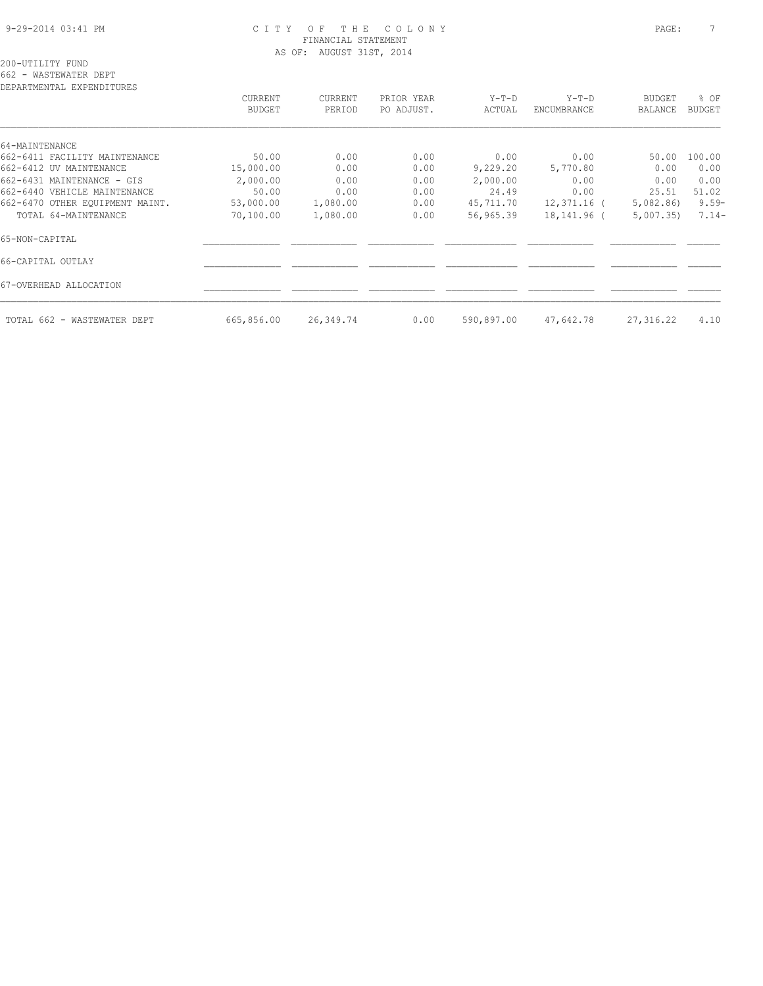#### 9-29-2014 03:41 PM C I T Y O F T H E C O L O N Y PAGE: 7 FINANCIAL STATEMENT AS OF: AUGUST 31ST, 2014

| CURRENT       | <b>CURRENT</b> | PRIOR YEAR | $Y-T-D$    | $Y-T-D$     | BUDGET         | % OF          |
|---------------|----------------|------------|------------|-------------|----------------|---------------|
| <b>BUDGET</b> | PERIOD         | PO ADJUST. | ACTUAL     | ENCUMBRANCE | <b>BALANCE</b> | <b>BUDGET</b> |
|               |                |            |            |             |                |               |
|               |                |            |            |             |                |               |
| 50.00         | 0.00           | 0.00       | 0.00       | 0.00        | 50.00          | 100.00        |
| 15,000.00     | 0.00           | 0.00       | 9,229.20   | 5,770.80    | 0.00           | 0.00          |
| 2,000.00      | 0.00           | 0.00       | 2,000.00   | 0.00        | 0.00           | 0.00          |
| 50.00         | 0.00           | 0.00       | 24.49      | 0.00        | 25.51          | 51.02         |
| 53,000.00     | 1,080.00       | 0.00       | 45,711.70  | 12,371.16 ( | 5,082.86       | $9.59 -$      |
| 70,100.00     | 1,080.00       | 0.00       | 56,965.39  | 18,141.96 ( | 5,007.35       | $7.14-$       |
|               |                |            |            |             |                |               |
|               |                |            |            |             |                |               |
|               |                |            |            |             |                |               |
| 665,856.00    | 26,349.74      | 0.00       | 590,897.00 | 47,642.78   | 27,316.22      | 4.10          |
|               |                |            |            |             |                |               |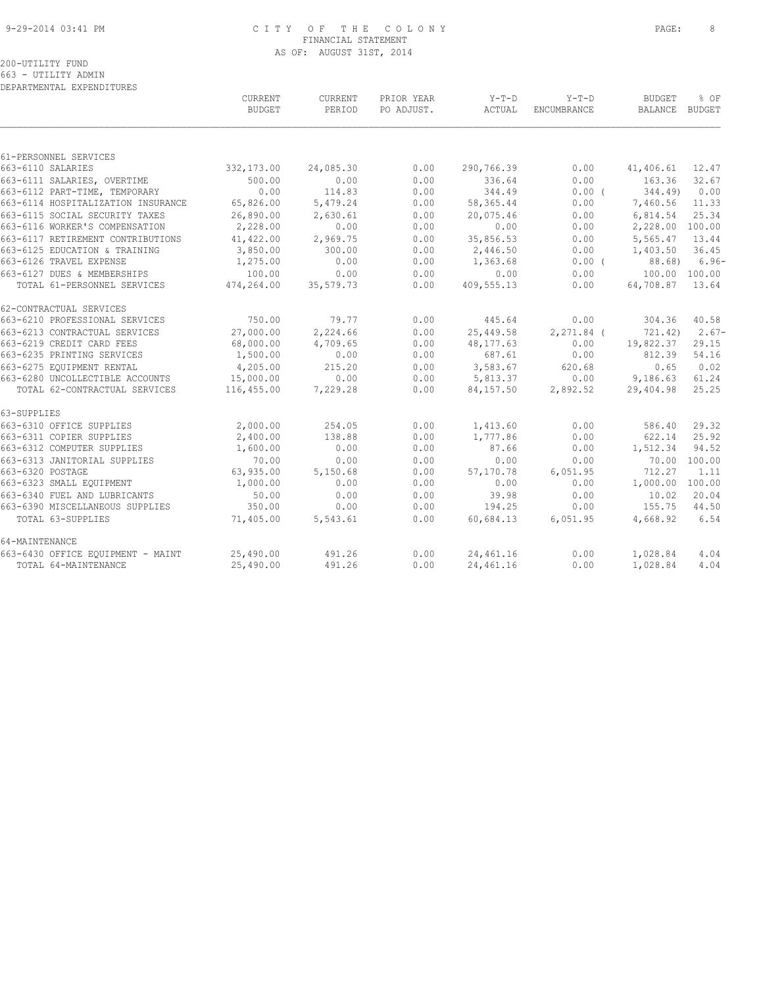#### 9-29-2014 03:41 PM C I T Y O F T H E C O L O N Y PAGE: 8 FINANCIAL STATEMENT AS OF: AUGUST 31ST, 2014

|                                    | CURRENT<br><b>BUDGET</b> | CURRENT<br>PERIOD | PRIOR YEAR<br>PO ADJUST. | $Y-T-D$<br>ACTUAL | $Y-T-D$<br>ENCUMBRANCE | <b>BUDGET</b><br>BALANCE BUDGET | % OF            |
|------------------------------------|--------------------------|-------------------|--------------------------|-------------------|------------------------|---------------------------------|-----------------|
|                                    |                          |                   |                          |                   |                        |                                 |                 |
| 61-PERSONNEL SERVICES              |                          |                   |                          |                   |                        |                                 |                 |
| 663-6110 SALARIES                  | 332,173.00               | 24,085.30         | 0.00                     | 290,766.39        | 0.00                   | 41,406.61                       | 12.47           |
| 663-6111 SALARIES, OVERTIME        | 500.00                   | 0.00              | 0.00                     | 336.64            | 0.00                   | 163.36                          | 32.67           |
| 663-6112 PART-TIME, TEMPORARY      | 0.00                     | 114.83            | 0.00                     | 344.49            | 0.00(                  | 344.49                          | 0.00            |
| 663-6114 HOSPITALIZATION INSURANCE | 65,826.00                | 5,479.24          | 0.00                     | 58,365.44         | 0.00                   | 7,460.56                        | 11.33           |
| 663-6115 SOCIAL SECURITY TAXES     | 26,890.00                | 2,630.61          | 0.00                     | 20,075.46         | 0.00                   | 6,814.54                        | 25.34           |
| 663-6116 WORKER'S COMPENSATION     | 2,228.00                 | 0.00              | 0.00                     | 0.00              | 0.00                   | 2,228.00 100.00                 |                 |
| 663-6117 RETIREMENT CONTRIBUTIONS  | 41,422.00                | 2,969.75          | 0.00                     | 35,856.53         | 0.00                   | 5,565.47                        | 13.44           |
| 663-6125 EDUCATION & TRAINING      | 3,850.00                 | 300.00            | 0.00                     | 2,446.50          | 0.00                   | 1,403.50                        | 36.45           |
| 663-6126 TRAVEL EXPENSE            | 1,275.00                 | 0.00              | 0.00                     | 1,363.68          | $0.00$ (               |                                 | $88.68$ ) 6.96- |
| 663-6127 DUES & MEMBERSHIPS        | 100.00                   | 0.00              | 0.00                     | 0.00              | 0.00                   | 100.00 100.00                   |                 |
| TOTAL 61-PERSONNEL SERVICES        | 474,264.00               | 35,579.73         | 0.00                     | 409,555.13        | 0.00                   | 64,708.87 13.64                 |                 |
| 62-CONTRACTUAL SERVICES            |                          |                   |                          |                   |                        |                                 |                 |
| 663-6210 PROFESSIONAL SERVICES     | 750.00                   | 79.77             | 0.00                     | 445.64            | 0.00                   | 304.36                          | 40.58           |
| 663-6213 CONTRACTUAL SERVICES      | 27,000.00                | 2,224.66          | 0.00                     | 25,449.58         | $2,271.84$ (           | 721.42)                         | $2.67-$         |
| 663-6219 CREDIT CARD FEES          | 68,000.00                | 4,709.65          | 0.00                     | 48,177.63         | 0.00                   | 19,822.37                       | 29.15           |
| 663-6235 PRINTING SERVICES         | 1,500.00                 | 0.00              | 0.00                     | 687.61            | 0.00                   | 812.39                          | 54.16           |
| 663-6275 EQUIPMENT RENTAL          | 4,205.00                 | 215.20            | 0.00                     | 3,583.67          | 620.68                 | 0.65                            | 0.02            |
| 663-6280 UNCOLLECTIBLE ACCOUNTS    | 15,000.00                | 0.00              | 0.00                     | 5,813.37          | 0.00                   | 9,186.63                        | 61.24           |
| TOTAL 62-CONTRACTUAL SERVICES      | 116,455.00               | 7,229.28          | 0.00                     | 84,157.50         | 2,892.52               | 29,404.98                       | 25.25           |
| 63-SUPPLIES                        |                          |                   |                          |                   |                        |                                 |                 |
| 663-6310 OFFICE SUPPLIES           | 2,000.00                 | 254.05            | 0.00                     | 1,413.60          | 0.00                   | 586.40                          | 29.32           |
| 663-6311 COPIER SUPPLIES           | 2,400.00                 | 138.88            | 0.00                     | 1,777.86          | 0.00                   | 622.14                          | 25.92           |
| 663-6312 COMPUTER SUPPLIES         | 1,600.00                 | 0.00              | 0.00                     | 87.66             | 0.00                   | 1,512.34                        | 94.52           |
| 663-6313 JANITORIAL SUPPLIES       | 70.00                    | 0.00              | 0.00                     | 0.00              | 0.00                   |                                 | 70.00 100.00    |
| 663-6320 POSTAGE                   | 63,935.00                | 5,150.68          | 0.00                     | 57,170.78         | 6,051.95               | 712.27                          | 1.11            |
| 663-6323 SMALL EQUIPMENT           | 1,000.00                 | 0.00              | 0.00                     | 0.00              | 0.00                   | 1,000.00 100.00                 |                 |
| 663-6340 FUEL AND LUBRICANTS       | 50.00                    | 0.00              | 0.00                     | 39.98             | 0.00                   | 10.02                           | 20.04           |
| 663-6390 MISCELLANEOUS SUPPLIES    | 350.00                   | 0.00              | 0.00                     | 194.25            | 0.00                   | 155.75                          | 44.50           |
| TOTAL 63-SUPPLIES                  | 71,405.00                | 5,543.61          | 0.00                     | 60,684.13         | 6,051.95               | 4,668.92                        | 6.54            |
| 64-MAINTENANCE                     |                          |                   |                          |                   |                        |                                 |                 |
| 663-6430 OFFICE EQUIPMENT - MAINT  | 25,490.00                | 491.26            | 0.00                     | 24,461.16         | 0.00                   | 1,028.84                        | 4.04            |
| TOTAL 64-MAINTENANCE               | 25,490.00                | 491.26            | 0.00                     | 24,461.16         | 0.00                   | 1,028.84                        | 4.04            |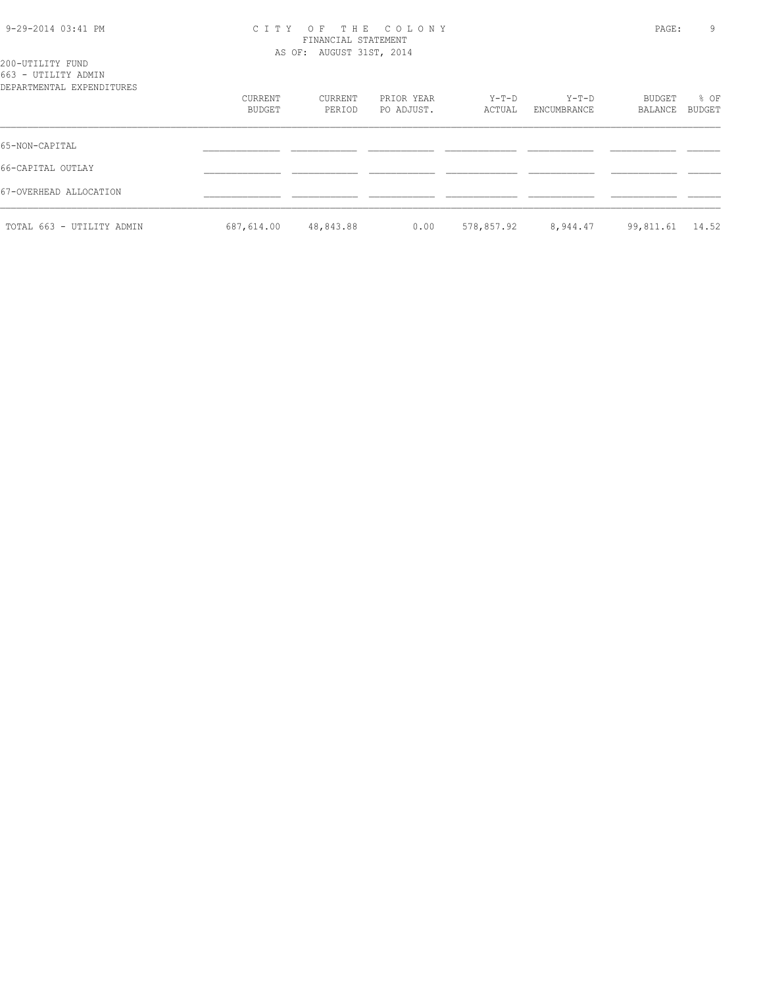| 9-29-2014 03:41 PM |  |  |
|--------------------|--|--|
|--------------------|--|--|

## 9-29-2014 03:41 PM C I T Y O F T H E C O L O N Y PAGE: 9 FINANCIAL STATEMENT AS OF: AUGUST 31ST, 2014

| 200-UTILITY FUND          |                |
|---------------------------|----------------|
| 663 - UTILITY ADMIN       |                |
| DEPARTMENTAL EXPENDITURES |                |
|                           | <b>CURRENT</b> |
|                           | <b>BUDGET</b>  |
|                           |                |
|                           |                |

|                           | BUDGET     |           | PERIOD PO ADJUST. | ACTUAL ENCUMBRANCE                  | BALANCE BUDGET |  |
|---------------------------|------------|-----------|-------------------|-------------------------------------|----------------|--|
| 65-NON-CAPITAL            |            |           |                   |                                     |                |  |
| 66-CAPITAL OUTLAY         |            |           |                   |                                     |                |  |
| 67-OVERHEAD ALLOCATION    |            |           |                   |                                     |                |  |
| TOTAL 663 - UTILITY ADMIN | 687,614.00 | 48,843.88 | 0.00              | 578,857.92 8,944.47 99,811.61 14.52 |                |  |

CURRENT CURRENT PRIOR YEAR Y-T-D Y-T-D BUDGET % OF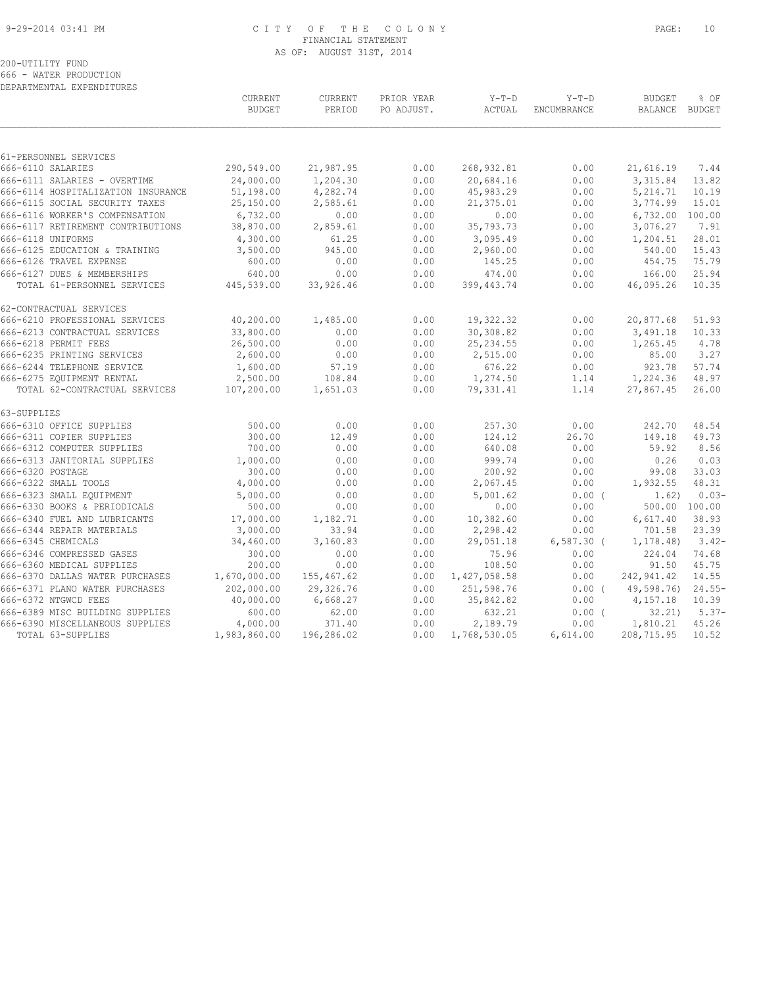#### 9-29-2014 03:41 PM C I T Y O F T H E C O L O N Y PAGE: 10 FINANCIAL STATEMENT AS OF: AUGUST 31ST, 2014

200-UTILITY FUND 666 - WATER PRODUCTION

DEPARTMENTAL EXPENDITURES

|             |                                    | CURRENT<br><b>BUDGET</b> | <b>CURRENT</b><br>PERIOD | PRIOR YEAR<br>PO ADJUST. | $Y-T-D$<br>ACTUAL | $Y-T-D$<br>ENCUMBRANCE | <b>BUDGET</b><br>BALANCE BUDGET | % OF          |
|-------------|------------------------------------|--------------------------|--------------------------|--------------------------|-------------------|------------------------|---------------------------------|---------------|
|             |                                    |                          |                          |                          |                   |                        |                                 |               |
|             | 61-PERSONNEL SERVICES              |                          |                          |                          |                   |                        |                                 |               |
|             | 666-6110 SALARIES                  | 290,549.00               | 21,987.95                | 0.00                     | 268, 932.81       | 0.00                   | 21,616.19                       | 7.44          |
|             | 666-6111 SALARIES - OVERTIME       | 24,000.00                | 1,204.30                 | 0.00                     | 20,684.16         | 0.00                   | 3,315.84                        | 13.82         |
|             | 666-6114 HOSPITALIZATION INSURANCE | 51,198.00                | 4,282.74                 | 0.00                     | 45,983.29         | 0.00                   | 5,214.71                        | 10.19         |
|             | 666-6115 SOCIAL SECURITY TAXES     | 25,150.00                | 2,585.61                 | 0.00                     | 21,375.01         | 0.00                   | 3,774.99                        | 15.01         |
|             | 666-6116 WORKER'S COMPENSATION     | 6,732.00                 | 0.00                     | 0.00                     | 0.00              | 0.00                   | 6,732.00 100.00                 |               |
|             | 666-6117 RETIREMENT CONTRIBUTIONS  | 38,870.00                | 2,859.61                 | 0.00                     | 35,793.73         | 0.00                   | 3,076.27                        | 7.91          |
|             | 666-6118 UNIFORMS                  | 4,300.00                 | 61.25                    | 0.00                     | 3,095.49          | 0.00                   | 1,204.51                        | 28.01         |
|             | 666-6125 EDUCATION & TRAINING      | 3,500.00                 | 945.00                   | 0.00                     | 2,960.00          | 0.00                   | 540.00                          | 15.43         |
|             | 666-6126 TRAVEL EXPENSE            | 600.00                   | 0.00                     | 0.00                     | 145.25            | 0.00                   | 454.75                          | 75.79         |
|             | 666-6127 DUES & MEMBERSHIPS        | 640.00                   | 0.00                     | 0.00                     | 474.00            | 0.00                   | 166.00                          | 25.94         |
|             | TOTAL 61-PERSONNEL SERVICES        | 445,539.00               | 33,926.46                | 0.00                     | 399, 443.74       | 0.00                   | 46,095.26                       | 10.35         |
|             | 62-CONTRACTUAL SERVICES            |                          |                          |                          |                   |                        |                                 |               |
|             | 666-6210 PROFESSIONAL SERVICES     | 40,200.00                | 1,485.00                 | 0.00                     | 19,322.32         | 0.00                   | 20,877.68                       | 51.93         |
|             | 666-6213 CONTRACTUAL SERVICES      | 33,800.00                | 0.00                     | 0.00                     | 30,308.82         | 0.00                   | 3,491.18                        | 10.33         |
|             | 666-6218 PERMIT FEES               | 26,500.00                | 0.00                     | 0.00                     | 25, 234.55        | 0.00                   | 1,265.45                        | 4.78          |
|             | 666-6235 PRINTING SERVICES         | 2,600.00                 | 0.00                     | 0.00                     | 2,515.00          | 0.00                   | 85.00                           | 3.27          |
|             | 666-6244 TELEPHONE SERVICE         | 1,600.00                 | 57.19                    | 0.00                     | 676.22            | 0.00                   | 923.78                          | 57.74         |
|             | 666-6275 EQUIPMENT RENTAL          | 2,500.00                 | 108.84                   | 0.00                     | 1,274.50          | 1.14                   | 1,224.36                        | 48.97         |
|             | TOTAL 62-CONTRACTUAL SERVICES      | 107,200.00               | 1,651.03                 | 0.00                     | 79,331.41         | 1.14                   | 27,867.45                       | 26.00         |
| 63-SUPPLIES |                                    |                          |                          |                          |                   |                        |                                 |               |
|             | 666-6310 OFFICE SUPPLIES           | 500.00                   | 0.00                     | 0.00                     | 257.30            | 0.00                   | 242.70                          | 48.54         |
|             | 666-6311 COPIER SUPPLIES           | 300.00                   | 12.49                    | 0.00                     | 124.12            | 26.70                  | 149.18                          | 49.73         |
|             | 666-6312 COMPUTER SUPPLIES         | 700.00                   | 0.00                     | 0.00                     | 640.08            | 0.00                   | 59.92                           | 8.56          |
|             | 666-6313 JANITORIAL SUPPLIES       | 1,000.00                 | 0.00                     | 0.00                     | 999.74            | 0.00                   | 0.26                            | 0.03          |
|             | 666-6320 POSTAGE                   | 300.00                   | 0.00                     | 0.00                     | 200.92            | 0.00                   | 99.08                           | 33.03         |
|             | 666-6322 SMALL TOOLS               | 4,000.00                 | 0.00                     | 0.00                     | 2,067.45          | 0.00                   | 1,932.55                        | 48.31         |
|             | 666-6323 SMALL EQUIPMENT           | 5,000.00                 | 0.00                     | 0.00                     | 5,001.62          | $0.00$ (               | 1.62)                           | $0.03-$       |
|             | 666-6330 BOOKS & PERIODICALS       | 500.00                   | 0.00                     | 0.00                     | 0.00              | 0.00                   |                                 | 500.00 100.00 |
|             | 666-6340 FUEL AND LUBRICANTS       | 17,000.00                | 1,182.71                 | 0.00                     | 10,382.60         | 0.00                   | 6,617.40                        | 38.93         |
|             | 666-6344 REPAIR MATERIALS          | 3,000.00                 | 33.94                    | 0.00                     | 2,298.42          | 0.00                   | 701.58                          | 23.39         |
|             | 666-6345 CHEMICALS                 | 34,460.00                | 3,160.83                 | 0.00                     | 29,051.18         | $6,587.30$ (           | 1, 178.48)                      | $3.42-$       |
|             | 666-6346 COMPRESSED GASES          | 300.00                   | 0.00                     | 0.00                     | 75.96             | 0.00                   | 224.04                          | 74.68         |
|             | 666-6360 MEDICAL SUPPLIES          | 200.00                   | 0.00                     | 0.00                     | 108.50            | 0.00                   | 91.50                           | 45.75         |
|             | 666-6370 DALLAS WATER PURCHASES    | 1,670,000.00             | 155,467.62               | 0.00                     | 1,427,058.58      | 0.00                   | 242,941.42                      | 14.55         |
|             | 666-6371 PLANO WATER PURCHASES     | 202,000.00               | 29,326.76                | 0.00                     | 251,598.76        |                        | 0.00(49,598,76)                 | $24.55-$      |
|             | 666-6372 NTGWCD FEES               | 40,000.00                | 6,668.27                 | 0.00                     | 35,842.82         | 0.00                   | 4,157.18                        | 10.39         |
|             | 666-6389 MISC BUILDING SUPPLIES    | 600.00                   | 62.00                    | 0.00                     | 632.21            | 0.00(                  | 32, 21)                         | $5.37-$       |
|             | 666-6390 MISCELLANEOUS SUPPLIES    | 4,000.00                 | 371.40                   | 0.00                     | 2,189.79          | 0.00                   | 1,810.21                        | 45.26         |
|             | TOTAL 63-SUPPLIES                  | 1,983,860.00             | 196,286.02               | 0.00                     | 1,768,530.05      | 6,614.00               | 208,715.95                      | 10.52         |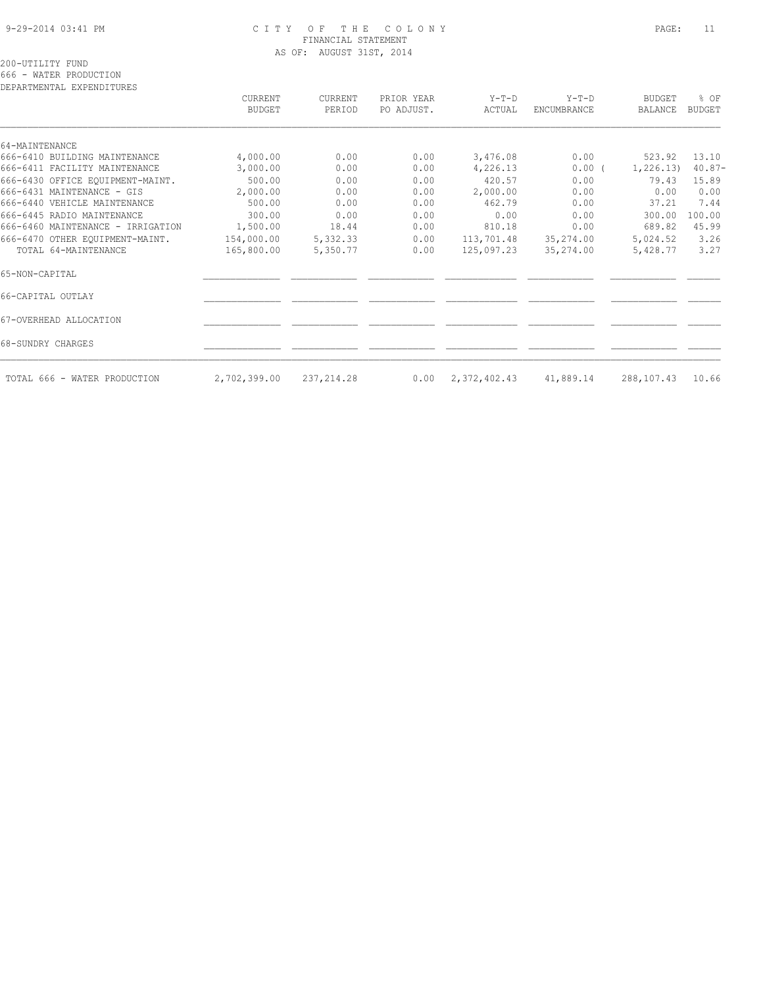#### 9-29-2014 03:41 PM C I T Y O F T H E C O L O N Y PAGE: 11 FINANCIAL STATEMENT AS OF: AUGUST 31ST, 2014

200-UTILITY FUND

666 - WATER PRODUCTION

| DEPARTMENTAL EXPENDITURES         |                          |                   |                          |                   |                               |                          |                         |
|-----------------------------------|--------------------------|-------------------|--------------------------|-------------------|-------------------------------|--------------------------|-------------------------|
|                                   | CURRENT<br><b>BUDGET</b> | CURRENT<br>PERIOD | PRIOR YEAR<br>PO ADJUST. | $Y-T-D$<br>ACTUAL | $Y-T-D$<br><b>ENCUMBRANCE</b> | <b>BUDGET</b><br>BALANCE | $8$ OF<br><b>BUDGET</b> |
| 64-MAINTENANCE                    |                          |                   |                          |                   |                               |                          |                         |
| 666-6410 BUILDING MAINTENANCE     | 4,000.00                 | 0.00              | 0.00                     | 3,476.08          | 0.00                          | 523.92                   | 13.10                   |
| 666-6411 FACILITY MAINTENANCE     | 3,000.00                 | 0.00              | 0.00                     | 4,226.13          | $0.00$ (                      | 1,226.13)                | $40.87 -$               |
| 666-6430 OFFICE EQUIPMENT-MAINT.  | 500.00                   | 0.00              | 0.00                     | 420.57            | 0.00                          | 79.43                    | 15.89                   |
| 666-6431 MAINTENANCE - GIS        | 2,000.00                 | 0.00              | 0.00                     | 2,000.00          | 0.00                          | 0.00                     | 0.00                    |
| 666-6440 VEHICLE MAINTENANCE      | 500.00                   | 0.00              | 0.00                     | 462.79            | 0.00                          | 37.21                    | 7.44                    |
| 666-6445 RADIO MAINTENANCE        | 300.00                   | 0.00              | 0.00                     | 0.00              | 0.00                          | 300.00                   | 100.00                  |
| 666-6460 MAINTENANCE - IRRIGATION | 1,500.00                 | 18.44             | 0.00                     | 810.18            | 0.00                          | 689.82                   | 45.99                   |
| 666-6470 OTHER EQUIPMENT-MAINT.   | 154,000.00               | 5,332.33          | 0.00                     | 113,701.48        | 35,274.00                     | 5,024.52                 | 3.26                    |
| TOTAL 64-MAINTENANCE              | 165,800.00               | 5,350.77          | 0.00                     | 125,097.23        | 35,274.00                     | 5,428.77                 | 3.27                    |
| 65-NON-CAPITAL                    |                          |                   |                          |                   |                               |                          |                         |
| 66-CAPITAL OUTLAY                 |                          |                   |                          |                   |                               |                          |                         |
| 67-OVERHEAD ALLOCATION            |                          |                   |                          |                   |                               |                          |                         |
| 68-SUNDRY CHARGES                 |                          |                   |                          |                   |                               |                          |                         |
| TOTAL 666 - WATER PRODUCTION      | 2,702,399.00             | 237, 214.28       | 0.00                     | 2,372,402.43      | 41,889.14                     | 288,107.43               | 10.66                   |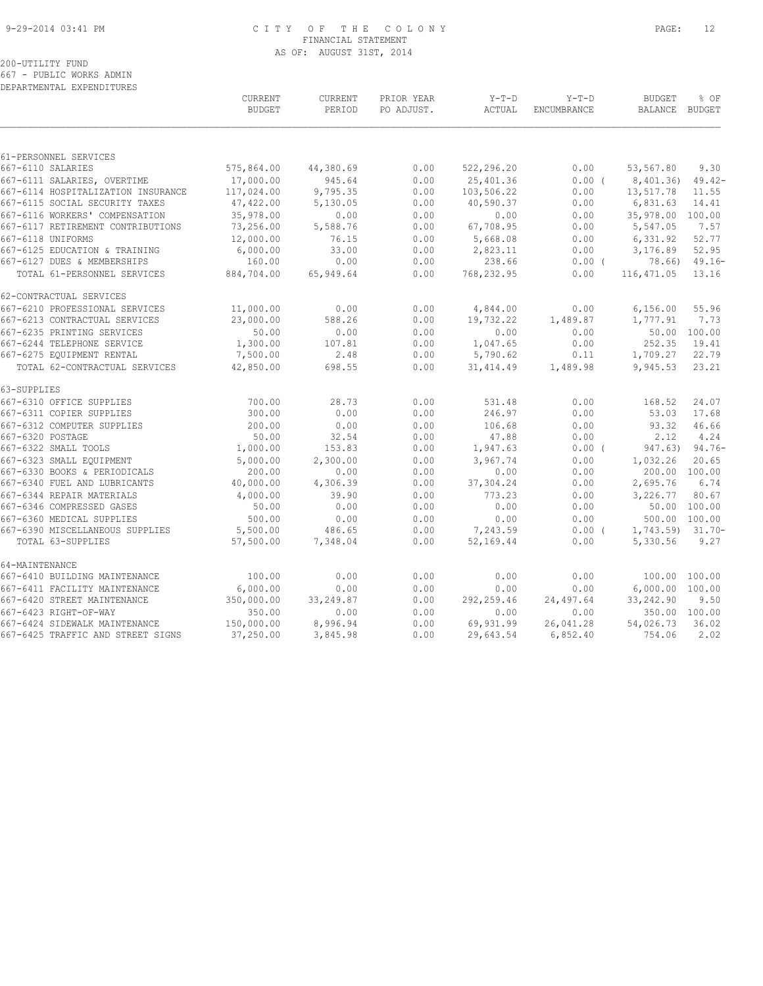#### 9-29-2014 03:41 PM C I T Y O F T H E C O L O N Y PAGE: 12 FINANCIAL STATEMENT AS OF: AUGUST 31ST, 2014

# 200-UTILITY FUND

667 - PUBLIC WORKS ADMIN DEPARTMENTAL EXPENDITURES

|                                                              | <b>CURRENT</b><br><b>BUDGET</b> | CURRENT<br>PERIOD  | PRIOR YEAR<br>PO ADJUST. | $Y-T-D$<br>ACTUAL     | $Y-T-D$<br>ENCUMBRANCE | <b>BUDGET</b><br><b>BALANCE</b> | % OF<br><b>BUDGET</b> |
|--------------------------------------------------------------|---------------------------------|--------------------|--------------------------|-----------------------|------------------------|---------------------------------|-----------------------|
|                                                              |                                 |                    |                          |                       |                        |                                 |                       |
| 61-PERSONNEL SERVICES<br>667-6110 SALARIES                   | 575,864.00                      | 44,380.69          | 0.00                     | 522,296.20            | 0.00                   | 53,567.80                       | 9.30                  |
| 667-6111 SALARIES, OVERTIME                                  | 17,000.00                       | 945.64             | 0.00                     | 25,401.36             | 0.00(                  | 8,401.36)                       | $49.42-$              |
| 667-6114 HOSPITALIZATION INSURANCE                           | 117,024.00                      | 9,795.35           | 0.00                     | 103,506.22            | 0.00                   | 13,517.78                       | 11.55                 |
| 667-6115 SOCIAL SECURITY TAXES                               | 47,422.00                       | 5,130.05           | 0.00                     | 40,590.37             | 0.00                   | 6,831.63                        | 14.41                 |
| 667-6116 WORKERS' COMPENSATION                               | 35,978.00                       | 0.00               | 0.00                     | 0.00                  | 0.00                   | 35,978.00                       | 100.00                |
| 667-6117 RETIREMENT CONTRIBUTIONS                            | 73,256.00                       | 5,588.76           | 0.00                     | 67,708.95             | 0.00                   | 5,547.05                        | 7.57                  |
| 667-6118 UNIFORMS                                            | 12,000.00                       | 76.15              | 0.00                     | 5,668.08              | 0.00                   | 6,331.92                        | 52.77                 |
| 667-6125 EDUCATION & TRAINING                                | 6,000.00                        | 33.00              | 0.00                     | 2,823.11              | 0.00                   | 3,176.89                        | 52.95                 |
| 667-6127 DUES & MEMBERSHIPS                                  | 160.00                          | 0.00               | 0.00                     | 238.66                | $0.00$ (               | 78.66)                          | $49.16 -$             |
| TOTAL 61-PERSONNEL SERVICES                                  | 884,704.00                      | 65,949.64          | 0.00                     | 768,232.95            | 0.00                   | 116, 471.05                     | 13.16                 |
| 62-CONTRACTUAL SERVICES                                      |                                 |                    |                          |                       |                        |                                 |                       |
| 667-6210 PROFESSIONAL SERVICES                               | 11,000.00                       | 0.00               | 0.00                     | 4,844.00              | 0.00                   | 6, 156.00                       | 55.96                 |
| 667-6213 CONTRACTUAL SERVICES                                | 23,000.00                       | 588.26             | 0.00                     | 19,732.22             | 1,489.87               | 1,777.91                        | 7.73                  |
| 667-6235 PRINTING SERVICES                                   | 50.00                           | 0.00               | 0.00                     | 0.00                  | 0.00                   | 50.00                           | 100.00                |
| 667-6244 TELEPHONE SERVICE                                   | 1,300.00                        | 107.81             | 0.00                     | 1,047.65              | 0.00                   | 252.35                          | 19.41                 |
| 667-6275 EQUIPMENT RENTAL                                    | 7,500.00                        | 2.48               | 0.00                     | 5,790.62              | 0.11                   | 1,709.27                        | 22.79                 |
| TOTAL 62-CONTRACTUAL SERVICES                                | 42,850.00                       | 698.55             | 0.00                     | 31, 414.49            | 1,489.98               | 9,945.53                        | 23.21                 |
| 63-SUPPLIES                                                  |                                 |                    |                          |                       |                        |                                 |                       |
| 667-6310 OFFICE SUPPLIES                                     | 700.00                          | 28.73              | 0.00                     | 531.48                | 0.00                   | 168.52                          | 24.07                 |
| 667-6311 COPIER SUPPLIES                                     | 300.00                          | 0.00               | 0.00                     | 246.97                | 0.00                   | 53.03                           | 17.68                 |
| 667-6312 COMPUTER SUPPLIES                                   | 200.00                          | 0.00               | 0.00                     | 106.68                | 0.00                   | 93.32                           | 46.66                 |
| 667-6320 POSTAGE                                             | 50.00                           | 32.54              | 0.00                     | 47.88                 | 0.00                   | 2.12                            | 4.24                  |
| 667-6322 SMALL TOOLS                                         | 1,000.00                        | 153.83             | 0.00                     | 1,947.63              | 0.00(                  | 947.63)                         | $94.76 -$             |
| 667-6323 SMALL EQUIPMENT                                     | 5,000.00                        | 2,300.00           | 0.00                     | 3,967.74              | 0.00                   | 1,032.26                        | 20.65                 |
| 667-6330 BOOKS & PERIODICALS                                 | 200.00                          | 0.00               | 0.00                     | 0.00                  | 0.00                   |                                 | 200.00 100.00         |
| 667-6340 FUEL AND LUBRICANTS                                 | 40,000.00                       | 4,306.39           | 0.00                     | 37,304.24             | 0.00                   | 2,695.76                        | 6.74                  |
| 667-6344 REPAIR MATERIALS                                    | 4,000.00<br>50.00               | 39.90<br>0.00      | 0.00<br>0.00             | 773.23                | 0.00<br>0.00           | 3,226.77                        | 80.67                 |
| 667-6346 COMPRESSED GASES                                    |                                 |                    |                          | 0.00                  |                        | 50.00                           | 100.00                |
| 667-6360 MEDICAL SUPPLIES<br>667-6390 MISCELLANEOUS SUPPLIES | 500.00                          | 0.00               | 0.00<br>0.00             | 0.00                  | 0.00                   | 500.00                          | 100.00<br>$31.70 -$   |
| TOTAL 63-SUPPLIES                                            | 5,500.00<br>57,500.00           | 486.65<br>7,348.04 | 0.00                     | 7,243.59<br>52,169.44 | $0.00$ (<br>0.00       | 1,743.59<br>5,330.56            | 9.27                  |
| 64-MAINTENANCE                                               |                                 |                    |                          |                       |                        |                                 |                       |
| 667-6410 BUILDING MAINTENANCE                                | 100.00                          | 0.00               | 0.00                     | 0.00                  | 0.00                   | 100.00                          | 100.00                |
| 667-6411 FACILITY MAINTENANCE                                | 6,000.00                        | 0.00               | 0.00                     | 0.00                  | 0.00                   | 6,000.00 100.00                 |                       |
| 667-6420 STREET MAINTENANCE                                  | 350,000.00                      | 33,249.87          | 0.00                     | 292, 259.46           | 24,497.64              | 33,242.90                       | 9.50                  |
| 667-6423 RIGHT-OF-WAY                                        | 350.00                          | 0.00               | 0.00                     | 0.00                  | 0.00                   |                                 | 350.00 100.00         |
| 667-6424 SIDEWALK MAINTENANCE                                | 150,000.00                      | 8,996.94           | 0.00                     | 69,931.99             | 26,041.28              | 54,026.73                       | 36.02                 |
| 667-6425 TRAFFIC AND STREET SIGNS                            | 37,250.00                       | 3,845.98           | 0.00                     | 29,643.54             | 6,852.40               | 754.06                          | 2.02                  |
|                                                              |                                 |                    |                          |                       |                        |                                 |                       |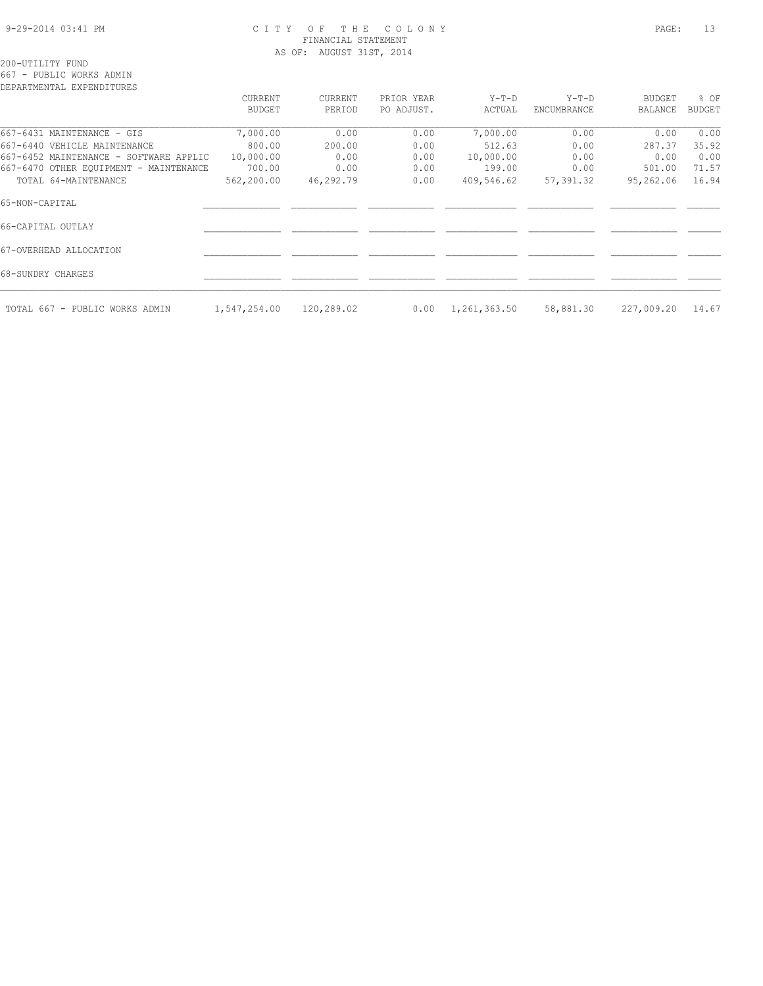#### 9-29-2014 03:41 PM C I T Y O F T H E C O L O N Y PAGE: 13 FINANCIAL STATEMENT AS OF: AUGUST 31ST, 2014

200-UTILITY FUND

667 - PUBLIC WORKS ADMIN

| DEPARTMENTAL EXPENDITURES              |               |            |            |              |             |               |               |
|----------------------------------------|---------------|------------|------------|--------------|-------------|---------------|---------------|
|                                        | CURRENT       | CURRENT    | PRIOR YEAR | $Y-T-D$      | $Y-T-D$     | <b>BUDGET</b> | % OF          |
|                                        | <b>BUDGET</b> | PERIOD     | PO ADJUST. | ACTUAL       | ENCUMBRANCE | BALANCE       | <b>BUDGET</b> |
| 667-6431 MAINTENANCE - GIS             | 7,000.00      | 0.00       | 0.00       | 7,000.00     | 0.00        | 0.00          | 0.00          |
| 667-6440 VEHICLE MAINTENANCE           | 800.00        | 200.00     | 0.00       | 512.63       | 0.00        | 287.37        | 35.92         |
| 667-6452 MAINTENANCE - SOFTWARE APPLIC | 10,000.00     | 0.00       | 0.00       | 10,000.00    | 0.00        | 0.00          | 0.00          |
| 667-6470 OTHER EQUIPMENT - MAINTENANCE | 700.00        | 0.00       | 0.00       | 199.00       | 0.00        | 501.00        | 71.57         |
| TOTAL 64-MAINTENANCE                   | 562,200.00    | 46,292.79  | 0.00       | 409,546.62   | 57,391.32   | 95,262.06     | 16.94         |
| 65-NON-CAPITAL                         |               |            |            |              |             |               |               |
| 66-CAPITAL OUTLAY                      |               |            |            |              |             |               |               |
| 67-OVERHEAD ALLOCATION                 |               |            |            |              |             |               |               |
| 68-SUNDRY CHARGES                      |               |            |            |              |             |               |               |
| TOTAL 667 - PUBLIC WORKS ADMIN         | 1,547,254.00  | 120,289.02 | 0.00       | 1,261,363.50 | 58,881.30   | 227,009.20    | 14.67         |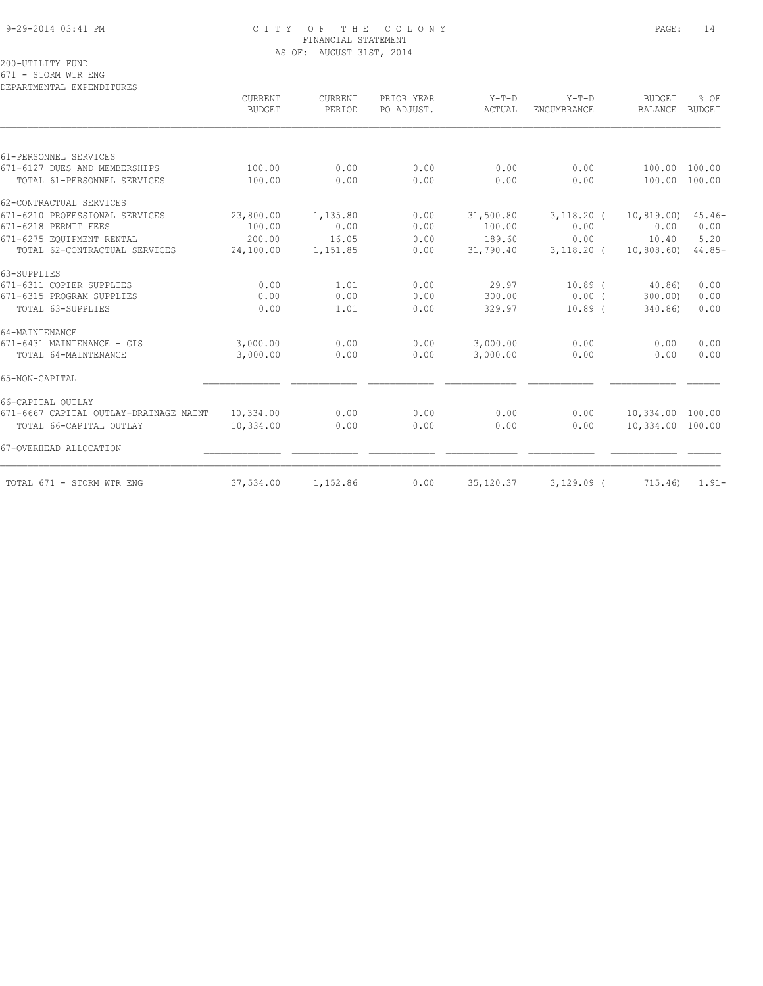#### 9-29-2014 03:41 PM C I T Y O F T H E C O L O N Y PAGE: 14 FINANCIAL STATEMENT AS OF: AUGUST 31ST, 2014

200-UTILITY FUND

671 - STORM WTR ENG

| DEPARTMENTAL EXPENDITURES              |                          |                   |                          |                   |                               |                          |                       |
|----------------------------------------|--------------------------|-------------------|--------------------------|-------------------|-------------------------------|--------------------------|-----------------------|
|                                        | CURRENT<br><b>BUDGET</b> | CURRENT<br>PERIOD | PRIOR YEAR<br>PO ADJUST. | $Y-T-D$<br>ACTUAL | $Y-T-D$<br><b>ENCUMBRANCE</b> | <b>BUDGET</b><br>BALANCE | % OF<br><b>BUDGET</b> |
|                                        |                          |                   |                          |                   |                               |                          |                       |
| 61-PERSONNEL SERVICES                  |                          |                   |                          |                   |                               |                          |                       |
| 671-6127 DUES AND MEMBERSHIPS          | 100.00                   | 0.00              | 0.00                     | 0.00              | 0.00                          | 100.00 100.00            |                       |
| TOTAL 61-PERSONNEL SERVICES            | 100.00                   | 0.00              | 0.00                     | 0.00              | 0.00                          | 100.00                   | 100.00                |
| 62-CONTRACTUAL SERVICES                |                          |                   |                          |                   |                               |                          |                       |
| 671-6210 PROFESSIONAL SERVICES         | 23,800.00                | 1,135.80          | 0.00                     | 31,500.80         | $3,118.20$ (                  | 10, 819.00)              | $45.46-$              |
| 671-6218 PERMIT FEES                   | 100.00                   | 0.00              | 0.00                     | 100.00            | 0.00                          | 0.00                     | 0.00                  |
| 671-6275 EOUIPMENT RENTAL              | 200.00                   | 16.05             | 0.00                     | 189.60            | 0.00                          | 10.40                    | 5.20                  |
| TOTAL 62-CONTRACTUAL SERVICES          | 24,100.00                | 1,151.85          | 0.00                     | 31,790.40         | $3,118.20$ (                  | 10,808.60                | $44.85-$              |
| 63-SUPPLIES                            |                          |                   |                          |                   |                               |                          |                       |
| 671-6311 COPIER SUPPLIES               | 0.00                     | 1.01              | 0.00                     | 29.97             | $10.89$ $($                   | 40.86                    | 0.00                  |
| 671-6315 PROGRAM SUPPLIES              | 0.00                     | 0.00              | 0.00                     | 300.00            | $0.00$ (                      | 300.00)                  | 0.00                  |
| TOTAL 63-SUPPLIES                      | 0.00                     | 1.01              | 0.00                     | 329.97            | $10.89$ (                     | 340.86)                  | 0.00                  |
| 64-MAINTENANCE                         |                          |                   |                          |                   |                               |                          |                       |
| 671-6431 MAINTENANCE - GIS             | 3,000.00                 | 0.00              | 0.00                     | 3,000.00          | 0.00                          | 0.00                     | 0.00                  |
| TOTAL 64-MAINTENANCE                   | 3,000.00                 | 0.00              | 0.00                     | 3,000.00          | 0.00                          | 0.00                     | 0.00                  |
| 65-NON-CAPITAL                         |                          |                   |                          |                   |                               |                          |                       |
| 66-CAPITAL OUTLAY                      |                          |                   |                          |                   |                               |                          |                       |
| 671-6667 CAPITAL OUTLAY-DRAINAGE MAINT | 10,334.00                | 0.00              | 0.00                     | 0.00              | 0.00                          | 10,334.00                | 100.00                |
| TOTAL 66-CAPITAL OUTLAY                | 10,334.00                | 0.00              | 0.00                     | 0.00              | 0.00                          | 10,334.00 100.00         |                       |
| 67-OVERHEAD ALLOCATION                 |                          |                   |                          |                   |                               |                          |                       |
| TOTAL 671 - STORM WTR ENG              | 37,534.00                | 1,152.86          | 0.00                     | 35,120.37         | $3,129.09$ (                  | 715.46)                  | $1.91 -$              |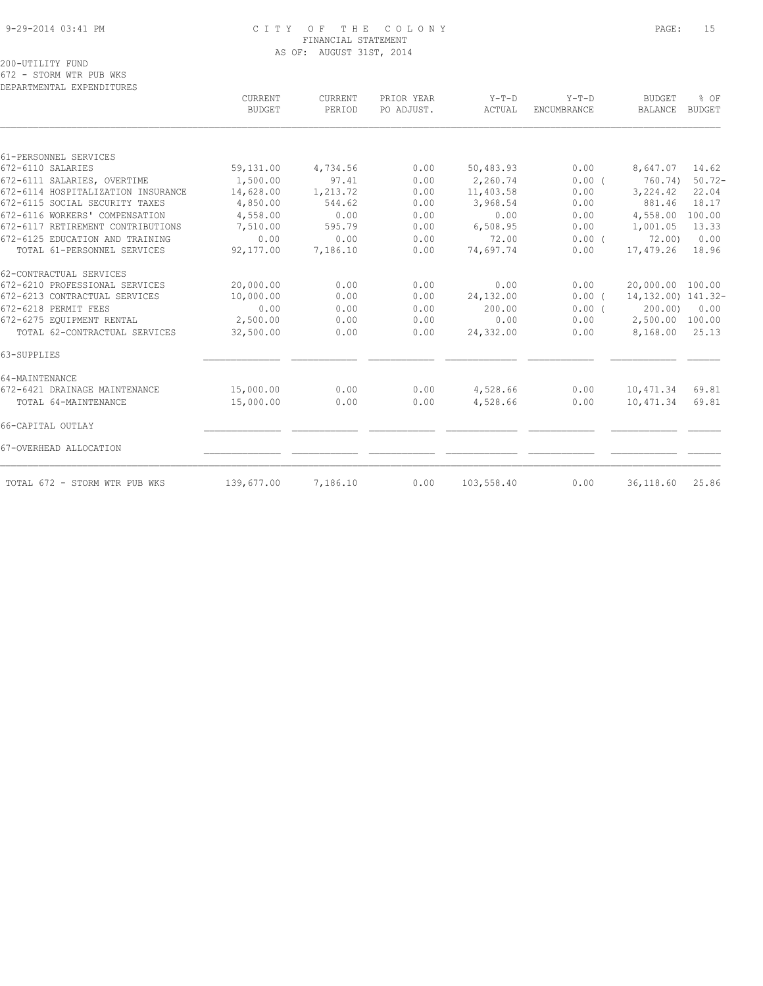#### 9-29-2014 03:41 PM C I T Y O F T H E C O L O N Y PAGE: 15 FINANCIAL STATEMENT AS OF: AUGUST 31ST, 2014

200-UTILITY FUND

672 - STORM WTR PUB WKS DEPARTMENTAL EXPENDITURES

|                                    | CURRENT<br><b>BUDGET</b> | CURRENT<br>PERIOD | PRIOR YEAR<br>PO ADJUST. | $Y-T-D$<br>ACTUAL | $Y-T-D$<br>ENCUMBRANCE | <b>BUDGET</b><br><b>BALANCE</b> | % OF<br><b>BUDGET</b> |
|------------------------------------|--------------------------|-------------------|--------------------------|-------------------|------------------------|---------------------------------|-----------------------|
| 61-PERSONNEL SERVICES              |                          |                   |                          |                   |                        |                                 |                       |
| 672-6110 SALARIES                  | 59,131.00                | 4,734.56          | 0.00                     | 50,483.93         | 0.00                   | 8,647.07                        | 14.62                 |
| 672-6111 SALARIES, OVERTIME        | 1,500.00                 | 97.41             | 0.00                     | 2,260.74          | 0.00(                  | 760.74)                         | $50.72 -$             |
| 672-6114 HOSPITALIZATION INSURANCE | 14,628.00                | 1,213.72          | 0.00                     | 11,403.58         | 0.00                   | 3,224.42                        | 22.04                 |
| 672-6115 SOCIAL SECURITY TAXES     | 4,850.00                 | 544.62            | 0.00                     | 3,968.54          | 0.00                   | 881.46                          | 18.17                 |
| 672-6116 WORKERS' COMPENSATION     | 4,558.00                 | 0.00              | 0.00                     | 0.00              | 0.00                   | 4,558.00                        | 100.00                |
| 672-6117 RETIREMENT CONTRIBUTIONS  | 7,510.00                 | 595.79            | 0.00                     | 6,508.95          | 0.00                   | 1,001.05                        | 13.33                 |
| 672-6125 EDUCATION AND TRAINING    | 0.00                     | 0.00              | 0.00                     | 72.00             | 0.00(                  | 72.00                           | 0.00                  |
| TOTAL 61-PERSONNEL SERVICES        | 92,177.00                | 7,186.10          | 0.00                     | 74,697.74         | 0.00                   | 17,479.26                       | 18.96                 |
| 62-CONTRACTUAL SERVICES            |                          |                   |                          |                   |                        |                                 |                       |
| 672-6210 PROFESSIONAL SERVICES     | 20,000.00                | 0.00              | 0.00                     | 0.00              | 0.00                   | 20,000.00 100.00                |                       |
| 672-6213 CONTRACTUAL SERVICES      | 10,000.00                | 0.00              | 0.00                     | 24,132.00         | $0.00$ (               | 14, 132.00) 141.32-             |                       |
| 672-6218 PERMIT FEES               | 0.00                     | 0.00              | 0.00                     | 200.00            | $0.00$ (               | 200.00                          | 0.00                  |
| 672-6275 EQUIPMENT RENTAL          | 2,500.00                 | 0.00              | 0.00                     | 0.00              | 0.00                   | 2,500.00                        | 100.00                |
| TOTAL 62-CONTRACTUAL SERVICES      | 32,500.00                | 0.00              | 0.00                     | 24,332.00         | 0.00                   | 8,168.00                        | 25.13                 |
| 63-SUPPLIES                        |                          |                   |                          |                   |                        |                                 |                       |
| 64-MAINTENANCE                     |                          |                   |                          |                   |                        |                                 |                       |
| 672-6421 DRAINAGE MAINTENANCE      | 15,000.00                | 0.00              | 0.00                     | 4,528.66          | 0.00                   | 10,471.34                       | 69.81                 |
| TOTAL 64-MAINTENANCE               | 15,000.00                | 0.00              | 0.00                     | 4,528.66          | 0.00                   | 10,471.34                       | 69.81                 |
| 66-CAPITAL OUTLAY                  |                          |                   |                          |                   |                        |                                 |                       |
| 67-OVERHEAD ALLOCATION             |                          |                   |                          |                   |                        |                                 |                       |
| TOTAL 672 - STORM WTR PUB WKS      | 139,677.00               | 7,186.10          | 0.00                     | 103,558.40        | 0.00                   | 36,118.60                       | 25.86                 |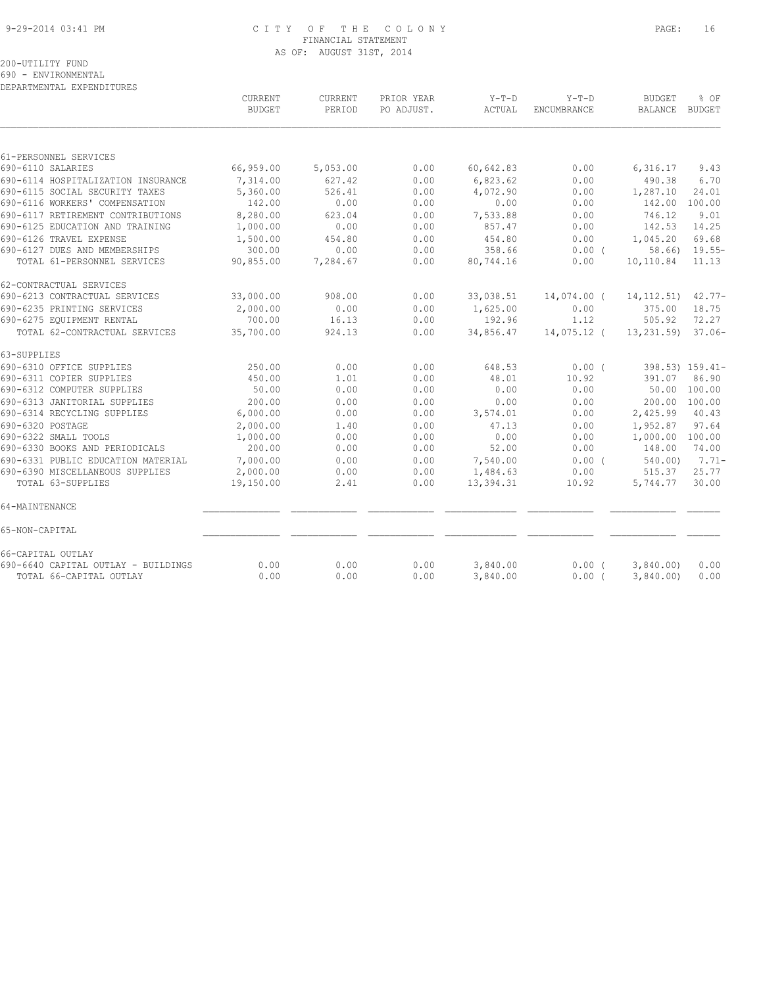#### 9-29-2014 03:41 PM C I T Y O F T H E C O L O N Y PAGE: 16 FINANCIAL STATEMENT AS OF: AUGUST 31ST, 2014

200-UTILITY FUND

690 - ENVIRONMENTAL

DEPARTMENTAL EXPENDITURES

|                                     | <b>CURRENT</b><br><b>BUDGET</b> | CURRENT<br>PERIOD | PRIOR YEAR<br>PO ADJUST. | $Y-T-D$<br>ACTUAL | $Y-T-D$<br>ENCUMBRANCE | <b>BUDGET</b><br><b>BALANCE</b> | % OF<br>BUDGET   |
|-------------------------------------|---------------------------------|-------------------|--------------------------|-------------------|------------------------|---------------------------------|------------------|
|                                     |                                 |                   |                          |                   |                        |                                 |                  |
| 61-PERSONNEL SERVICES               |                                 |                   |                          |                   |                        |                                 |                  |
| 690-6110 SALARIES                   | 66,959.00                       | 5,053.00          | 0.00                     | 60,642.83         | 0.00                   | 6,316.17                        | 9.43             |
| 690-6114 HOSPITALIZATION INSURANCE  | 7,314.00                        | 627.42            | 0.00                     | 6,823.62          | 0.00                   | 490.38                          | 6.70             |
| 690-6115 SOCIAL SECURITY TAXES      | 5,360.00                        | 526.41            | 0.00                     | 4,072.90          | 0.00                   | 1,287.10                        | 24.01            |
| 690-6116 WORKERS' COMPENSATION      | 142.00                          | 0.00              | 0.00                     | 0.00              | 0.00                   | 142.00                          | 100.00           |
| 690-6117 RETIREMENT CONTRIBUTIONS   | 8,280.00                        | 623.04            | 0.00                     | 7,533.88          | 0.00                   | 746.12                          | 9.01             |
| 690-6125 EDUCATION AND TRAINING     | 1,000.00                        | 0.00              | 0.00                     | 857.47            | 0.00                   | 142.53                          | 14.25            |
| 690-6126 TRAVEL EXPENSE             | 1,500.00                        | 454.80            | 0.00                     | 454.80            | 0.00                   | 1,045.20                        | 69.68            |
| 690-6127 DUES AND MEMBERSHIPS       | 300.00                          | 0.00              | 0.00                     | 358.66            | $0.00$ (               |                                 | $58.66$ ) 19.55- |
| TOTAL 61-PERSONNEL SERVICES         | 90,855.00                       | 7,284.67          | 0.00                     | 80,744.16         | 0.00                   | 10,110.84                       | 11.13            |
| 62-CONTRACTUAL SERVICES             |                                 |                   |                          |                   |                        |                                 |                  |
| 690-6213 CONTRACTUAL SERVICES       | 33,000.00                       | 908.00            | 0.00                     | 33,038.51         | 14,074.00 (            | 14, 112.51)                     | $42.77-$         |
| 690-6235 PRINTING SERVICES          | 2,000.00                        | 0.00              | 0.00                     | 1,625.00          | 0.00                   | 375.00                          | 18.75            |
| 690-6275 EQUIPMENT RENTAL           | 700.00                          | 16.13             | 0.00                     | 192.96            | 1.12                   | 505.92                          | 72.27            |
| TOTAL 62-CONTRACTUAL SERVICES       | 35,700.00                       | 924.13            | 0.00                     | 34,856.47         | 14,075.12 (            | 13,231.59)                      | $37.06-$         |
| 63-SUPPLIES                         |                                 |                   |                          |                   |                        |                                 |                  |
| 690-6310 OFFICE SUPPLIES            | 250.00                          | 0.00              | 0.00                     | 648.53            | 0.00(                  |                                 | 398.53) 159.41-  |
| 690-6311 COPIER SUPPLIES            | 450.00                          | 1.01              | 0.00                     | 48.01             | 10.92                  | 391.07                          | 86.90            |
| 690-6312 COMPUTER SUPPLIES          | 50.00                           | 0.00              | 0.00                     | 0.00              | 0.00                   | 50.00                           | 100.00           |
| 690-6313 JANITORIAL SUPPLIES        | 200.00                          | 0.00              | 0.00                     | 0.00              | 0.00                   | 200.00                          | 100.00           |
| 690-6314 RECYCLING SUPPLIES         | 6,000.00                        | 0.00              | 0.00                     | 3,574.01          | 0.00                   | 2,425.99                        | 40.43            |
| 690-6320 POSTAGE                    | 2,000.00                        | 1.40              | 0.00                     | 47.13             | 0.00                   | 1,952.87                        | 97.64            |
| 690-6322 SMALL TOOLS                | 1,000.00                        | 0.00              | 0.00                     | 0.00              | 0.00                   | 1,000.00 100.00                 |                  |
| 690-6330 BOOKS AND PERIODICALS      | 200.00                          | 0.00              | 0.00                     | 52.00             | 0.00                   | 148.00                          | 74.00            |
| 690-6331 PUBLIC EDUCATION MATERIAL  | 7,000.00                        | 0.00              | 0.00                     | 7,540.00          | $0.00$ (               | 540.00                          | $7.71-$          |
| 690-6390 MISCELLANEOUS SUPPLIES     | 2,000.00                        | 0.00              | 0.00                     | 1,484.63          | 0.00                   | 515.37                          | 25.77            |
| TOTAL 63-SUPPLIES                   | 19,150.00                       | 2.41              | 0.00                     | 13,394.31         | 10.92                  | 5,744.77                        | 30.00            |
| 64-MAINTENANCE                      |                                 |                   |                          |                   |                        |                                 |                  |
| 65-NON-CAPITAL                      |                                 |                   |                          |                   |                        |                                 |                  |
| 66-CAPITAL OUTLAY                   |                                 |                   |                          |                   |                        |                                 |                  |
| 690-6640 CAPITAL OUTLAY - BUILDINGS | 0.00                            | 0.00              | 0.00                     | 3,840.00          | $0.00$ (               | 3,840.00                        | 0.00             |
| TOTAL 66-CAPITAL OUTLAY             | 0.00                            | 0.00              | 0.00                     | 3,840.00          | $0.00$ (               | 3,840.00                        | 0.00             |